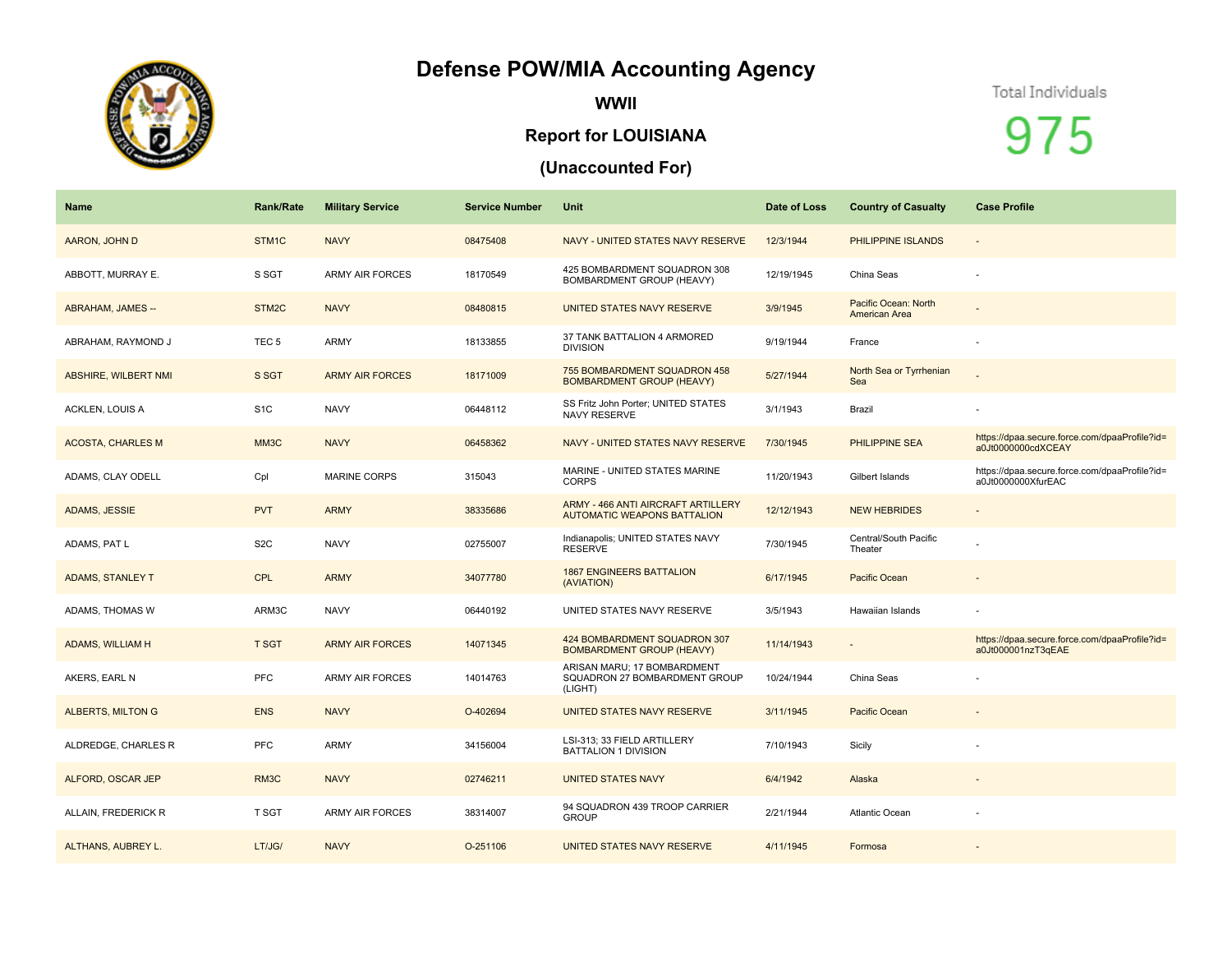## **Defense POW/MIA Accounting Agency**



**WWII**

## **Report for LOUISIANA**

## **(Unaccounted For)**

## Total Individuals

975

| Name                        | <b>Rank/Rate</b> | <b>Military Service</b> | <b>Service Number</b> | Unit                                                                     | Date of Loss | <b>Country of Casualty</b>            | <b>Case Profile</b>                                                 |
|-----------------------------|------------------|-------------------------|-----------------------|--------------------------------------------------------------------------|--------------|---------------------------------------|---------------------------------------------------------------------|
| AARON, JOHN D               | STM1C            | <b>NAVY</b>             | 08475408              | NAVY - UNITED STATES NAVY RESERVE                                        | 12/3/1944    | PHILIPPINE ISLANDS                    | $\overline{\phantom{a}}$                                            |
| ABBOTT, MURRAY E.           | S SGT            | <b>ARMY AIR FORCES</b>  | 18170549              | 425 BOMBARDMENT SQUADRON 308<br>BOMBARDMENT GROUP (HEAVY)                | 12/19/1945   | China Seas                            |                                                                     |
| ABRAHAM, JAMES --           | STM2C            | <b>NAVY</b>             | 08480815              | <b>UNITED STATES NAVY RESERVE</b>                                        | 3/9/1945     | Pacific Ocean: North<br>American Area |                                                                     |
| ABRAHAM, RAYMOND J          | TEC <sub>5</sub> | ARMY                    | 18133855              | 37 TANK BATTALION 4 ARMORED<br><b>DIVISION</b>                           | 9/19/1944    | France                                | ٠                                                                   |
| <b>ABSHIRE, WILBERT NMI</b> | S SGT            | <b>ARMY AIR FORCES</b>  | 18171009              | 755 BOMBARDMENT SQUADRON 458<br><b>BOMBARDMENT GROUP (HEAVY)</b>         | 5/27/1944    | North Sea or Tyrrhenian<br>Sea        |                                                                     |
| ACKLEN, LOUIS A             | S <sub>1</sub> C | <b>NAVY</b>             | 06448112              | SS Fritz John Porter; UNITED STATES<br>NAVY RESERVE                      | 3/1/1943     | Brazil                                |                                                                     |
| <b>ACOSTA, CHARLES M</b>    | MM3C             | <b>NAVY</b>             | 06458362              | NAVY - UNITED STATES NAVY RESERVE                                        | 7/30/1945    | PHILIPPINE SEA                        | https://dpaa.secure.force.com/dpaaProfile?id=<br>a0Jt0000000cdXCEAY |
| ADAMS, CLAY ODELL           | Cpl              | <b>MARINE CORPS</b>     | 315043                | MARINE - UNITED STATES MARINE<br><b>CORPS</b>                            | 11/20/1943   | Gilbert Islands                       | https://dpaa.secure.force.com/dpaaProfile?id=<br>a0Jt0000000XfurEAC |
| ADAMS, JESSIE               | <b>PVT</b>       | <b>ARMY</b>             | 38335686              | ARMY - 466 ANTI AIRCRAFT ARTILLERY<br><b>AUTOMATIC WEAPONS BATTALION</b> | 12/12/1943   | <b>NEW HEBRIDES</b>                   | $\overline{\phantom{a}}$                                            |
| ADAMS, PAT L                | S <sub>2</sub> C | <b>NAVY</b>             | 02755007              | Indianapolis; UNITED STATES NAVY<br><b>RESERVE</b>                       | 7/30/1945    | Central/South Pacific<br>Theater      |                                                                     |
| <b>ADAMS, STANLEY T</b>     | <b>CPL</b>       | <b>ARMY</b>             | 34077780              | <b>1867 ENGINEERS BATTALION</b><br>(AVIATION)                            | 6/17/1945    | Pacific Ocean                         |                                                                     |
| ADAMS, THOMAS W             | ARM3C            | <b>NAVY</b>             | 06440192              | UNITED STATES NAVY RESERVE                                               | 3/5/1943     | Hawaiian Islands                      | ٠                                                                   |
| ADAMS, WILLIAM H            | <b>T SGT</b>     | <b>ARMY AIR FORCES</b>  | 14071345              | 424 BOMBARDMENT SQUADRON 307<br><b>BOMBARDMENT GROUP (HEAVY)</b>         | 11/14/1943   | $\frac{1}{2}$                         | https://dpaa.secure.force.com/dpaaProfile?id=<br>a0Jt000001nzT3qEAE |
| AKERS, EARL N               | <b>PFC</b>       | <b>ARMY AIR FORCES</b>  | 14014763              | ARISAN MARU; 17 BOMBARDMENT<br>SQUADRON 27 BOMBARDMENT GROUP<br>(LIGHT)  | 10/24/1944   | China Seas                            |                                                                     |
| <b>ALBERTS, MILTON G</b>    | <b>ENS</b>       | <b>NAVY</b>             | O-402694              | UNITED STATES NAVY RESERVE                                               | 3/11/1945    | Pacific Ocean                         |                                                                     |
| ALDREDGE, CHARLES R         | <b>PFC</b>       | <b>ARMY</b>             | 34156004              | LSI-313; 33 FIELD ARTILLERY<br><b>BATTALION 1 DIVISION</b>               | 7/10/1943    | Sicily                                |                                                                     |
| ALFORD, OSCAR JEP           | RM3C             | <b>NAVY</b>             | 02746211              | <b>UNITED STATES NAVY</b>                                                | 6/4/1942     | Alaska                                |                                                                     |
| ALLAIN, FREDERICK R         | T SGT            | <b>ARMY AIR FORCES</b>  | 38314007              | 94 SQUADRON 439 TROOP CARRIER<br><b>GROUP</b>                            | 2/21/1944    | Atlantic Ocean                        |                                                                     |
| ALTHANS, AUBREY L.          | LT/JG/           | <b>NAVY</b>             | O-251106              | UNITED STATES NAVY RESERVE                                               | 4/11/1945    | Formosa                               |                                                                     |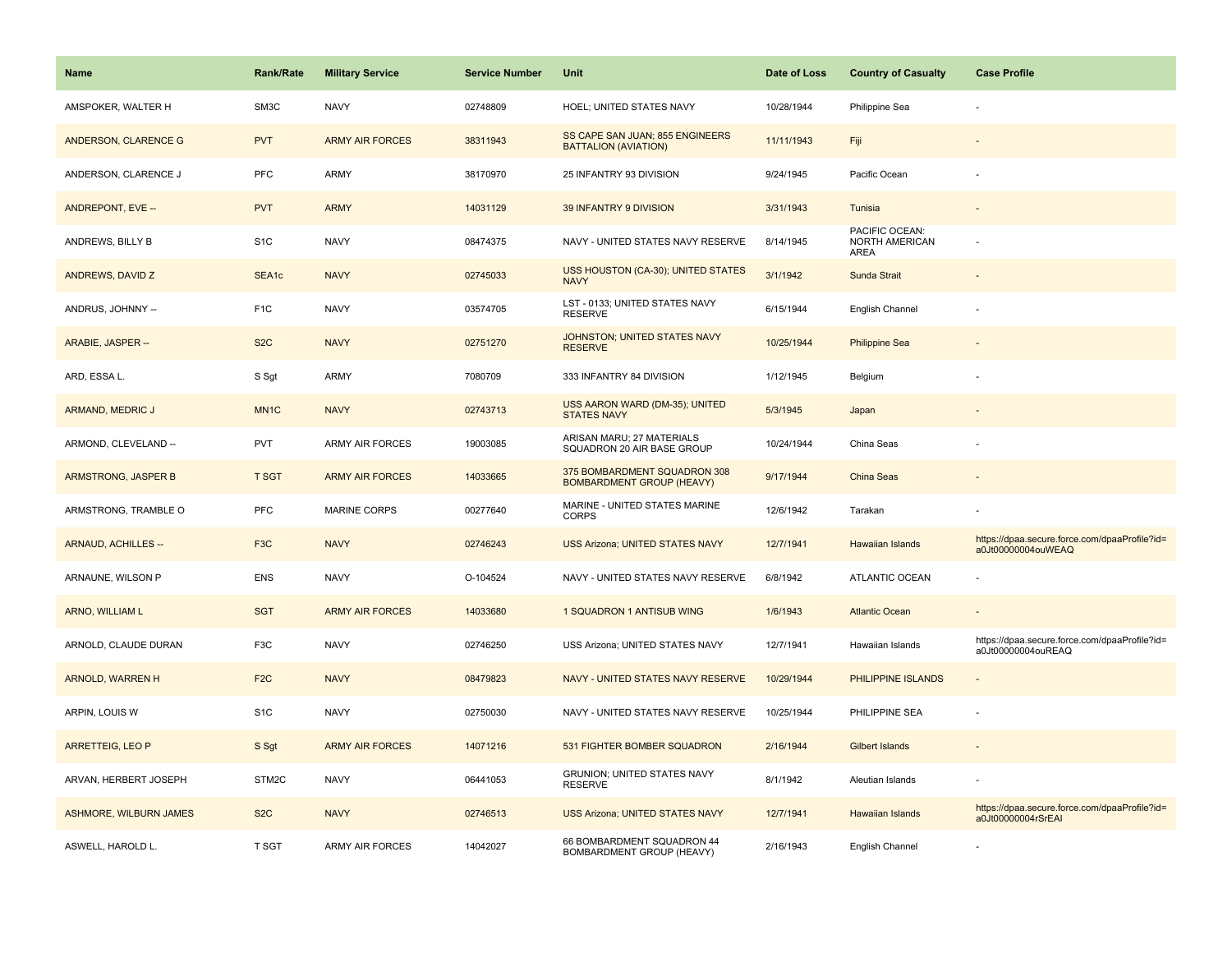| <b>Name</b>                   | <b>Rank/Rate</b>  | <b>Military Service</b> | <b>Service Number</b> | Unit                                                             | Date of Loss | <b>Country of Casualty</b>               | <b>Case Profile</b>                                                 |
|-------------------------------|-------------------|-------------------------|-----------------------|------------------------------------------------------------------|--------------|------------------------------------------|---------------------------------------------------------------------|
| AMSPOKER, WALTER H            | SM3C              | <b>NAVY</b>             | 02748809              | HOEL; UNITED STATES NAVY                                         | 10/28/1944   | Philippine Sea                           |                                                                     |
| ANDERSON, CLARENCE G          | <b>PVT</b>        | <b>ARMY AIR FORCES</b>  | 38311943              | SS CAPE SAN JUAN; 855 ENGINEERS<br><b>BATTALION (AVIATION)</b>   | 11/11/1943   | Fiji                                     |                                                                     |
| ANDERSON, CLARENCE J          | <b>PFC</b>        | <b>ARMY</b>             | 38170970              | 25 INFANTRY 93 DIVISION                                          | 9/24/1945    | Pacific Ocean                            |                                                                     |
| ANDREPONT, EVE --             | <b>PVT</b>        | <b>ARMY</b>             | 14031129              | 39 INFANTRY 9 DIVISION                                           | 3/31/1943    | Tunisia                                  |                                                                     |
| ANDREWS, BILLY B              | S <sub>1</sub> C  | <b>NAVY</b>             | 08474375              | NAVY - UNITED STATES NAVY RESERVE                                | 8/14/1945    | PACIFIC OCEAN:<br>NORTH AMERICAN<br>AREA |                                                                     |
| ANDREWS, DAVID Z              | SEA1c             | <b>NAVY</b>             | 02745033              | USS HOUSTON (CA-30); UNITED STATES<br><b>NAVY</b>                | 3/1/1942     | Sunda Strait                             |                                                                     |
| ANDRUS, JOHNNY --             | F <sub>1</sub> C  | <b>NAVY</b>             | 03574705              | LST - 0133; UNITED STATES NAVY<br><b>RESERVE</b>                 | 6/15/1944    | English Channel                          |                                                                     |
| ARABIE, JASPER --             | S <sub>2</sub> C  | <b>NAVY</b>             | 02751270              | JOHNSTON; UNITED STATES NAVY<br><b>RESERVE</b>                   | 10/25/1944   | <b>Philippine Sea</b>                    |                                                                     |
| ARD, ESSA L.                  | S Sgt             | ARMY                    | 7080709               | 333 INFANTRY 84 DIVISION                                         | 1/12/1945    | Belgium                                  |                                                                     |
| ARMAND, MEDRIC J              | MN <sub>1</sub> C | <b>NAVY</b>             | 02743713              | USS AARON WARD (DM-35); UNITED<br><b>STATES NAVY</b>             | 5/3/1945     | Japan                                    |                                                                     |
| ARMOND, CLEVELAND --          | <b>PVT</b>        | ARMY AIR FORCES         | 19003085              | ARISAN MARU; 27 MATERIALS<br>SQUADRON 20 AIR BASE GROUP          | 10/24/1944   | China Seas                               |                                                                     |
| ARMSTRONG, JASPER B           | <b>T SGT</b>      | <b>ARMY AIR FORCES</b>  | 14033665              | 375 BOMBARDMENT SQUADRON 308<br><b>BOMBARDMENT GROUP (HEAVY)</b> | 9/17/1944    | <b>China Seas</b>                        |                                                                     |
| ARMSTRONG, TRAMBLE O          | <b>PFC</b>        | <b>MARINE CORPS</b>     | 00277640              | MARINE - UNITED STATES MARINE<br><b>CORPS</b>                    | 12/6/1942    | Tarakan                                  |                                                                     |
| <b>ARNAUD, ACHILLES --</b>    | F <sub>3</sub> C  | <b>NAVY</b>             | 02746243              | USS Arizona; UNITED STATES NAVY                                  | 12/7/1941    | Hawaiian Islands                         | https://dpaa.secure.force.com/dpaaProfile?id=<br>a0Jt00000004ouWEAQ |
| ARNAUNE, WILSON P             | ENS               | <b>NAVY</b>             | O-104524              | NAVY - UNITED STATES NAVY RESERVE                                | 6/8/1942     | <b>ATLANTIC OCEAN</b>                    |                                                                     |
| ARNO, WILLIAM L               | <b>SGT</b>        | <b>ARMY AIR FORCES</b>  | 14033680              | 1 SQUADRON 1 ANTISUB WING                                        | 1/6/1943     | <b>Atlantic Ocean</b>                    |                                                                     |
| ARNOLD, CLAUDE DURAN          | F <sub>3</sub> C  | <b>NAVY</b>             | 02746250              | USS Arizona; UNITED STATES NAVY                                  | 12/7/1941    | Hawaiian Islands                         | https://dpaa.secure.force.com/dpaaProfile?id=<br>a0Jt00000004ouREAQ |
| ARNOLD, WARREN H              | F <sub>2</sub> C  | <b>NAVY</b>             | 08479823              | NAVY - UNITED STATES NAVY RESERVE                                | 10/29/1944   | PHILIPPINE ISLANDS                       |                                                                     |
| ARPIN, LOUIS W                | S <sub>1</sub> C  | <b>NAVY</b>             | 02750030              | NAVY - UNITED STATES NAVY RESERVE                                | 10/25/1944   | PHILIPPINE SEA                           |                                                                     |
| <b>ARRETTEIG, LEO P</b>       | S Sgt             | <b>ARMY AIR FORCES</b>  | 14071216              | 531 FIGHTER BOMBER SQUADRON                                      | 2/16/1944    | <b>Gilbert Islands</b>                   |                                                                     |
| ARVAN, HERBERT JOSEPH         | STM2C             | <b>NAVY</b>             | 06441053              | <b>GRUNION; UNITED STATES NAVY</b><br><b>RESERVE</b>             | 8/1/1942     | Aleutian Islands                         |                                                                     |
| <b>ASHMORE, WILBURN JAMES</b> | S <sub>2</sub> C  | <b>NAVY</b>             | 02746513              | <b>USS Arizona; UNITED STATES NAVY</b>                           | 12/7/1941    | <b>Hawaiian Islands</b>                  | https://dpaa.secure.force.com/dpaaProfile?id=<br>a0Jt00000004rSrEAI |
| ASWELL, HAROLD L.             | T SGT             | ARMY AIR FORCES         | 14042027              | 66 BOMBARDMENT SQUADRON 44<br>BOMBARDMENT GROUP (HEAVY)          | 2/16/1943    | English Channel                          |                                                                     |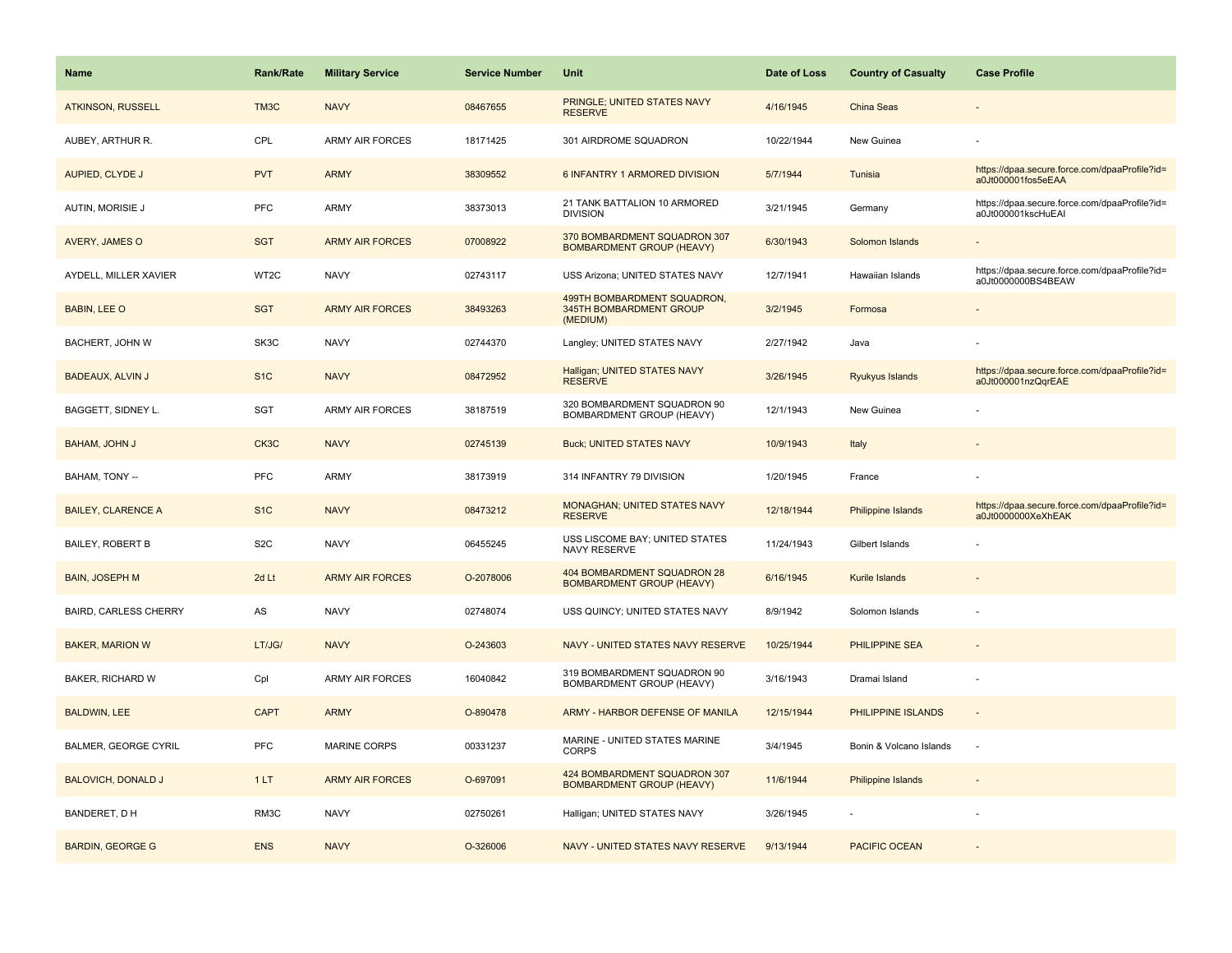| <b>Name</b>                  | <b>Rank/Rate</b> | <b>Military Service</b> | <b>Service Number</b> | Unit                                                               | Date of Loss | <b>Country of Casualty</b> | <b>Case Profile</b>                                                 |
|------------------------------|------------------|-------------------------|-----------------------|--------------------------------------------------------------------|--------------|----------------------------|---------------------------------------------------------------------|
| <b>ATKINSON, RUSSELL</b>     | TM3C             | <b>NAVY</b>             | 08467655              | PRINGLE; UNITED STATES NAVY<br><b>RESERVE</b>                      | 4/16/1945    | China Seas                 |                                                                     |
| AUBEY, ARTHUR R.             | CPL              | <b>ARMY AIR FORCES</b>  | 18171425              | 301 AIRDROME SQUADRON                                              | 10/22/1944   | New Guinea                 |                                                                     |
| AUPIED, CLYDE J              | <b>PVT</b>       | <b>ARMY</b>             | 38309552              | 6 INFANTRY 1 ARMORED DIVISION                                      | 5/7/1944     | Tunisia                    | https://dpaa.secure.force.com/dpaaProfile?id=<br>a0Jt000001fos5eEAA |
| AUTIN, MORISIE J             | PFC              | ARMY                    | 38373013              | 21 TANK BATTALION 10 ARMORED<br><b>DIVISION</b>                    | 3/21/1945    | Germany                    | https://dpaa.secure.force.com/dpaaProfile?id=<br>a0Jt000001kscHuEAI |
| AVERY, JAMES O               | <b>SGT</b>       | <b>ARMY AIR FORCES</b>  | 07008922              | 370 BOMBARDMENT SQUADRON 307<br><b>BOMBARDMENT GROUP (HEAVY)</b>   | 6/30/1943    | Solomon Islands            |                                                                     |
| AYDELL, MILLER XAVIER        | WT2C             | <b>NAVY</b>             | 02743117              | USS Arizona; UNITED STATES NAVY                                    | 12/7/1941    | Hawaiian Islands           | https://dpaa.secure.force.com/dpaaProfile?id=<br>a0Jt0000000BS4BEAW |
| <b>BABIN, LEE O</b>          | <b>SGT</b>       | <b>ARMY AIR FORCES</b>  | 38493263              | 499TH BOMBARDMENT SQUADRON,<br>345TH BOMBARDMENT GROUP<br>(MEDIUM) | 3/2/1945     | Formosa                    |                                                                     |
| BACHERT, JOHN W              | SK3C             | <b>NAVY</b>             | 02744370              | Langley; UNITED STATES NAVY                                        | 2/27/1942    | Java                       |                                                                     |
| <b>BADEAUX, ALVIN J</b>      | S <sub>1</sub> C | <b>NAVY</b>             | 08472952              | Halligan; UNITED STATES NAVY<br><b>RESERVE</b>                     | 3/26/1945    | Ryukyus Islands            | https://dpaa.secure.force.com/dpaaProfile?id=<br>a0Jt000001nzQqrEAE |
| BAGGETT, SIDNEY L.           | SGT              | <b>ARMY AIR FORCES</b>  | 38187519              | 320 BOMBARDMENT SQUADRON 90<br>BOMBARDMENT GROUP (HEAVY)           | 12/1/1943    | New Guinea                 |                                                                     |
| <b>BAHAM, JOHN J</b>         | CK3C             | <b>NAVY</b>             | 02745139              | <b>Buck: UNITED STATES NAVY</b>                                    | 10/9/1943    | Italy                      |                                                                     |
| BAHAM, TONY --               | PFC              | ARMY                    | 38173919              | 314 INFANTRY 79 DIVISION                                           | 1/20/1945    | France                     |                                                                     |
| <b>BAILEY, CLARENCE A</b>    | S <sub>1C</sub>  | <b>NAVY</b>             | 08473212              | MONAGHAN; UNITED STATES NAVY<br><b>RESERVE</b>                     | 12/18/1944   | <b>Philippine Islands</b>  | https://dpaa.secure.force.com/dpaaProfile?id=<br>a0Jt0000000XeXhEAK |
| <b>BAILEY, ROBERT B</b>      | S <sub>2</sub> C | <b>NAVY</b>             | 06455245              | USS LISCOME BAY; UNITED STATES<br>NAVY RESERVE                     | 11/24/1943   | Gilbert Islands            |                                                                     |
| <b>BAIN, JOSEPH M</b>        | 2d Lt            | <b>ARMY AIR FORCES</b>  | O-2078006             | 404 BOMBARDMENT SQUADRON 28<br><b>BOMBARDMENT GROUP (HEAVY)</b>    | 6/16/1945    | Kurile Islands             |                                                                     |
| <b>BAIRD, CARLESS CHERRY</b> | AS               | <b>NAVY</b>             | 02748074              | USS QUINCY; UNITED STATES NAVY                                     | 8/9/1942     | Solomon Islands            |                                                                     |
| <b>BAKER, MARION W</b>       | LT/JG/           | <b>NAVY</b>             | O-243603              | NAVY - UNITED STATES NAVY RESERVE                                  | 10/25/1944   | <b>PHILIPPINE SEA</b>      |                                                                     |
| BAKER, RICHARD W             | Cpl              | ARMY AIR FORCES         | 16040842              | 319 BOMBARDMENT SQUADRON 90<br>BOMBARDMENT GROUP (HEAVY)           | 3/16/1943    | Dramai Island              |                                                                     |
| <b>BALDWIN, LEE</b>          | <b>CAPT</b>      | <b>ARMY</b>             | O-890478              | ARMY - HARBOR DEFENSE OF MANILA                                    | 12/15/1944   | PHILIPPINE ISLANDS         |                                                                     |
| <b>BALMER, GEORGE CYRIL</b>  | <b>PFC</b>       | <b>MARINE CORPS</b>     | 00331237              | MARINE - UNITED STATES MARINE<br><b>CORPS</b>                      | 3/4/1945     | Bonin & Volcano Islands    |                                                                     |
| <b>BALOVICH, DONALD J</b>    | 1LT              | <b>ARMY AIR FORCES</b>  | O-697091              | 424 BOMBARDMENT SQUADRON 307<br><b>BOMBARDMENT GROUP (HEAVY)</b>   | 11/6/1944    | Philippine Islands         |                                                                     |
| BANDERET, D H                | RM3C             | <b>NAVY</b>             | 02750261              | Halligan; UNITED STATES NAVY                                       | 3/26/1945    |                            |                                                                     |
| <b>BARDIN, GEORGE G</b>      | <b>ENS</b>       | <b>NAVY</b>             | O-326006              | NAVY - UNITED STATES NAVY RESERVE                                  | 9/13/1944    | <b>PACIFIC OCEAN</b>       |                                                                     |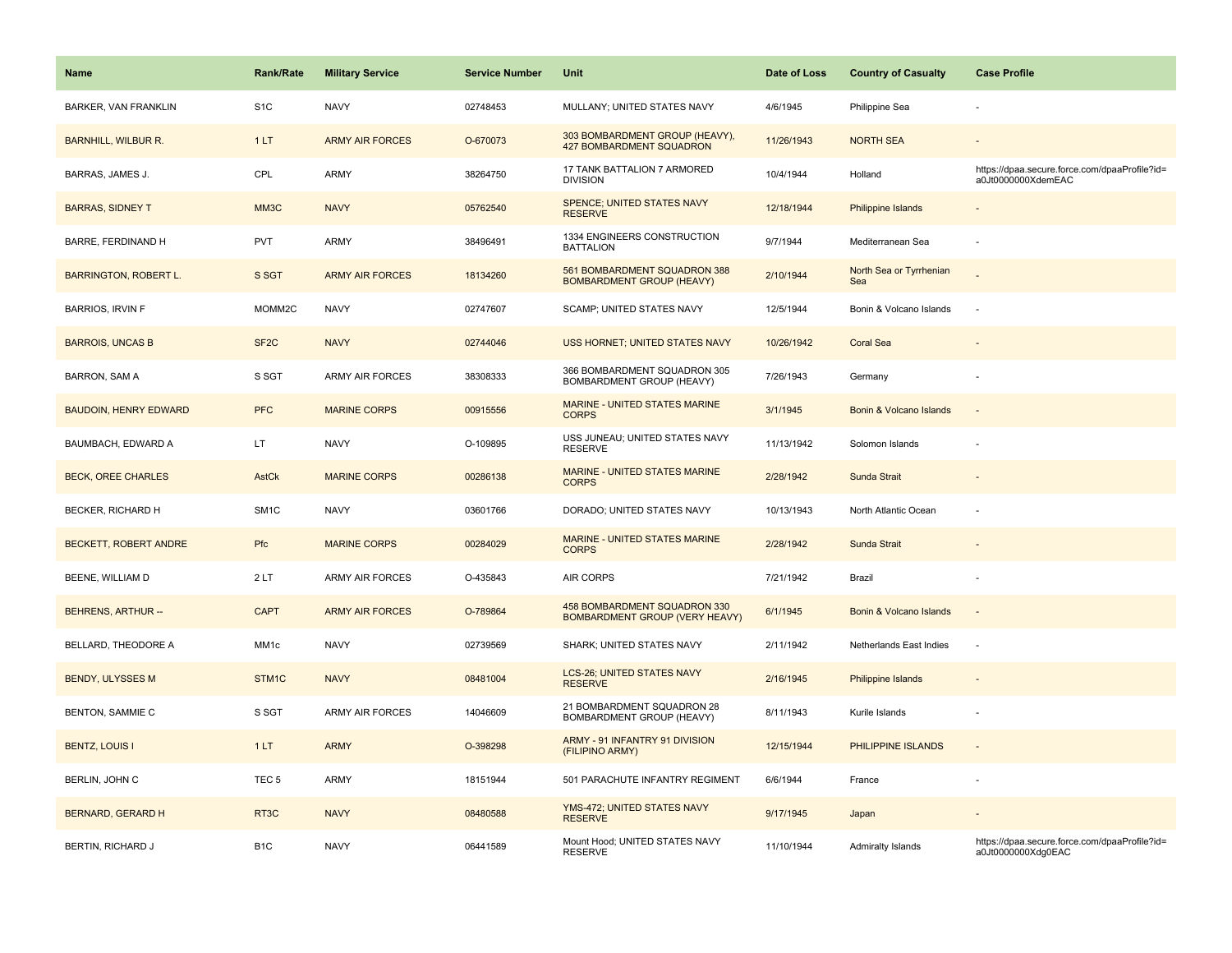| Name                         | <b>Rank/Rate</b>   | <b>Military Service</b> | <b>Service Number</b> | Unit                                                                  | Date of Loss | <b>Country of Casualty</b>     | <b>Case Profile</b>                                                 |
|------------------------------|--------------------|-------------------------|-----------------------|-----------------------------------------------------------------------|--------------|--------------------------------|---------------------------------------------------------------------|
| <b>BARKER, VAN FRANKLIN</b>  | S <sub>1</sub> C   | <b>NAVY</b>             | 02748453              | MULLANY; UNITED STATES NAVY                                           | 4/6/1945     | Philippine Sea                 |                                                                     |
| <b>BARNHILL, WILBUR R.</b>   | 1LT                | <b>ARMY AIR FORCES</b>  | O-670073              | 303 BOMBARDMENT GROUP (HEAVY),<br><b>427 BOMBARDMENT SQUADRON</b>     | 11/26/1943   | <b>NORTH SEA</b>               |                                                                     |
| BARRAS, JAMES J.             | CPL                | <b>ARMY</b>             | 38264750              | 17 TANK BATTALION 7 ARMORED<br><b>DIVISION</b>                        | 10/4/1944    | Holland                        | https://dpaa.secure.force.com/dpaaProfile?id=<br>a0Jt0000000XdemEAC |
| <b>BARRAS, SIDNEY T</b>      | MM3C               | <b>NAVY</b>             | 05762540              | SPENCE; UNITED STATES NAVY<br><b>RESERVE</b>                          | 12/18/1944   | Philippine Islands             |                                                                     |
| BARRE, FERDINAND H           | <b>PVT</b>         | <b>ARMY</b>             | 38496491              | 1334 ENGINEERS CONSTRUCTION<br><b>BATTALION</b>                       | 9/7/1944     | Mediterranean Sea              |                                                                     |
| <b>BARRINGTON, ROBERT L.</b> | S SGT              | <b>ARMY AIR FORCES</b>  | 18134260              | 561 BOMBARDMENT SQUADRON 388<br><b>BOMBARDMENT GROUP (HEAVY)</b>      | 2/10/1944    | North Sea or Tyrrhenian<br>Sea |                                                                     |
| <b>BARRIOS, IRVIN F</b>      | MOMM <sub>2C</sub> | <b>NAVY</b>             | 02747607              | SCAMP; UNITED STATES NAVY                                             | 12/5/1944    | Bonin & Volcano Islands        | ÷,                                                                  |
| <b>BARROIS, UNCAS B</b>      | SF <sub>2</sub> C  | <b>NAVY</b>             | 02744046              | USS HORNET; UNITED STATES NAVY                                        | 10/26/1942   | <b>Coral Sea</b>               |                                                                     |
| BARRON, SAM A                | S SGT              | <b>ARMY AIR FORCES</b>  | 38308333              | 366 BOMBARDMENT SQUADRON 305<br>BOMBARDMENT GROUP (HEAVY)             | 7/26/1943    | Germany                        |                                                                     |
| <b>BAUDOIN, HENRY EDWARD</b> | <b>PFC</b>         | <b>MARINE CORPS</b>     | 00915556              | MARINE - UNITED STATES MARINE<br><b>CORPS</b>                         | 3/1/1945     | Bonin & Volcano Islands        | $\sim$                                                              |
| BAUMBACH, EDWARD A           | LT.                | <b>NAVY</b>             | O-109895              | USS JUNEAU; UNITED STATES NAVY<br><b>RESERVE</b>                      | 11/13/1942   | Solomon Islands                |                                                                     |
| <b>BECK, OREE CHARLES</b>    | <b>AstCk</b>       | <b>MARINE CORPS</b>     | 00286138              | MARINE - UNITED STATES MARINE<br><b>CORPS</b>                         | 2/28/1942    | Sunda Strait                   |                                                                     |
| <b>BECKER, RICHARD H</b>     | SM <sub>1</sub> C  | <b>NAVY</b>             | 03601766              | DORADO; UNITED STATES NAVY                                            | 10/13/1943   | North Atlantic Ocean           |                                                                     |
| BECKETT, ROBERT ANDRE        | Pfc                | <b>MARINE CORPS</b>     | 00284029              | MARINE - UNITED STATES MARINE<br><b>CORPS</b>                         | 2/28/1942    | Sunda Strait                   |                                                                     |
| BEENE, WILLIAM D             | 2LT                | <b>ARMY AIR FORCES</b>  | O-435843              | AIR CORPS                                                             | 7/21/1942    | Brazil                         |                                                                     |
| <b>BEHRENS, ARTHUR --</b>    | <b>CAPT</b>        | <b>ARMY AIR FORCES</b>  | O-789864              | 458 BOMBARDMENT SQUADRON 330<br><b>BOMBARDMENT GROUP (VERY HEAVY)</b> | 6/1/1945     | Bonin & Volcano Islands        | $\sim$                                                              |
| BELLARD, THEODORE A          | MM1c               | <b>NAVY</b>             | 02739569              | SHARK; UNITED STATES NAVY                                             | 2/11/1942    | Netherlands East Indies        | $\overline{\phantom{a}}$                                            |
| <b>BENDY, ULYSSES M</b>      | STM <sub>1C</sub>  | <b>NAVY</b>             | 08481004              | LCS-26; UNITED STATES NAVY<br><b>RESERVE</b>                          | 2/16/1945    | Philippine Islands             |                                                                     |
| <b>BENTON, SAMMIE C</b>      | S SGT              | ARMY AIR FORCES         | 14046609              | 21 BOMBARDMENT SQUADRON 28<br>BOMBARDMENT GROUP (HEAVY)               | 8/11/1943    | Kurile Islands                 |                                                                     |
| <b>BENTZ, LOUIS I</b>        | 1LT                | <b>ARMY</b>             | O-398298              | ARMY - 91 INFANTRY 91 DIVISION<br>(FILIPINO ARMY)                     | 12/15/1944   | PHILIPPINE ISLANDS             |                                                                     |
| BERLIN, JOHN C               | TEC <sub>5</sub>   | <b>ARMY</b>             | 18151944              | 501 PARACHUTE INFANTRY REGIMENT                                       | 6/6/1944     | France                         |                                                                     |
| <b>BERNARD, GERARD H</b>     | RT3C               | <b>NAVY</b>             | 08480588              | YMS-472; UNITED STATES NAVY<br><b>RESERVE</b>                         | 9/17/1945    | Japan                          |                                                                     |
| BERTIN, RICHARD J            | B <sub>1</sub> C   | <b>NAVY</b>             | 06441589              | Mount Hood; UNITED STATES NAVY<br><b>RESERVE</b>                      | 11/10/1944   | <b>Admiralty Islands</b>       | https://dpaa.secure.force.com/dpaaProfile?id=<br>a0Jt0000000Xdg0EAC |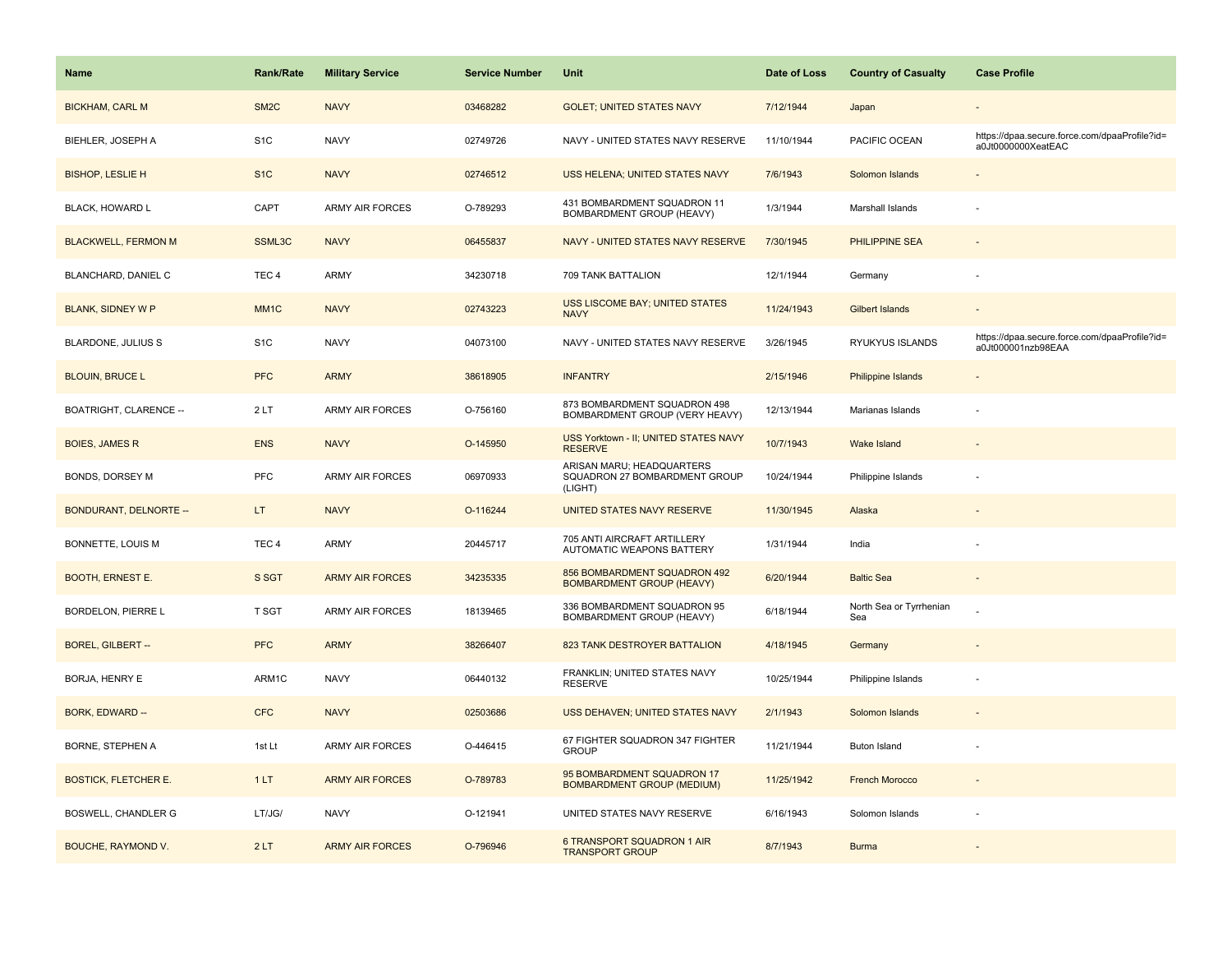| <b>Name</b>                   | <b>Rank/Rate</b>  | <b>Military Service</b> | <b>Service Number</b> | Unit                                                                  | Date of Loss | <b>Country of Casualty</b>     | <b>Case Profile</b>                                                 |
|-------------------------------|-------------------|-------------------------|-----------------------|-----------------------------------------------------------------------|--------------|--------------------------------|---------------------------------------------------------------------|
| <b>BICKHAM, CARL M</b>        | SM <sub>2</sub> C | <b>NAVY</b>             | 03468282              | <b>GOLET; UNITED STATES NAVY</b>                                      | 7/12/1944    | Japan                          |                                                                     |
| BIEHLER, JOSEPH A             | S <sub>1</sub> C  | <b>NAVY</b>             | 02749726              | NAVY - UNITED STATES NAVY RESERVE                                     | 11/10/1944   | PACIFIC OCEAN                  | https://dpaa.secure.force.com/dpaaProfile?id=<br>a0Jt0000000XeatEAC |
| <b>BISHOP, LESLIE H</b>       | S <sub>1</sub> C  | <b>NAVY</b>             | 02746512              | USS HELENA; UNITED STATES NAVY                                        | 7/6/1943     | Solomon Islands                |                                                                     |
| <b>BLACK, HOWARD L</b>        | CAPT              | <b>ARMY AIR FORCES</b>  | O-789293              | 431 BOMBARDMENT SQUADRON 11<br>BOMBARDMENT GROUP (HEAVY)              | 1/3/1944     | Marshall Islands               |                                                                     |
| <b>BLACKWELL, FERMON M</b>    | SSML3C            | <b>NAVY</b>             | 06455837              | NAVY - UNITED STATES NAVY RESERVE                                     | 7/30/1945    | PHILIPPINE SEA                 |                                                                     |
| <b>BLANCHARD, DANIEL C</b>    | TEC <sub>4</sub>  | ARMY                    | 34230718              | 709 TANK BATTALION                                                    | 12/1/1944    | Germany                        |                                                                     |
| <b>BLANK, SIDNEY W P</b>      | MM <sub>1</sub> C | <b>NAVY</b>             | 02743223              | USS LISCOME BAY; UNITED STATES<br><b>NAVY</b>                         | 11/24/1943   | Gilbert Islands                |                                                                     |
| BLARDONE, JULIUS S            | S <sub>1</sub> C  | <b>NAVY</b>             | 04073100              | NAVY - UNITED STATES NAVY RESERVE                                     | 3/26/1945    | RYUKYUS ISLANDS                | https://dpaa.secure.force.com/dpaaProfile?id=<br>a0Jt000001nzb98EAA |
| <b>BLOUIN, BRUCE L</b>        | <b>PFC</b>        | <b>ARMY</b>             | 38618905              | <b>INFANTRY</b>                                                       | 2/15/1946    | Philippine Islands             |                                                                     |
| BOATRIGHT, CLARENCE --        | 2LT               | ARMY AIR FORCES         | O-756160              | 873 BOMBARDMENT SQUADRON 498<br>BOMBARDMENT GROUP (VERY HEAVY)        | 12/13/1944   | Marianas Islands               |                                                                     |
| <b>BOIES, JAMES R</b>         | <b>ENS</b>        | <b>NAVY</b>             | O-145950              | USS Yorktown - II; UNITED STATES NAVY<br><b>RESERVE</b>               | 10/7/1943    | <b>Wake Island</b>             |                                                                     |
| <b>BONDS, DORSEY M</b>        | PFC               | ARMY AIR FORCES         | 06970933              | ARISAN MARU; HEADQUARTERS<br>SQUADRON 27 BOMBARDMENT GROUP<br>(LIGHT) | 10/24/1944   | Philippine Islands             |                                                                     |
| <b>BONDURANT, DELNORTE --</b> | LT.               | <b>NAVY</b>             | O-116244              | UNITED STATES NAVY RESERVE                                            | 11/30/1945   | Alaska                         |                                                                     |
| BONNETTE, LOUIS M             | TEC <sub>4</sub>  | ARMY                    | 20445717              | 705 ANTI AIRCRAFT ARTILLERY<br>AUTOMATIC WEAPONS BATTERY              | 1/31/1944    | India                          |                                                                     |
| <b>BOOTH, ERNEST E.</b>       | S SGT             | <b>ARMY AIR FORCES</b>  | 34235335              | 856 BOMBARDMENT SQUADRON 492<br><b>BOMBARDMENT GROUP (HEAVY)</b>      | 6/20/1944    | <b>Baltic Sea</b>              |                                                                     |
| <b>BORDELON, PIERRE L</b>     | T SGT             | <b>ARMY AIR FORCES</b>  | 18139465              | 336 BOMBARDMENT SQUADRON 95<br>BOMBARDMENT GROUP (HEAVY)              | 6/18/1944    | North Sea or Tyrrhenian<br>Sea |                                                                     |
| <b>BOREL, GILBERT --</b>      | <b>PFC</b>        | <b>ARMY</b>             | 38266407              | 823 TANK DESTROYER BATTALION                                          | 4/18/1945    | Germany                        |                                                                     |
| BORJA, HENRY E                | ARM1C             | <b>NAVY</b>             | 06440132              | FRANKLIN; UNITED STATES NAVY<br><b>RESERVE</b>                        | 10/25/1944   | Philippine Islands             |                                                                     |
| <b>BORK, EDWARD --</b>        | <b>CFC</b>        | <b>NAVY</b>             | 02503686              | USS DEHAVEN; UNITED STATES NAVY                                       | 2/1/1943     | Solomon Islands                |                                                                     |
| BORNE, STEPHEN A              | 1st Lt            | <b>ARMY AIR FORCES</b>  | O-446415              | 67 FIGHTER SQUADRON 347 FIGHTER<br><b>GROUP</b>                       | 11/21/1944   | Buton Island                   |                                                                     |
| <b>BOSTICK, FLETCHER E.</b>   | 1LT               | <b>ARMY AIR FORCES</b>  | O-789783              | 95 BOMBARDMENT SQUADRON 17<br><b>BOMBARDMENT GROUP (MEDIUM)</b>       | 11/25/1942   | <b>French Morocco</b>          |                                                                     |
| BOSWELL, CHANDLER G           | LT/JG/            | <b>NAVY</b>             | O-121941              | UNITED STATES NAVY RESERVE                                            | 6/16/1943    | Solomon Islands                |                                                                     |
| <b>BOUCHE, RAYMOND V.</b>     | 2LT               | <b>ARMY AIR FORCES</b>  | O-796946              | 6 TRANSPORT SQUADRON 1 AIR<br><b>TRANSPORT GROUP</b>                  | 8/7/1943     | <b>Burma</b>                   |                                                                     |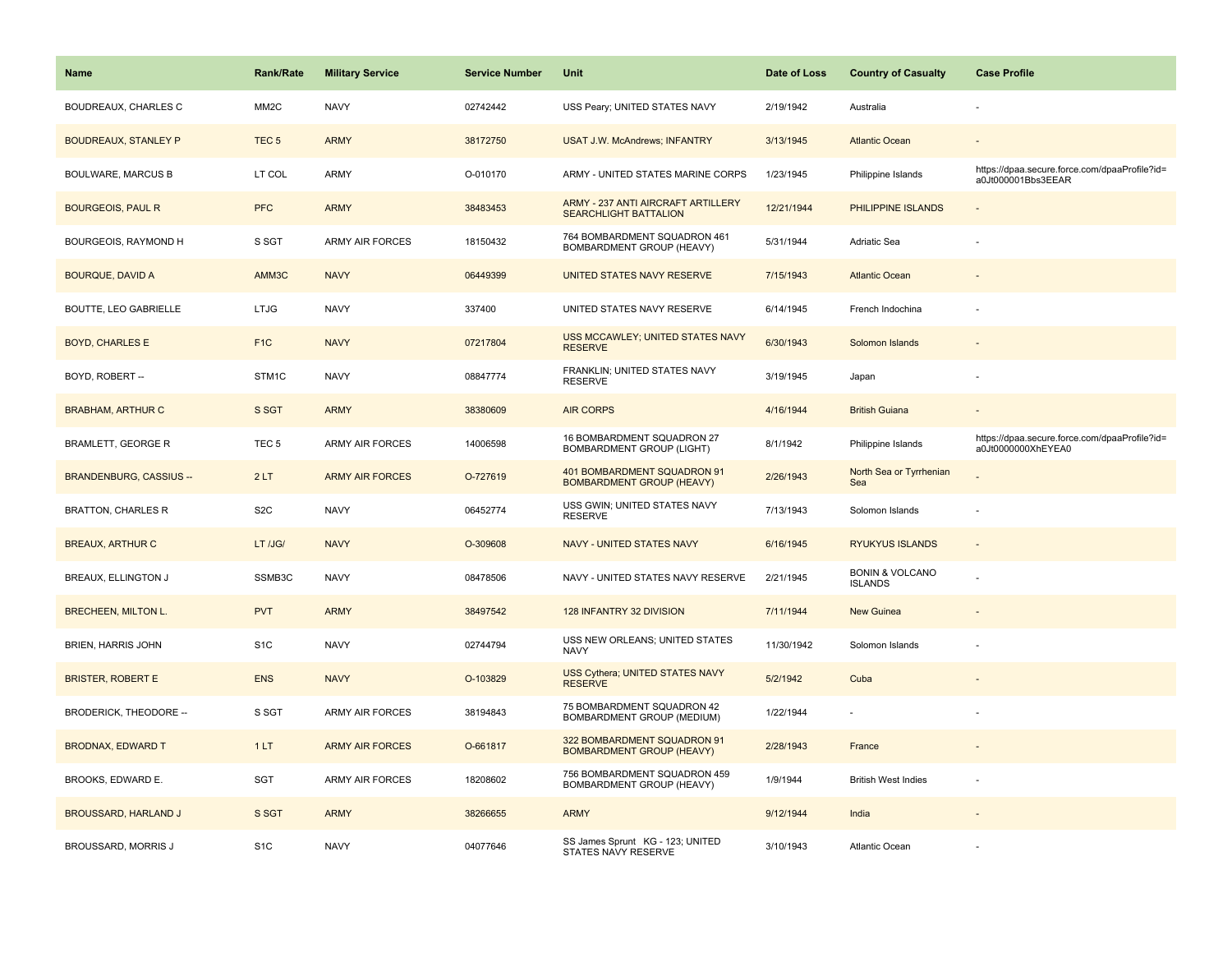| <b>Name</b>                    | <b>Rank/Rate</b>  | <b>Military Service</b> | <b>Service Number</b> | Unit                                                                      | Date of Loss | <b>Country of Casualty</b>                   | <b>Case Profile</b>                                                 |
|--------------------------------|-------------------|-------------------------|-----------------------|---------------------------------------------------------------------------|--------------|----------------------------------------------|---------------------------------------------------------------------|
| <b>BOUDREAUX, CHARLES C</b>    | MM <sub>2</sub> C | <b>NAVY</b>             | 02742442              | USS Peary; UNITED STATES NAVY                                             | 2/19/1942    | Australia                                    |                                                                     |
| <b>BOUDREAUX, STANLEY P</b>    | TEC <sub>5</sub>  | <b>ARMY</b>             | 38172750              | <b>USAT J.W. McAndrews; INFANTRY</b>                                      | 3/13/1945    | <b>Atlantic Ocean</b>                        |                                                                     |
| <b>BOULWARE, MARCUS B</b>      | LT COL            | <b>ARMY</b>             | O-010170              | ARMY - UNITED STATES MARINE CORPS                                         | 1/23/1945    | Philippine Islands                           | https://dpaa.secure.force.com/dpaaProfile?id=<br>a0Jt000001Bbs3EEAR |
| <b>BOURGEOIS, PAUL R</b>       | <b>PFC</b>        | <b>ARMY</b>             | 38483453              | <b>ARMY - 237 ANTI AIRCRAFT ARTILLERY</b><br><b>SEARCHLIGHT BATTALION</b> | 12/21/1944   | PHILIPPINE ISLANDS                           |                                                                     |
| BOURGEOIS, RAYMOND H           | S SGT             | <b>ARMY AIR FORCES</b>  | 18150432              | 764 BOMBARDMENT SQUADRON 461<br>BOMBARDMENT GROUP (HEAVY)                 | 5/31/1944    | <b>Adriatic Sea</b>                          |                                                                     |
| <b>BOURQUE, DAVID A</b>        | AMM3C             | <b>NAVY</b>             | 06449399              | UNITED STATES NAVY RESERVE                                                | 7/15/1943    | <b>Atlantic Ocean</b>                        |                                                                     |
| <b>BOUTTE, LEO GABRIELLE</b>   | <b>LTJG</b>       | <b>NAVY</b>             | 337400                | UNITED STATES NAVY RESERVE                                                | 6/14/1945    | French Indochina                             |                                                                     |
| <b>BOYD, CHARLES E</b>         | F <sub>1</sub> C  | <b>NAVY</b>             | 07217804              | USS MCCAWLEY; UNITED STATES NAVY<br><b>RESERVE</b>                        | 6/30/1943    | Solomon Islands                              |                                                                     |
| BOYD, ROBERT --                | STM1C             | <b>NAVY</b>             | 08847774              | FRANKLIN; UNITED STATES NAVY<br><b>RESERVE</b>                            | 3/19/1945    | Japan                                        |                                                                     |
| <b>BRABHAM, ARTHUR C</b>       | S SGT             | <b>ARMY</b>             | 38380609              | <b>AIR CORPS</b>                                                          | 4/16/1944    | <b>British Guiana</b>                        |                                                                     |
| <b>BRAMLETT, GEORGE R</b>      | TEC <sub>5</sub>  | <b>ARMY AIR FORCES</b>  | 14006598              | 16 BOMBARDMENT SQUADRON 27<br>BOMBARDMENT GROUP (LIGHT)                   | 8/1/1942     | Philippine Islands                           | https://dpaa.secure.force.com/dpaaProfile?id=<br>a0Jt0000000XhEYEA0 |
| <b>BRANDENBURG, CASSIUS --</b> | 2LT               | <b>ARMY AIR FORCES</b>  | O-727619              | 401 BOMBARDMENT SQUADRON 91<br><b>BOMBARDMENT GROUP (HEAVY)</b>           | 2/26/1943    | North Sea or Tyrrhenian<br>Sea               |                                                                     |
| <b>BRATTON, CHARLES R</b>      | S <sub>2</sub> C  | <b>NAVY</b>             | 06452774              | USS GWIN; UNITED STATES NAVY<br><b>RESERVE</b>                            | 7/13/1943    | Solomon Islands                              |                                                                     |
| <b>BREAUX, ARTHUR C</b>        | LT /JG/           | <b>NAVY</b>             | O-309608              | NAVY - UNITED STATES NAVY                                                 | 6/16/1945    | <b>RYUKYUS ISLANDS</b>                       | $\sim$                                                              |
| <b>BREAUX, ELLINGTON J</b>     | SSMB3C            | <b>NAVY</b>             | 08478506              | NAVY - UNITED STATES NAVY RESERVE                                         | 2/21/1945    | <b>BONIN &amp; VOLCANO</b><br><b>ISLANDS</b> |                                                                     |
| <b>BRECHEEN, MILTON L.</b>     | <b>PVT</b>        | <b>ARMY</b>             | 38497542              | 128 INFANTRY 32 DIVISION                                                  | 7/11/1944    | New Guinea                                   |                                                                     |
| BRIEN, HARRIS JOHN             | S <sub>1</sub> C  | <b>NAVY</b>             | 02744794              | USS NEW ORLEANS; UNITED STATES<br><b>NAVY</b>                             | 11/30/1942   | Solomon Islands                              |                                                                     |
| <b>BRISTER, ROBERT E</b>       | <b>ENS</b>        | <b>NAVY</b>             | O-103829              | USS Cythera; UNITED STATES NAVY<br><b>RESERVE</b>                         | 5/2/1942     | Cuba                                         |                                                                     |
| <b>BRODERICK, THEODORE --</b>  | S SGT             | ARMY AIR FORCES         | 38194843              | 75 BOMBARDMENT SQUADRON 42<br>BOMBARDMENT GROUP (MEDIUM)                  | 1/22/1944    | ÷.                                           |                                                                     |
| <b>BRODNAX, EDWARD T</b>       | 1LT               | <b>ARMY AIR FORCES</b>  | O-661817              | 322 BOMBARDMENT SQUADRON 91<br><b>BOMBARDMENT GROUP (HEAVY)</b>           | 2/28/1943    | France                                       |                                                                     |
| BROOKS, EDWARD E.              | SGT               | <b>ARMY AIR FORCES</b>  | 18208602              | 756 BOMBARDMENT SQUADRON 459<br>BOMBARDMENT GROUP (HEAVY)                 | 1/9/1944     | <b>British West Indies</b>                   |                                                                     |
| <b>BROUSSARD, HARLAND J</b>    | S SGT             | <b>ARMY</b>             | 38266655              | <b>ARMY</b>                                                               | 9/12/1944    | India                                        |                                                                     |
| BROUSSARD, MORRIS J            | S <sub>1</sub> C  | <b>NAVY</b>             | 04077646              | SS James Sprunt KG - 123; UNITED<br>STATES NAVY RESERVE                   | 3/10/1943    | Atlantic Ocean                               |                                                                     |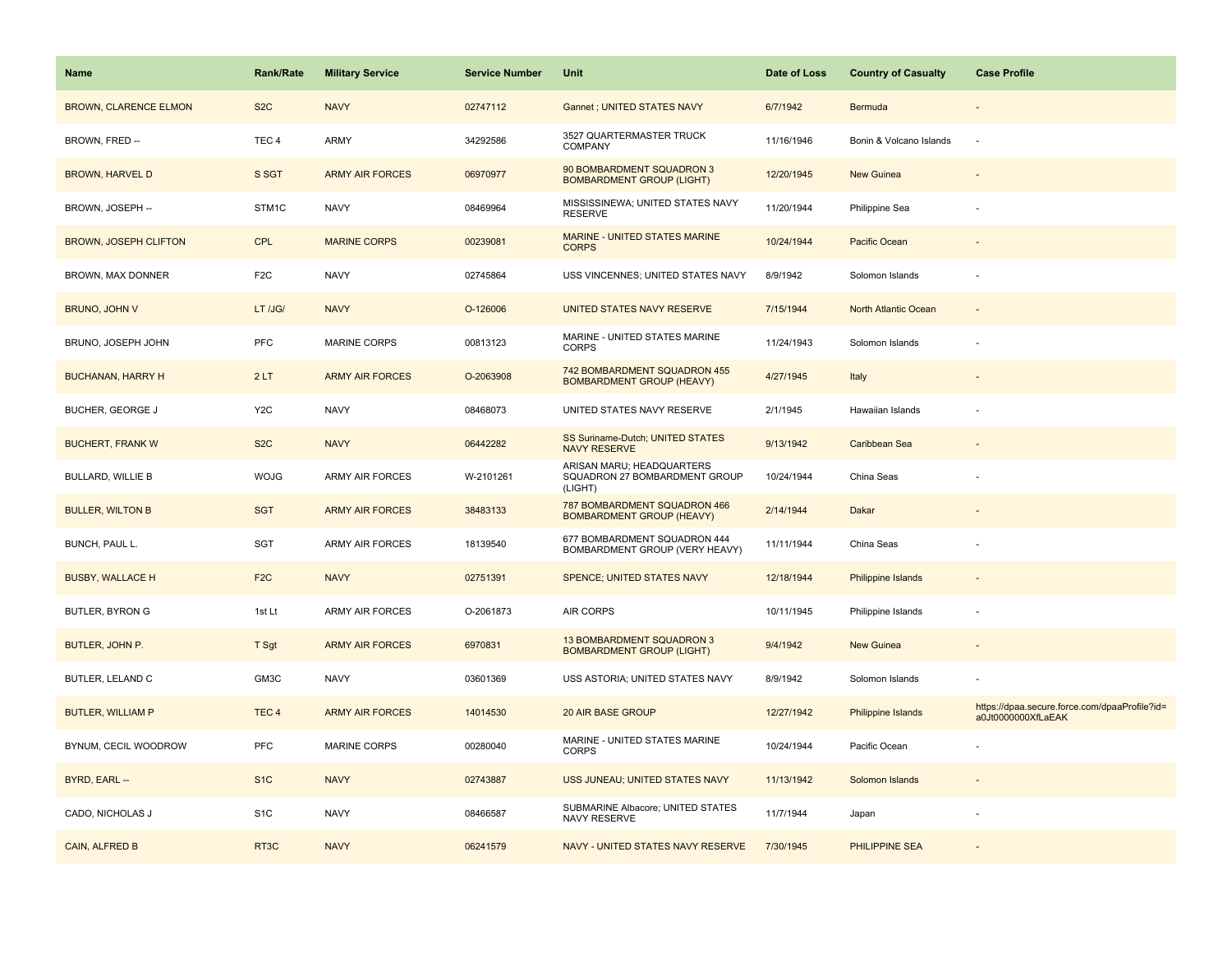| Name                         | <b>Rank/Rate</b>  | <b>Military Service</b> | <b>Service Number</b> | Unit                                                                  | Date of Loss | <b>Country of Casualty</b> | <b>Case Profile</b>                                                 |
|------------------------------|-------------------|-------------------------|-----------------------|-----------------------------------------------------------------------|--------------|----------------------------|---------------------------------------------------------------------|
| <b>BROWN, CLARENCE ELMON</b> | S <sub>2</sub> C  | <b>NAVY</b>             | 02747112              | Gannet ; UNITED STATES NAVY                                           | 6/7/1942     | Bermuda                    |                                                                     |
| BROWN, FRED --               | TEC <sub>4</sub>  | ARMY                    | 34292586              | 3527 QUARTERMASTER TRUCK<br><b>COMPANY</b>                            | 11/16/1946   | Bonin & Volcano Islands    | $\overline{a}$                                                      |
| <b>BROWN, HARVEL D</b>       | S SGT             | <b>ARMY AIR FORCES</b>  | 06970977              | 90 BOMBARDMENT SQUADRON 3<br><b>BOMBARDMENT GROUP (LIGHT)</b>         | 12/20/1945   | New Guinea                 |                                                                     |
| BROWN, JOSEPH --             | STM <sub>1C</sub> | <b>NAVY</b>             | 08469964              | MISSISSINEWA; UNITED STATES NAVY<br><b>RESERVE</b>                    | 11/20/1944   | Philippine Sea             |                                                                     |
| <b>BROWN, JOSEPH CLIFTON</b> | <b>CPL</b>        | <b>MARINE CORPS</b>     | 00239081              | MARINE - UNITED STATES MARINE<br><b>CORPS</b>                         | 10/24/1944   | Pacific Ocean              |                                                                     |
| BROWN, MAX DONNER            | F <sub>2</sub> C  | <b>NAVY</b>             | 02745864              | USS VINCENNES; UNITED STATES NAVY                                     | 8/9/1942     | Solomon Islands            |                                                                     |
| BRUNO, JOHN V                | LT /JG/           | <b>NAVY</b>             | O-126006              | UNITED STATES NAVY RESERVE                                            | 7/15/1944    | North Atlantic Ocean       |                                                                     |
| BRUNO, JOSEPH JOHN           | <b>PFC</b>        | <b>MARINE CORPS</b>     | 00813123              | MARINE - UNITED STATES MARINE<br><b>CORPS</b>                         | 11/24/1943   | Solomon Islands            |                                                                     |
| <b>BUCHANAN, HARRY H</b>     | 2LT               | <b>ARMY AIR FORCES</b>  | O-2063908             | 742 BOMBARDMENT SQUADRON 455<br><b>BOMBARDMENT GROUP (HEAVY)</b>      | 4/27/1945    | Italy                      |                                                                     |
| BUCHER, GEORGE J             | Y <sub>2</sub> C  | <b>NAVY</b>             | 08468073              | UNITED STATES NAVY RESERVE                                            | 2/1/1945     | Hawaiian Islands           |                                                                     |
| <b>BUCHERT, FRANK W</b>      | S <sub>2</sub> C  | <b>NAVY</b>             | 06442282              | SS Suriname-Dutch; UNITED STATES<br><b>NAVY RESERVE</b>               | 9/13/1942    | Caribbean Sea              |                                                                     |
| <b>BULLARD, WILLIE B</b>     | <b>WOJG</b>       | ARMY AIR FORCES         | W-2101261             | ARISAN MARU; HEADQUARTERS<br>SQUADRON 27 BOMBARDMENT GROUP<br>(LIGHT) | 10/24/1944   | China Seas                 |                                                                     |
| <b>BULLER, WILTON B</b>      | <b>SGT</b>        | <b>ARMY AIR FORCES</b>  | 38483133              | 787 BOMBARDMENT SQUADRON 466<br><b>BOMBARDMENT GROUP (HEAVY)</b>      | 2/14/1944    | Dakar                      |                                                                     |
| BUNCH, PAUL L.               | SGT               | ARMY AIR FORCES         | 18139540              | 677 BOMBARDMENT SQUADRON 444<br>BOMBARDMENT GROUP (VERY HEAVY)        | 11/11/1944   | China Seas                 |                                                                     |
| <b>BUSBY, WALLACE H</b>      | F <sub>2C</sub>   | <b>NAVY</b>             | 02751391              | <b>SPENCE; UNITED STATES NAVY</b>                                     | 12/18/1944   | Philippine Islands         |                                                                     |
| BUTLER, BYRON G              | 1st Lt            | ARMY AIR FORCES         | O-2061873             | AIR CORPS                                                             | 10/11/1945   | Philippine Islands         |                                                                     |
| BUTLER, JOHN P.              | T Sgt             | <b>ARMY AIR FORCES</b>  | 6970831               | 13 BOMBARDMENT SQUADRON 3<br><b>BOMBARDMENT GROUP (LIGHT)</b>         | 9/4/1942     | New Guinea                 |                                                                     |
| BUTLER, LELAND C             | GM3C              | <b>NAVY</b>             | 03601369              | USS ASTORIA; UNITED STATES NAVY                                       | 8/9/1942     | Solomon Islands            |                                                                     |
| <b>BUTLER, WILLIAM P</b>     | TEC <sub>4</sub>  | <b>ARMY AIR FORCES</b>  | 14014530              | 20 AIR BASE GROUP                                                     | 12/27/1942   | Philippine Islands         | https://dpaa.secure.force.com/dpaaProfile?id=<br>a0Jt0000000XfLaEAK |
| BYNUM, CECIL WOODROW         | <b>PFC</b>        | <b>MARINE CORPS</b>     | 00280040              | MARINE - UNITED STATES MARINE<br><b>CORPS</b>                         | 10/24/1944   | Pacific Ocean              |                                                                     |
| BYRD, EARL --                | S <sub>1</sub> C  | <b>NAVY</b>             | 02743887              | USS JUNEAU; UNITED STATES NAVY                                        | 11/13/1942   | Solomon Islands            |                                                                     |
| CADO, NICHOLAS J             | S <sub>1</sub> C  | <b>NAVY</b>             | 08466587              | SUBMARINE Albacore; UNITED STATES<br>NAVY RESERVE                     | 11/7/1944    | Japan                      |                                                                     |
| CAIN, ALFRED B               | RT <sub>3</sub> C | <b>NAVY</b>             | 06241579              | NAVY - UNITED STATES NAVY RESERVE                                     | 7/30/1945    | PHILIPPINE SEA             |                                                                     |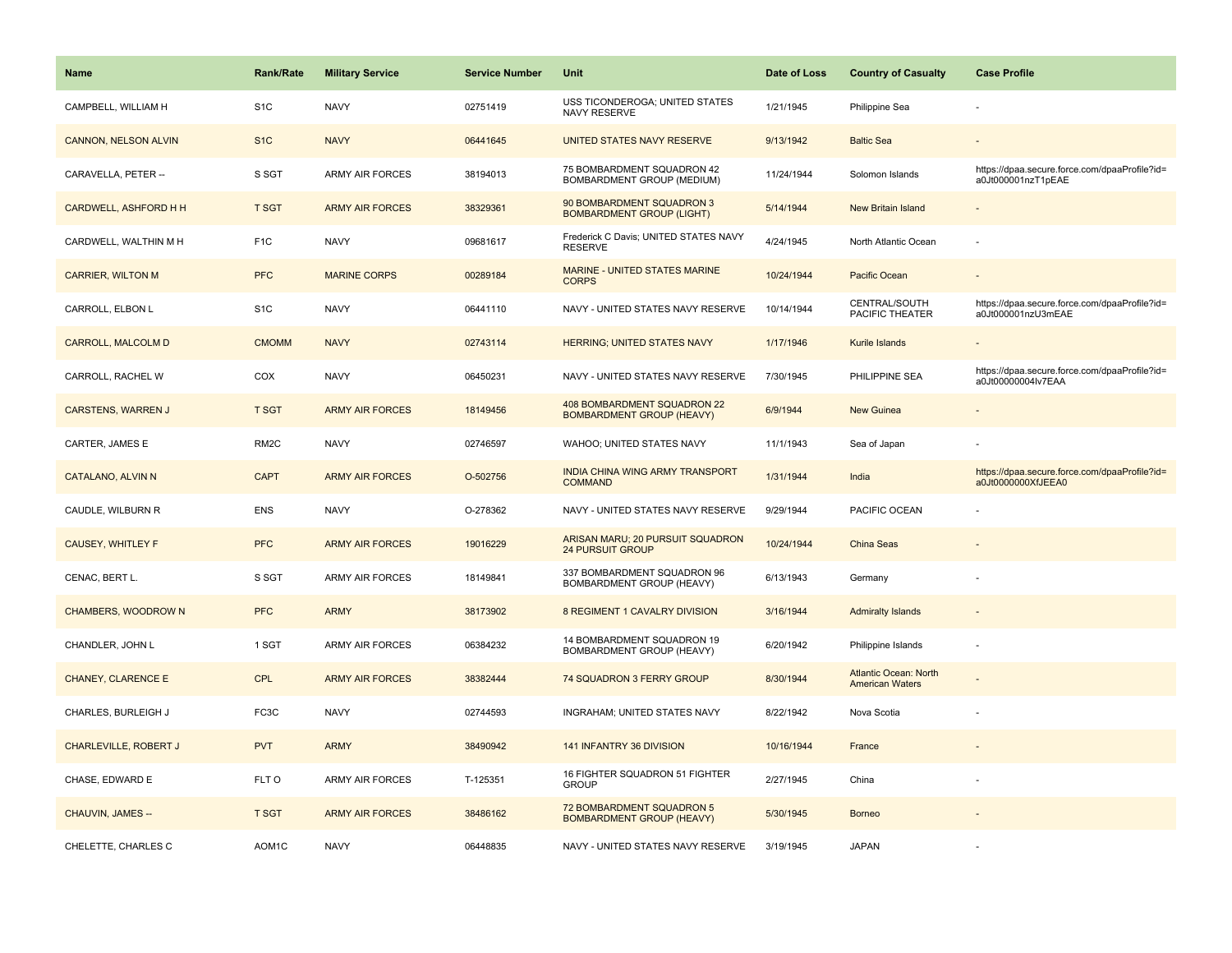| <b>Name</b>                  | <b>Rank/Rate</b>  | <b>Military Service</b> | <b>Service Number</b> | Unit                                                            | Date of Loss | <b>Country of Casualty</b>                             | <b>Case Profile</b>                                                 |
|------------------------------|-------------------|-------------------------|-----------------------|-----------------------------------------------------------------|--------------|--------------------------------------------------------|---------------------------------------------------------------------|
| CAMPBELL, WILLIAM H          | S <sub>1</sub> C  | <b>NAVY</b>             | 02751419              | USS TICONDEROGA; UNITED STATES<br>NAVY RESERVE                  | 1/21/1945    | Philippine Sea                                         |                                                                     |
| <b>CANNON, NELSON ALVIN</b>  | S <sub>1</sub> C  | <b>NAVY</b>             | 06441645              | UNITED STATES NAVY RESERVE                                      | 9/13/1942    | <b>Baltic Sea</b>                                      |                                                                     |
| CARAVELLA, PETER --          | S SGT             | <b>ARMY AIR FORCES</b>  | 38194013              | 75 BOMBARDMENT SQUADRON 42<br>BOMBARDMENT GROUP (MEDIUM)        | 11/24/1944   | Solomon Islands                                        | https://dpaa.secure.force.com/dpaaProfile?id=<br>a0Jt000001nzT1pEAE |
| <b>CARDWELL, ASHFORD H H</b> | <b>T SGT</b>      | <b>ARMY AIR FORCES</b>  | 38329361              | 90 BOMBARDMENT SQUADRON 3<br><b>BOMBARDMENT GROUP (LIGHT)</b>   | 5/14/1944    | <b>New Britain Island</b>                              |                                                                     |
| CARDWELL, WALTHIN M H        | F <sub>1</sub> C  | <b>NAVY</b>             | 09681617              | Frederick C Davis; UNITED STATES NAVY<br><b>RESERVE</b>         | 4/24/1945    | North Atlantic Ocean                                   |                                                                     |
| <b>CARRIER, WILTON M</b>     | <b>PFC</b>        | <b>MARINE CORPS</b>     | 00289184              | <b>MARINE - UNITED STATES MARINE</b><br><b>CORPS</b>            | 10/24/1944   | Pacific Ocean                                          | $\blacksquare$                                                      |
| CARROLL, ELBON L             | S <sub>1</sub> C  | <b>NAVY</b>             | 06441110              | NAVY - UNITED STATES NAVY RESERVE                               | 10/14/1944   | CENTRAL/SOUTH<br>PACIFIC THEATER                       | https://dpaa.secure.force.com/dpaaProfile?id=<br>a0Jt000001nzU3mEAE |
| <b>CARROLL, MALCOLM D</b>    | <b>CMOMM</b>      | <b>NAVY</b>             | 02743114              | <b>HERRING; UNITED STATES NAVY</b>                              | 1/17/1946    | Kurile Islands                                         |                                                                     |
| CARROLL, RACHEL W            | COX               | <b>NAVY</b>             | 06450231              | NAVY - UNITED STATES NAVY RESERVE                               | 7/30/1945    | PHILIPPINE SEA                                         | https://dpaa.secure.force.com/dpaaProfile?id=<br>a0Jt00000004lv7EAA |
| <b>CARSTENS, WARREN J</b>    | <b>T SGT</b>      | <b>ARMY AIR FORCES</b>  | 18149456              | 408 BOMBARDMENT SQUADRON 22<br><b>BOMBARDMENT GROUP (HEAVY)</b> | 6/9/1944     | <b>New Guinea</b>                                      |                                                                     |
| CARTER, JAMES E              | RM <sub>2</sub> C | <b>NAVY</b>             | 02746597              | WAHOO; UNITED STATES NAVY                                       | 11/1/1943    | Sea of Japan                                           |                                                                     |
| CATALANO, ALVIN N            | <b>CAPT</b>       | <b>ARMY AIR FORCES</b>  | O-502756              | INDIA CHINA WING ARMY TRANSPORT<br><b>COMMAND</b>               | 1/31/1944    | India                                                  | https://dpaa.secure.force.com/dpaaProfile?id=<br>a0Jt0000000XfJEEA0 |
| CAUDLE, WILBURN R            | ENS               | <b>NAVY</b>             | O-278362              | NAVY - UNITED STATES NAVY RESERVE                               | 9/29/1944    | PACIFIC OCEAN                                          |                                                                     |
| <b>CAUSEY, WHITLEY F</b>     | <b>PFC</b>        | <b>ARMY AIR FORCES</b>  | 19016229              | ARISAN MARU; 20 PURSUIT SQUADRON<br><b>24 PURSUIT GROUP</b>     | 10/24/1944   | <b>China Seas</b>                                      |                                                                     |
| CENAC, BERT L.               | S SGT             | <b>ARMY AIR FORCES</b>  | 18149841              | 337 BOMBARDMENT SQUADRON 96<br>BOMBARDMENT GROUP (HEAVY)        | 6/13/1943    | Germany                                                |                                                                     |
| <b>CHAMBERS, WOODROW N</b>   | <b>PFC</b>        | <b>ARMY</b>             | 38173902              | 8 REGIMENT 1 CAVALRY DIVISION                                   | 3/16/1944    | <b>Admiralty Islands</b>                               |                                                                     |
| CHANDLER, JOHN L             | 1 SGT             | <b>ARMY AIR FORCES</b>  | 06384232              | 14 BOMBARDMENT SQUADRON 19<br>BOMBARDMENT GROUP (HEAVY)         | 6/20/1942    | Philippine Islands                                     |                                                                     |
| <b>CHANEY, CLARENCE E</b>    | CPL               | <b>ARMY AIR FORCES</b>  | 38382444              | 74 SQUADRON 3 FERRY GROUP                                       | 8/30/1944    | <b>Atlantic Ocean: North</b><br><b>American Waters</b> |                                                                     |
| CHARLES, BURLEIGH J          | FC3C              | <b>NAVY</b>             | 02744593              | INGRAHAM; UNITED STATES NAVY                                    | 8/22/1942    | Nova Scotia                                            |                                                                     |
| CHARLEVILLE, ROBERT J        | <b>PVT</b>        | <b>ARMY</b>             | 38490942              | 141 INFANTRY 36 DIVISION                                        | 10/16/1944   | France                                                 |                                                                     |
| CHASE, EDWARD E              | FLT O             | <b>ARMY AIR FORCES</b>  | T-125351              | 16 FIGHTER SQUADRON 51 FIGHTER<br><b>GROUP</b>                  | 2/27/1945    | China                                                  |                                                                     |
| CHAUVIN, JAMES --            | <b>T SGT</b>      | <b>ARMY AIR FORCES</b>  | 38486162              | 72 BOMBARDMENT SQUADRON 5<br><b>BOMBARDMENT GROUP (HEAVY)</b>   | 5/30/1945    | <b>Borneo</b>                                          |                                                                     |
| CHELETTE, CHARLES C          | AOM1C             | <b>NAVY</b>             | 06448835              | NAVY - UNITED STATES NAVY RESERVE                               | 3/19/1945    | <b>JAPAN</b>                                           |                                                                     |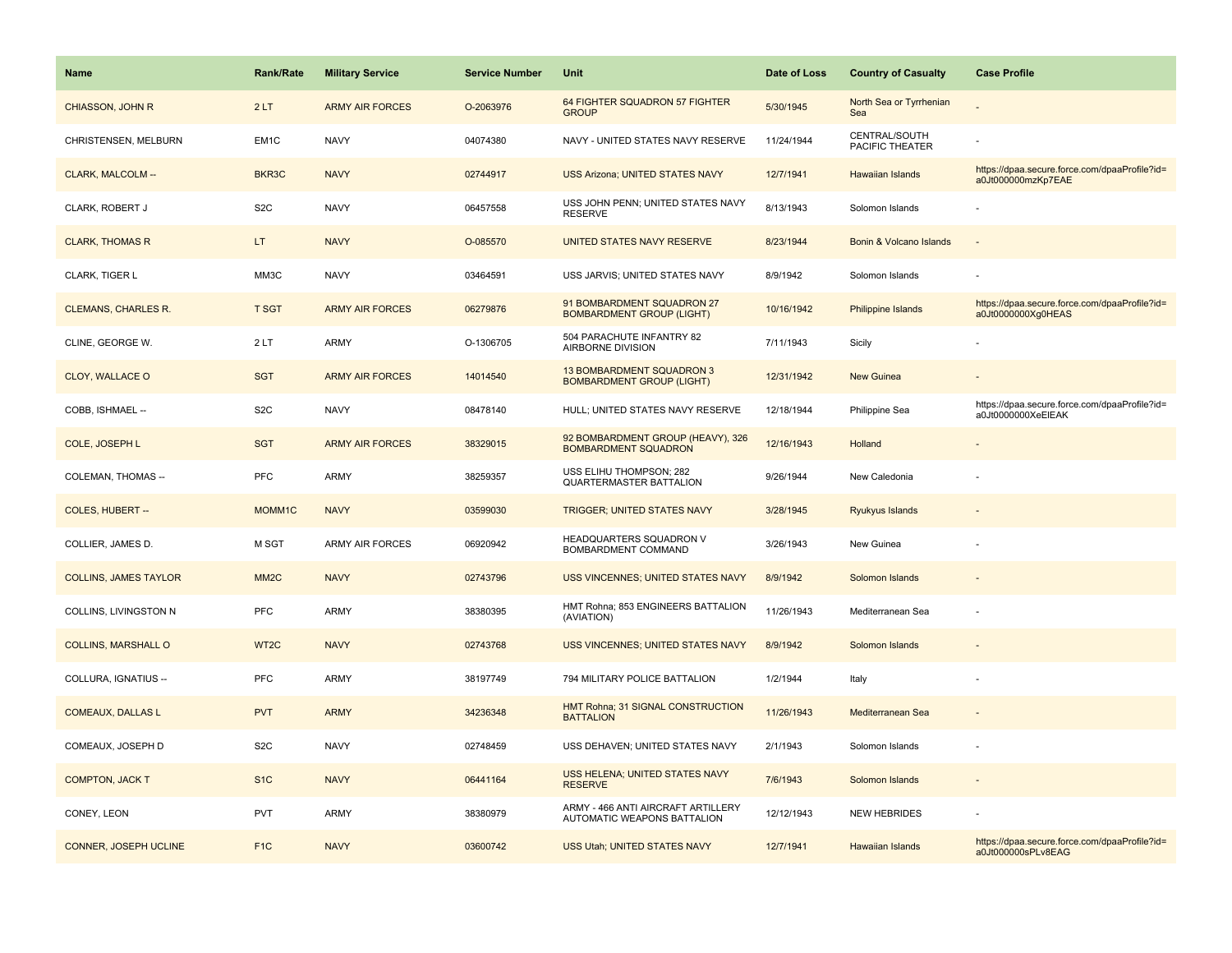| <b>Name</b>                  | <b>Rank/Rate</b>  | <b>Military Service</b> | <b>Service Number</b> | Unit                                                              | Date of Loss | <b>Country of Casualty</b>       | <b>Case Profile</b>                                                 |
|------------------------------|-------------------|-------------------------|-----------------------|-------------------------------------------------------------------|--------------|----------------------------------|---------------------------------------------------------------------|
| CHIASSON, JOHN R             | 2LT               | <b>ARMY AIR FORCES</b>  | O-2063976             | 64 FIGHTER SQUADRON 57 FIGHTER<br><b>GROUP</b>                    | 5/30/1945    | North Sea or Tyrrhenian<br>Sea   |                                                                     |
| CHRISTENSEN, MELBURN         | EM1C              | <b>NAVY</b>             | 04074380              | NAVY - UNITED STATES NAVY RESERVE                                 | 11/24/1944   | CENTRAL/SOUTH<br>PACIFIC THEATER |                                                                     |
| CLARK, MALCOLM --            | BKR3C             | <b>NAVY</b>             | 02744917              | <b>USS Arizona; UNITED STATES NAVY</b>                            | 12/7/1941    | Hawaiian Islands                 | https://dpaa.secure.force.com/dpaaProfile?id=<br>a0Jt000000mzKp7EAE |
| CLARK, ROBERT J              | S <sub>2</sub> C  | <b>NAVY</b>             | 06457558              | USS JOHN PENN; UNITED STATES NAVY<br><b>RESERVE</b>               | 8/13/1943    | Solomon Islands                  |                                                                     |
| <b>CLARK, THOMAS R</b>       | LT.               | <b>NAVY</b>             | O-085570              | UNITED STATES NAVY RESERVE                                        | 8/23/1944    | Bonin & Volcano Islands          |                                                                     |
| CLARK, TIGER L               | MM3C              | <b>NAVY</b>             | 03464591              | USS JARVIS; UNITED STATES NAVY                                    | 8/9/1942     | Solomon Islands                  |                                                                     |
| <b>CLEMANS, CHARLES R.</b>   | <b>T SGT</b>      | <b>ARMY AIR FORCES</b>  | 06279876              | 91 BOMBARDMENT SQUADRON 27<br><b>BOMBARDMENT GROUP (LIGHT)</b>    | 10/16/1942   | Philippine Islands               | https://dpaa.secure.force.com/dpaaProfile?id=<br>a0Jt0000000Xg0HEAS |
| CLINE, GEORGE W.             | 2LT               | <b>ARMY</b>             | O-1306705             | 504 PARACHUTE INFANTRY 82<br>AIRBORNE DIVISION                    | 7/11/1943    | Sicily                           |                                                                     |
| CLOY, WALLACE O              | <b>SGT</b>        | <b>ARMY AIR FORCES</b>  | 14014540              | 13 BOMBARDMENT SQUADRON 3<br><b>BOMBARDMENT GROUP (LIGHT)</b>     | 12/31/1942   | New Guinea                       |                                                                     |
| COBB, ISHMAEL --             | S <sub>2</sub> C  | <b>NAVY</b>             | 08478140              | HULL; UNITED STATES NAVY RESERVE                                  | 12/18/1944   | Philippine Sea                   | https://dpaa.secure.force.com/dpaaProfile?id=<br>a0Jt0000000XeEIEAK |
| COLE, JOSEPH L               | <b>SGT</b>        | <b>ARMY AIR FORCES</b>  | 38329015              | 92 BOMBARDMENT GROUP (HEAVY), 326<br><b>BOMBARDMENT SQUADRON</b>  | 12/16/1943   | Holland                          |                                                                     |
| COLEMAN, THOMAS --           | <b>PFC</b>        | <b>ARMY</b>             | 38259357              | USS ELIHU THOMPSON; 282<br>QUARTERMASTER BATTALION                | 9/26/1944    | New Caledonia                    |                                                                     |
| <b>COLES, HUBERT --</b>      | MOMM1C            | <b>NAVY</b>             | 03599030              | <b>TRIGGER; UNITED STATES NAVY</b>                                | 3/28/1945    | <b>Ryukyus Islands</b>           |                                                                     |
| COLLIER, JAMES D.            | M SGT             | <b>ARMY AIR FORCES</b>  | 06920942              | HEADQUARTERS SQUADRON V<br>BOMBARDMENT COMMAND                    | 3/26/1943    | New Guinea                       |                                                                     |
| <b>COLLINS, JAMES TAYLOR</b> | MM <sub>2</sub> C | <b>NAVY</b>             | 02743796              | <b>USS VINCENNES; UNITED STATES NAVY</b>                          | 8/9/1942     | Solomon Islands                  |                                                                     |
| COLLINS, LIVINGSTON N        | <b>PFC</b>        | <b>ARMY</b>             | 38380395              | HMT Rohna; 853 ENGINEERS BATTALION<br>(AVIATION)                  | 11/26/1943   | Mediterranean Sea                |                                                                     |
| <b>COLLINS, MARSHALL O</b>   | WT2C              | <b>NAVY</b>             | 02743768              | USS VINCENNES; UNITED STATES NAVY                                 | 8/9/1942     | Solomon Islands                  |                                                                     |
| COLLURA, IGNATIUS --         | <b>PFC</b>        | <b>ARMY</b>             | 38197749              | 794 MILITARY POLICE BATTALION                                     | 1/2/1944     | Italy                            |                                                                     |
| <b>COMEAUX, DALLAS L</b>     | <b>PVT</b>        | <b>ARMY</b>             | 34236348              | HMT Rohna; 31 SIGNAL CONSTRUCTION<br><b>BATTALION</b>             | 11/26/1943   | Mediterranean Sea                |                                                                     |
| COMEAUX, JOSEPH D            | S <sub>2</sub> C  | <b>NAVY</b>             | 02748459              | USS DEHAVEN; UNITED STATES NAVY                                   | 2/1/1943     | Solomon Islands                  |                                                                     |
| <b>COMPTON, JACK T</b>       | S <sub>1C</sub>   | <b>NAVY</b>             | 06441164              | USS HELENA; UNITED STATES NAVY<br><b>RESERVE</b>                  | 7/6/1943     | Solomon Islands                  |                                                                     |
| CONEY, LEON                  | <b>PVT</b>        | <b>ARMY</b>             | 38380979              | ARMY - 466 ANTI AIRCRAFT ARTILLERY<br>AUTOMATIC WEAPONS BATTALION | 12/12/1943   | <b>NEW HEBRIDES</b>              |                                                                     |
| <b>CONNER, JOSEPH UCLINE</b> | F <sub>1C</sub>   | <b>NAVY</b>             | 03600742              | <b>USS Utah: UNITED STATES NAVY</b>                               | 12/7/1941    | <b>Hawaiian Islands</b>          | https://dpaa.secure.force.com/dpaaProfile?id=<br>a0Jt000000sPLv8EAG |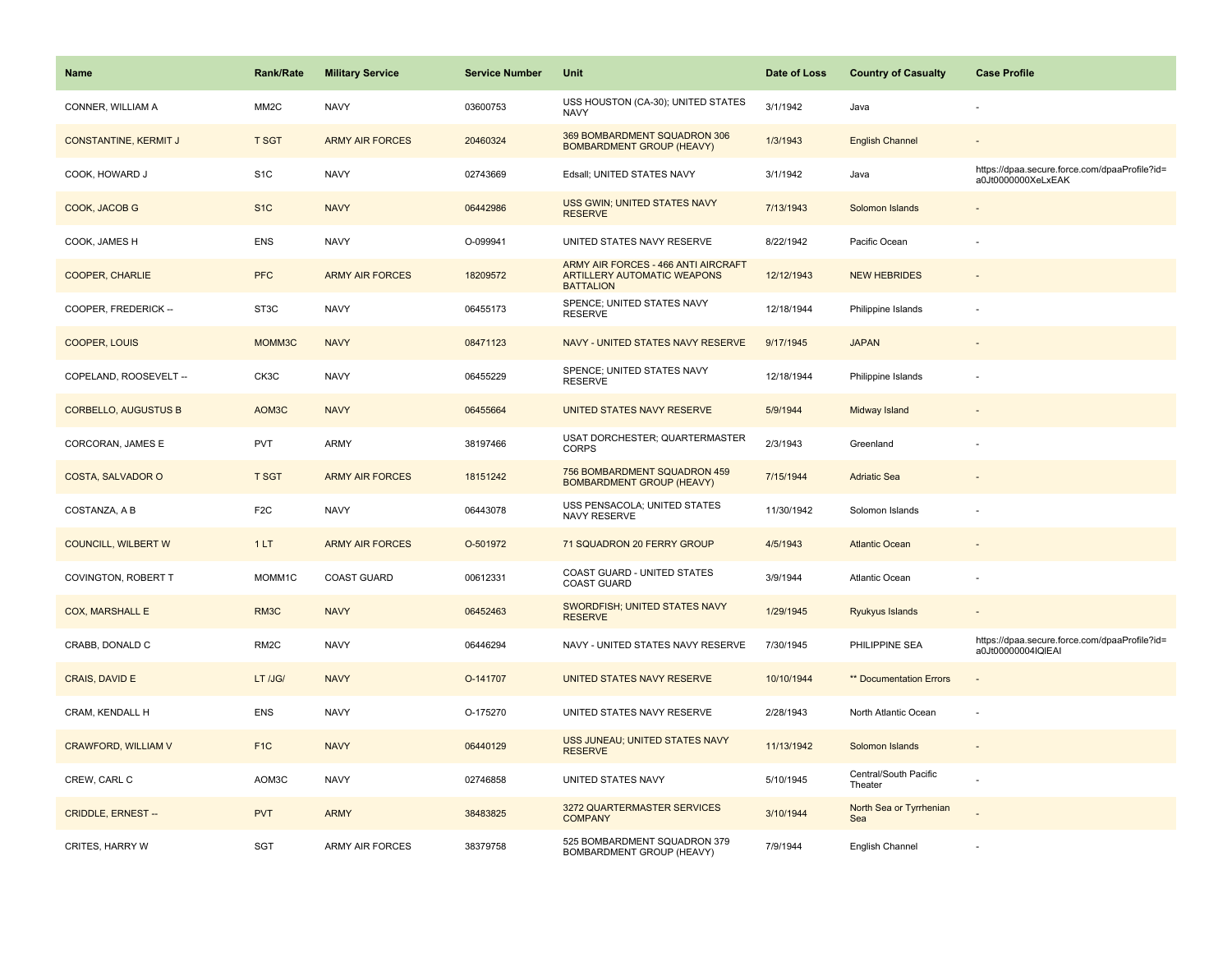| Name                         | Rank/Rate         | <b>Military Service</b> | <b>Service Number</b> | Unit                                                                                          | Date of Loss | <b>Country of Casualty</b>       | <b>Case Profile</b>                                                 |
|------------------------------|-------------------|-------------------------|-----------------------|-----------------------------------------------------------------------------------------------|--------------|----------------------------------|---------------------------------------------------------------------|
| CONNER, WILLIAM A            | MM <sub>2</sub> C | <b>NAVY</b>             | 03600753              | USS HOUSTON (CA-30); UNITED STATES<br><b>NAVY</b>                                             | 3/1/1942     | Java                             |                                                                     |
| <b>CONSTANTINE, KERMIT J</b> | <b>T SGT</b>      | <b>ARMY AIR FORCES</b>  | 20460324              | 369 BOMBARDMENT SQUADRON 306<br><b>BOMBARDMENT GROUP (HEAVY)</b>                              | 1/3/1943     | <b>English Channel</b>           |                                                                     |
| COOK, HOWARD J               | S <sub>1</sub> C  | <b>NAVY</b>             | 02743669              | Edsall; UNITED STATES NAVY                                                                    | 3/1/1942     | Java                             | https://dpaa.secure.force.com/dpaaProfile?id=<br>a0Jt0000000XeLxEAK |
| COOK, JACOB G                | S <sub>1</sub> C  | <b>NAVY</b>             | 06442986              | USS GWIN; UNITED STATES NAVY<br><b>RESERVE</b>                                                | 7/13/1943    | Solomon Islands                  |                                                                     |
| COOK, JAMES H                | <b>ENS</b>        | <b>NAVY</b>             | O-099941              | UNITED STATES NAVY RESERVE                                                                    | 8/22/1942    | Pacific Ocean                    |                                                                     |
| COOPER, CHARLIE              | <b>PFC</b>        | <b>ARMY AIR FORCES</b>  | 18209572              | ARMY AIR FORCES - 466 ANTI AIRCRAFT<br><b>ARTILLERY AUTOMATIC WEAPONS</b><br><b>BATTALION</b> | 12/12/1943   | <b>NEW HEBRIDES</b>              |                                                                     |
| COOPER, FREDERICK --         | ST <sub>3</sub> C | <b>NAVY</b>             | 06455173              | SPENCE; UNITED STATES NAVY<br><b>RESERVE</b>                                                  | 12/18/1944   | Philippine Islands               |                                                                     |
| COOPER, LOUIS                | MOMM3C            | <b>NAVY</b>             | 08471123              | NAVY - UNITED STATES NAVY RESERVE                                                             | 9/17/1945    | <b>JAPAN</b>                     |                                                                     |
| COPELAND, ROOSEVELT --       | CK3C              | <b>NAVY</b>             | 06455229              | SPENCE; UNITED STATES NAVY<br><b>RESERVE</b>                                                  | 12/18/1944   | Philippine Islands               |                                                                     |
| <b>CORBELLO, AUGUSTUS B</b>  | AOM3C             | <b>NAVY</b>             | 06455664              | UNITED STATES NAVY RESERVE                                                                    | 5/9/1944     | Midway Island                    |                                                                     |
| CORCORAN, JAMES E            | <b>PVT</b>        | ARMY                    | 38197466              | USAT DORCHESTER; QUARTERMASTER<br><b>CORPS</b>                                                | 2/3/1943     | Greenland                        |                                                                     |
| <b>COSTA, SALVADOR O</b>     | <b>T SGT</b>      | <b>ARMY AIR FORCES</b>  | 18151242              | 756 BOMBARDMENT SQUADRON 459<br><b>BOMBARDMENT GROUP (HEAVY)</b>                              | 7/15/1944    | <b>Adriatic Sea</b>              |                                                                     |
| COSTANZA, A B                | F <sub>2</sub> C  | <b>NAVY</b>             | 06443078              | USS PENSACOLA; UNITED STATES<br>NAVY RESERVE                                                  | 11/30/1942   | Solomon Islands                  |                                                                     |
| <b>COUNCILL, WILBERT W</b>   | 1LT               | <b>ARMY AIR FORCES</b>  | O-501972              | 71 SQUADRON 20 FERRY GROUP                                                                    | 4/5/1943     | <b>Atlantic Ocean</b>            |                                                                     |
| COVINGTON, ROBERT T          | MOMM1C            | <b>COAST GUARD</b>      | 00612331              | COAST GUARD - UNITED STATES<br><b>COAST GUARD</b>                                             | 3/9/1944     | Atlantic Ocean                   |                                                                     |
| <b>COX, MARSHALL E</b>       | RM3C              | <b>NAVY</b>             | 06452463              | SWORDFISH; UNITED STATES NAVY<br><b>RESERVE</b>                                               | 1/29/1945    | Ryukyus Islands                  |                                                                     |
| CRABB, DONALD C              | RM <sub>2</sub> C | <b>NAVY</b>             | 06446294              | NAVY - UNITED STATES NAVY RESERVE                                                             | 7/30/1945    | PHILIPPINE SEA                   | https://dpaa.secure.force.com/dpaaProfile?id=<br>a0Jt00000004IQIEAI |
| <b>CRAIS, DAVID E</b>        | LT /JG/           | <b>NAVY</b>             | O-141707              | UNITED STATES NAVY RESERVE                                                                    | 10/10/1944   | <b>** Documentation Errors</b>   |                                                                     |
| CRAM, KENDALL H              | ENS               | <b>NAVY</b>             | O-175270              | UNITED STATES NAVY RESERVE                                                                    | 2/28/1943    | North Atlantic Ocean             |                                                                     |
| <b>CRAWFORD, WILLIAM V</b>   | F <sub>1</sub> C  | <b>NAVY</b>             | 06440129              | USS JUNEAU; UNITED STATES NAVY<br><b>RESERVE</b>                                              | 11/13/1942   | Solomon Islands                  |                                                                     |
| CREW, CARL C                 | AOM3C             | <b>NAVY</b>             | 02746858              | UNITED STATES NAVY                                                                            | 5/10/1945    | Central/South Pacific<br>Theater |                                                                     |
| <b>CRIDDLE, ERNEST --</b>    | <b>PVT</b>        | <b>ARMY</b>             | 38483825              | 3272 QUARTERMASTER SERVICES<br><b>COMPANY</b>                                                 | 3/10/1944    | North Sea or Tyrrhenian<br>Sea   |                                                                     |
| <b>CRITES, HARRY W</b>       | <b>SGT</b>        | <b>ARMY AIR FORCES</b>  | 38379758              | 525 BOMBARDMENT SQUADRON 379<br>BOMBARDMENT GROUP (HEAVY)                                     | 7/9/1944     | English Channel                  |                                                                     |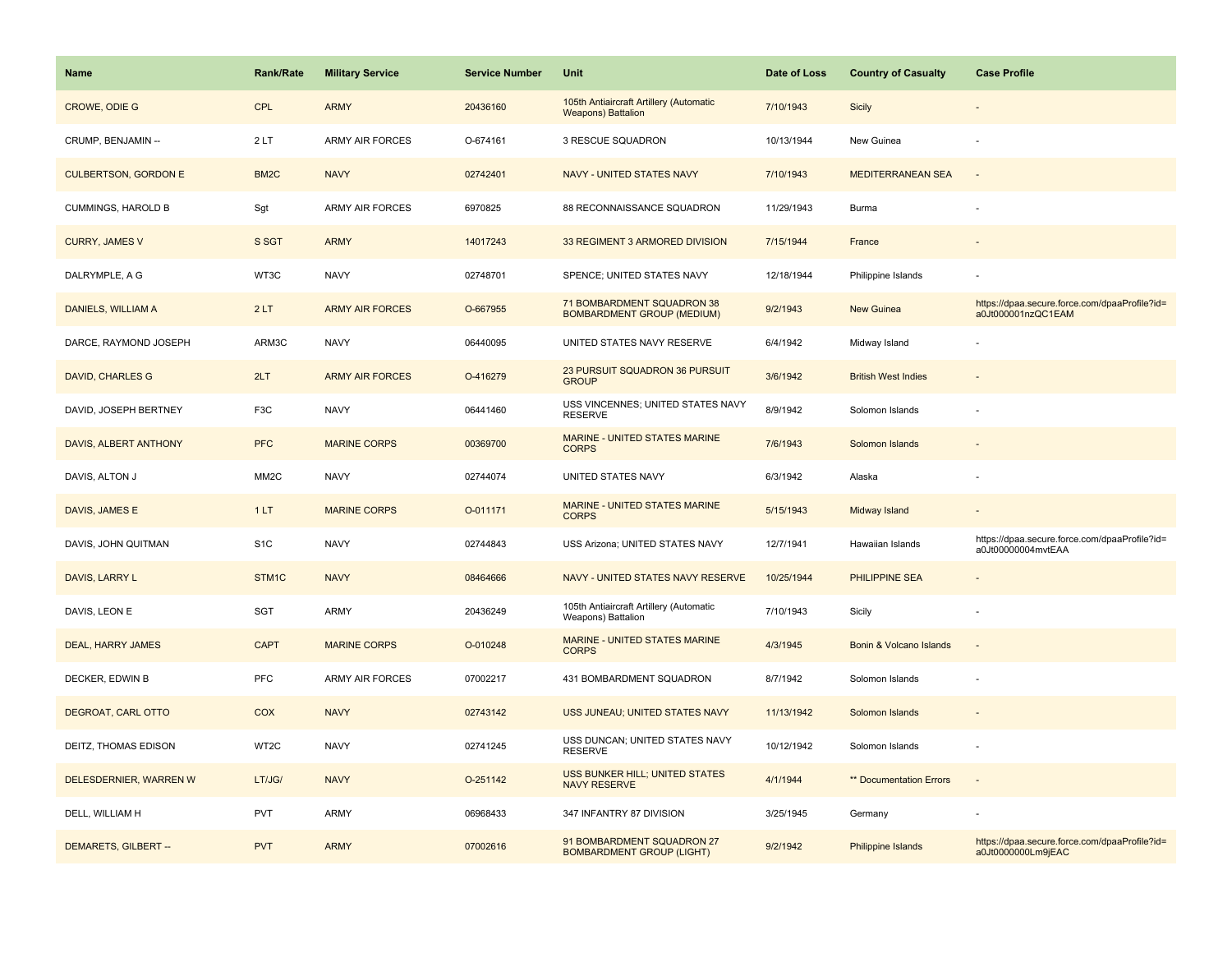| Name                        | <b>Rank/Rate</b>  | <b>Military Service</b> | <b>Service Number</b> | Unit                                                                 | Date of Loss | <b>Country of Casualty</b>     | <b>Case Profile</b>                                                 |
|-----------------------------|-------------------|-------------------------|-----------------------|----------------------------------------------------------------------|--------------|--------------------------------|---------------------------------------------------------------------|
| CROWE, ODIE G               | CPL               | <b>ARMY</b>             | 20436160              | 105th Antiaircraft Artillery (Automatic<br><b>Weapons) Battalion</b> | 7/10/1943    | <b>Sicily</b>                  |                                                                     |
| CRUMP, BENJAMIN --          | 2LT               | ARMY AIR FORCES         | O-674161              | 3 RESCUE SQUADRON                                                    | 10/13/1944   | New Guinea                     |                                                                     |
| <b>CULBERTSON, GORDON E</b> | BM <sub>2</sub> C | <b>NAVY</b>             | 02742401              | NAVY - UNITED STATES NAVY                                            | 7/10/1943    | <b>MEDITERRANEAN SEA</b>       |                                                                     |
| CUMMINGS, HAROLD B          | Sgt               | <b>ARMY AIR FORCES</b>  | 6970825               | 88 RECONNAISSANCE SQUADRON                                           | 11/29/1943   | Burma                          |                                                                     |
| <b>CURRY, JAMES V</b>       | S SGT             | <b>ARMY</b>             | 14017243              | 33 REGIMENT 3 ARMORED DIVISION                                       | 7/15/1944    | France                         |                                                                     |
| DALRYMPLE, A G              | WT3C              | <b>NAVY</b>             | 02748701              | SPENCE; UNITED STATES NAVY                                           | 12/18/1944   | Philippine Islands             |                                                                     |
| DANIELS, WILLIAM A          | 2LT               | <b>ARMY AIR FORCES</b>  | O-667955              | 71 BOMBARDMENT SQUADRON 38<br><b>BOMBARDMENT GROUP (MEDIUM)</b>      | 9/2/1943     | New Guinea                     | https://dpaa.secure.force.com/dpaaProfile?id=<br>a0Jt000001nzQC1EAM |
| DARCE, RAYMOND JOSEPH       | ARM3C             | <b>NAVY</b>             | 06440095              | UNITED STATES NAVY RESERVE                                           | 6/4/1942     | Midway Island                  |                                                                     |
| <b>DAVID, CHARLES G</b>     | 2LT               | <b>ARMY AIR FORCES</b>  | O-416279              | 23 PURSUIT SQUADRON 36 PURSUIT<br><b>GROUP</b>                       | 3/6/1942     | <b>British West Indies</b>     |                                                                     |
| DAVID, JOSEPH BERTNEY       | F <sub>3</sub> C  | <b>NAVY</b>             | 06441460              | USS VINCENNES; UNITED STATES NAVY<br><b>RESERVE</b>                  | 8/9/1942     | Solomon Islands                |                                                                     |
| DAVIS, ALBERT ANTHONY       | <b>PFC</b>        | <b>MARINE CORPS</b>     | 00369700              | MARINE - UNITED STATES MARINE<br><b>CORPS</b>                        | 7/6/1943     | Solomon Islands                |                                                                     |
| DAVIS, ALTON J              | MM <sub>2</sub> C | <b>NAVY</b>             | 02744074              | UNITED STATES NAVY                                                   | 6/3/1942     | Alaska                         |                                                                     |
| DAVIS, JAMES E              | 1LT               | <b>MARINE CORPS</b>     | O-011171              | MARINE - UNITED STATES MARINE<br><b>CORPS</b>                        | 5/15/1943    | Midway Island                  |                                                                     |
| DAVIS, JOHN QUITMAN         | S <sub>1</sub> C  | <b>NAVY</b>             | 02744843              | USS Arizona; UNITED STATES NAVY                                      | 12/7/1941    | Hawaiian Islands               | https://dpaa.secure.force.com/dpaaProfile?id=<br>a0Jt00000004mvtEAA |
| DAVIS, LARRY L              | STM1C             | <b>NAVY</b>             | 08464666              | NAVY - UNITED STATES NAVY RESERVE                                    | 10/25/1944   | PHILIPPINE SEA                 |                                                                     |
| DAVIS, LEON E               | <b>SGT</b>        | <b>ARMY</b>             | 20436249              | 105th Antiaircraft Artillery (Automatic<br>Weapons) Battalion        | 7/10/1943    | Sicily                         |                                                                     |
| <b>DEAL, HARRY JAMES</b>    | <b>CAPT</b>       | <b>MARINE CORPS</b>     | O-010248              | MARINE - UNITED STATES MARINE<br><b>CORPS</b>                        | 4/3/1945     | Bonin & Volcano Islands        | $\sim$                                                              |
| DECKER, EDWIN B             | <b>PFC</b>        | <b>ARMY AIR FORCES</b>  | 07002217              | 431 BOMBARDMENT SQUADRON                                             | 8/7/1942     | Solomon Islands                |                                                                     |
| DEGROAT, CARL OTTO          | COX               | <b>NAVY</b>             | 02743142              | USS JUNEAU; UNITED STATES NAVY                                       | 11/13/1942   | Solomon Islands                |                                                                     |
| DEITZ, THOMAS EDISON        | WT2C              | <b>NAVY</b>             | 02741245              | USS DUNCAN; UNITED STATES NAVY<br><b>RESERVE</b>                     | 10/12/1942   | Solomon Islands                |                                                                     |
| DELESDERNIER, WARREN W      | LT/JG/            | <b>NAVY</b>             | O-251142              | <b>USS BUNKER HILL; UNITED STATES</b><br><b>NAVY RESERVE</b>         | 4/1/1944     | <b>** Documentation Errors</b> |                                                                     |
| DELL, WILLIAM H             | <b>PVT</b>        | <b>ARMY</b>             | 06968433              | 347 INFANTRY 87 DIVISION                                             | 3/25/1945    | Germany                        |                                                                     |
| DEMARETS, GILBERT --        | <b>PVT</b>        | <b>ARMY</b>             | 07002616              | 91 BOMBARDMENT SQUADRON 27<br><b>BOMBARDMENT GROUP (LIGHT)</b>       | 9/2/1942     | <b>Philippine Islands</b>      | https://dpaa.secure.force.com/dpaaProfile?id=<br>a0Jt0000000Lm9jEAC |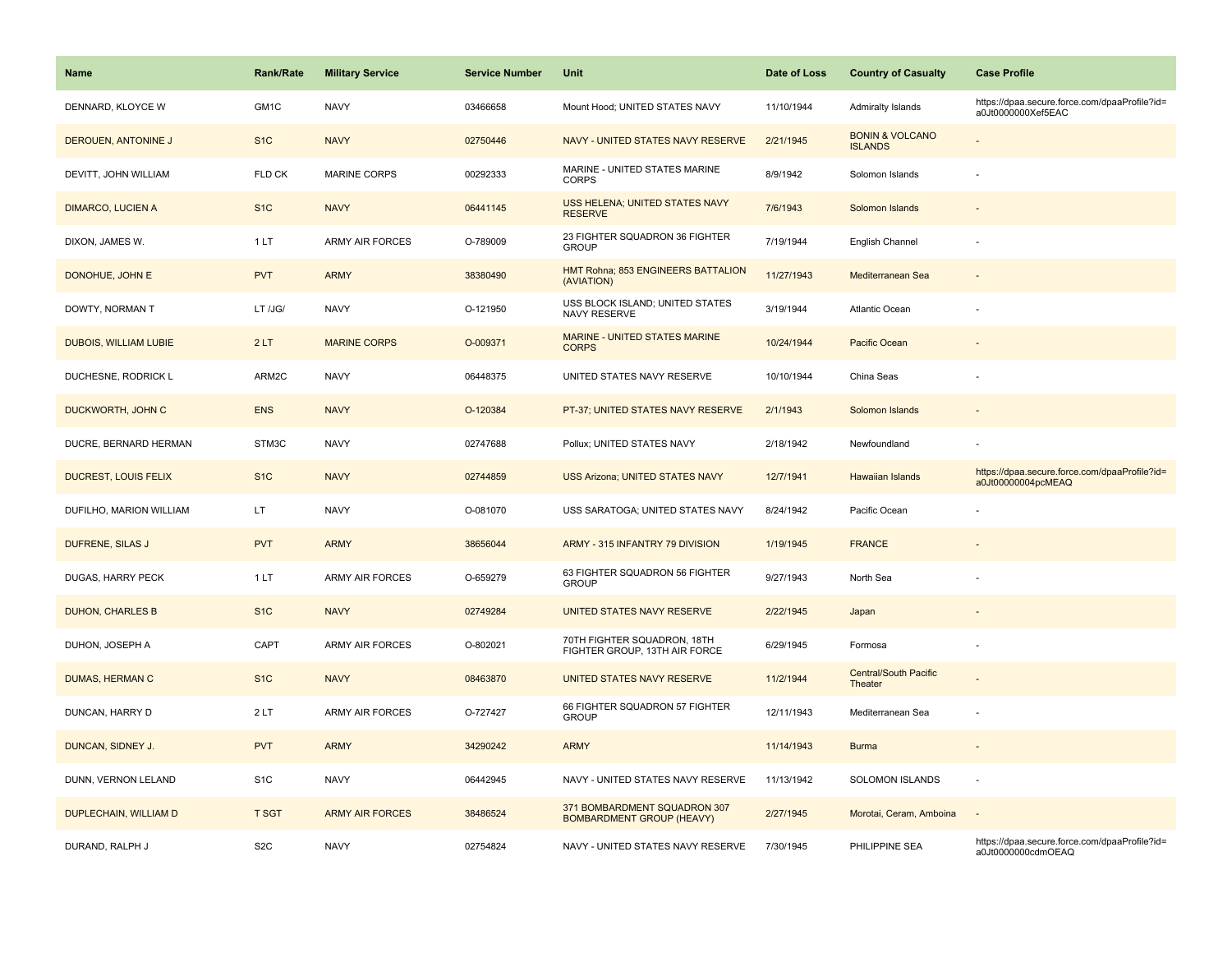| Name                         | <b>Rank/Rate</b> | <b>Military Service</b> | <b>Service Number</b> | Unit                                                             | Date of Loss | <b>Country of Casualty</b>                   | <b>Case Profile</b>                                                 |
|------------------------------|------------------|-------------------------|-----------------------|------------------------------------------------------------------|--------------|----------------------------------------------|---------------------------------------------------------------------|
| DENNARD, KLOYCE W            | GM1C             | <b>NAVY</b>             | 03466658              | Mount Hood; UNITED STATES NAVY                                   | 11/10/1944   | Admiralty Islands                            | https://dpaa.secure.force.com/dpaaProfile?id=<br>a0Jt0000000Xef5EAC |
| DEROUEN, ANTONINE J          | S <sub>1</sub> C | <b>NAVY</b>             | 02750446              | NAVY - UNITED STATES NAVY RESERVE                                | 2/21/1945    | <b>BONIN &amp; VOLCANO</b><br><b>ISLANDS</b> |                                                                     |
| DEVITT, JOHN WILLIAM         | FLD CK           | MARINE CORPS            | 00292333              | MARINE - UNITED STATES MARINE<br><b>CORPS</b>                    | 8/9/1942     | Solomon Islands                              |                                                                     |
| <b>DIMARCO, LUCIEN A</b>     | S <sub>1C</sub>  | <b>NAVY</b>             | 06441145              | USS HELENA; UNITED STATES NAVY<br><b>RESERVE</b>                 | 7/6/1943     | Solomon Islands                              |                                                                     |
| DIXON, JAMES W.              | 1LT              | <b>ARMY AIR FORCES</b>  | O-789009              | 23 FIGHTER SQUADRON 36 FIGHTER<br><b>GROUP</b>                   | 7/19/1944    | English Channel                              |                                                                     |
| DONOHUE, JOHN E              | <b>PVT</b>       | <b>ARMY</b>             | 38380490              | HMT Rohna; 853 ENGINEERS BATTALION<br>(AVIATION)                 | 11/27/1943   | Mediterranean Sea                            |                                                                     |
| DOWTY, NORMAN T              | LT /JG/          | <b>NAVY</b>             | O-121950              | USS BLOCK ISLAND; UNITED STATES<br>NAVY RESERVE                  | 3/19/1944    | Atlantic Ocean                               |                                                                     |
| <b>DUBOIS, WILLIAM LUBIE</b> | 2LT              | <b>MARINE CORPS</b>     | O-009371              | MARINE - UNITED STATES MARINE<br><b>CORPS</b>                    | 10/24/1944   | <b>Pacific Ocean</b>                         |                                                                     |
| DUCHESNE, RODRICK L          | ARM2C            | <b>NAVY</b>             | 06448375              | UNITED STATES NAVY RESERVE                                       | 10/10/1944   | China Seas                                   |                                                                     |
| DUCKWORTH, JOHN C            | <b>ENS</b>       | <b>NAVY</b>             | O-120384              | PT-37; UNITED STATES NAVY RESERVE                                | 2/1/1943     | Solomon Islands                              |                                                                     |
| DUCRE, BERNARD HERMAN        | STM3C            | <b>NAVY</b>             | 02747688              | Pollux; UNITED STATES NAVY                                       | 2/18/1942    | Newfoundland                                 |                                                                     |
| DUCREST, LOUIS FELIX         | S <sub>1</sub> C | <b>NAVY</b>             | 02744859              | <b>USS Arizona; UNITED STATES NAVY</b>                           | 12/7/1941    | <b>Hawaiian Islands</b>                      | https://dpaa.secure.force.com/dpaaProfile?id=<br>a0Jt00000004pcMEAQ |
| DUFILHO, MARION WILLIAM      | LT               | <b>NAVY</b>             | O-081070              | USS SARATOGA; UNITED STATES NAVY                                 | 8/24/1942    | Pacific Ocean                                |                                                                     |
| <b>DUFRENE, SILAS J</b>      | <b>PVT</b>       | <b>ARMY</b>             | 38656044              | ARMY - 315 INFANTRY 79 DIVISION                                  | 1/19/1945    | <b>FRANCE</b>                                |                                                                     |
| DUGAS, HARRY PECK            | 1LT              | <b>ARMY AIR FORCES</b>  | O-659279              | 63 FIGHTER SQUADRON 56 FIGHTER<br><b>GROUP</b>                   | 9/27/1943    | North Sea                                    |                                                                     |
| <b>DUHON, CHARLES B</b>      | S <sub>1</sub> C | <b>NAVY</b>             | 02749284              | UNITED STATES NAVY RESERVE                                       | 2/22/1945    | Japan                                        |                                                                     |
| DUHON, JOSEPH A              | CAPT             | <b>ARMY AIR FORCES</b>  | O-802021              | 70TH FIGHTER SQUADRON, 18TH<br>FIGHTER GROUP, 13TH AIR FORCE     | 6/29/1945    | Formosa                                      |                                                                     |
| DUMAS, HERMAN C              | S <sub>1C</sub>  | <b>NAVY</b>             | 08463870              | UNITED STATES NAVY RESERVE                                       | 11/2/1944    | <b>Central/South Pacific</b><br>Theater      |                                                                     |
| DUNCAN, HARRY D              | 2LT              | <b>ARMY AIR FORCES</b>  | O-727427              | 66 FIGHTER SQUADRON 57 FIGHTER<br><b>GROUP</b>                   | 12/11/1943   | Mediterranean Sea                            |                                                                     |
| DUNCAN, SIDNEY J.            | <b>PVT</b>       | <b>ARMY</b>             | 34290242              | <b>ARMY</b>                                                      | 11/14/1943   | <b>Burma</b>                                 | $\sim$                                                              |
| DUNN, VERNON LELAND          | S <sub>1</sub> C | <b>NAVY</b>             | 06442945              | NAVY - UNITED STATES NAVY RESERVE                                | 11/13/1942   | SOLOMON ISLANDS                              | ÷,                                                                  |
| DUPLECHAIN, WILLIAM D        | <b>T SGT</b>     | <b>ARMY AIR FORCES</b>  | 38486524              | 371 BOMBARDMENT SQUADRON 307<br><b>BOMBARDMENT GROUP (HEAVY)</b> | 2/27/1945    | Morotai, Ceram, Amboina                      | $\sim$                                                              |
| DURAND, RALPH J              | S <sub>2</sub> C | <b>NAVY</b>             | 02754824              | NAVY - UNITED STATES NAVY RESERVE                                | 7/30/1945    | PHILIPPINE SEA                               | https://dpaa.secure.force.com/dpaaProfile?id=<br>a0Jt0000000cdmOEAQ |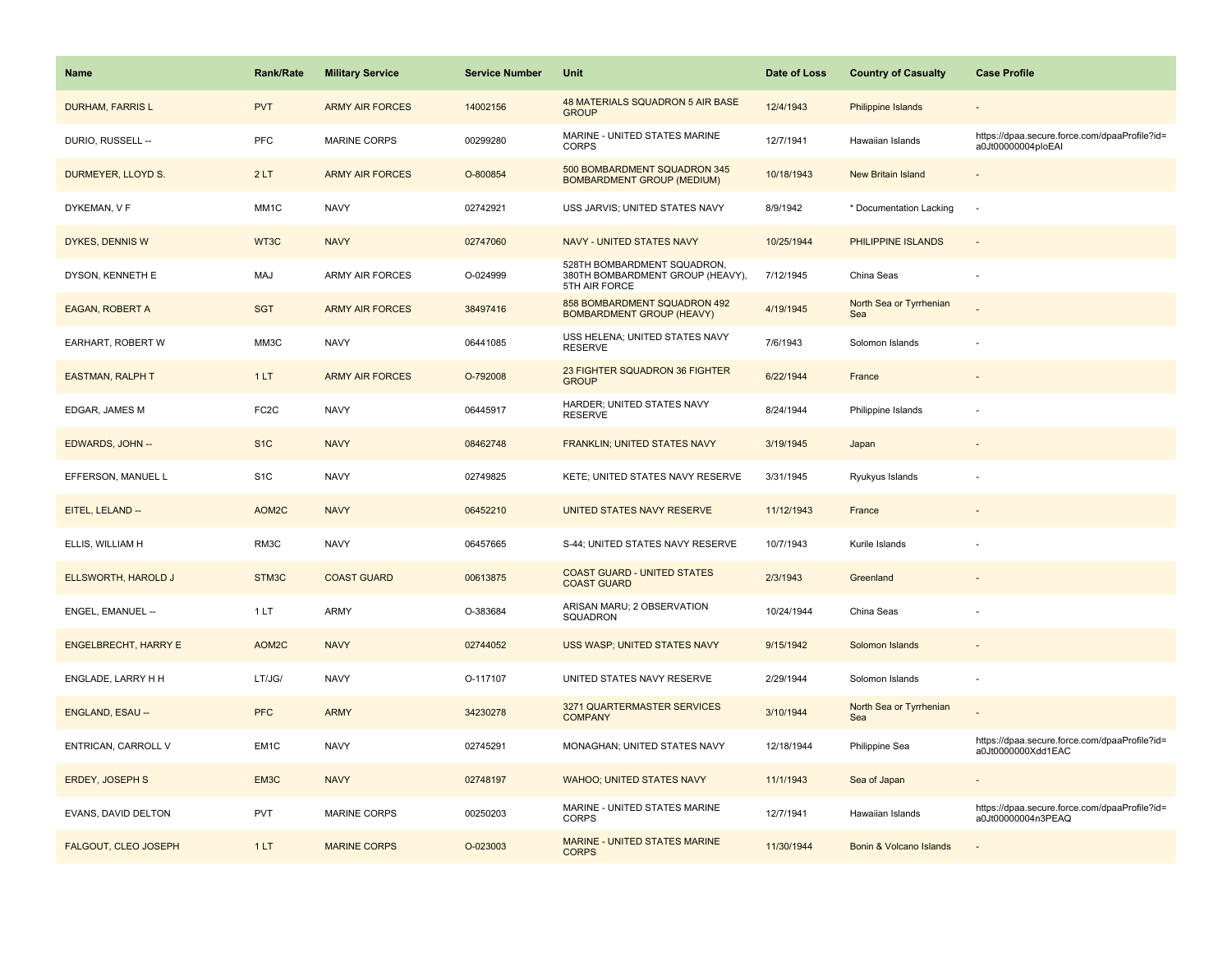| <b>Name</b>                 | <b>Rank/Rate</b>  | <b>Military Service</b> | <b>Service Number</b> | Unit                                                                             | Date of Loss | <b>Country of Casualty</b>     | <b>Case Profile</b>                                                 |
|-----------------------------|-------------------|-------------------------|-----------------------|----------------------------------------------------------------------------------|--------------|--------------------------------|---------------------------------------------------------------------|
| <b>DURHAM, FARRIS L</b>     | <b>PVT</b>        | <b>ARMY AIR FORCES</b>  | 14002156              | 48 MATERIALS SQUADRON 5 AIR BASE<br><b>GROUP</b>                                 | 12/4/1943    | Philippine Islands             |                                                                     |
| DURIO, RUSSELL --           | PFC               | <b>MARINE CORPS</b>     | 00299280              | MARINE - UNITED STATES MARINE<br><b>CORPS</b>                                    | 12/7/1941    | Hawaiian Islands               | https://dpaa.secure.force.com/dpaaProfile?id=<br>a0Jt00000004ploEAI |
| DURMEYER, LLOYD S.          | 2LT               | <b>ARMY AIR FORCES</b>  | O-800854              | 500 BOMBARDMENT SQUADRON 345<br><b>BOMBARDMENT GROUP (MEDIUM)</b>                | 10/18/1943   | New Britain Island             |                                                                     |
| DYKEMAN, V F                | MM1C              | <b>NAVY</b>             | 02742921              | USS JARVIS; UNITED STATES NAVY                                                   | 8/9/1942     | * Documentation Lacking        | $\overline{\phantom{a}}$                                            |
| DYKES, DENNIS W             | WT3C              | <b>NAVY</b>             | 02747060              | <b>NAVY - UNITED STATES NAVY</b>                                                 | 10/25/1944   | PHILIPPINE ISLANDS             |                                                                     |
| DYSON, KENNETH E            | MAJ               | <b>ARMY AIR FORCES</b>  | O-024999              | 528TH BOMBARDMENT SQUADRON,<br>380TH BOMBARDMENT GROUP (HEAVY),<br>5TH AIR FORCE | 7/12/1945    | China Seas                     |                                                                     |
| EAGAN, ROBERT A             | <b>SGT</b>        | <b>ARMY AIR FORCES</b>  | 38497416              | 858 BOMBARDMENT SQUADRON 492<br><b>BOMBARDMENT GROUP (HEAVY)</b>                 | 4/19/1945    | North Sea or Tyrrhenian<br>Sea |                                                                     |
| EARHART, ROBERT W           | MM3C              | <b>NAVY</b>             | 06441085              | USS HELENA; UNITED STATES NAVY<br><b>RESERVE</b>                                 | 7/6/1943     | Solomon Islands                |                                                                     |
| <b>EASTMAN, RALPH T</b>     | 1LT               | <b>ARMY AIR FORCES</b>  | O-792008              | 23 FIGHTER SQUADRON 36 FIGHTER<br><b>GROUP</b>                                   | 6/22/1944    | France                         |                                                                     |
| EDGAR, JAMES M              | FC <sub>2</sub> C | <b>NAVY</b>             | 06445917              | HARDER; UNITED STATES NAVY<br><b>RESERVE</b>                                     | 8/24/1944    | Philippine Islands             |                                                                     |
| EDWARDS, JOHN --            | S <sub>1</sub> C  | <b>NAVY</b>             | 08462748              | <b>FRANKLIN; UNITED STATES NAVY</b>                                              | 3/19/1945    | Japan                          |                                                                     |
| EFFERSON, MANUEL L          | S <sub>1</sub> C  | <b>NAVY</b>             | 02749825              | KETE; UNITED STATES NAVY RESERVE                                                 | 3/31/1945    | Ryukyus Islands                |                                                                     |
| EITEL, LELAND --            | AOM2C             | <b>NAVY</b>             | 06452210              | UNITED STATES NAVY RESERVE                                                       | 11/12/1943   | France                         |                                                                     |
| ELLIS, WILLIAM H            | RM3C              | <b>NAVY</b>             | 06457665              | S-44; UNITED STATES NAVY RESERVE                                                 | 10/7/1943    | Kurile Islands                 |                                                                     |
| ELLSWORTH, HAROLD J         | STM3C             | <b>COAST GUARD</b>      | 00613875              | <b>COAST GUARD - UNITED STATES</b><br><b>COAST GUARD</b>                         | 2/3/1943     | Greenland                      |                                                                     |
| ENGEL, EMANUEL --           | 1 LT              | <b>ARMY</b>             | O-383684              | ARISAN MARU; 2 OBSERVATION<br>SQUADRON                                           | 10/24/1944   | China Seas                     |                                                                     |
| <b>ENGELBRECHT, HARRY E</b> | AOM2C             | <b>NAVY</b>             | 02744052              | <b>USS WASP; UNITED STATES NAVY</b>                                              | 9/15/1942    | Solomon Islands                |                                                                     |
| ENGLADE, LARRY H H          | LT/JG/            | <b>NAVY</b>             | O-117107              | UNITED STATES NAVY RESERVE                                                       | 2/29/1944    | Solomon Islands                |                                                                     |
| ENGLAND, ESAU --            | <b>PFC</b>        | <b>ARMY</b>             | 34230278              | 3271 QUARTERMASTER SERVICES<br><b>COMPANY</b>                                    | 3/10/1944    | North Sea or Tyrrhenian<br>Sea |                                                                     |
| ENTRICAN, CARROLL V         | EM <sub>1</sub> C | <b>NAVY</b>             | 02745291              | MONAGHAN; UNITED STATES NAVY                                                     | 12/18/1944   | Philippine Sea                 | https://dpaa.secure.force.com/dpaaProfile?id=<br>a0Jt0000000Xdd1EAC |
| <b>ERDEY, JOSEPH S</b>      | EM3C              | <b>NAVY</b>             | 02748197              | <b>WAHOO; UNITED STATES NAVY</b>                                                 | 11/1/1943    | Sea of Japan                   |                                                                     |
| EVANS, DAVID DELTON         | <b>PVT</b>        | <b>MARINE CORPS</b>     | 00250203              | MARINE - UNITED STATES MARINE<br><b>CORPS</b>                                    | 12/7/1941    | Hawaiian Islands               | https://dpaa.secure.force.com/dpaaProfile?id=<br>a0Jt00000004n3PEAQ |
| FALGOUT, CLEO JOSEPH        | 1LT               | <b>MARINE CORPS</b>     | O-023003              | MARINE - UNITED STATES MARINE<br><b>CORPS</b>                                    | 11/30/1944   | Bonin & Volcano Islands        |                                                                     |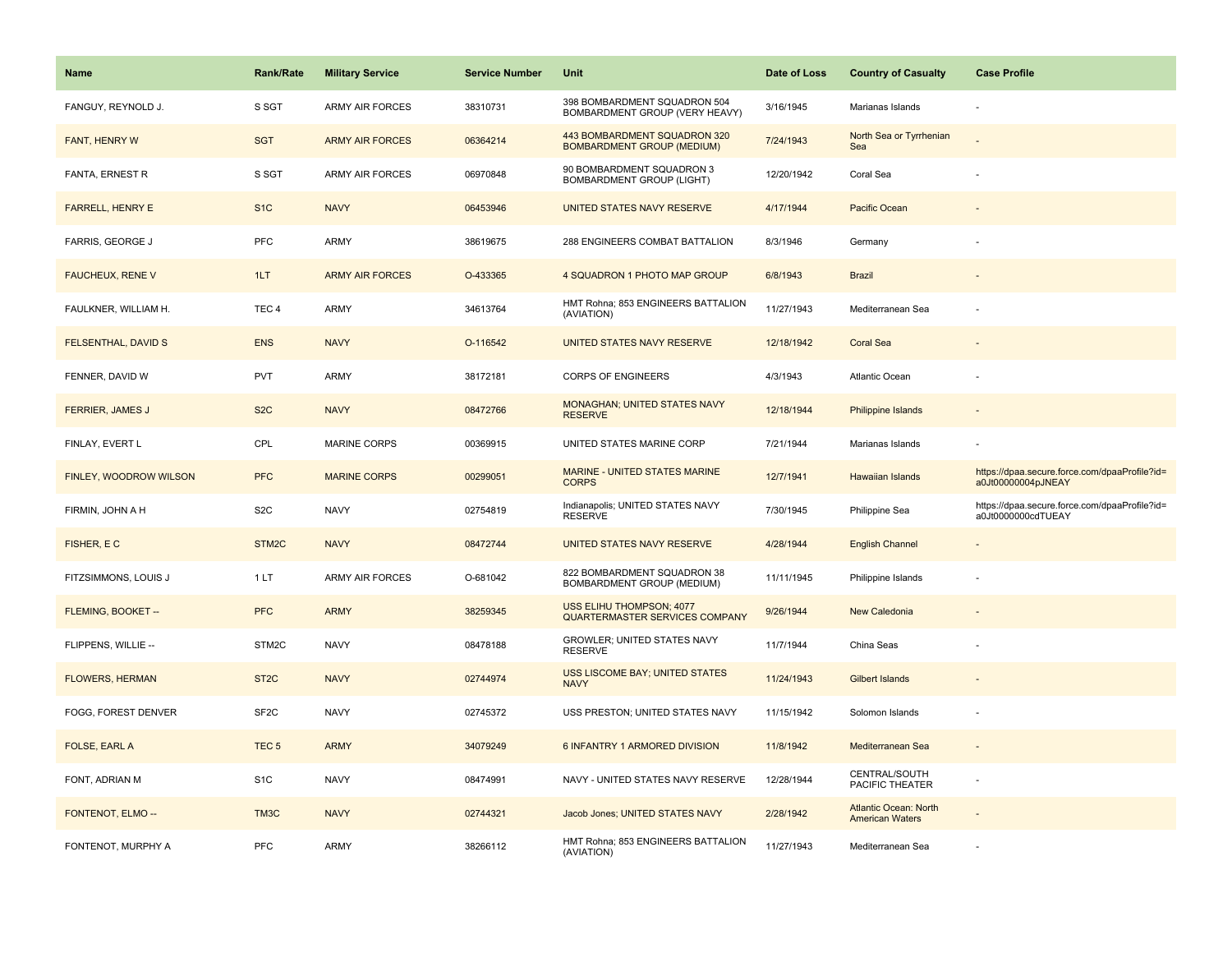| <b>Name</b>             | <b>Rank/Rate</b>  | <b>Military Service</b> | <b>Service Number</b> | Unit                                                              | Date of Loss | <b>Country of Casualty</b>                             | <b>Case Profile</b>                                                 |
|-------------------------|-------------------|-------------------------|-----------------------|-------------------------------------------------------------------|--------------|--------------------------------------------------------|---------------------------------------------------------------------|
| FANGUY, REYNOLD J.      | S SGT             | ARMY AIR FORCES         | 38310731              | 398 BOMBARDMENT SQUADRON 504<br>BOMBARDMENT GROUP (VERY HEAVY)    | 3/16/1945    | Marianas Islands                                       |                                                                     |
| FANT, HENRY W           | <b>SGT</b>        | <b>ARMY AIR FORCES</b>  | 06364214              | 443 BOMBARDMENT SQUADRON 320<br><b>BOMBARDMENT GROUP (MEDIUM)</b> | 7/24/1943    | North Sea or Tyrrhenian<br>Sea                         |                                                                     |
| FANTA, ERNEST R         | S SGT             | <b>ARMY AIR FORCES</b>  | 06970848              | 90 BOMBARDMENT SQUADRON 3<br><b>BOMBARDMENT GROUP (LIGHT)</b>     | 12/20/1942   | Coral Sea                                              |                                                                     |
| <b>FARRELL, HENRY E</b> | S <sub>1C</sub>   | <b>NAVY</b>             | 06453946              | UNITED STATES NAVY RESERVE                                        | 4/17/1944    | Pacific Ocean                                          |                                                                     |
| FARRIS, GEORGE J        | <b>PFC</b>        | ARMY                    | 38619675              | 288 ENGINEERS COMBAT BATTALION                                    | 8/3/1946     | Germany                                                |                                                                     |
| <b>FAUCHEUX, RENE V</b> | 1LT               | <b>ARMY AIR FORCES</b>  | O-433365              | 4 SQUADRON 1 PHOTO MAP GROUP                                      | 6/8/1943     | <b>Brazil</b>                                          |                                                                     |
| FAULKNER, WILLIAM H.    | TEC <sub>4</sub>  | ARMY                    | 34613764              | HMT Rohna; 853 ENGINEERS BATTALION<br>(AVIATION)                  | 11/27/1943   | Mediterranean Sea                                      |                                                                     |
| FELSENTHAL, DAVID S     | <b>ENS</b>        | <b>NAVY</b>             | O-116542              | UNITED STATES NAVY RESERVE                                        | 12/18/1942   | <b>Coral Sea</b>                                       |                                                                     |
| FENNER, DAVID W         | <b>PVT</b>        | ARMY                    | 38172181              | <b>CORPS OF ENGINEERS</b>                                         | 4/3/1943     | <b>Atlantic Ocean</b>                                  |                                                                     |
| <b>FERRIER, JAMES J</b> | S <sub>2</sub> C  | <b>NAVY</b>             | 08472766              | <b>MONAGHAN; UNITED STATES NAVY</b><br><b>RESERVE</b>             | 12/18/1944   | <b>Philippine Islands</b>                              |                                                                     |
| FINLAY, EVERT L         | CPL               | MARINE CORPS            | 00369915              | UNITED STATES MARINE CORP                                         | 7/21/1944    | Marianas Islands                                       |                                                                     |
| FINLEY, WOODROW WILSON  | <b>PFC</b>        | <b>MARINE CORPS</b>     | 00299051              | MARINE - UNITED STATES MARINE<br><b>CORPS</b>                     | 12/7/1941    | Hawaiian Islands                                       | https://dpaa.secure.force.com/dpaaProfile?id=<br>a0Jt00000004pJNEAY |
| FIRMIN, JOHN A H        | S <sub>2</sub> C  | <b>NAVY</b>             | 02754819              | Indianapolis; UNITED STATES NAVY<br><b>RESERVE</b>                | 7/30/1945    | Philippine Sea                                         | https://dpaa.secure.force.com/dpaaProfile?id=<br>a0Jt0000000cdTUEAY |
| FISHER, E C             | STM <sub>2C</sub> | <b>NAVY</b>             | 08472744              | UNITED STATES NAVY RESERVE                                        | 4/28/1944    | <b>English Channel</b>                                 |                                                                     |
| FITZSIMMONS, LOUIS J    | 1 LT              | <b>ARMY AIR FORCES</b>  | O-681042              | 822 BOMBARDMENT SQUADRON 38<br>BOMBARDMENT GROUP (MEDIUM)         | 11/11/1945   | Philippine Islands                                     |                                                                     |
| FLEMING, BOOKET --      | <b>PFC</b>        | <b>ARMY</b>             | 38259345              | USS ELIHU THOMPSON; 4077<br><b>QUARTERMASTER SERVICES COMPANY</b> | 9/26/1944    | New Caledonia                                          |                                                                     |
| FLIPPENS, WILLIE --     | STM2C             | <b>NAVY</b>             | 08478188              | <b>GROWLER: UNITED STATES NAVY</b><br><b>RESERVE</b>              | 11/7/1944    | China Seas                                             |                                                                     |
| <b>FLOWERS, HERMAN</b>  | ST <sub>2</sub> C | <b>NAVY</b>             | 02744974              | USS LISCOME BAY; UNITED STATES<br><b>NAVY</b>                     | 11/24/1943   | <b>Gilbert Islands</b>                                 |                                                                     |
| FOGG, FOREST DENVER     | SF <sub>2</sub> C | <b>NAVY</b>             | 02745372              | USS PRESTON; UNITED STATES NAVY                                   | 11/15/1942   | Solomon Islands                                        |                                                                     |
| FOLSE, EARL A           | TEC <sub>5</sub>  | <b>ARMY</b>             | 34079249              | 6 INFANTRY 1 ARMORED DIVISION                                     | 11/8/1942    | Mediterranean Sea                                      |                                                                     |
| FONT, ADRIAN M          | S <sub>1</sub> C  | <b>NAVY</b>             | 08474991              | NAVY - UNITED STATES NAVY RESERVE                                 | 12/28/1944   | CENTRAL/SOUTH<br>PACIFIC THEATER                       |                                                                     |
| FONTENOT, ELMO --       | TM3C              | <b>NAVY</b>             | 02744321              | Jacob Jones; UNITED STATES NAVY                                   | 2/28/1942    | <b>Atlantic Ocean: North</b><br><b>American Waters</b> |                                                                     |
| FONTENOT, MURPHY A      | PFC               | <b>ARMY</b>             | 38266112              | HMT Rohna; 853 ENGINEERS BATTALION<br>(AVIATION)                  | 11/27/1943   | Mediterranean Sea                                      |                                                                     |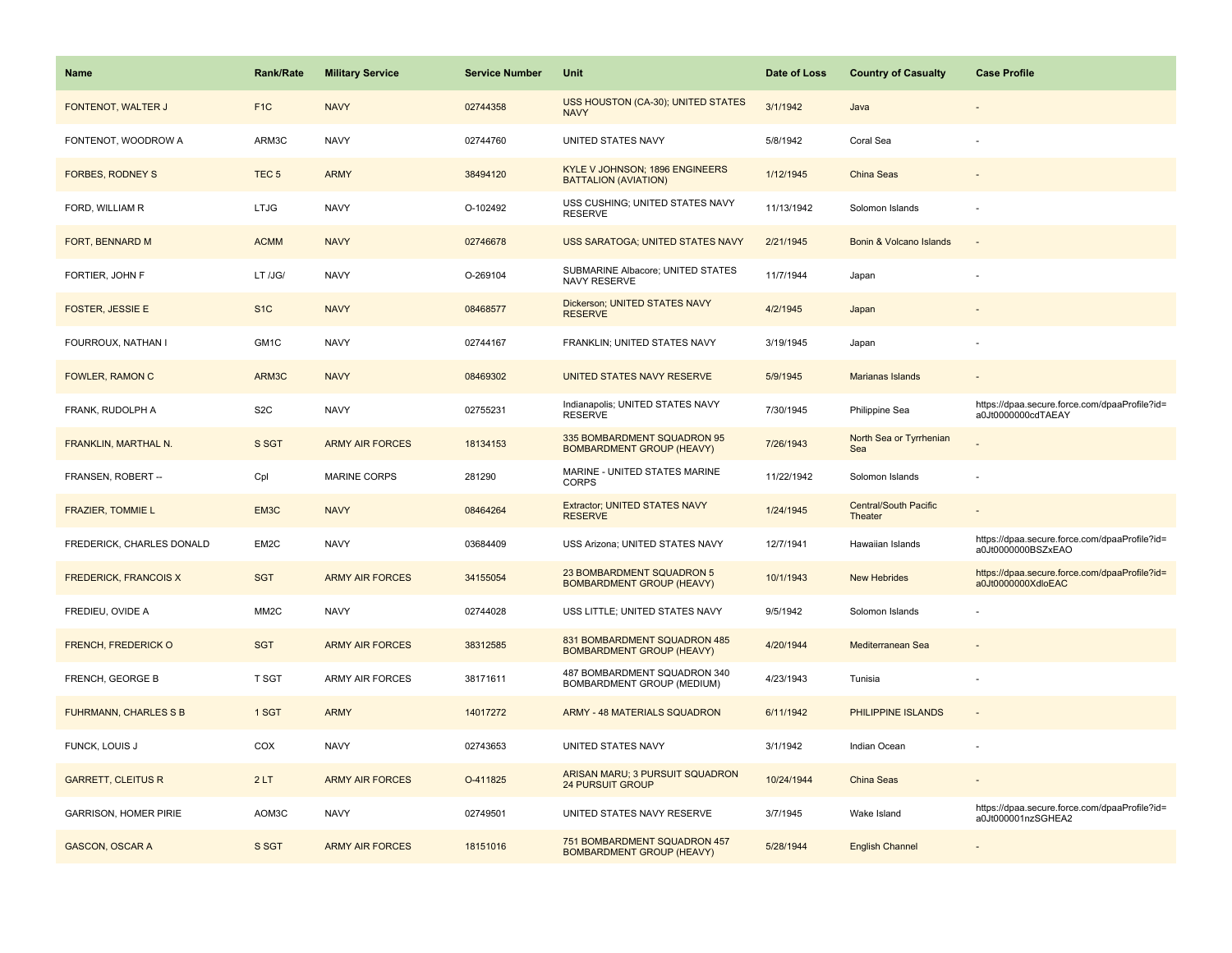| Name                         | Rank/Rate         | <b>Military Service</b> | <b>Service Number</b> | Unit                                                             | Date of Loss | <b>Country of Casualty</b>              | <b>Case Profile</b>                                                 |
|------------------------------|-------------------|-------------------------|-----------------------|------------------------------------------------------------------|--------------|-----------------------------------------|---------------------------------------------------------------------|
| FONTENOT, WALTER J           | F <sub>1</sub> C  | <b>NAVY</b>             | 02744358              | USS HOUSTON (CA-30); UNITED STATES<br><b>NAVY</b>                | 3/1/1942     | Java                                    |                                                                     |
| FONTENOT, WOODROW A          | ARM3C             | <b>NAVY</b>             | 02744760              | UNITED STATES NAVY                                               | 5/8/1942     | Coral Sea                               |                                                                     |
| <b>FORBES, RODNEY S</b>      | TEC <sub>5</sub>  | <b>ARMY</b>             | 38494120              | KYLE V JOHNSON; 1896 ENGINEERS<br><b>BATTALION (AVIATION)</b>    | 1/12/1945    | <b>China Seas</b>                       |                                                                     |
| FORD, WILLIAM R              | <b>LTJG</b>       | <b>NAVY</b>             | O-102492              | USS CUSHING; UNITED STATES NAVY<br><b>RESERVE</b>                | 11/13/1942   | Solomon Islands                         |                                                                     |
| FORT, BENNARD M              | <b>ACMM</b>       | <b>NAVY</b>             | 02746678              | USS SARATOGA; UNITED STATES NAVY                                 | 2/21/1945    | Bonin & Volcano Islands                 |                                                                     |
| FORTIER, JOHN F              | LT /JG/           | <b>NAVY</b>             | O-269104              | SUBMARINE Albacore; UNITED STATES<br>NAVY RESERVE                | 11/7/1944    | Japan                                   |                                                                     |
| <b>FOSTER, JESSIE E</b>      | S <sub>1</sub> C  | <b>NAVY</b>             | 08468577              | Dickerson; UNITED STATES NAVY<br><b>RESERVE</b>                  | 4/2/1945     | Japan                                   |                                                                     |
| FOURROUX, NATHAN I           | GM1C              | <b>NAVY</b>             | 02744167              | FRANKLIN; UNITED STATES NAVY                                     | 3/19/1945    | Japan                                   |                                                                     |
| <b>FOWLER, RAMON C</b>       | ARM3C             | <b>NAVY</b>             | 08469302              | UNITED STATES NAVY RESERVE                                       | 5/9/1945     | Marianas Islands                        |                                                                     |
| FRANK, RUDOLPH A             | S <sub>2</sub> C  | <b>NAVY</b>             | 02755231              | Indianapolis; UNITED STATES NAVY<br><b>RESERVE</b>               | 7/30/1945    | Philippine Sea                          | https://dpaa.secure.force.com/dpaaProfile?id=<br>a0Jt0000000cdTAEAY |
| FRANKLIN, MARTHAL N.         | S SGT             | <b>ARMY AIR FORCES</b>  | 18134153              | 335 BOMBARDMENT SQUADRON 95<br><b>BOMBARDMENT GROUP (HEAVY)</b>  | 7/26/1943    | North Sea or Tyrrhenian<br>Sea          |                                                                     |
| FRANSEN, ROBERT --           | Cpl               | <b>MARINE CORPS</b>     | 281290                | MARINE - UNITED STATES MARINE<br><b>CORPS</b>                    | 11/22/1942   | Solomon Islands                         |                                                                     |
| <b>FRAZIER, TOMMIE L</b>     | EM3C              | <b>NAVY</b>             | 08464264              | Extractor; UNITED STATES NAVY<br><b>RESERVE</b>                  | 1/24/1945    | <b>Central/South Pacific</b><br>Theater |                                                                     |
| FREDERICK, CHARLES DONALD    | EM2C              | <b>NAVY</b>             | 03684409              | USS Arizona; UNITED STATES NAVY                                  | 12/7/1941    | Hawaiian Islands                        | https://dpaa.secure.force.com/dpaaProfile?id=<br>a0Jt0000000BSZxEAO |
| <b>FREDERICK, FRANCOIS X</b> | <b>SGT</b>        | <b>ARMY AIR FORCES</b>  | 34155054              | 23 BOMBARDMENT SQUADRON 5<br><b>BOMBARDMENT GROUP (HEAVY)</b>    | 10/1/1943    | <b>New Hebrides</b>                     | https://dpaa.secure.force.com/dpaaProfile?id=<br>a0Jt0000000XdloEAC |
| FREDIEU, OVIDE A             | MM <sub>2</sub> C | <b>NAVY</b>             | 02744028              | USS LITTLE; UNITED STATES NAVY                                   | 9/5/1942     | Solomon Islands                         |                                                                     |
| FRENCH, FREDERICK O          | <b>SGT</b>        | <b>ARMY AIR FORCES</b>  | 38312585              | 831 BOMBARDMENT SQUADRON 485<br><b>BOMBARDMENT GROUP (HEAVY)</b> | 4/20/1944    | Mediterranean Sea                       |                                                                     |
| FRENCH, GEORGE B             | <b>T SGT</b>      | ARMY AIR FORCES         | 38171611              | 487 BOMBARDMENT SQUADRON 340<br>BOMBARDMENT GROUP (MEDIUM)       | 4/23/1943    | Tunisia                                 |                                                                     |
| <b>FUHRMANN, CHARLES S B</b> | 1 SGT             | <b>ARMY</b>             | 14017272              | <b>ARMY - 48 MATERIALS SQUADRON</b>                              | 6/11/1942    | PHILIPPINE ISLANDS                      |                                                                     |
| FUNCK, LOUIS J               | COX               | <b>NAVY</b>             | 02743653              | UNITED STATES NAVY                                               | 3/1/1942     | Indian Ocean                            |                                                                     |
| <b>GARRETT, CLEITUS R</b>    | 2LT               | <b>ARMY AIR FORCES</b>  | O-411825              | ARISAN MARU; 3 PURSUIT SQUADRON<br><b>24 PURSUIT GROUP</b>       | 10/24/1944   | China Seas                              |                                                                     |
| <b>GARRISON, HOMER PIRIE</b> | AOM3C             | <b>NAVY</b>             | 02749501              | UNITED STATES NAVY RESERVE                                       | 3/7/1945     | Wake Island                             | https://dpaa.secure.force.com/dpaaProfile?id=<br>a0Jt000001nzSGHEA2 |
| <b>GASCON, OSCAR A</b>       | S SGT             | <b>ARMY AIR FORCES</b>  | 18151016              | 751 BOMBARDMENT SQUADRON 457<br><b>BOMBARDMENT GROUP (HEAVY)</b> | 5/28/1944    | <b>English Channel</b>                  |                                                                     |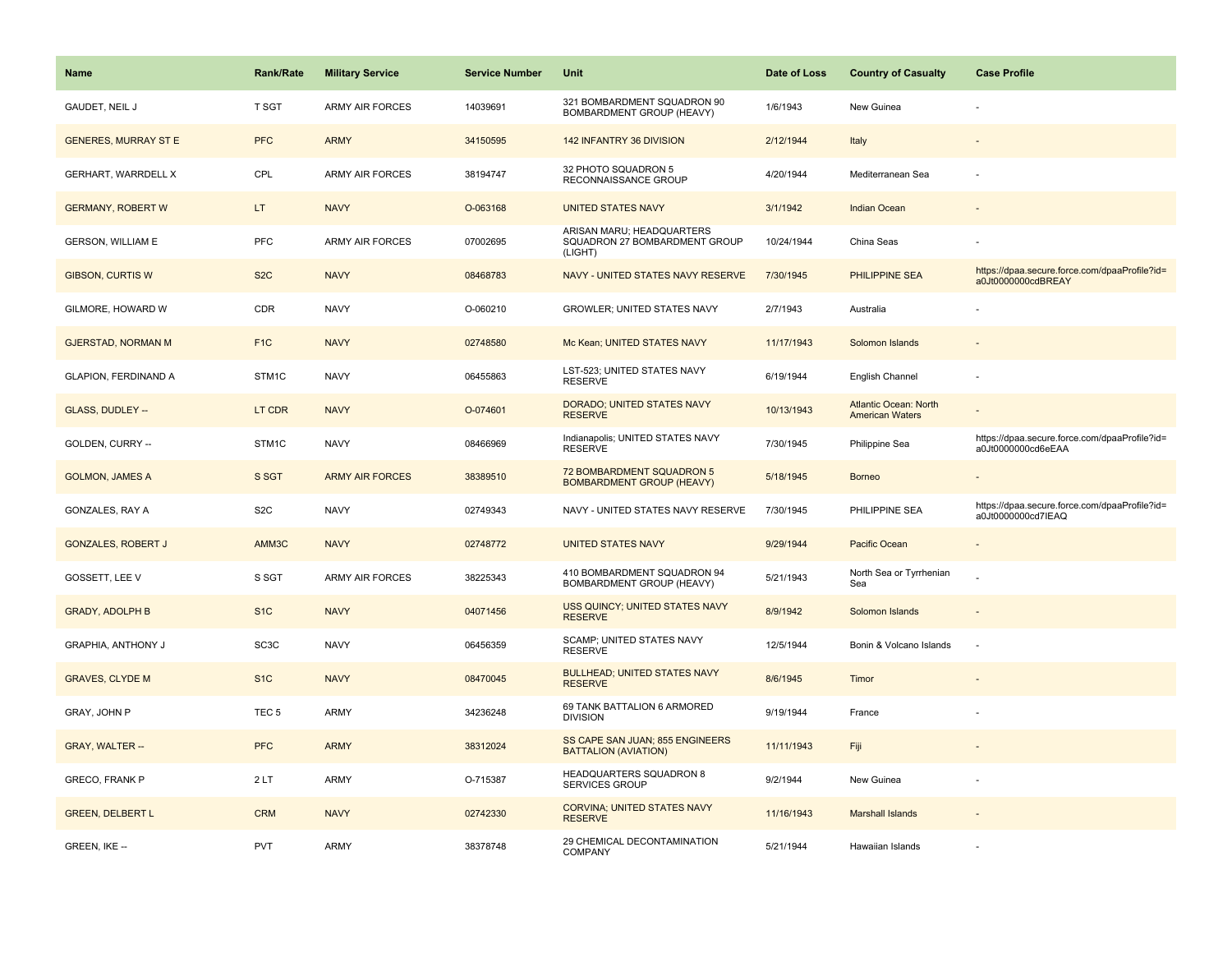| <b>Name</b>                 | Rank/Rate         | <b>Military Service</b> | <b>Service Number</b> | Unit                                                                  | Date of Loss | <b>Country of Casualty</b>                             | <b>Case Profile</b>                                                 |
|-----------------------------|-------------------|-------------------------|-----------------------|-----------------------------------------------------------------------|--------------|--------------------------------------------------------|---------------------------------------------------------------------|
| GAUDET, NEIL J              | T SGT             | <b>ARMY AIR FORCES</b>  | 14039691              | 321 BOMBARDMENT SQUADRON 90<br>BOMBARDMENT GROUP (HEAVY)              | 1/6/1943     | New Guinea                                             |                                                                     |
| <b>GENERES, MURRAY ST E</b> | <b>PFC</b>        | <b>ARMY</b>             | 34150595              | 142 INFANTRY 36 DIVISION                                              | 2/12/1944    | Italy                                                  |                                                                     |
| GERHART, WARRDELL X         | CPL               | <b>ARMY AIR FORCES</b>  | 38194747              | 32 PHOTO SQUADRON 5<br>RECONNAISSANCE GROUP                           | 4/20/1944    | Mediterranean Sea                                      |                                                                     |
| <b>GERMANY, ROBERT W</b>    | LT.               | <b>NAVY</b>             | O-063168              | <b>UNITED STATES NAVY</b>                                             | 3/1/1942     | <b>Indian Ocean</b>                                    |                                                                     |
| <b>GERSON, WILLIAM E</b>    | <b>PFC</b>        | <b>ARMY AIR FORCES</b>  | 07002695              | ARISAN MARU; HEADQUARTERS<br>SQUADRON 27 BOMBARDMENT GROUP<br>(LIGHT) | 10/24/1944   | China Seas                                             |                                                                     |
| <b>GIBSON, CURTIS W</b>     | S <sub>2</sub> C  | <b>NAVY</b>             | 08468783              | NAVY - UNITED STATES NAVY RESERVE                                     | 7/30/1945    | <b>PHILIPPINE SEA</b>                                  | https://dpaa.secure.force.com/dpaaProfile?id=<br>a0Jt0000000cdBREAY |
| GILMORE, HOWARD W           | CDR               | <b>NAVY</b>             | O-060210              | GROWLER; UNITED STATES NAVY                                           | 2/7/1943     | Australia                                              |                                                                     |
| <b>GJERSTAD, NORMAN M</b>   | F <sub>1</sub> C  | <b>NAVY</b>             | 02748580              | Mc Kean; UNITED STATES NAVY                                           | 11/17/1943   | Solomon Islands                                        |                                                                     |
| GLAPION, FERDINAND A        | STM1C             | <b>NAVY</b>             | 06455863              | LST-523; UNITED STATES NAVY<br><b>RESERVE</b>                         | 6/19/1944    | English Channel                                        |                                                                     |
| <b>GLASS, DUDLEY --</b>     | LT CDR            | <b>NAVY</b>             | O-074601              | DORADO; UNITED STATES NAVY<br><b>RESERVE</b>                          | 10/13/1943   | <b>Atlantic Ocean: North</b><br><b>American Waters</b> |                                                                     |
| GOLDEN, CURRY --            | STM1C             | <b>NAVY</b>             | 08466969              | Indianapolis; UNITED STATES NAVY<br><b>RESERVE</b>                    | 7/30/1945    | Philippine Sea                                         | https://dpaa.secure.force.com/dpaaProfile?id=<br>a0Jt0000000cd6eEAA |
| <b>GOLMON, JAMES A</b>      | S SGT             | <b>ARMY AIR FORCES</b>  | 38389510              | 72 BOMBARDMENT SQUADRON 5<br><b>BOMBARDMENT GROUP (HEAVY)</b>         | 5/18/1945    | <b>Borneo</b>                                          |                                                                     |
| <b>GONZALES, RAY A</b>      | S <sub>2</sub> C  | <b>NAVY</b>             | 02749343              | NAVY - UNITED STATES NAVY RESERVE                                     | 7/30/1945    | PHILIPPINE SEA                                         | https://dpaa.secure.force.com/dpaaProfile?id=<br>a0Jt0000000cd7IEAQ |
| <b>GONZALES, ROBERT J</b>   | AMM3C             | <b>NAVY</b>             | 02748772              | <b>UNITED STATES NAVY</b>                                             | 9/29/1944    | Pacific Ocean                                          | $\overline{a}$                                                      |
| GOSSETT, LEE V              | S SGT             | <b>ARMY AIR FORCES</b>  | 38225343              | 410 BOMBARDMENT SQUADRON 94<br>BOMBARDMENT GROUP (HEAVY)              | 5/21/1943    | North Sea or Tyrrhenian<br>Sea                         |                                                                     |
| <b>GRADY, ADOLPH B</b>      | S <sub>1</sub> C  | <b>NAVY</b>             | 04071456              | USS QUINCY; UNITED STATES NAVY<br><b>RESERVE</b>                      | 8/9/1942     | Solomon Islands                                        | $\sim$                                                              |
| <b>GRAPHIA, ANTHONY J</b>   | SC <sub>3</sub> C | <b>NAVY</b>             | 06456359              | SCAMP; UNITED STATES NAVY<br><b>RESERVE</b>                           | 12/5/1944    | Bonin & Volcano Islands                                | J.                                                                  |
| <b>GRAVES, CLYDE M</b>      | S <sub>1</sub> C  | <b>NAVY</b>             | 08470045              | <b>BULLHEAD; UNITED STATES NAVY</b><br><b>RESERVE</b>                 | 8/6/1945     | Timor                                                  |                                                                     |
| GRAY, JOHN P                | TEC <sub>5</sub>  | <b>ARMY</b>             | 34236248              | 69 TANK BATTALION 6 ARMORED<br><b>DIVISION</b>                        | 9/19/1944    | France                                                 |                                                                     |
| <b>GRAY, WALTER --</b>      | <b>PFC</b>        | <b>ARMY</b>             | 38312024              | SS CAPE SAN JUAN; 855 ENGINEERS<br><b>BATTALION (AVIATION)</b>        | 11/11/1943   | Fiji                                                   |                                                                     |
| <b>GRECO, FRANK P</b>       | 2LT               | ARMY                    | O-715387              | HEADQUARTERS SQUADRON 8<br>SERVICES GROUP                             | 9/2/1944     | New Guinea                                             |                                                                     |
| <b>GREEN, DELBERT L</b>     | <b>CRM</b>        | <b>NAVY</b>             | 02742330              | <b>CORVINA; UNITED STATES NAVY</b><br><b>RESERVE</b>                  | 11/16/1943   | <b>Marshall Islands</b>                                |                                                                     |
| GREEN, IKE --               | <b>PVT</b>        | ARMY                    | 38378748              | 29 CHEMICAL DECONTAMINATION<br><b>COMPANY</b>                         | 5/21/1944    | Hawaiian Islands                                       |                                                                     |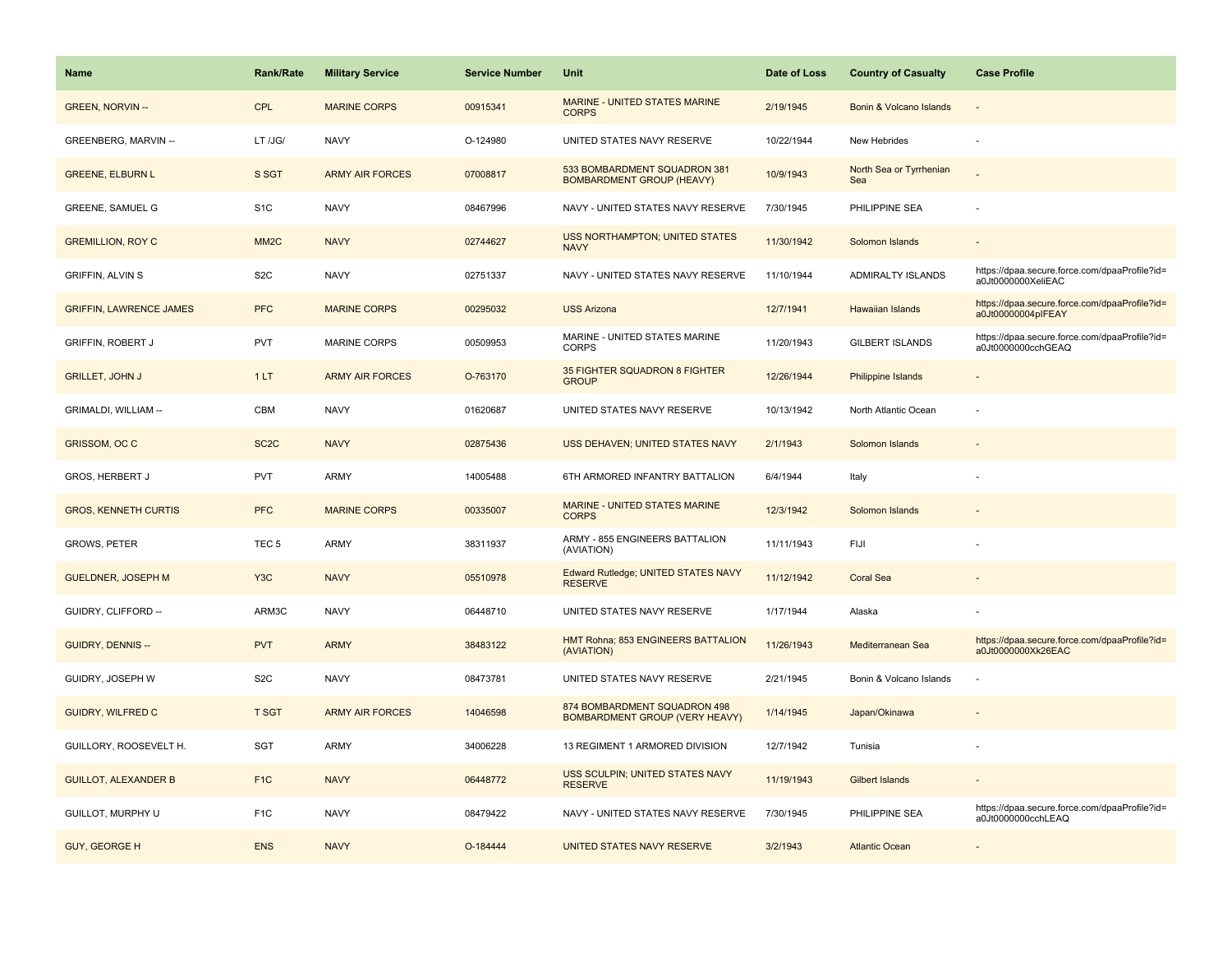| <b>Name</b>                    | <b>Rank/Rate</b>  | <b>Military Service</b> | <b>Service Number</b> | Unit                                                                  | Date of Loss | <b>Country of Casualty</b>     | <b>Case Profile</b>                                                 |
|--------------------------------|-------------------|-------------------------|-----------------------|-----------------------------------------------------------------------|--------------|--------------------------------|---------------------------------------------------------------------|
| <b>GREEN, NORVIN-</b>          | <b>CPL</b>        | <b>MARINE CORPS</b>     | 00915341              | <b>MARINE - UNITED STATES MARINE</b><br><b>CORPS</b>                  | 2/19/1945    | Bonin & Volcano Islands        |                                                                     |
| <b>GREENBERG, MARVIN--</b>     | LT /JG/           | <b>NAVY</b>             | O-124980              | UNITED STATES NAVY RESERVE                                            | 10/22/1944   | New Hebrides                   |                                                                     |
| <b>GREENE, ELBURN L</b>        | S SGT             | <b>ARMY AIR FORCES</b>  | 07008817              | 533 BOMBARDMENT SQUADRON 381<br><b>BOMBARDMENT GROUP (HEAVY)</b>      | 10/9/1943    | North Sea or Tyrrhenian<br>Sea |                                                                     |
| <b>GREENE, SAMUEL G</b>        | S <sub>1</sub> C  | <b>NAVY</b>             | 08467996              | NAVY - UNITED STATES NAVY RESERVE                                     | 7/30/1945    | PHILIPPINE SEA                 |                                                                     |
| <b>GREMILLION, ROY C</b>       | MM <sub>2</sub> C | <b>NAVY</b>             | 02744627              | <b>USS NORTHAMPTON; UNITED STATES</b><br><b>NAVY</b>                  | 11/30/1942   | Solomon Islands                |                                                                     |
| GRIFFIN, ALVIN S               | S <sub>2</sub> C  | <b>NAVY</b>             | 02751337              | NAVY - UNITED STATES NAVY RESERVE                                     | 11/10/1944   | ADMIRALTY ISLANDS              | https://dpaa.secure.force.com/dpaaProfile?id=<br>a0Jt0000000XeliEAC |
| <b>GRIFFIN, LAWRENCE JAMES</b> | <b>PFC</b>        | <b>MARINE CORPS</b>     | 00295032              | <b>USS Arizona</b>                                                    | 12/7/1941    | <b>Hawaiian Islands</b>        | https://dpaa.secure.force.com/dpaaProfile?id=<br>a0Jt00000004pIFEAY |
| <b>GRIFFIN, ROBERT J</b>       | PVT               | <b>MARINE CORPS</b>     | 00509953              | MARINE - UNITED STATES MARINE<br><b>CORPS</b>                         | 11/20/1943   | <b>GILBERT ISLANDS</b>         | https://dpaa.secure.force.com/dpaaProfile?id=<br>a0Jt0000000cchGEAQ |
| <b>GRILLET, JOHN J</b>         | 1LT               | <b>ARMY AIR FORCES</b>  | O-763170              | 35 FIGHTER SQUADRON 8 FIGHTER<br><b>GROUP</b>                         | 12/26/1944   | Philippine Islands             |                                                                     |
| GRIMALDI, WILLIAM --           | CBM               | <b>NAVY</b>             | 01620687              | UNITED STATES NAVY RESERVE                                            | 10/13/1942   | North Atlantic Ocean           |                                                                     |
| GRISSOM, OC C                  | SC <sub>2</sub> C | <b>NAVY</b>             | 02875436              | USS DEHAVEN; UNITED STATES NAVY                                       | 2/1/1943     | Solomon Islands                |                                                                     |
| <b>GROS, HERBERT J</b>         | <b>PVT</b>        | <b>ARMY</b>             | 14005488              | 6TH ARMORED INFANTRY BATTALION                                        | 6/4/1944     | Italy                          |                                                                     |
| <b>GROS, KENNETH CURTIS</b>    | <b>PFC</b>        | <b>MARINE CORPS</b>     | 00335007              | MARINE - UNITED STATES MARINE<br><b>CORPS</b>                         | 12/3/1942    | Solomon Islands                |                                                                     |
| <b>GROWS, PETER</b>            | TEC <sub>5</sub>  | <b>ARMY</b>             | 38311937              | ARMY - 855 ENGINEERS BATTALION<br>(AVIATION)                          | 11/11/1943   | FIJI                           |                                                                     |
| <b>GUELDNER, JOSEPH M</b>      | Y <sub>3</sub> C  | <b>NAVY</b>             | 05510978              | Edward Rutledge; UNITED STATES NAVY<br><b>RESERVE</b>                 | 11/12/1942   | <b>Coral Sea</b>               |                                                                     |
| GUIDRY, CLIFFORD --            | ARM3C             | <b>NAVY</b>             | 06448710              | UNITED STATES NAVY RESERVE                                            | 1/17/1944    | Alaska                         |                                                                     |
| <b>GUIDRY, DENNIS --</b>       | <b>PVT</b>        | <b>ARMY</b>             | 38483122              | HMT Rohna; 853 ENGINEERS BATTALION<br>(AVIATION)                      | 11/26/1943   | Mediterranean Sea              | https://dpaa.secure.force.com/dpaaProfile?id=<br>a0Jt0000000Xk26EAC |
| GUIDRY, JOSEPH W               | S <sub>2</sub> C  | <b>NAVY</b>             | 08473781              | UNITED STATES NAVY RESERVE                                            | 2/21/1945    | Bonin & Volcano Islands        |                                                                     |
| <b>GUIDRY, WILFRED C</b>       | <b>T SGT</b>      | <b>ARMY AIR FORCES</b>  | 14046598              | 874 BOMBARDMENT SQUADRON 498<br><b>BOMBARDMENT GROUP (VERY HEAVY)</b> | 1/14/1945    | Japan/Okinawa                  |                                                                     |
| GUILLORY, ROOSEVELT H.         | SGT               | <b>ARMY</b>             | 34006228              | 13 REGIMENT 1 ARMORED DIVISION                                        | 12/7/1942    | Tunisia                        |                                                                     |
| <b>GUILLOT, ALEXANDER B</b>    | F <sub>1C</sub>   | <b>NAVY</b>             | 06448772              | USS SCULPIN; UNITED STATES NAVY<br><b>RESERVE</b>                     | 11/19/1943   | Gilbert Islands                |                                                                     |
| GUILLOT, MURPHY U              | F <sub>1</sub> C  | <b>NAVY</b>             | 08479422              | NAVY - UNITED STATES NAVY RESERVE                                     | 7/30/1945    | PHILIPPINE SEA                 | https://dpaa.secure.force.com/dpaaProfile?id=<br>a0Jt0000000cchLEAQ |
| <b>GUY, GEORGE H</b>           | <b>ENS</b>        | <b>NAVY</b>             | O-184444              | UNITED STATES NAVY RESERVE                                            | 3/2/1943     | <b>Atlantic Ocean</b>          |                                                                     |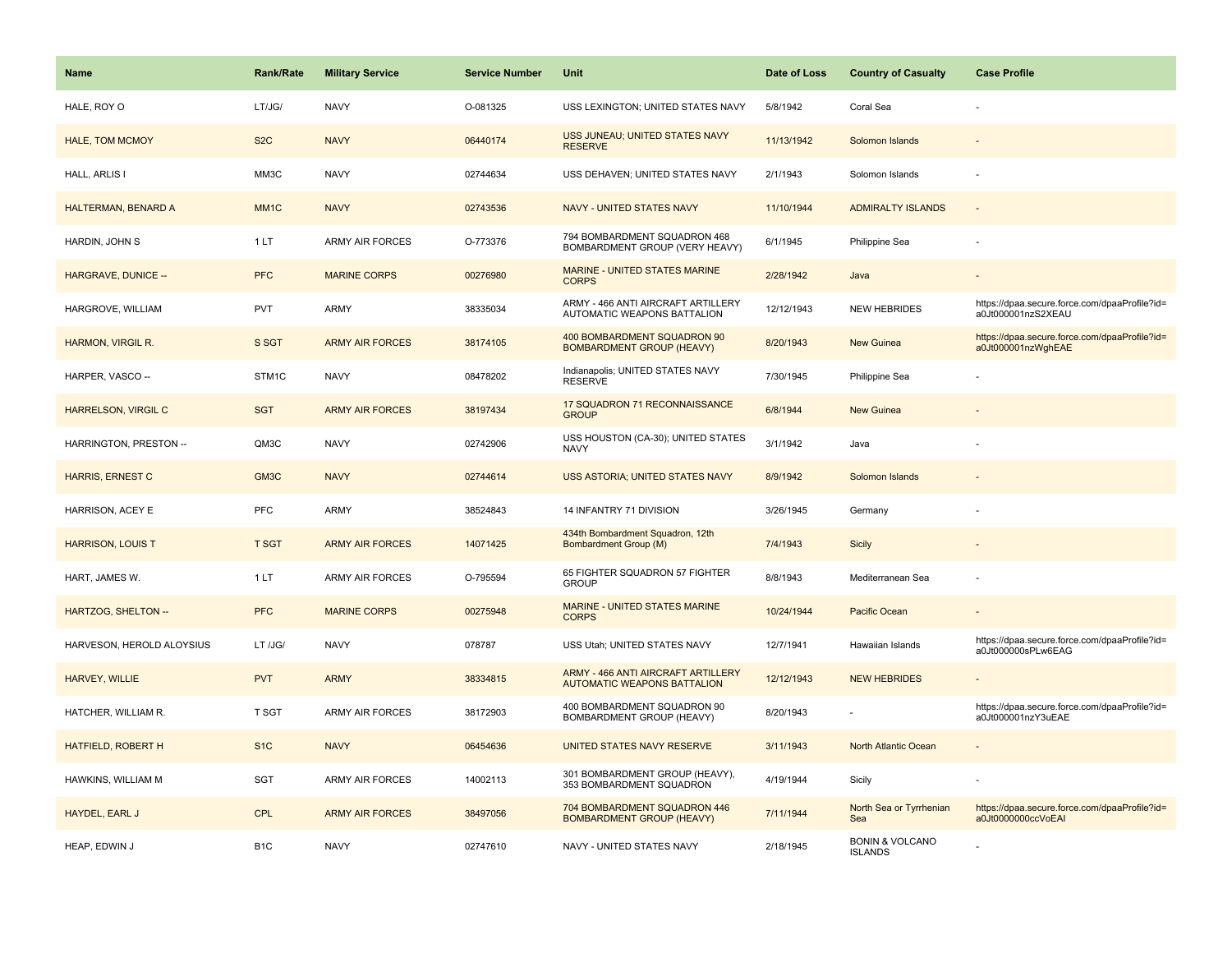| <b>Name</b>                | <b>Rank/Rate</b>  | <b>Military Service</b> | <b>Service Number</b> | Unit                                                                     | Date of Loss | <b>Country of Casualty</b>                   | <b>Case Profile</b>                                                 |
|----------------------------|-------------------|-------------------------|-----------------------|--------------------------------------------------------------------------|--------------|----------------------------------------------|---------------------------------------------------------------------|
| HALE, ROY O                | LT/JG/            | <b>NAVY</b>             | O-081325              | USS LEXINGTON; UNITED STATES NAVY                                        | 5/8/1942     | Coral Sea                                    |                                                                     |
| <b>HALE, TOM MCMOY</b>     | S <sub>2</sub> C  | <b>NAVY</b>             | 06440174              | USS JUNEAU; UNITED STATES NAVY<br><b>RESERVE</b>                         | 11/13/1942   | Solomon Islands                              |                                                                     |
| HALL, ARLIS I              | MM3C              | <b>NAVY</b>             | 02744634              | USS DEHAVEN; UNITED STATES NAVY                                          | 2/1/1943     | Solomon Islands                              |                                                                     |
| HALTERMAN, BENARD A        | MM <sub>1</sub> C | <b>NAVY</b>             | 02743536              | <b>NAVY - UNITED STATES NAVY</b>                                         | 11/10/1944   | <b>ADMIRALTY ISLANDS</b>                     |                                                                     |
| HARDIN, JOHN S             | 1LT               | <b>ARMY AIR FORCES</b>  | O-773376              | 794 BOMBARDMENT SQUADRON 468<br>BOMBARDMENT GROUP (VERY HEAVY)           | 6/1/1945     | Philippine Sea                               |                                                                     |
| <b>HARGRAVE, DUNICE --</b> | <b>PFC</b>        | <b>MARINE CORPS</b>     | 00276980              | <b>MARINE - UNITED STATES MARINE</b><br><b>CORPS</b>                     | 2/28/1942    | Java                                         |                                                                     |
| HARGROVE, WILLIAM          | <b>PVT</b>        | ARMY                    | 38335034              | ARMY - 466 ANTI AIRCRAFT ARTILLERY<br>AUTOMATIC WEAPONS BATTALION        | 12/12/1943   | <b>NEW HEBRIDES</b>                          | https://dpaa.secure.force.com/dpaaProfile?id=<br>a0Jt000001nzS2XEAU |
| <b>HARMON, VIRGIL R.</b>   | S SGT             | <b>ARMY AIR FORCES</b>  | 38174105              | 400 BOMBARDMENT SQUADRON 90<br><b>BOMBARDMENT GROUP (HEAVY)</b>          | 8/20/1943    | <b>New Guinea</b>                            | https://dpaa.secure.force.com/dpaaProfile?id=<br>a0Jt000001nzWghEAE |
| HARPER, VASCO --           | STM1C             | <b>NAVY</b>             | 08478202              | Indianapolis; UNITED STATES NAVY<br><b>RESERVE</b>                       | 7/30/1945    | Philippine Sea                               |                                                                     |
| <b>HARRELSON, VIRGIL C</b> | <b>SGT</b>        | <b>ARMY AIR FORCES</b>  | 38197434              | 17 SQUADRON 71 RECONNAISSANCE<br><b>GROUP</b>                            | 6/8/1944     | <b>New Guinea</b>                            |                                                                     |
| HARRINGTON, PRESTON --     | QM3C              | <b>NAVY</b>             | 02742906              | USS HOUSTON (CA-30); UNITED STATES<br><b>NAVY</b>                        | 3/1/1942     | Java                                         |                                                                     |
| <b>HARRIS, ERNEST C</b>    | GM3C              | <b>NAVY</b>             | 02744614              | USS ASTORIA; UNITED STATES NAVY                                          | 8/9/1942     | Solomon Islands                              |                                                                     |
| HARRISON, ACEY E           | <b>PFC</b>        | <b>ARMY</b>             | 38524843              | 14 INFANTRY 71 DIVISION                                                  | 3/26/1945    | Germany                                      |                                                                     |
| <b>HARRISON, LOUIS T</b>   | <b>T SGT</b>      | <b>ARMY AIR FORCES</b>  | 14071425              | 434th Bombardment Squadron, 12th<br>Bombardment Group (M)                | 7/4/1943     | Sicily                                       |                                                                     |
| HART, JAMES W.             | 1LT               | ARMY AIR FORCES         | O-795594              | 65 FIGHTER SQUADRON 57 FIGHTER<br><b>GROUP</b>                           | 8/8/1943     | Mediterranean Sea                            |                                                                     |
| <b>HARTZOG, SHELTON --</b> | <b>PFC</b>        | <b>MARINE CORPS</b>     | 00275948              | MARINE - UNITED STATES MARINE<br><b>CORPS</b>                            | 10/24/1944   | Pacific Ocean                                |                                                                     |
| HARVESON, HEROLD ALOYSIUS  | LT /JG/           | <b>NAVY</b>             | 078787                | USS Utah; UNITED STATES NAVY                                             | 12/7/1941    | Hawaiian Islands                             | https://dpaa.secure.force.com/dpaaProfile?id=<br>a0Jt000000sPLw6EAG |
| HARVEY, WILLIE             | <b>PVT</b>        | <b>ARMY</b>             | 38334815              | ARMY - 466 ANTI AIRCRAFT ARTILLERY<br><b>AUTOMATIC WEAPONS BATTALION</b> | 12/12/1943   | <b>NEW HEBRIDES</b>                          |                                                                     |
| HATCHER, WILLIAM R.        | T SGT             | <b>ARMY AIR FORCES</b>  | 38172903              | 400 BOMBARDMENT SQUADRON 90<br>BOMBARDMENT GROUP (HEAVY)                 | 8/20/1943    |                                              | https://dpaa.secure.force.com/dpaaProfile?id=<br>a0Jt000001nzY3uEAE |
| HATFIELD, ROBERT H         | S <sub>1</sub> C  | <b>NAVY</b>             | 06454636              | UNITED STATES NAVY RESERVE                                               | 3/11/1943    | North Atlantic Ocean                         |                                                                     |
| HAWKINS, WILLIAM M         | <b>SGT</b>        | <b>ARMY AIR FORCES</b>  | 14002113              | 301 BOMBARDMENT GROUP (HEAVY),<br>353 BOMBARDMENT SQUADRON               | 4/19/1944    | Sicily                                       |                                                                     |
| HAYDEL, EARL J             | <b>CPL</b>        | <b>ARMY AIR FORCES</b>  | 38497056              | 704 BOMBARDMENT SQUADRON 446<br><b>BOMBARDMENT GROUP (HEAVY)</b>         | 7/11/1944    | North Sea or Tyrrhenian<br>Sea               | https://dpaa.secure.force.com/dpaaProfile?id=<br>a0Jt0000000ccVoEAI |
| HEAP, EDWIN J              | B <sub>1</sub> C  | <b>NAVY</b>             | 02747610              | NAVY - UNITED STATES NAVY                                                | 2/18/1945    | <b>BONIN &amp; VOLCANO</b><br><b>ISLANDS</b> |                                                                     |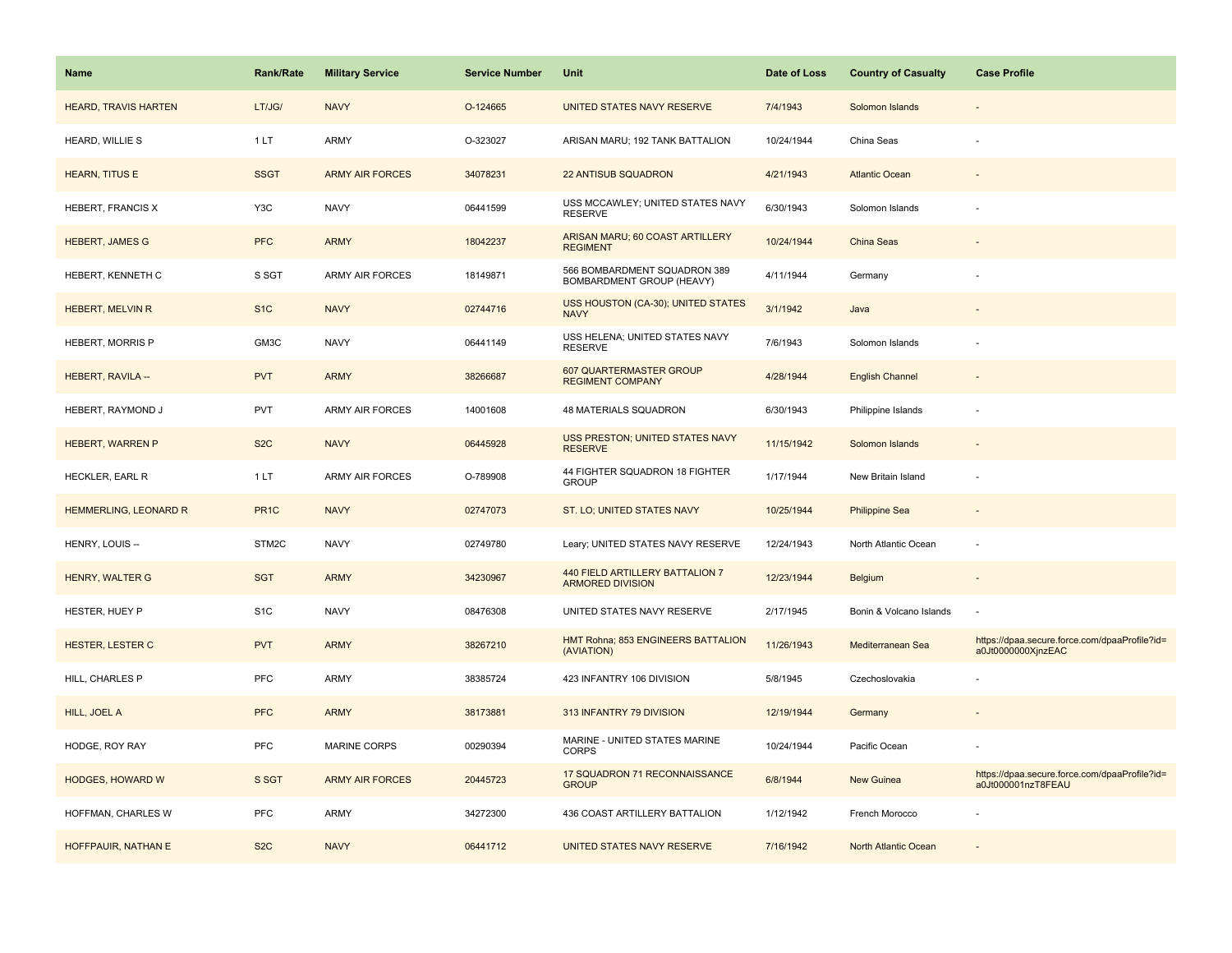| <b>Name</b>                 | <b>Rank/Rate</b> | <b>Military Service</b> | <b>Service Number</b> | Unit                                                       | Date of Loss | <b>Country of Casualty</b> | <b>Case Profile</b>                                                 |
|-----------------------------|------------------|-------------------------|-----------------------|------------------------------------------------------------|--------------|----------------------------|---------------------------------------------------------------------|
| <b>HEARD, TRAVIS HARTEN</b> | LT/JG/           | <b>NAVY</b>             | O-124665              | UNITED STATES NAVY RESERVE                                 | 7/4/1943     | Solomon Islands            |                                                                     |
| HEARD, WILLIE S             | 1LT              | ARMY                    | O-323027              | ARISAN MARU; 192 TANK BATTALION                            | 10/24/1944   | China Seas                 |                                                                     |
| <b>HEARN, TITUS E</b>       | <b>SSGT</b>      | <b>ARMY AIR FORCES</b>  | 34078231              | <b>22 ANTISUB SQUADRON</b>                                 | 4/21/1943    | <b>Atlantic Ocean</b>      |                                                                     |
| HEBERT, FRANCIS X           | Y3C              | <b>NAVY</b>             | 06441599              | USS MCCAWLEY; UNITED STATES NAVY<br><b>RESERVE</b>         | 6/30/1943    | Solomon Islands            |                                                                     |
| <b>HEBERT, JAMES G</b>      | <b>PFC</b>       | <b>ARMY</b>             | 18042237              | ARISAN MARU; 60 COAST ARTILLERY<br><b>REGIMENT</b>         | 10/24/1944   | China Seas                 |                                                                     |
| HEBERT, KENNETH C           | S SGT            | <b>ARMY AIR FORCES</b>  | 18149871              | 566 BOMBARDMENT SQUADRON 389<br>BOMBARDMENT GROUP (HEAVY)  | 4/11/1944    | Germany                    |                                                                     |
| <b>HEBERT, MELVIN R</b>     | S <sub>1</sub> C | <b>NAVY</b>             | 02744716              | USS HOUSTON (CA-30); UNITED STATES<br><b>NAVY</b>          | 3/1/1942     | Java                       |                                                                     |
| HEBERT, MORRIS P            | GM3C             | <b>NAVY</b>             | 06441149              | USS HELENA; UNITED STATES NAVY<br><b>RESERVE</b>           | 7/6/1943     | Solomon Islands            |                                                                     |
| <b>HEBERT, RAVILA --</b>    | <b>PVT</b>       | <b>ARMY</b>             | 38266687              | 607 QUARTERMASTER GROUP<br><b>REGIMENT COMPANY</b>         | 4/28/1944    | <b>English Channel</b>     |                                                                     |
| HEBERT, RAYMOND J           | <b>PVT</b>       | <b>ARMY AIR FORCES</b>  | 14001608              | 48 MATERIALS SQUADRON                                      | 6/30/1943    | Philippine Islands         |                                                                     |
| <b>HEBERT, WARREN P</b>     | S <sub>2</sub> C | <b>NAVY</b>             | 06445928              | USS PRESTON; UNITED STATES NAVY<br><b>RESERVE</b>          | 11/15/1942   | Solomon Islands            |                                                                     |
| HECKLER, EARL R             | 1 LT             | ARMY AIR FORCES         | O-789908              | 44 FIGHTER SQUADRON 18 FIGHTER<br><b>GROUP</b>             | 1/17/1944    | New Britain Island         |                                                                     |
| HEMMERLING, LEONARD R       | PR <sub>1C</sub> | <b>NAVY</b>             | 02747073              | ST. LO; UNITED STATES NAVY                                 | 10/25/1944   | <b>Philippine Sea</b>      |                                                                     |
| HENRY, LOUIS --             | STM2C            | <b>NAVY</b>             | 02749780              | Leary; UNITED STATES NAVY RESERVE                          | 12/24/1943   | North Atlantic Ocean       |                                                                     |
| <b>HENRY, WALTER G</b>      | <b>SGT</b>       | <b>ARMY</b>             | 34230967              | 440 FIELD ARTILLERY BATTALION 7<br><b>ARMORED DIVISION</b> | 12/23/1944   | <b>Belgium</b>             |                                                                     |
| HESTER, HUEY P              | S <sub>1</sub> C | <b>NAVY</b>             | 08476308              | UNITED STATES NAVY RESERVE                                 | 2/17/1945    | Bonin & Volcano Islands    |                                                                     |
| HESTER, LESTER C            | <b>PVT</b>       | <b>ARMY</b>             | 38267210              | HMT Rohna; 853 ENGINEERS BATTALION<br>(AVIATION)           | 11/26/1943   | Mediterranean Sea          | https://dpaa.secure.force.com/dpaaProfile?id=<br>a0Jt0000000XjnzEAC |
| HILL, CHARLES P             | <b>PFC</b>       | ARMY                    | 38385724              | 423 INFANTRY 106 DIVISION                                  | 5/8/1945     | Czechoslovakia             |                                                                     |
| HILL, JOEL A                | <b>PFC</b>       | <b>ARMY</b>             | 38173881              | 313 INFANTRY 79 DIVISION                                   | 12/19/1944   | Germany                    |                                                                     |
| HODGE, ROY RAY              | <b>PFC</b>       | <b>MARINE CORPS</b>     | 00290394              | MARINE - UNITED STATES MARINE<br><b>CORPS</b>              | 10/24/1944   | Pacific Ocean              |                                                                     |
| <b>HODGES, HOWARD W</b>     | S SGT            | <b>ARMY AIR FORCES</b>  | 20445723              | 17 SQUADRON 71 RECONNAISSANCE<br><b>GROUP</b>              | 6/8/1944     | New Guinea                 | https://dpaa.secure.force.com/dpaaProfile?id=<br>a0Jt000001nzT8FEAU |
| HOFFMAN, CHARLES W          | <b>PFC</b>       | ARMY                    | 34272300              | 436 COAST ARTILLERY BATTALION                              | 1/12/1942    | French Morocco             |                                                                     |
| HOFFPAUIR, NATHAN E         | S <sub>2</sub> C | <b>NAVY</b>             | 06441712              | UNITED STATES NAVY RESERVE                                 | 7/16/1942    | North Atlantic Ocean       |                                                                     |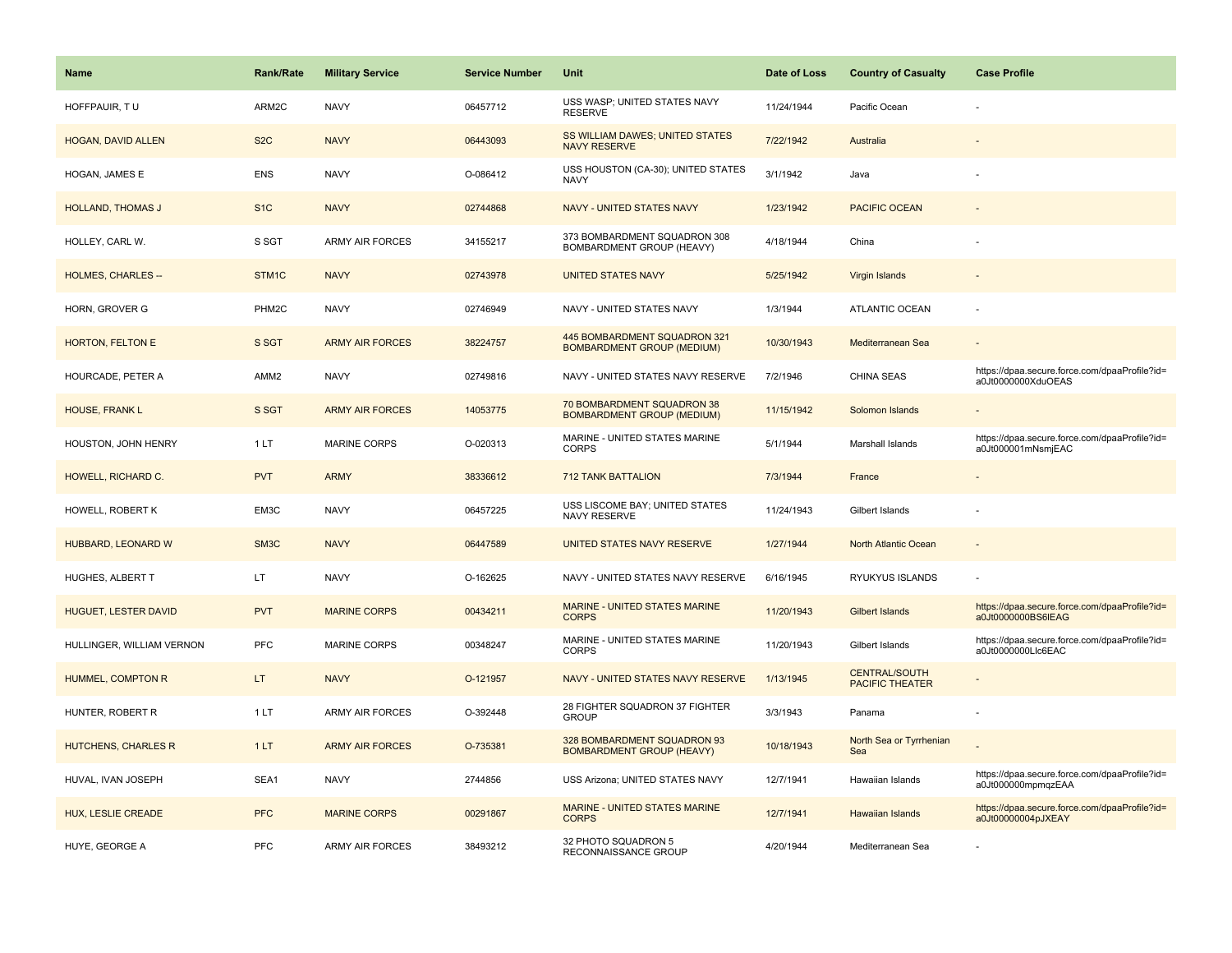| <b>Name</b>                 | <b>Rank/Rate</b> | <b>Military Service</b> | <b>Service Number</b> | Unit                                                              | Date of Loss | <b>Country of Casualty</b>                     | <b>Case Profile</b>                                                 |
|-----------------------------|------------------|-------------------------|-----------------------|-------------------------------------------------------------------|--------------|------------------------------------------------|---------------------------------------------------------------------|
| HOFFPAUIR, TU               | ARM2C            | <b>NAVY</b>             | 06457712              | USS WASP; UNITED STATES NAVY<br><b>RESERVE</b>                    | 11/24/1944   | Pacific Ocean                                  |                                                                     |
| HOGAN, DAVID ALLEN          | S <sub>2</sub> C | <b>NAVY</b>             | 06443093              | SS WILLIAM DAWES; UNITED STATES<br><b>NAVY RESERVE</b>            | 7/22/1942    | Australia                                      |                                                                     |
| HOGAN, JAMES E              | <b>ENS</b>       | <b>NAVY</b>             | O-086412              | USS HOUSTON (CA-30); UNITED STATES<br><b>NAVY</b>                 | 3/1/1942     | Java                                           |                                                                     |
| <b>HOLLAND, THOMAS J</b>    | S <sub>1</sub> C | <b>NAVY</b>             | 02744868              | NAVY - UNITED STATES NAVY                                         | 1/23/1942    | <b>PACIFIC OCEAN</b>                           |                                                                     |
| HOLLEY, CARL W.             | S SGT            | <b>ARMY AIR FORCES</b>  | 34155217              | 373 BOMBARDMENT SQUADRON 308<br>BOMBARDMENT GROUP (HEAVY)         | 4/18/1944    | China                                          |                                                                     |
| <b>HOLMES, CHARLES --</b>   | STM1C            | <b>NAVY</b>             | 02743978              | <b>UNITED STATES NAVY</b>                                         | 5/25/1942    | Virgin Islands                                 |                                                                     |
| HORN, GROVER G              | PHM2C            | <b>NAVY</b>             | 02746949              | NAVY - UNITED STATES NAVY                                         | 1/3/1944     | ATLANTIC OCEAN                                 |                                                                     |
| HORTON, FELTON E            | S SGT            | <b>ARMY AIR FORCES</b>  | 38224757              | 445 BOMBARDMENT SQUADRON 321<br><b>BOMBARDMENT GROUP (MEDIUM)</b> | 10/30/1943   | Mediterranean Sea                              |                                                                     |
| HOURCADE, PETER A           | AMM <sub>2</sub> | <b>NAVY</b>             | 02749816              | NAVY - UNITED STATES NAVY RESERVE                                 | 7/2/1946     | CHINA SEAS                                     | https://dpaa.secure.force.com/dpaaProfile?id=<br>a0Jt0000000XduOEAS |
| HOUSE, FRANK L              | S SGT            | <b>ARMY AIR FORCES</b>  | 14053775              | 70 BOMBARDMENT SQUADRON 38<br><b>BOMBARDMENT GROUP (MEDIUM)</b>   | 11/15/1942   | Solomon Islands                                |                                                                     |
| HOUSTON, JOHN HENRY         | 1LT              | <b>MARINE CORPS</b>     | O-020313              | MARINE - UNITED STATES MARINE<br><b>CORPS</b>                     | 5/1/1944     | Marshall Islands                               | https://dpaa.secure.force.com/dpaaProfile?id=<br>a0Jt000001mNsmjEAC |
| <b>HOWELL, RICHARD C.</b>   | <b>PVT</b>       | <b>ARMY</b>             | 38336612              | <b>712 TANK BATTALION</b>                                         | 7/3/1944     | France                                         |                                                                     |
| HOWELL, ROBERT K            | EM3C             | <b>NAVY</b>             | 06457225              | USS LISCOME BAY; UNITED STATES<br>NAVY RESERVE                    | 11/24/1943   | Gilbert Islands                                |                                                                     |
| HUBBARD, LEONARD W          | SM3C             | <b>NAVY</b>             | 06447589              | UNITED STATES NAVY RESERVE                                        | 1/27/1944    | North Atlantic Ocean                           |                                                                     |
| HUGHES, ALBERT T            | LT.              | <b>NAVY</b>             | O-162625              | NAVY - UNITED STATES NAVY RESERVE                                 | 6/16/1945    | RYUKYUS ISLANDS                                |                                                                     |
| <b>HUGUET, LESTER DAVID</b> | <b>PVT</b>       | <b>MARINE CORPS</b>     | 00434211              | <b>MARINE - UNITED STATES MARINE</b><br><b>CORPS</b>              | 11/20/1943   | Gilbert Islands                                | https://dpaa.secure.force.com/dpaaProfile?id=<br>a0Jt0000000BS6IEAG |
| HULLINGER, WILLIAM VERNON   | PFC              | <b>MARINE CORPS</b>     | 00348247              | MARINE - UNITED STATES MARINE<br><b>CORPS</b>                     | 11/20/1943   | Gilbert Islands                                | https://dpaa.secure.force.com/dpaaProfile?id=<br>a0Jt0000000Llc6EAC |
| HUMMEL, COMPTON R           | LT.              | <b>NAVY</b>             | O-121957              | NAVY - UNITED STATES NAVY RESERVE                                 | 1/13/1945    | <b>CENTRAL/SOUTH</b><br><b>PACIFIC THEATER</b> |                                                                     |
| HUNTER, ROBERT R            | 1LT              | <b>ARMY AIR FORCES</b>  | O-392448              | 28 FIGHTER SQUADRON 37 FIGHTER<br><b>GROUP</b>                    | 3/3/1943     | Panama                                         |                                                                     |
| <b>HUTCHENS, CHARLES R</b>  | 1LT              | <b>ARMY AIR FORCES</b>  | O-735381              | 328 BOMBARDMENT SQUADRON 93<br><b>BOMBARDMENT GROUP (HEAVY)</b>   | 10/18/1943   | North Sea or Tyrrhenian<br>Sea                 |                                                                     |
| HUVAL, IVAN JOSEPH          | SEA1             | <b>NAVY</b>             | 2744856               | USS Arizona; UNITED STATES NAVY                                   | 12/7/1941    | Hawaiian Islands                               | https://dpaa.secure.force.com/dpaaProfile?id=<br>a0Jt000000mpmqzEAA |
| HUX, LESLIE CREADE          | <b>PFC</b>       | <b>MARINE CORPS</b>     | 00291867              | MARINE - UNITED STATES MARINE<br><b>CORPS</b>                     | 12/7/1941    | Hawaiian Islands                               | https://dpaa.secure.force.com/dpaaProfile?id=<br>a0Jt00000004pJXEAY |
| HUYE, GEORGE A              | PFC              | <b>ARMY AIR FORCES</b>  | 38493212              | 32 PHOTO SQUADRON 5<br>RECONNAISSANCE GROUP                       | 4/20/1944    | Mediterranean Sea                              |                                                                     |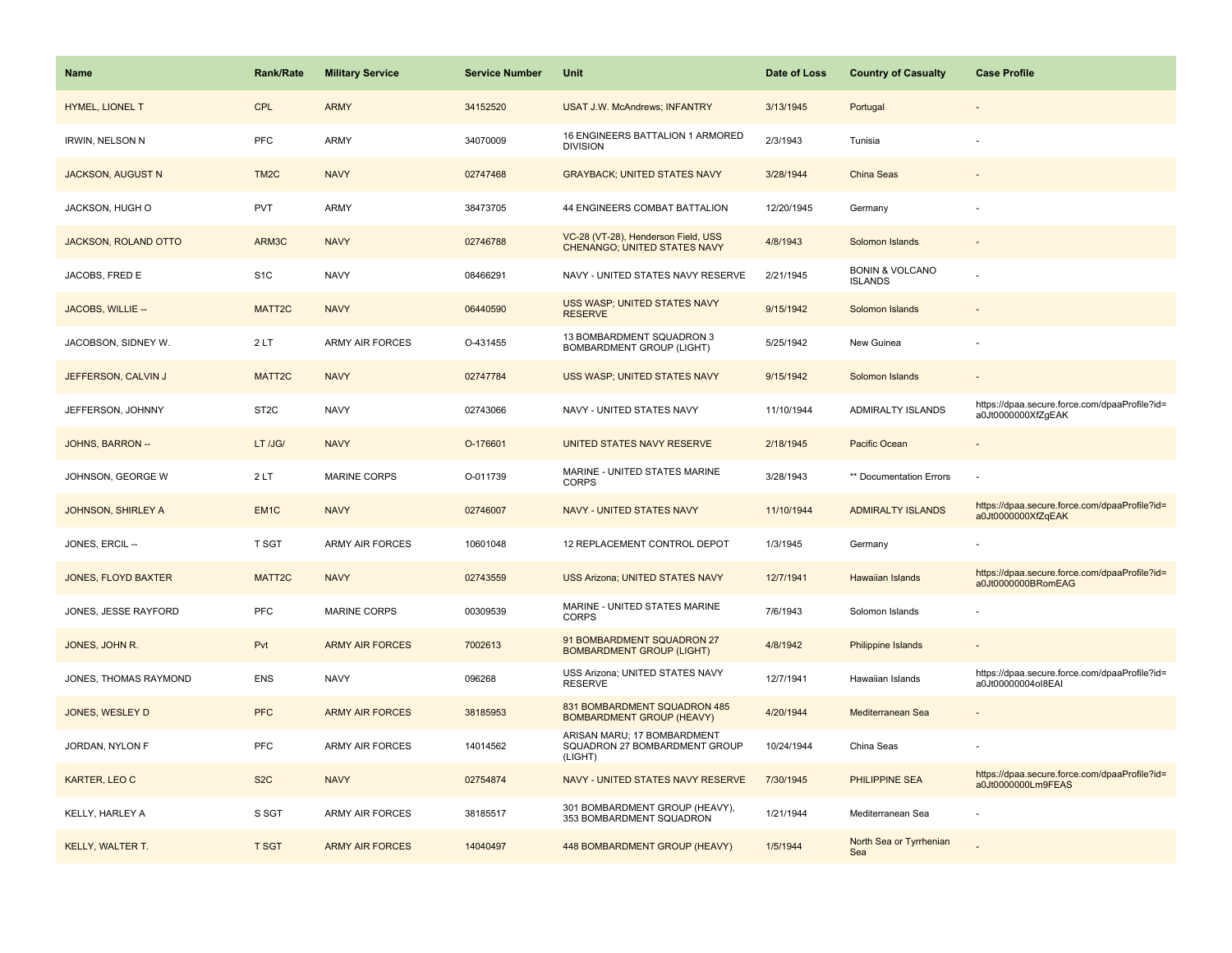| <b>Name</b>                 | <b>Rank/Rate</b>  | <b>Military Service</b> | <b>Service Number</b> | Unit                                                                       | Date of Loss | <b>Country of Casualty</b>                   | <b>Case Profile</b>                                                 |
|-----------------------------|-------------------|-------------------------|-----------------------|----------------------------------------------------------------------------|--------------|----------------------------------------------|---------------------------------------------------------------------|
| <b>HYMEL, LIONEL T</b>      | <b>CPL</b>        | <b>ARMY</b>             | 34152520              | <b>USAT J.W. McAndrews; INFANTRY</b>                                       | 3/13/1945    | Portugal                                     |                                                                     |
| IRWIN, NELSON N             | PFC               | ARMY                    | 34070009              | 16 ENGINEERS BATTALION 1 ARMORED<br><b>DIVISION</b>                        | 2/3/1943     | Tunisia                                      |                                                                     |
| <b>JACKSON, AUGUST N</b>    | TM <sub>2</sub> C | <b>NAVY</b>             | 02747468              | <b>GRAYBACK; UNITED STATES NAVY</b>                                        | 3/28/1944    | China Seas                                   |                                                                     |
| JACKSON, HUGH O             | <b>PVT</b>        | <b>ARMY</b>             | 38473705              | 44 ENGINEERS COMBAT BATTALION                                              | 12/20/1945   | Germany                                      |                                                                     |
| <b>JACKSON, ROLAND OTTO</b> | ARM3C             | <b>NAVY</b>             | 02746788              | VC-28 (VT-28), Henderson Field, USS<br><b>CHENANGO; UNITED STATES NAVY</b> | 4/8/1943     | Solomon Islands                              |                                                                     |
| JACOBS, FRED E              | S <sub>1</sub> C  | <b>NAVY</b>             | 08466291              | NAVY - UNITED STATES NAVY RESERVE                                          | 2/21/1945    | <b>BONIN &amp; VOLCANO</b><br><b>ISLANDS</b> |                                                                     |
| JACOBS, WILLIE --           | MATT2C            | <b>NAVY</b>             | 06440590              | USS WASP; UNITED STATES NAVY<br><b>RESERVE</b>                             | 9/15/1942    | Solomon Islands                              |                                                                     |
| JACOBSON, SIDNEY W.         | 2LT               | <b>ARMY AIR FORCES</b>  | O-431455              | 13 BOMBARDMENT SQUADRON 3<br><b>BOMBARDMENT GROUP (LIGHT)</b>              | 5/25/1942    | New Guinea                                   |                                                                     |
| JEFFERSON, CALVIN J         | MATT2C            | <b>NAVY</b>             | 02747784              | USS WASP; UNITED STATES NAVY                                               | 9/15/1942    | Solomon Islands                              |                                                                     |
| JEFFERSON, JOHNNY           | ST <sub>2</sub> C | <b>NAVY</b>             | 02743066              | NAVY - UNITED STATES NAVY                                                  | 11/10/1944   | ADMIRALTY ISLANDS                            | https://dpaa.secure.force.com/dpaaProfile?id=<br>a0Jt0000000XfZgEAK |
| JOHNS, BARRON --            | LT /JG/           | <b>NAVY</b>             | O-176601              | UNITED STATES NAVY RESERVE                                                 | 2/18/1945    | <b>Pacific Ocean</b>                         |                                                                     |
| JOHNSON, GEORGE W           | 2LT               | <b>MARINE CORPS</b>     | O-011739              | MARINE - UNITED STATES MARINE<br><b>CORPS</b>                              | 3/28/1943    | ** Documentation Errors                      |                                                                     |
| <b>JOHNSON, SHIRLEY A</b>   | EM <sub>1C</sub>  | <b>NAVY</b>             | 02746007              | <b>NAVY - UNITED STATES NAVY</b>                                           | 11/10/1944   | <b>ADMIRALTY ISLANDS</b>                     | https://dpaa.secure.force.com/dpaaProfile?id=<br>a0Jt0000000XfZqEAK |
| JONES, ERCIL --             | <b>T SGT</b>      | <b>ARMY AIR FORCES</b>  | 10601048              | 12 REPLACEMENT CONTROL DEPOT                                               | 1/3/1945     | Germany                                      |                                                                     |
| JONES, FLOYD BAXTER         | MATT2C            | <b>NAVY</b>             | 02743559              | <b>USS Arizona; UNITED STATES NAVY</b>                                     | 12/7/1941    | <b>Hawaiian Islands</b>                      | https://dpaa.secure.force.com/dpaaProfile?id=<br>a0Jt0000000BRomEAG |
| JONES, JESSE RAYFORD        | PFC               | <b>MARINE CORPS</b>     | 00309539              | MARINE - UNITED STATES MARINE<br><b>CORPS</b>                              | 7/6/1943     | Solomon Islands                              |                                                                     |
| JONES, JOHN R.              | Pvt               | <b>ARMY AIR FORCES</b>  | 7002613               | 91 BOMBARDMENT SQUADRON 27<br><b>BOMBARDMENT GROUP (LIGHT)</b>             | 4/8/1942     | Philippine Islands                           |                                                                     |
| JONES, THOMAS RAYMOND       | <b>ENS</b>        | <b>NAVY</b>             | 096268                | USS Arizona; UNITED STATES NAVY<br><b>RESERVE</b>                          | 12/7/1941    | Hawaiian Islands                             | https://dpaa.secure.force.com/dpaaProfile?id=<br>a0Jt00000004oI8EAI |
| JONES, WESLEY D             | <b>PFC</b>        | <b>ARMY AIR FORCES</b>  | 38185953              | 831 BOMBARDMENT SQUADRON 485<br><b>BOMBARDMENT GROUP (HEAVY)</b>           | 4/20/1944    | Mediterranean Sea                            |                                                                     |
| JORDAN, NYLON F             | <b>PFC</b>        | <b>ARMY AIR FORCES</b>  | 14014562              | ARISAN MARU; 17 BOMBARDMENT<br>SQUADRON 27 BOMBARDMENT GROUP<br>(LIGHT)    | 10/24/1944   | China Seas                                   |                                                                     |
| KARTER, LEO C               | S <sub>2</sub> C  | <b>NAVY</b>             | 02754874              | NAVY - UNITED STATES NAVY RESERVE                                          | 7/30/1945    | <b>PHILIPPINE SEA</b>                        | https://dpaa.secure.force.com/dpaaProfile?id=<br>a0Jt0000000Lm9FEAS |
| KELLY, HARLEY A             | S SGT             | <b>ARMY AIR FORCES</b>  | 38185517              | 301 BOMBARDMENT GROUP (HEAVY),<br>353 BOMBARDMENT SQUADRON                 | 1/21/1944    | Mediterranean Sea                            |                                                                     |
| KELLY, WALTER T.            | <b>T SGT</b>      | <b>ARMY AIR FORCES</b>  | 14040497              | 448 BOMBARDMENT GROUP (HEAVY)                                              | 1/5/1944     | North Sea or Tyrrhenian<br>Sea               |                                                                     |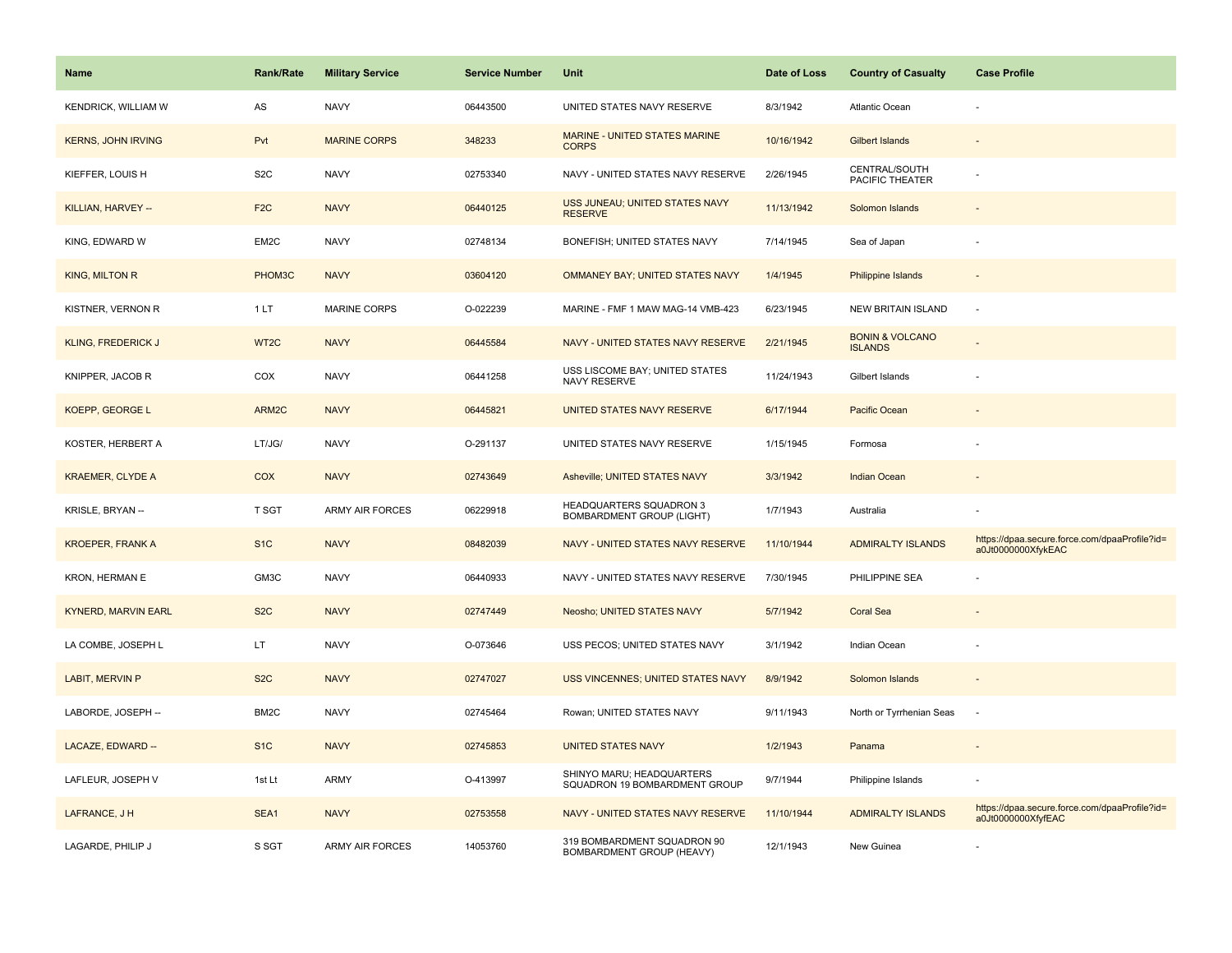| Name                       | <b>Rank/Rate</b> | <b>Military Service</b> | <b>Service Number</b> | Unit                                                        | Date of Loss | <b>Country of Casualty</b>                   | <b>Case Profile</b>                                                 |
|----------------------------|------------------|-------------------------|-----------------------|-------------------------------------------------------------|--------------|----------------------------------------------|---------------------------------------------------------------------|
| KENDRICK, WILLIAM W        | AS               | <b>NAVY</b>             | 06443500              | UNITED STATES NAVY RESERVE                                  | 8/3/1942     | Atlantic Ocean                               |                                                                     |
| <b>KERNS, JOHN IRVING</b>  | Pvt              | <b>MARINE CORPS</b>     | 348233                | MARINE - UNITED STATES MARINE<br><b>CORPS</b>               | 10/16/1942   | <b>Gilbert Islands</b>                       |                                                                     |
| KIEFFER, LOUIS H           | S <sub>2</sub> C | <b>NAVY</b>             | 02753340              | NAVY - UNITED STATES NAVY RESERVE                           | 2/26/1945    | CENTRAL/SOUTH<br>PACIFIC THEATER             |                                                                     |
| KILLIAN, HARVEY --         | F <sub>2</sub> C | <b>NAVY</b>             | 06440125              | USS JUNEAU; UNITED STATES NAVY<br><b>RESERVE</b>            | 11/13/1942   | Solomon Islands                              |                                                                     |
| KING, EDWARD W             | EM2C             | <b>NAVY</b>             | 02748134              | BONEFISH; UNITED STATES NAVY                                | 7/14/1945    | Sea of Japan                                 |                                                                     |
| <b>KING, MILTON R</b>      | PHOM3C           | <b>NAVY</b>             | 03604120              | OMMANEY BAY; UNITED STATES NAVY                             | 1/4/1945     | Philippine Islands                           |                                                                     |
| KISTNER, VERNON R          | 1LT              | <b>MARINE CORPS</b>     | O-022239              | MARINE - FMF 1 MAW MAG-14 VMB-423                           | 6/23/1945    | <b>NEW BRITAIN ISLAND</b>                    | $\sim$                                                              |
| <b>KLING, FREDERICK J</b>  | WT <sub>2C</sub> | <b>NAVY</b>             | 06445584              | NAVY - UNITED STATES NAVY RESERVE                           | 2/21/1945    | <b>BONIN &amp; VOLCANO</b><br><b>ISLANDS</b> |                                                                     |
| KNIPPER, JACOB R           | COX              | <b>NAVY</b>             | 06441258              | USS LISCOME BAY; UNITED STATES<br>NAVY RESERVE              | 11/24/1943   | Gilbert Islands                              |                                                                     |
| KOEPP, GEORGE L            | ARM2C            | <b>NAVY</b>             | 06445821              | UNITED STATES NAVY RESERVE                                  | 6/17/1944    | <b>Pacific Ocean</b>                         |                                                                     |
| KOSTER, HERBERT A          | LT/JG/           | <b>NAVY</b>             | O-291137              | UNITED STATES NAVY RESERVE                                  | 1/15/1945    | Formosa                                      |                                                                     |
| <b>KRAEMER, CLYDE A</b>    | COX              | <b>NAVY</b>             | 02743649              | Asheville; UNITED STATES NAVY                               | 3/3/1942     | <b>Indian Ocean</b>                          |                                                                     |
| KRISLE, BRYAN --           | <b>T SGT</b>     | <b>ARMY AIR FORCES</b>  | 06229918              | HEADQUARTERS SQUADRON 3<br><b>BOMBARDMENT GROUP (LIGHT)</b> | 1/7/1943     | Australia                                    |                                                                     |
| <b>KROEPER, FRANK A</b>    | S <sub>1</sub> C | <b>NAVY</b>             | 08482039              | NAVY - UNITED STATES NAVY RESERVE                           | 11/10/1944   | <b>ADMIRALTY ISLANDS</b>                     | https://dpaa.secure.force.com/dpaaProfile?id=<br>a0Jt0000000XfykEAC |
| KRON, HERMAN E             | GM3C             | <b>NAVY</b>             | 06440933              | NAVY - UNITED STATES NAVY RESERVE                           | 7/30/1945    | PHILIPPINE SEA                               |                                                                     |
| <b>KYNERD, MARVIN EARL</b> | S <sub>2</sub> C | <b>NAVY</b>             | 02747449              | Neosho; UNITED STATES NAVY                                  | 5/7/1942     | <b>Coral Sea</b>                             |                                                                     |
| LA COMBE, JOSEPH L         | LT.              | <b>NAVY</b>             | O-073646              | USS PECOS; UNITED STATES NAVY                               | 3/1/1942     | Indian Ocean                                 |                                                                     |
| <b>LABIT, MERVIN P</b>     | S <sub>2</sub> C | <b>NAVY</b>             | 02747027              | <b>USS VINCENNES; UNITED STATES NAVY</b>                    | 8/9/1942     | Solomon Islands                              |                                                                     |
| LABORDE, JOSEPH --         | BM2C             | <b>NAVY</b>             | 02745464              | Rowan; UNITED STATES NAVY                                   | 9/11/1943    | North or Tyrrhenian Seas                     | $\sim$                                                              |
| LACAZE, EDWARD --          | S <sub>1C</sub>  | <b>NAVY</b>             | 02745853              | <b>UNITED STATES NAVY</b>                                   | 1/2/1943     | Panama                                       |                                                                     |
| LAFLEUR, JOSEPH V          | 1st Lt           | <b>ARMY</b>             | O-413997              | SHINYO MARU; HEADQUARTERS<br>SQUADRON 19 BOMBARDMENT GROUP  | 9/7/1944     | Philippine Islands                           |                                                                     |
| LAFRANCE, J H              | SEA1             | <b>NAVY</b>             | 02753558              | NAVY - UNITED STATES NAVY RESERVE                           | 11/10/1944   | <b>ADMIRALTY ISLANDS</b>                     | https://dpaa.secure.force.com/dpaaProfile?id=<br>a0Jt0000000XfyfEAC |
| LAGARDE, PHILIP J          | S SGT            | ARMY AIR FORCES         | 14053760              | 319 BOMBARDMENT SQUADRON 90<br>BOMBARDMENT GROUP (HEAVY)    | 12/1/1943    | New Guinea                                   |                                                                     |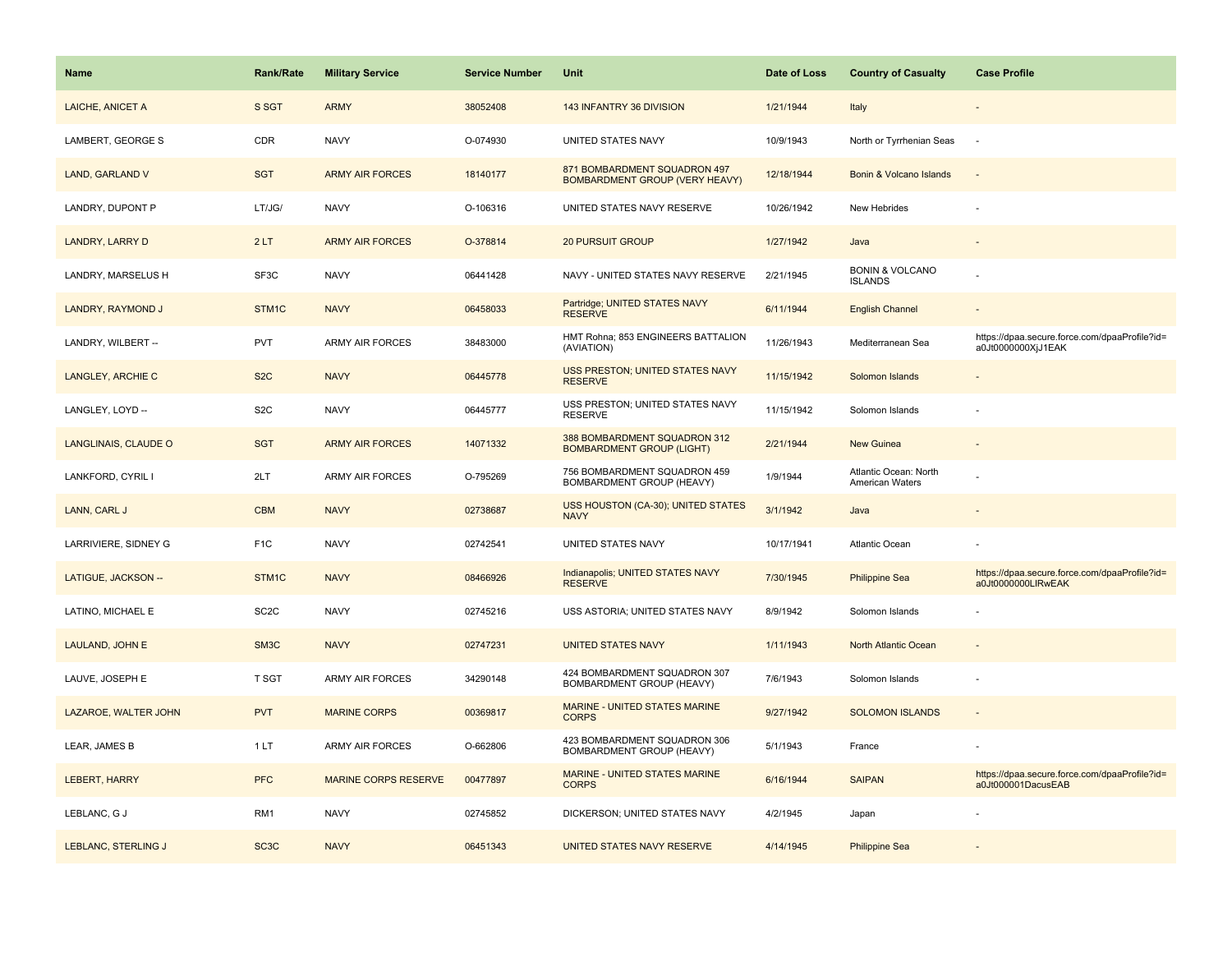| <b>Name</b>            | <b>Rank/Rate</b>  | <b>Military Service</b>     | <b>Service Number</b> | Unit                                                             | Date of Loss | <b>Country of Casualty</b>                   | <b>Case Profile</b>                                                 |
|------------------------|-------------------|-----------------------------|-----------------------|------------------------------------------------------------------|--------------|----------------------------------------------|---------------------------------------------------------------------|
| LAICHE, ANICET A       | S SGT             | <b>ARMY</b>                 | 38052408              | 143 INFANTRY 36 DIVISION                                         | 1/21/1944    | Italy                                        |                                                                     |
| LAMBERT, GEORGE S      | CDR               | <b>NAVY</b>                 | O-074930              | UNITED STATES NAVY                                               | 10/9/1943    | North or Tyrrhenian Seas                     | $\overline{\phantom{a}}$                                            |
| LAND, GARLAND V        | <b>SGT</b>        | <b>ARMY AIR FORCES</b>      | 18140177              | 871 BOMBARDMENT SQUADRON 497<br>BOMBARDMENT GROUP (VERY HEAVY)   | 12/18/1944   | Bonin & Volcano Islands                      |                                                                     |
| LANDRY, DUPONT P       | LT/JG/            | <b>NAVY</b>                 | O-106316              | UNITED STATES NAVY RESERVE                                       | 10/26/1942   | New Hebrides                                 |                                                                     |
| <b>LANDRY, LARRY D</b> | 2LT               | <b>ARMY AIR FORCES</b>      | O-378814              | <b>20 PURSUIT GROUP</b>                                          | 1/27/1942    | Java                                         |                                                                     |
| LANDRY, MARSELUS H     | SF3C              | <b>NAVY</b>                 | 06441428              | NAVY - UNITED STATES NAVY RESERVE                                | 2/21/1945    | <b>BONIN &amp; VOLCANO</b><br><b>ISLANDS</b> |                                                                     |
| LANDRY, RAYMOND J      | STM1C             | <b>NAVY</b>                 | 06458033              | Partridge; UNITED STATES NAVY<br><b>RESERVE</b>                  | 6/11/1944    | <b>English Channel</b>                       |                                                                     |
| LANDRY, WILBERT --     | <b>PVT</b>        | <b>ARMY AIR FORCES</b>      | 38483000              | HMT Rohna; 853 ENGINEERS BATTALION<br>(AVIATION)                 | 11/26/1943   | Mediterranean Sea                            | https://dpaa.secure.force.com/dpaaProfile?id=<br>a0Jt0000000XjJ1EAK |
| LANGLEY, ARCHIE C      | S <sub>2</sub> C  | <b>NAVY</b>                 | 06445778              | USS PRESTON; UNITED STATES NAVY<br><b>RESERVE</b>                | 11/15/1942   | Solomon Islands                              |                                                                     |
| LANGLEY, LOYD --       | S <sub>2</sub> C  | <b>NAVY</b>                 | 06445777              | USS PRESTON; UNITED STATES NAVY<br><b>RESERVE</b>                | 11/15/1942   | Solomon Islands                              |                                                                     |
| LANGLINAIS, CLAUDE O   | <b>SGT</b>        | <b>ARMY AIR FORCES</b>      | 14071332              | 388 BOMBARDMENT SQUADRON 312<br><b>BOMBARDMENT GROUP (LIGHT)</b> | 2/21/1944    | <b>New Guinea</b>                            |                                                                     |
| LANKFORD, CYRIL I      | 2LT               | ARMY AIR FORCES             | O-795269              | 756 BOMBARDMENT SQUADRON 459<br>BOMBARDMENT GROUP (HEAVY)        | 1/9/1944     | Atlantic Ocean: North<br>American Waters     |                                                                     |
| LANN, CARL J           | <b>CBM</b>        | <b>NAVY</b>                 | 02738687              | USS HOUSTON (CA-30); UNITED STATES<br><b>NAVY</b>                | 3/1/1942     | Java                                         |                                                                     |
| LARRIVIERE, SIDNEY G   | F <sub>1</sub> C  | <b>NAVY</b>                 | 02742541              | UNITED STATES NAVY                                               | 10/17/1941   | Atlantic Ocean                               |                                                                     |
| LATIGUE, JACKSON --    | STM1C             | <b>NAVY</b>                 | 08466926              | Indianapolis; UNITED STATES NAVY<br><b>RESERVE</b>               | 7/30/1945    | <b>Philippine Sea</b>                        | https://dpaa.secure.force.com/dpaaProfile?id=<br>a0Jt0000000LIRwEAK |
| LATINO, MICHAEL E      | SC <sub>2</sub> C | <b>NAVY</b>                 | 02745216              | USS ASTORIA; UNITED STATES NAVY                                  | 8/9/1942     | Solomon Islands                              |                                                                     |
| LAULAND, JOHN E        | SM <sub>3</sub> C | <b>NAVY</b>                 | 02747231              | <b>UNITED STATES NAVY</b>                                        | 1/11/1943    | North Atlantic Ocean                         |                                                                     |
| LAUVE, JOSEPH E        | <b>T SGT</b>      | ARMY AIR FORCES             | 34290148              | 424 BOMBARDMENT SQUADRON 307<br>BOMBARDMENT GROUP (HEAVY)        | 7/6/1943     | Solomon Islands                              |                                                                     |
| LAZAROE, WALTER JOHN   | <b>PVT</b>        | <b>MARINE CORPS</b>         | 00369817              | MARINE - UNITED STATES MARINE<br><b>CORPS</b>                    | 9/27/1942    | <b>SOLOMON ISLANDS</b>                       |                                                                     |
| LEAR, JAMES B          | 1 LT              | ARMY AIR FORCES             | O-662806              | 423 BOMBARDMENT SQUADRON 306<br>BOMBARDMENT GROUP (HEAVY)        | 5/1/1943     | France                                       |                                                                     |
| LEBERT, HARRY          | <b>PFC</b>        | <b>MARINE CORPS RESERVE</b> | 00477897              | MARINE - UNITED STATES MARINE<br><b>CORPS</b>                    | 6/16/1944    | <b>SAIPAN</b>                                | https://dpaa.secure.force.com/dpaaProfile?id=<br>a0Jt000001DacusEAB |
| LEBLANC, G J           | RM1               | <b>NAVY</b>                 | 02745852              | DICKERSON; UNITED STATES NAVY                                    | 4/2/1945     | Japan                                        |                                                                     |
| LEBLANC, STERLING J    | SC <sub>3</sub> C | <b>NAVY</b>                 | 06451343              | UNITED STATES NAVY RESERVE                                       | 4/14/1945    | <b>Philippine Sea</b>                        |                                                                     |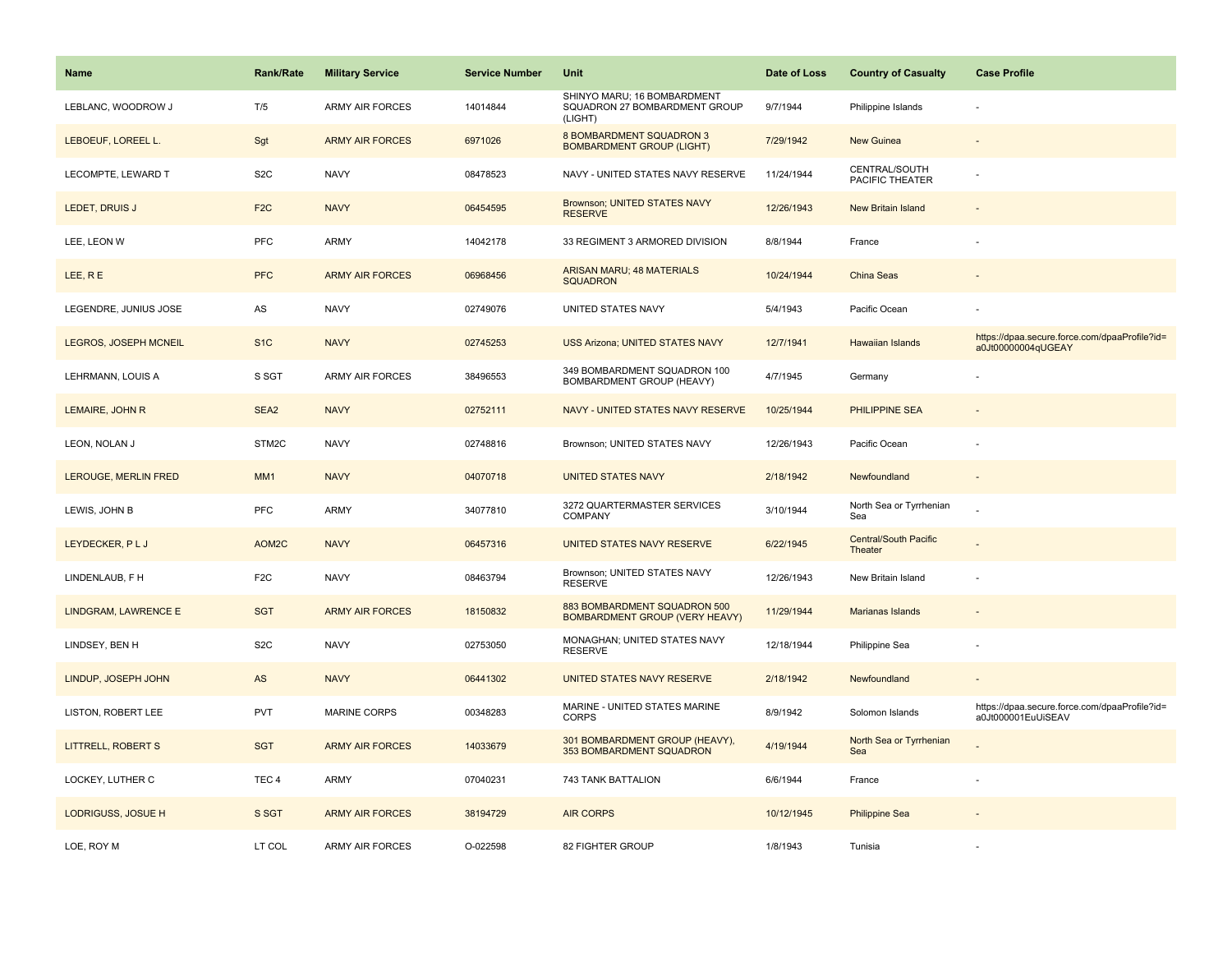| <b>Name</b>                 | <b>Rank/Rate</b> | <b>Military Service</b> | <b>Service Number</b> | Unit                                                                    | Date of Loss | <b>Country of Casualty</b>       | <b>Case Profile</b>                                                 |
|-----------------------------|------------------|-------------------------|-----------------------|-------------------------------------------------------------------------|--------------|----------------------------------|---------------------------------------------------------------------|
| LEBLANC, WOODROW J          | T/5              | <b>ARMY AIR FORCES</b>  | 14014844              | SHINYO MARU; 16 BOMBARDMENT<br>SQUADRON 27 BOMBARDMENT GROUP<br>(LIGHT) | 9/7/1944     | Philippine Islands               |                                                                     |
| LEBOEUF, LOREEL L.          | Sgt              | <b>ARMY AIR FORCES</b>  | 6971026               | 8 BOMBARDMENT SQUADRON 3<br><b>BOMBARDMENT GROUP (LIGHT)</b>            | 7/29/1942    | New Guinea                       |                                                                     |
| LECOMPTE, LEWARD T          | S <sub>2</sub> C | <b>NAVY</b>             | 08478523              | NAVY - UNITED STATES NAVY RESERVE                                       | 11/24/1944   | CENTRAL/SOUTH<br>PACIFIC THEATER |                                                                     |
| LEDET, DRUIS J              | F <sub>2</sub> C | <b>NAVY</b>             | 06454595              | Brownson; UNITED STATES NAVY<br><b>RESERVE</b>                          | 12/26/1943   | <b>New Britain Island</b>        |                                                                     |
| LEE, LEON W                 | <b>PFC</b>       | ARMY                    | 14042178              | 33 REGIMENT 3 ARMORED DIVISION                                          | 8/8/1944     | France                           |                                                                     |
| LEE, RE                     | <b>PFC</b>       | <b>ARMY AIR FORCES</b>  | 06968456              | <b>ARISAN MARU; 48 MATERIALS</b><br><b>SQUADRON</b>                     | 10/24/1944   | <b>China Seas</b>                |                                                                     |
| LEGENDRE, JUNIUS JOSE       | AS               | <b>NAVY</b>             | 02749076              | UNITED STATES NAVY                                                      | 5/4/1943     | Pacific Ocean                    |                                                                     |
| LEGROS, JOSEPH MCNEIL       | S <sub>1</sub> C | <b>NAVY</b>             | 02745253              | <b>USS Arizona; UNITED STATES NAVY</b>                                  | 12/7/1941    | Hawaiian Islands                 | https://dpaa.secure.force.com/dpaaProfile?id=<br>a0Jt00000004qUGEAY |
| LEHRMANN, LOUIS A           | S SGT            | <b>ARMY AIR FORCES</b>  | 38496553              | 349 BOMBARDMENT SQUADRON 100<br>BOMBARDMENT GROUP (HEAVY)               | 4/7/1945     | Germany                          |                                                                     |
| LEMAIRE, JOHN R             | SEA2             | <b>NAVY</b>             | 02752111              | NAVY - UNITED STATES NAVY RESERVE                                       | 10/25/1944   | <b>PHILIPPINE SEA</b>            |                                                                     |
| LEON, NOLAN J               | STM2C            | <b>NAVY</b>             | 02748816              | Brownson; UNITED STATES NAVY                                            | 12/26/1943   | Pacific Ocean                    |                                                                     |
| <b>LEROUGE, MERLIN FRED</b> | MM <sub>1</sub>  | <b>NAVY</b>             | 04070718              | <b>UNITED STATES NAVY</b>                                               | 2/18/1942    | Newfoundland                     | $\sim$                                                              |
| LEWIS, JOHN B               | <b>PFC</b>       | ARMY                    | 34077810              | 3272 QUARTERMASTER SERVICES<br>COMPANY                                  | 3/10/1944    | North Sea or Tyrrhenian<br>Sea   |                                                                     |
| LEYDECKER, PLJ              | AOM2C            | <b>NAVY</b>             | 06457316              | UNITED STATES NAVY RESERVE                                              | 6/22/1945    | Central/South Pacific<br>Theater |                                                                     |
| LINDENLAUB, F H             | F <sub>2</sub> C | <b>NAVY</b>             | 08463794              | Brownson; UNITED STATES NAVY<br><b>RESERVE</b>                          | 12/26/1943   | New Britain Island               |                                                                     |
| LINDGRAM, LAWRENCE E        | <b>SGT</b>       | <b>ARMY AIR FORCES</b>  | 18150832              | 883 BOMBARDMENT SQUADRON 500<br><b>BOMBARDMENT GROUP (VERY HEAVY)</b>   | 11/29/1944   | Marianas Islands                 |                                                                     |
| LINDSEY, BEN H              | S <sub>2</sub> C | <b>NAVY</b>             | 02753050              | MONAGHAN; UNITED STATES NAVY<br><b>RESERVE</b>                          | 12/18/1944   | Philippine Sea                   |                                                                     |
| LINDUP, JOSEPH JOHN         | AS               | <b>NAVY</b>             | 06441302              | UNITED STATES NAVY RESERVE                                              | 2/18/1942    | Newfoundland                     |                                                                     |
| LISTON, ROBERT LEE          | PVT              | <b>MARINE CORPS</b>     | 00348283              | MARINE - UNITED STATES MARINE<br><b>CORPS</b>                           | 8/9/1942     | Solomon Islands                  | https://dpaa.secure.force.com/dpaaProfile?id=<br>a0Jt000001EuUiSEAV |
| LITTRELL, ROBERT S          | <b>SGT</b>       | <b>ARMY AIR FORCES</b>  | 14033679              | 301 BOMBARDMENT GROUP (HEAVY),<br>353 BOMBARDMENT SQUADRON              | 4/19/1944    | North Sea or Tyrrhenian<br>Sea   |                                                                     |
| LOCKEY, LUTHER C            | TEC <sub>4</sub> | ARMY                    | 07040231              | 743 TANK BATTALION                                                      | 6/6/1944     | France                           |                                                                     |
| LODRIGUSS, JOSUE H          | S SGT            | <b>ARMY AIR FORCES</b>  | 38194729              | <b>AIR CORPS</b>                                                        | 10/12/1945   | <b>Philippine Sea</b>            |                                                                     |
| LOE, ROY M                  | LT COL           | ARMY AIR FORCES         | O-022598              | 82 FIGHTER GROUP                                                        | 1/8/1943     | Tunisia                          |                                                                     |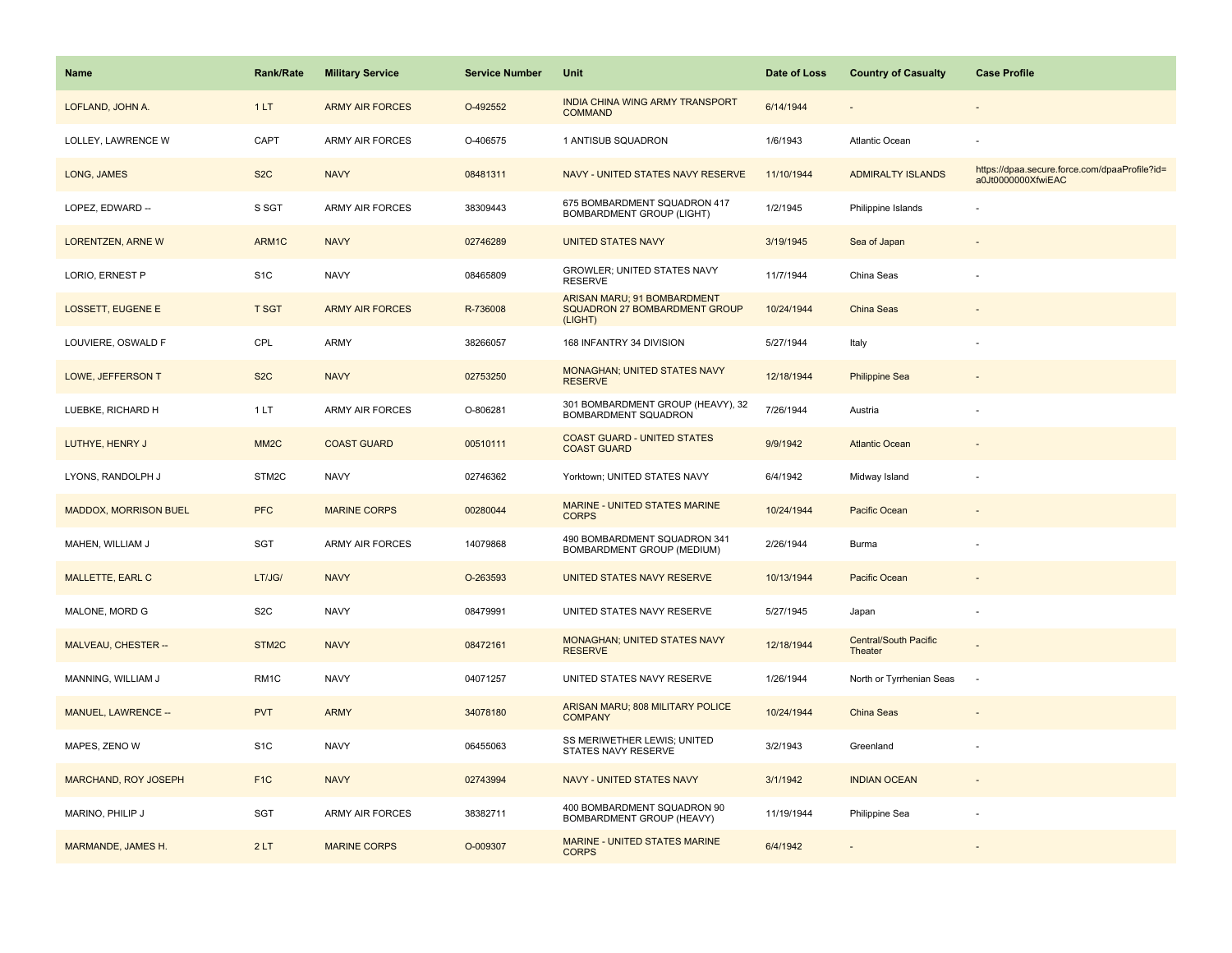| <b>Name</b>                  | Rank/Rate         | <b>Military Service</b> | <b>Service Number</b> | Unit                                                                    | Date of Loss | <b>Country of Casualty</b>              | <b>Case Profile</b>                                                 |
|------------------------------|-------------------|-------------------------|-----------------------|-------------------------------------------------------------------------|--------------|-----------------------------------------|---------------------------------------------------------------------|
| LOFLAND, JOHN A.             | 1LT               | <b>ARMY AIR FORCES</b>  | O-492552              | INDIA CHINA WING ARMY TRANSPORT<br><b>COMMAND</b>                       | 6/14/1944    |                                         |                                                                     |
| LOLLEY, LAWRENCE W           | CAPT              | <b>ARMY AIR FORCES</b>  | O-406575              | 1 ANTISUB SQUADRON                                                      | 1/6/1943     | Atlantic Ocean                          |                                                                     |
| LONG, JAMES                  | S <sub>2</sub> C  | <b>NAVY</b>             | 08481311              | NAVY - UNITED STATES NAVY RESERVE                                       | 11/10/1944   | <b>ADMIRALTY ISLANDS</b>                | https://dpaa.secure.force.com/dpaaProfile?id=<br>a0Jt0000000XfwiEAC |
| LOPEZ, EDWARD --             | S SGT             | <b>ARMY AIR FORCES</b>  | 38309443              | 675 BOMBARDMENT SQUADRON 417<br><b>BOMBARDMENT GROUP (LIGHT)</b>        | 1/2/1945     | Philippine Islands                      |                                                                     |
| <b>LORENTZEN, ARNE W</b>     | ARM1C             | <b>NAVY</b>             | 02746289              | <b>UNITED STATES NAVY</b>                                               | 3/19/1945    | Sea of Japan                            |                                                                     |
| LORIO, ERNEST P              | S <sub>1</sub> C  | <b>NAVY</b>             | 08465809              | GROWLER; UNITED STATES NAVY<br><b>RESERVE</b>                           | 11/7/1944    | China Seas                              |                                                                     |
| <b>LOSSETT, EUGENE E</b>     | <b>T SGT</b>      | <b>ARMY AIR FORCES</b>  | R-736008              | ARISAN MARU; 91 BOMBARDMENT<br>SQUADRON 27 BOMBARDMENT GROUP<br>(LIGHT) | 10/24/1944   | China Seas                              |                                                                     |
| LOUVIERE, OSWALD F           | CPL               | ARMY                    | 38266057              | 168 INFANTRY 34 DIVISION                                                | 5/27/1944    | Italy                                   |                                                                     |
| LOWE, JEFFERSON T            | S <sub>2</sub> C  | <b>NAVY</b>             | 02753250              | <b>MONAGHAN; UNITED STATES NAVY</b><br><b>RESERVE</b>                   | 12/18/1944   | <b>Philippine Sea</b>                   |                                                                     |
| LUEBKE, RICHARD H            | 1LT               | <b>ARMY AIR FORCES</b>  | O-806281              | 301 BOMBARDMENT GROUP (HEAVY), 32<br>BOMBARDMENT SQUADRON               | 7/26/1944    | Austria                                 |                                                                     |
| LUTHYE, HENRY J              | MM <sub>2</sub> C | <b>COAST GUARD</b>      | 00510111              | <b>COAST GUARD - UNITED STATES</b><br><b>COAST GUARD</b>                | 9/9/1942     | <b>Atlantic Ocean</b>                   |                                                                     |
| LYONS, RANDOLPH J            | STM2C             | <b>NAVY</b>             | 02746362              | Yorktown; UNITED STATES NAVY                                            | 6/4/1942     | Midway Island                           |                                                                     |
| <b>MADDOX, MORRISON BUEL</b> | <b>PFC</b>        | <b>MARINE CORPS</b>     | 00280044              | <b>MARINE - UNITED STATES MARINE</b><br><b>CORPS</b>                    | 10/24/1944   | Pacific Ocean                           |                                                                     |
| MAHEN, WILLIAM J             | SGT               | <b>ARMY AIR FORCES</b>  | 14079868              | 490 BOMBARDMENT SQUADRON 341<br>BOMBARDMENT GROUP (MEDIUM)              | 2/26/1944    | <b>Burma</b>                            |                                                                     |
| <b>MALLETTE, EARL C</b>      | LT/JG/            | <b>NAVY</b>             | O-263593              | UNITED STATES NAVY RESERVE                                              | 10/13/1944   | Pacific Ocean                           |                                                                     |
| MALONE, MORD G               | S <sub>2</sub> C  | <b>NAVY</b>             | 08479991              | UNITED STATES NAVY RESERVE                                              | 5/27/1945    | Japan                                   |                                                                     |
| MALVEAU, CHESTER --          | STM2C             | <b>NAVY</b>             | 08472161              | <b>MONAGHAN; UNITED STATES NAVY</b><br><b>RESERVE</b>                   | 12/18/1944   | <b>Central/South Pacific</b><br>Theater |                                                                     |
| MANNING, WILLIAM J           | RM1C              | <b>NAVY</b>             | 04071257              | UNITED STATES NAVY RESERVE                                              | 1/26/1944    | North or Tyrrhenian Seas                | $\overline{\phantom{a}}$                                            |
| MANUEL, LAWRENCE --          | <b>PVT</b>        | <b>ARMY</b>             | 34078180              | ARISAN MARU; 808 MILITARY POLICE<br><b>COMPANY</b>                      | 10/24/1944   | <b>China Seas</b>                       |                                                                     |
| MAPES, ZENO W                | S <sub>1</sub> C  | <b>NAVY</b>             | 06455063              | SS MERIWETHER LEWIS; UNITED<br>STATES NAVY RESERVE                      | 3/2/1943     | Greenland                               |                                                                     |
| <b>MARCHAND, ROY JOSEPH</b>  | F <sub>1</sub> C  | <b>NAVY</b>             | 02743994              | NAVY - UNITED STATES NAVY                                               | 3/1/1942     | <b>INDIAN OCEAN</b>                     |                                                                     |
| MARINO, PHILIP J             | SGT               | <b>ARMY AIR FORCES</b>  | 38382711              | 400 BOMBARDMENT SQUADRON 90<br>BOMBARDMENT GROUP (HEAVY)                | 11/19/1944   | Philippine Sea                          |                                                                     |
| MARMANDE, JAMES H.           | 2LT               | <b>MARINE CORPS</b>     | O-009307              | MARINE - UNITED STATES MARINE<br><b>CORPS</b>                           | 6/4/1942     |                                         |                                                                     |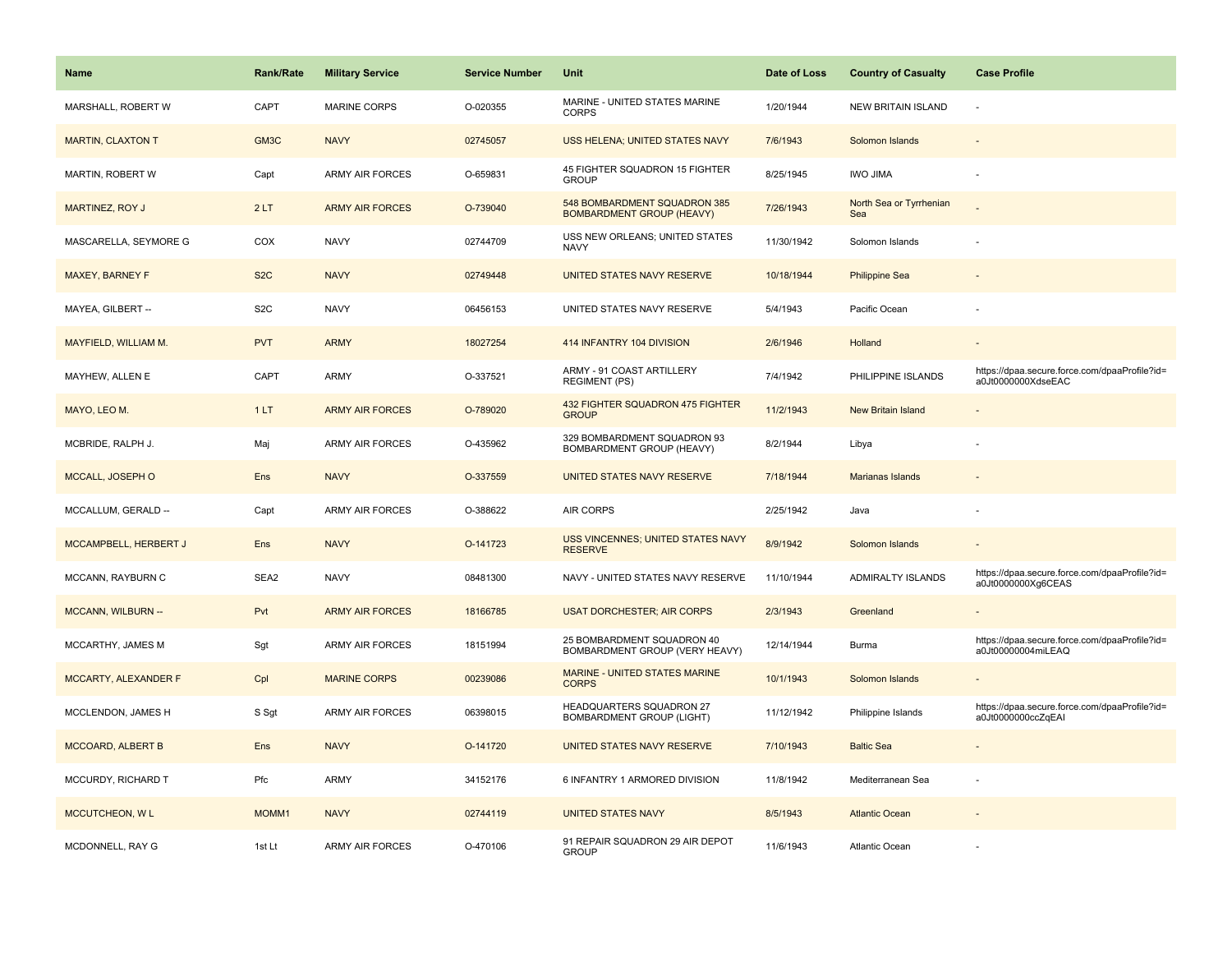| <b>Name</b>               | <b>Rank/Rate</b> | <b>Military Service</b> | <b>Service Number</b> | Unit                                                             | Date of Loss | <b>Country of Casualty</b>     | <b>Case Profile</b>                                                 |
|---------------------------|------------------|-------------------------|-----------------------|------------------------------------------------------------------|--------------|--------------------------------|---------------------------------------------------------------------|
| MARSHALL, ROBERT W        | CAPT             | <b>MARINE CORPS</b>     | O-020355              | MARINE - UNITED STATES MARINE<br><b>CORPS</b>                    | 1/20/1944    | <b>NEW BRITAIN ISLAND</b>      |                                                                     |
| <b>MARTIN, CLAXTON T</b>  | GM3C             | <b>NAVY</b>             | 02745057              | USS HELENA; UNITED STATES NAVY                                   | 7/6/1943     | Solomon Islands                |                                                                     |
| MARTIN, ROBERT W          | Capt             | <b>ARMY AIR FORCES</b>  | O-659831              | 45 FIGHTER SQUADRON 15 FIGHTER<br><b>GROUP</b>                   | 8/25/1945    | <b>IWO JIMA</b>                |                                                                     |
| <b>MARTINEZ, ROY J</b>    | 2LT              | <b>ARMY AIR FORCES</b>  | O-739040              | 548 BOMBARDMENT SQUADRON 385<br><b>BOMBARDMENT GROUP (HEAVY)</b> | 7/26/1943    | North Sea or Tyrrhenian<br>Sea |                                                                     |
| MASCARELLA, SEYMORE G     | COX              | <b>NAVY</b>             | 02744709              | USS NEW ORLEANS; UNITED STATES<br><b>NAVY</b>                    | 11/30/1942   | Solomon Islands                |                                                                     |
| <b>MAXEY, BARNEY F</b>    | S <sub>2</sub> C | <b>NAVY</b>             | 02749448              | UNITED STATES NAVY RESERVE                                       | 10/18/1944   | <b>Philippine Sea</b>          |                                                                     |
| MAYEA, GILBERT --         | S <sub>2</sub> C | <b>NAVY</b>             | 06456153              | UNITED STATES NAVY RESERVE                                       | 5/4/1943     | Pacific Ocean                  |                                                                     |
| MAYFIELD, WILLIAM M.      | <b>PVT</b>       | <b>ARMY</b>             | 18027254              | 414 INFANTRY 104 DIVISION                                        | 2/6/1946     | Holland                        |                                                                     |
| MAYHEW, ALLEN E           | CAPT             | ARMY                    | O-337521              | ARMY - 91 COAST ARTILLERY<br><b>REGIMENT (PS)</b>                | 7/4/1942     | PHILIPPINE ISLANDS             | https://dpaa.secure.force.com/dpaaProfile?id=<br>a0Jt0000000XdseEAC |
| MAYO, LEO M.              | 1LT              | <b>ARMY AIR FORCES</b>  | O-789020              | 432 FIGHTER SQUADRON 475 FIGHTER<br><b>GROUP</b>                 | 11/2/1943    | <b>New Britain Island</b>      |                                                                     |
| MCBRIDE, RALPH J.         | Maj              | ARMY AIR FORCES         | O-435962              | 329 BOMBARDMENT SQUADRON 93<br>BOMBARDMENT GROUP (HEAVY)         | 8/2/1944     | Libya                          |                                                                     |
| MCCALL, JOSEPH O          | Ens              | <b>NAVY</b>             | O-337559              | UNITED STATES NAVY RESERVE                                       | 7/18/1944    | Marianas Islands               |                                                                     |
| MCCALLUM, GERALD --       | Capt             | <b>ARMY AIR FORCES</b>  | O-388622              | <b>AIR CORPS</b>                                                 | 2/25/1942    | Java                           |                                                                     |
| MCCAMPBELL, HERBERT J     | <b>Ens</b>       | <b>NAVY</b>             | O-141723              | USS VINCENNES; UNITED STATES NAVY<br><b>RESERVE</b>              | 8/9/1942     | Solomon Islands                |                                                                     |
| MCCANN, RAYBURN C         | SEA2             | <b>NAVY</b>             | 08481300              | NAVY - UNITED STATES NAVY RESERVE                                | 11/10/1944   | <b>ADMIRALTY ISLANDS</b>       | https://dpaa.secure.force.com/dpaaProfile?id=<br>a0Jt0000000Xg6CEAS |
| <b>MCCANN, WILBURN --</b> | Pvt              | <b>ARMY AIR FORCES</b>  | 18166785              | <b>USAT DORCHESTER; AIR CORPS</b>                                | 2/3/1943     | Greenland                      |                                                                     |
| MCCARTHY, JAMES M         | Sgt              | ARMY AIR FORCES         | 18151994              | 25 BOMBARDMENT SQUADRON 40<br>BOMBARDMENT GROUP (VERY HEAVY)     | 12/14/1944   | Burma                          | https://dpaa.secure.force.com/dpaaProfile?id=<br>a0Jt00000004miLEAQ |
| MCCARTY, ALEXANDER F      | Cpl              | <b>MARINE CORPS</b>     | 00239086              | MARINE - UNITED STATES MARINE<br><b>CORPS</b>                    | 10/1/1943    | Solomon Islands                |                                                                     |
| MCCLENDON, JAMES H        | S Sgt            | <b>ARMY AIR FORCES</b>  | 06398015              | HEADQUARTERS SQUADRON 27<br><b>BOMBARDMENT GROUP (LIGHT)</b>     | 11/12/1942   | Philippine Islands             | https://dpaa.secure.force.com/dpaaProfile?id=<br>a0Jt0000000ccZqEAI |
| <b>MCCOARD, ALBERT B</b>  | Ens              | <b>NAVY</b>             | O-141720              | UNITED STATES NAVY RESERVE                                       | 7/10/1943    | <b>Baltic Sea</b>              |                                                                     |
| MCCURDY, RICHARD T        | Pfc              | <b>ARMY</b>             | 34152176              | 6 INFANTRY 1 ARMORED DIVISION                                    | 11/8/1942    | Mediterranean Sea              |                                                                     |
| <b>MCCUTCHEON, WL</b>     | MOMM1            | <b>NAVY</b>             | 02744119              | <b>UNITED STATES NAVY</b>                                        | 8/5/1943     | <b>Atlantic Ocean</b>          |                                                                     |
| MCDONNELL, RAY G          | 1st Lt           | <b>ARMY AIR FORCES</b>  | O-470106              | 91 REPAIR SQUADRON 29 AIR DEPOT<br><b>GROUP</b>                  | 11/6/1943    | Atlantic Ocean                 |                                                                     |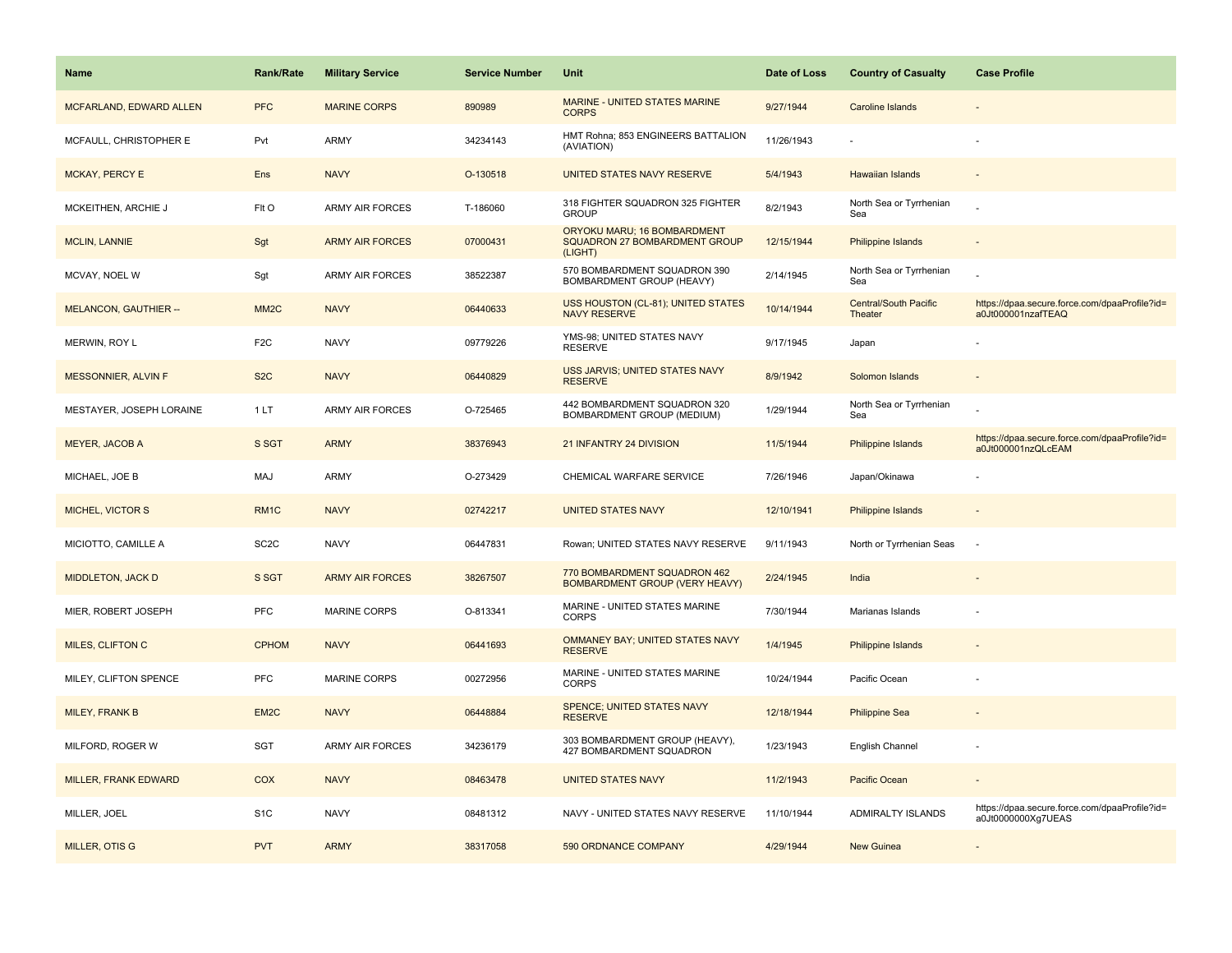| <b>Name</b>                  | <b>Rank/Rate</b>  | <b>Military Service</b> | <b>Service Number</b> | Unit                                                                           | Date of Loss | <b>Country of Casualty</b>              | <b>Case Profile</b>                                                 |
|------------------------------|-------------------|-------------------------|-----------------------|--------------------------------------------------------------------------------|--------------|-----------------------------------------|---------------------------------------------------------------------|
| MCFARLAND, EDWARD ALLEN      | <b>PFC</b>        | <b>MARINE CORPS</b>     | 890989                | <b>MARINE - UNITED STATES MARINE</b><br><b>CORPS</b>                           | 9/27/1944    | Caroline Islands                        |                                                                     |
| MCFAULL, CHRISTOPHER E       | Pvt               | ARMY                    | 34234143              | HMT Rohna; 853 ENGINEERS BATTALION<br>(AVIATION)                               | 11/26/1943   |                                         |                                                                     |
| <b>MCKAY, PERCY E</b>        | Ens               | <b>NAVY</b>             | O-130518              | UNITED STATES NAVY RESERVE                                                     | 5/4/1943     | <b>Hawaiian Islands</b>                 |                                                                     |
| MCKEITHEN, ARCHIE J          | Flt O             | <b>ARMY AIR FORCES</b>  | T-186060              | 318 FIGHTER SQUADRON 325 FIGHTER<br><b>GROUP</b>                               | 8/2/1943     | North Sea or Tyrrhenian<br>Sea          |                                                                     |
| <b>MCLIN, LANNIE</b>         | Sgt               | <b>ARMY AIR FORCES</b>  | 07000431              | ORYOKU MARU; 16 BOMBARDMENT<br><b>SQUADRON 27 BOMBARDMENT GROUP</b><br>(LIGHT) | 12/15/1944   | <b>Philippine Islands</b>               |                                                                     |
| MCVAY, NOEL W                | Sgt               | <b>ARMY AIR FORCES</b>  | 38522387              | 570 BOMBARDMENT SQUADRON 390<br>BOMBARDMENT GROUP (HEAVY)                      | 2/14/1945    | North Sea or Tyrrhenian<br>Sea          |                                                                     |
| <b>MELANCON, GAUTHIER --</b> | MM <sub>2</sub> C | <b>NAVY</b>             | 06440633              | USS HOUSTON (CL-81); UNITED STATES<br><b>NAVY RESERVE</b>                      | 10/14/1944   | <b>Central/South Pacific</b><br>Theater | https://dpaa.secure.force.com/dpaaProfile?id=<br>a0Jt000001nzafTEAQ |
| MERWIN, ROY L                | F <sub>2</sub> C  | <b>NAVY</b>             | 09779226              | YMS-98; UNITED STATES NAVY<br><b>RESERVE</b>                                   | 9/17/1945    | Japan                                   |                                                                     |
| <b>MESSONNIER, ALVIN F</b>   | S <sub>2</sub> C  | <b>NAVY</b>             | 06440829              | USS JARVIS; UNITED STATES NAVY<br><b>RESERVE</b>                               | 8/9/1942     | Solomon Islands                         |                                                                     |
| MESTAYER, JOSEPH LORAINE     | 1LT               | ARMY AIR FORCES         | O-725465              | 442 BOMBARDMENT SQUADRON 320<br>BOMBARDMENT GROUP (MEDIUM)                     | 1/29/1944    | North Sea or Tyrrhenian<br>Sea          |                                                                     |
| MEYER, JACOB A               | S SGT             | <b>ARMY</b>             | 38376943              | 21 INFANTRY 24 DIVISION                                                        | 11/5/1944    | Philippine Islands                      | https://dpaa.secure.force.com/dpaaProfile?id=<br>a0Jt000001nzQLcEAM |
| MICHAEL, JOE B               | <b>MAJ</b>        | <b>ARMY</b>             | O-273429              | CHEMICAL WARFARE SERVICE                                                       | 7/26/1946    | Japan/Okinawa                           |                                                                     |
| MICHEL, VICTOR S             | RM <sub>1C</sub>  | <b>NAVY</b>             | 02742217              | <b>UNITED STATES NAVY</b>                                                      | 12/10/1941   | Philippine Islands                      |                                                                     |
| MICIOTTO, CAMILLE A          | SC <sub>2</sub> C | <b>NAVY</b>             | 06447831              | Rowan; UNITED STATES NAVY RESERVE                                              | 9/11/1943    | North or Tyrrhenian Seas                | $\sim$                                                              |
| <b>MIDDLETON, JACK D</b>     | S SGT             | <b>ARMY AIR FORCES</b>  | 38267507              | 770 BOMBARDMENT SQUADRON 462<br><b>BOMBARDMENT GROUP (VERY HEAVY)</b>          | 2/24/1945    | India                                   |                                                                     |
| MIER, ROBERT JOSEPH          | PFC               | <b>MARINE CORPS</b>     | O-813341              | MARINE - UNITED STATES MARINE<br><b>CORPS</b>                                  | 7/30/1944    | Marianas Islands                        |                                                                     |
| MILES, CLIFTON C             | <b>CPHOM</b>      | <b>NAVY</b>             | 06441693              | OMMANEY BAY; UNITED STATES NAVY<br><b>RESERVE</b>                              | 1/4/1945     | <b>Philippine Islands</b>               |                                                                     |
| MILEY, CLIFTON SPENCE        | <b>PFC</b>        | <b>MARINE CORPS</b>     | 00272956              | MARINE - UNITED STATES MARINE<br><b>CORPS</b>                                  | 10/24/1944   | Pacific Ocean                           |                                                                     |
| MILEY, FRANK B               | EM <sub>2</sub> C | <b>NAVY</b>             | 06448884              | <b>SPENCE; UNITED STATES NAVY</b><br><b>RESERVE</b>                            | 12/18/1944   | <b>Philippine Sea</b>                   |                                                                     |
| MILFORD, ROGER W             | SGT               | <b>ARMY AIR FORCES</b>  | 34236179              | 303 BOMBARDMENT GROUP (HEAVY),<br><b>427 BOMBARDMENT SQUADRON</b>              | 1/23/1943    | English Channel                         |                                                                     |
| <b>MILLER, FRANK EDWARD</b>  | <b>COX</b>        | <b>NAVY</b>             | 08463478              | <b>UNITED STATES NAVY</b>                                                      | 11/2/1943    | Pacific Ocean                           |                                                                     |
| MILLER, JOEL                 | S <sub>1</sub> C  | <b>NAVY</b>             | 08481312              | NAVY - UNITED STATES NAVY RESERVE                                              | 11/10/1944   | ADMIRALTY ISLANDS                       | https://dpaa.secure.force.com/dpaaProfile?id=<br>a0Jt0000000Xg7UEAS |
| <b>MILLER, OTIS G</b>        | <b>PVT</b>        | <b>ARMY</b>             | 38317058              | 590 ORDNANCE COMPANY                                                           | 4/29/1944    | <b>New Guinea</b>                       |                                                                     |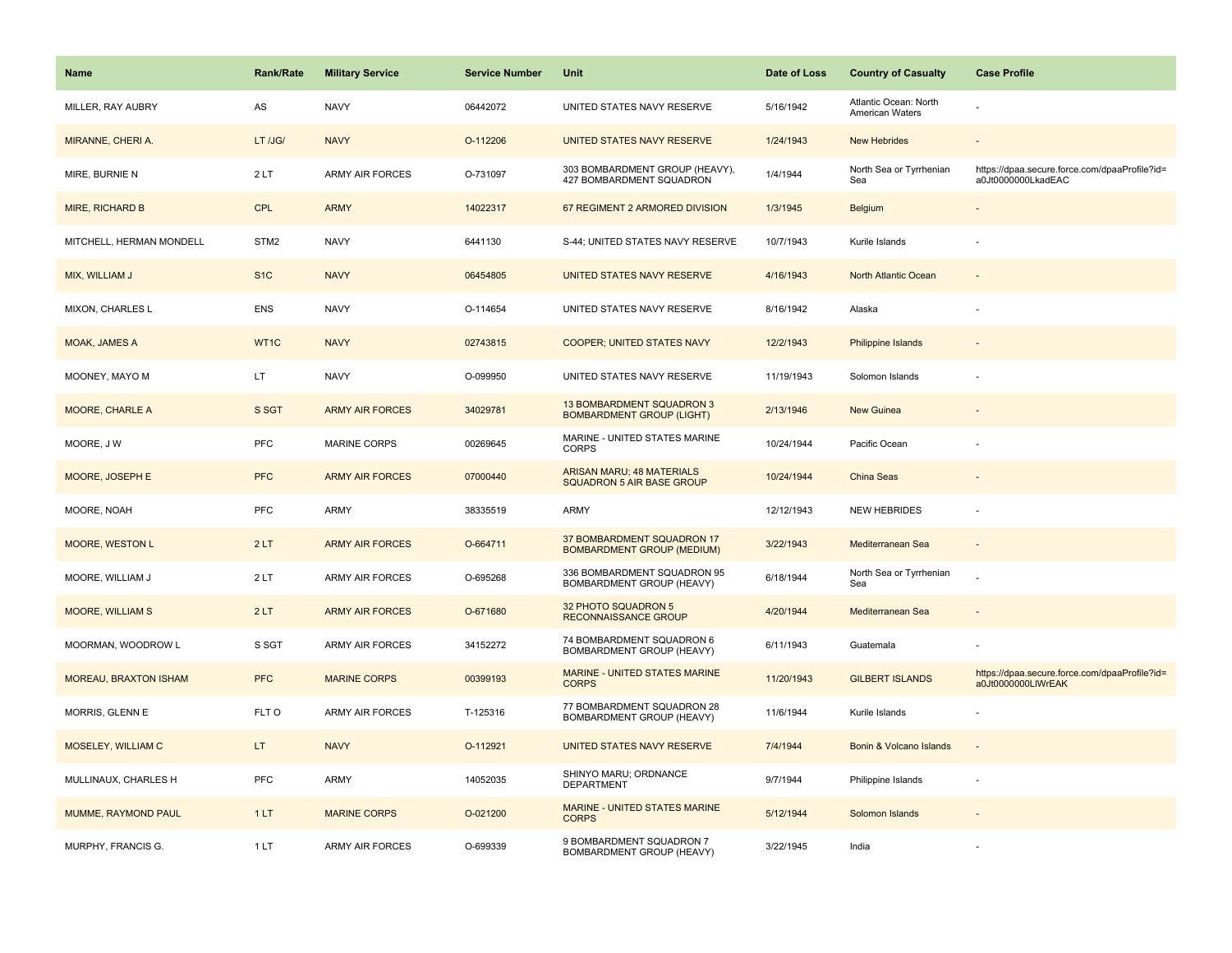| <b>Name</b>                  | <b>Rank/Rate</b> | <b>Military Service</b> | <b>Service Number</b> | Unit                                                                 | Date of Loss | <b>Country of Casualty</b>               | <b>Case Profile</b>                                                 |
|------------------------------|------------------|-------------------------|-----------------------|----------------------------------------------------------------------|--------------|------------------------------------------|---------------------------------------------------------------------|
| MILLER, RAY AUBRY            | AS               | <b>NAVY</b>             | 06442072              | UNITED STATES NAVY RESERVE                                           | 5/16/1942    | Atlantic Ocean: North<br>American Waters |                                                                     |
| MIRANNE, CHERI A.            | LT /JG/          | <b>NAVY</b>             | O-112206              | UNITED STATES NAVY RESERVE                                           | 1/24/1943    | <b>New Hebrides</b>                      |                                                                     |
| MIRE, BURNIE N               | 2LT              | ARMY AIR FORCES         | O-731097              | 303 BOMBARDMENT GROUP (HEAVY),<br>427 BOMBARDMENT SQUADRON           | 1/4/1944     | North Sea or Tyrrhenian<br>Sea           | https://dpaa.secure.force.com/dpaaProfile?id=<br>a0Jt0000000LkadEAC |
| MIRE, RICHARD B              | <b>CPL</b>       | <b>ARMY</b>             | 14022317              | 67 REGIMENT 2 ARMORED DIVISION                                       | 1/3/1945     | Belgium                                  |                                                                     |
| MITCHELL, HERMAN MONDELL     | STM <sub>2</sub> | <b>NAVY</b>             | 6441130               | S-44; UNITED STATES NAVY RESERVE                                     | 10/7/1943    | Kurile Islands                           |                                                                     |
| MIX, WILLIAM J               | S <sub>1C</sub>  | <b>NAVY</b>             | 06454805              | UNITED STATES NAVY RESERVE                                           | 4/16/1943    | North Atlantic Ocean                     |                                                                     |
| MIXON, CHARLES L             | ENS              | <b>NAVY</b>             | O-114654              | UNITED STATES NAVY RESERVE                                           | 8/16/1942    | Alaska                                   |                                                                     |
| MOAK, JAMES A                | WT1C             | <b>NAVY</b>             | 02743815              | <b>COOPER; UNITED STATES NAVY</b>                                    | 12/2/1943    | Philippine Islands                       |                                                                     |
| MOONEY, MAYO M               | LT.              | <b>NAVY</b>             | O-099950              | UNITED STATES NAVY RESERVE                                           | 11/19/1943   | Solomon Islands                          |                                                                     |
| MOORE, CHARLE A              | S SGT            | <b>ARMY AIR FORCES</b>  | 34029781              | <b>13 BOMBARDMENT SQUADRON 3</b><br><b>BOMBARDMENT GROUP (LIGHT)</b> | 2/13/1946    | <b>New Guinea</b>                        |                                                                     |
| MOORE, J W                   | PFC              | <b>MARINE CORPS</b>     | 00269645              | MARINE - UNITED STATES MARINE<br><b>CORPS</b>                        | 10/24/1944   | Pacific Ocean                            |                                                                     |
| MOORE, JOSEPH E              | <b>PFC</b>       | <b>ARMY AIR FORCES</b>  | 07000440              | <b>ARISAN MARU: 48 MATERIALS</b><br><b>SQUADRON 5 AIR BASE GROUP</b> | 10/24/1944   | China Seas                               |                                                                     |
| MOORE, NOAH                  | <b>PFC</b>       | <b>ARMY</b>             | 38335519              | <b>ARMY</b>                                                          | 12/12/1943   | <b>NEW HEBRIDES</b>                      |                                                                     |
| <b>MOORE, WESTON L</b>       | 2LT              | <b>ARMY AIR FORCES</b>  | O-664711              | 37 BOMBARDMENT SQUADRON 17<br><b>BOMBARDMENT GROUP (MEDIUM)</b>      | 3/22/1943    | Mediterranean Sea                        | $\sim$                                                              |
| MOORE, WILLIAM J             | 2LT              | <b>ARMY AIR FORCES</b>  | O-695268              | 336 BOMBARDMENT SQUADRON 95<br>BOMBARDMENT GROUP (HEAVY)             | 6/18/1944    | North Sea or Tyrrhenian<br>Sea           |                                                                     |
| <b>MOORE, WILLIAM S</b>      | 2LT              | <b>ARMY AIR FORCES</b>  | O-671680              | 32 PHOTO SQUADRON 5<br>RECONNAISSANCE GROUP                          | 4/20/1944    | Mediterranean Sea                        |                                                                     |
| MOORMAN, WOODROW L           | S SGT            | <b>ARMY AIR FORCES</b>  | 34152272              | 74 BOMBARDMENT SQUADRON 6<br>BOMBARDMENT GROUP (HEAVY)               | 6/11/1943    | Guatemala                                |                                                                     |
| <b>MOREAU, BRAXTON ISHAM</b> | <b>PFC</b>       | <b>MARINE CORPS</b>     | 00399193              | MARINE - UNITED STATES MARINE<br><b>CORPS</b>                        | 11/20/1943   | <b>GILBERT ISLANDS</b>                   | https://dpaa.secure.force.com/dpaaProfile?id=<br>a0Jt0000000LIWrEAK |
| MORRIS, GLENN E              | FLT O            | ARMY AIR FORCES         | T-125316              | 77 BOMBARDMENT SQUADRON 28<br>BOMBARDMENT GROUP (HEAVY)              | 11/6/1944    | Kurile Islands                           |                                                                     |
| <b>MOSELEY, WILLIAM C</b>    | LT.              | <b>NAVY</b>             | O-112921              | UNITED STATES NAVY RESERVE                                           | 7/4/1944     | Bonin & Volcano Islands                  | $\sim$                                                              |
| MULLINAUX, CHARLES H         | <b>PFC</b>       | ARMY                    | 14052035              | SHINYO MARU; ORDNANCE<br>DEPARTMENT                                  | 9/7/1944     | Philippine Islands                       |                                                                     |
| MUMME, RAYMOND PAUL          | 1LT              | <b>MARINE CORPS</b>     | O-021200              | MARINE - UNITED STATES MARINE<br><b>CORPS</b>                        | 5/12/1944    | Solomon Islands                          |                                                                     |
| MURPHY, FRANCIS G.           | 1LT              | ARMY AIR FORCES         | O-699339              | 9 BOMBARDMENT SQUADRON 7<br>BOMBARDMENT GROUP (HEAVY)                | 3/22/1945    | India                                    |                                                                     |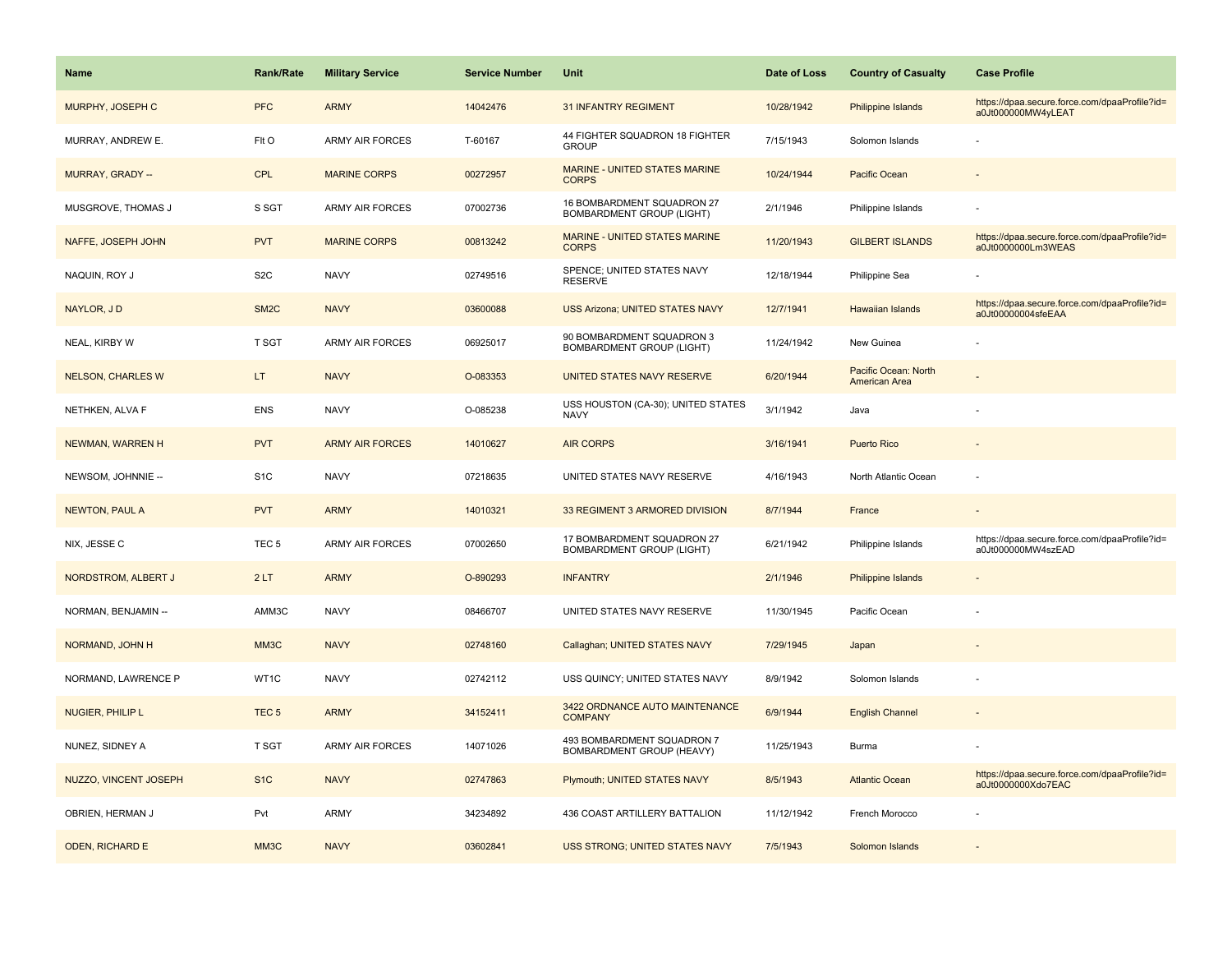| <b>Name</b>              | Rank/Rate         | <b>Military Service</b> | <b>Service Number</b> | Unit                                                           | Date of Loss | <b>Country of Casualty</b>            | <b>Case Profile</b>                                                 |
|--------------------------|-------------------|-------------------------|-----------------------|----------------------------------------------------------------|--------------|---------------------------------------|---------------------------------------------------------------------|
| MURPHY, JOSEPH C         | <b>PFC</b>        | <b>ARMY</b>             | 14042476              | <b>31 INFANTRY REGIMENT</b>                                    | 10/28/1942   | Philippine Islands                    | https://dpaa.secure.force.com/dpaaProfile?id=<br>a0Jt000000MW4yLEAT |
| MURRAY, ANDREW E.        | Flt O             | <b>ARMY AIR FORCES</b>  | T-60167               | 44 FIGHTER SQUADRON 18 FIGHTER<br><b>GROUP</b>                 | 7/15/1943    | Solomon Islands                       |                                                                     |
| MURRAY, GRADY --         | CPL               | <b>MARINE CORPS</b>     | 00272957              | MARINE - UNITED STATES MARINE<br><b>CORPS</b>                  | 10/24/1944   | Pacific Ocean                         |                                                                     |
| MUSGROVE, THOMAS J       | S SGT             | <b>ARMY AIR FORCES</b>  | 07002736              | 16 BOMBARDMENT SQUADRON 27<br><b>BOMBARDMENT GROUP (LIGHT)</b> | 2/1/1946     | Philippine Islands                    |                                                                     |
| NAFFE, JOSEPH JOHN       | <b>PVT</b>        | <b>MARINE CORPS</b>     | 00813242              | <b>MARINE - UNITED STATES MARINE</b><br><b>CORPS</b>           | 11/20/1943   | <b>GILBERT ISLANDS</b>                | https://dpaa.secure.force.com/dpaaProfile?id=<br>a0Jt0000000Lm3WEAS |
| NAQUIN, ROY J            | S <sub>2</sub> C  | <b>NAVY</b>             | 02749516              | SPENCE; UNITED STATES NAVY<br><b>RESERVE</b>                   | 12/18/1944   | Philippine Sea                        |                                                                     |
| NAYLOR, JD               | SM <sub>2</sub> C | <b>NAVY</b>             | 03600088              | <b>USS Arizona; UNITED STATES NAVY</b>                         | 12/7/1941    | Hawaiian Islands                      | https://dpaa.secure.force.com/dpaaProfile?id=<br>a0Jt00000004sfeEAA |
| NEAL, KIRBY W            | T SGT             | <b>ARMY AIR FORCES</b>  | 06925017              | 90 BOMBARDMENT SQUADRON 3<br><b>BOMBARDMENT GROUP (LIGHT)</b>  | 11/24/1942   | New Guinea                            |                                                                     |
| <b>NELSON, CHARLES W</b> | LT.               | <b>NAVY</b>             | O-083353              | <b>UNITED STATES NAVY RESERVE</b>                              | 6/20/1944    | Pacific Ocean: North<br>American Area |                                                                     |
| NETHKEN, ALVA F          | <b>ENS</b>        | <b>NAVY</b>             | O-085238              | USS HOUSTON (CA-30); UNITED STATES<br><b>NAVY</b>              | 3/1/1942     | Java                                  |                                                                     |
| NEWMAN, WARREN H         | <b>PVT</b>        | <b>ARMY AIR FORCES</b>  | 14010627              | <b>AIR CORPS</b>                                               | 3/16/1941    | Puerto Rico                           |                                                                     |
| NEWSOM, JOHNNIE --       | S <sub>1</sub> C  | <b>NAVY</b>             | 07218635              | UNITED STATES NAVY RESERVE                                     | 4/16/1943    | North Atlantic Ocean                  |                                                                     |
| <b>NEWTON, PAUL A</b>    | <b>PVT</b>        | <b>ARMY</b>             | 14010321              | 33 REGIMENT 3 ARMORED DIVISION                                 | 8/7/1944     | France                                |                                                                     |
| NIX, JESSE C             | TEC <sub>5</sub>  | <b>ARMY AIR FORCES</b>  | 07002650              | 17 BOMBARDMENT SQUADRON 27<br><b>BOMBARDMENT GROUP (LIGHT)</b> | 6/21/1942    | Philippine Islands                    | https://dpaa.secure.force.com/dpaaProfile?id=<br>a0Jt000000MW4szEAD |
| NORDSTROM, ALBERT J      | 2LT               | <b>ARMY</b>             | O-890293              | <b>INFANTRY</b>                                                | 2/1/1946     | Philippine Islands                    |                                                                     |
| NORMAN, BENJAMIN --      | AMM3C             | <b>NAVY</b>             | 08466707              | UNITED STATES NAVY RESERVE                                     | 11/30/1945   | Pacific Ocean                         |                                                                     |
| NORMAND, JOHN H          | MM3C              | <b>NAVY</b>             | 02748160              | Callaghan; UNITED STATES NAVY                                  | 7/29/1945    | Japan                                 |                                                                     |
| NORMAND, LAWRENCE P      | WT1C              | <b>NAVY</b>             | 02742112              | USS QUINCY; UNITED STATES NAVY                                 | 8/9/1942     | Solomon Islands                       |                                                                     |
| <b>NUGIER, PHILIP L</b>  | TEC <sub>5</sub>  | <b>ARMY</b>             | 34152411              | 3422 ORDNANCE AUTO MAINTENANCE<br><b>COMPANY</b>               | 6/9/1944     | <b>English Channel</b>                |                                                                     |
| NUNEZ, SIDNEY A          | T SGT             | <b>ARMY AIR FORCES</b>  | 14071026              | 493 BOMBARDMENT SQUADRON 7<br>BOMBARDMENT GROUP (HEAVY)        | 11/25/1943   | Burma                                 |                                                                     |
| NUZZO, VINCENT JOSEPH    | S <sub>1</sub> C  | <b>NAVY</b>             | 02747863              | Plymouth; UNITED STATES NAVY                                   | 8/5/1943     | <b>Atlantic Ocean</b>                 | https://dpaa.secure.force.com/dpaaProfile?id=<br>a0Jt0000000Xdo7EAC |
| OBRIEN, HERMAN J         | Pvt               | <b>ARMY</b>             | 34234892              | 436 COAST ARTILLERY BATTALION                                  | 11/12/1942   | French Morocco                        |                                                                     |
| <b>ODEN, RICHARD E</b>   | MM <sub>3</sub> C | <b>NAVY</b>             | 03602841              | <b>USS STRONG; UNITED STATES NAVY</b>                          | 7/5/1943     | Solomon Islands                       |                                                                     |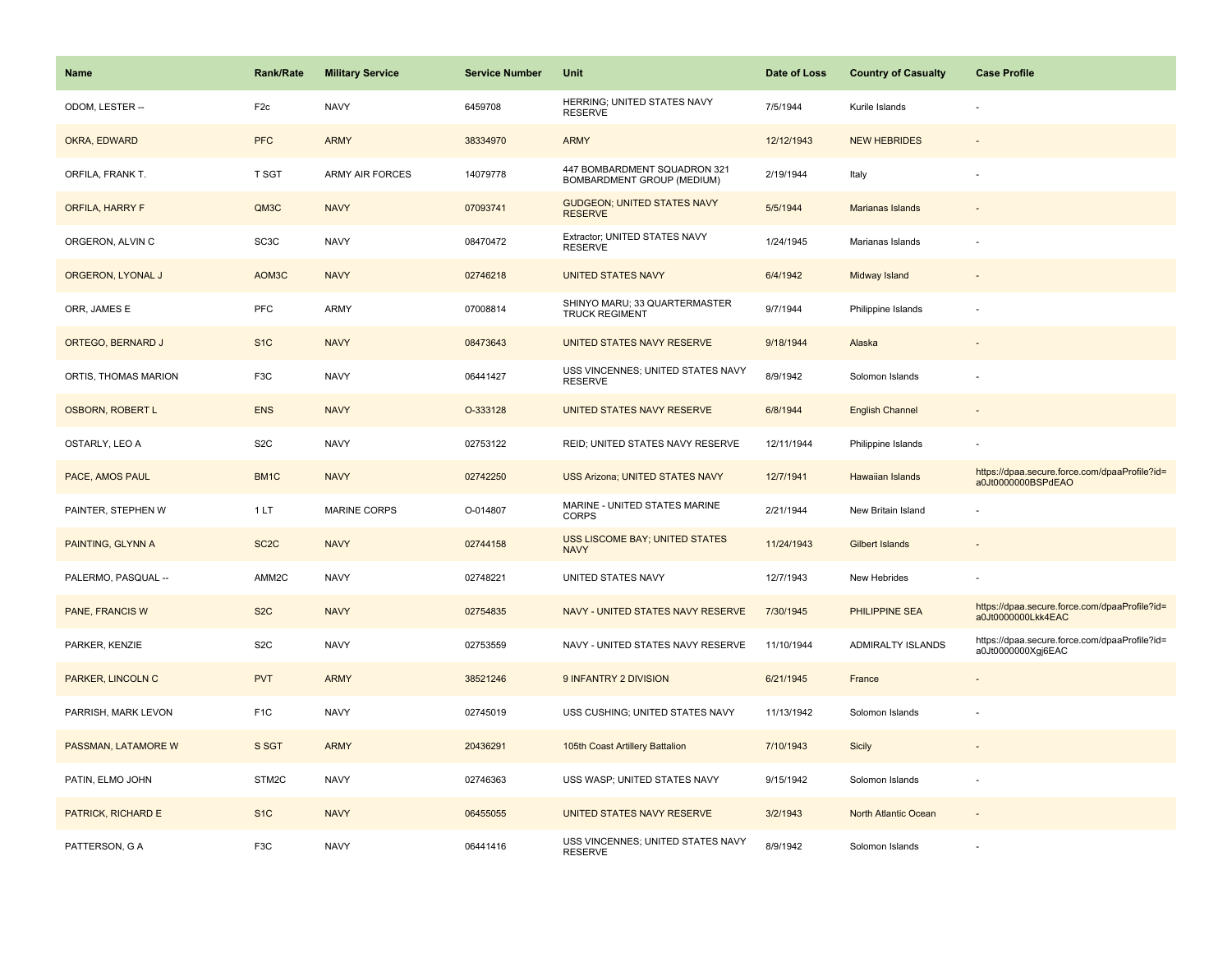| Name                      | <b>Rank/Rate</b>  | <b>Military Service</b> | <b>Service Number</b> | Unit                                                       | Date of Loss | <b>Country of Casualty</b> | <b>Case Profile</b>                                                 |
|---------------------------|-------------------|-------------------------|-----------------------|------------------------------------------------------------|--------------|----------------------------|---------------------------------------------------------------------|
| ODOM, LESTER --           | F <sub>2c</sub>   | <b>NAVY</b>             | 6459708               | HERRING; UNITED STATES NAVY<br><b>RESERVE</b>              | 7/5/1944     | Kurile Islands             |                                                                     |
| OKRA, EDWARD              | <b>PFC</b>        | <b>ARMY</b>             | 38334970              | <b>ARMY</b>                                                | 12/12/1943   | <b>NEW HEBRIDES</b>        |                                                                     |
| ORFILA, FRANK T.          | T SGT             | <b>ARMY AIR FORCES</b>  | 14079778              | 447 BOMBARDMENT SQUADRON 321<br>BOMBARDMENT GROUP (MEDIUM) | 2/19/1944    | Italy                      |                                                                     |
| <b>ORFILA, HARRY F</b>    | QM3C              | <b>NAVY</b>             | 07093741              | <b>GUDGEON; UNITED STATES NAVY</b><br><b>RESERVE</b>       | 5/5/1944     | <b>Marianas Islands</b>    |                                                                     |
| ORGERON, ALVIN C          | SC <sub>3</sub> C | <b>NAVY</b>             | 08470472              | Extractor: UNITED STATES NAVY<br><b>RESERVE</b>            | 1/24/1945    | Marianas Islands           |                                                                     |
| ORGERON, LYONAL J         | AOM3C             | <b>NAVY</b>             | 02746218              | <b>UNITED STATES NAVY</b>                                  | 6/4/1942     | Midway Island              |                                                                     |
| ORR, JAMES E              | PFC               | ARMY                    | 07008814              | SHINYO MARU; 33 QUARTERMASTER<br><b>TRUCK REGIMENT</b>     | 9/7/1944     | Philippine Islands         |                                                                     |
| ORTEGO, BERNARD J         | S <sub>1</sub> C  | <b>NAVY</b>             | 08473643              | UNITED STATES NAVY RESERVE                                 | 9/18/1944    | Alaska                     |                                                                     |
| ORTIS, THOMAS MARION      | F3C               | <b>NAVY</b>             | 06441427              | USS VINCENNES; UNITED STATES NAVY<br><b>RESERVE</b>        | 8/9/1942     | Solomon Islands            |                                                                     |
| <b>OSBORN, ROBERT L</b>   | <b>ENS</b>        | <b>NAVY</b>             | O-333128              | UNITED STATES NAVY RESERVE                                 | 6/8/1944     | <b>English Channel</b>     |                                                                     |
| OSTARLY, LEO A            | S <sub>2</sub> C  | <b>NAVY</b>             | 02753122              | REID; UNITED STATES NAVY RESERVE                           | 12/11/1944   | Philippine Islands         |                                                                     |
| PACE, AMOS PAUL           | BM <sub>1C</sub>  | <b>NAVY</b>             | 02742250              | <b>USS Arizona; UNITED STATES NAVY</b>                     | 12/7/1941    | <b>Hawaiian Islands</b>    | https://dpaa.secure.force.com/dpaaProfile?id=<br>a0Jt0000000BSPdEAO |
| PAINTER, STEPHEN W        | 1 LT              | <b>MARINE CORPS</b>     | O-014807              | MARINE - UNITED STATES MARINE<br>CORPS                     | 2/21/1944    | New Britain Island         |                                                                     |
| PAINTING, GLYNN A         | SC <sub>2</sub> C | <b>NAVY</b>             | 02744158              | USS LISCOME BAY; UNITED STATES<br><b>NAVY</b>              | 11/24/1943   | <b>Gilbert Islands</b>     |                                                                     |
| PALERMO, PASQUAL --       | AMM2C             | <b>NAVY</b>             | 02748221              | UNITED STATES NAVY                                         | 12/7/1943    | New Hebrides               |                                                                     |
| PANE, FRANCIS W           | S <sub>2</sub> C  | <b>NAVY</b>             | 02754835              | NAVY - UNITED STATES NAVY RESERVE                          | 7/30/1945    | <b>PHILIPPINE SEA</b>      | https://dpaa.secure.force.com/dpaaProfile?id=<br>a0Jt0000000Lkk4EAC |
| PARKER, KENZIE            | S <sub>2</sub> C  | <b>NAVY</b>             | 02753559              | NAVY - UNITED STATES NAVY RESERVE                          | 11/10/1944   | ADMIRALTY ISLANDS          | https://dpaa.secure.force.com/dpaaProfile?id=<br>a0Jt0000000Xgj6EAC |
| PARKER, LINCOLN C         | <b>PVT</b>        | <b>ARMY</b>             | 38521246              | 9 INFANTRY 2 DIVISION                                      | 6/21/1945    | France                     |                                                                     |
| PARRISH, MARK LEVON       | F <sub>1</sub> C  | <b>NAVY</b>             | 02745019              | USS CUSHING; UNITED STATES NAVY                            | 11/13/1942   | Solomon Islands            |                                                                     |
| PASSMAN, LATAMORE W       | S SGT             | <b>ARMY</b>             | 20436291              | 105th Coast Artillery Battalion                            | 7/10/1943    | Sicily                     |                                                                     |
| PATIN, ELMO JOHN          | STM2C             | <b>NAVY</b>             | 02746363              | USS WASP; UNITED STATES NAVY                               | 9/15/1942    | Solomon Islands            |                                                                     |
| <b>PATRICK, RICHARD E</b> | S <sub>1</sub> C  | <b>NAVY</b>             | 06455055              | UNITED STATES NAVY RESERVE                                 | 3/2/1943     | North Atlantic Ocean       |                                                                     |
| PATTERSON, G A            | F <sub>3</sub> C  | <b>NAVY</b>             | 06441416              | USS VINCENNES; UNITED STATES NAVY<br><b>RESERVE</b>        | 8/9/1942     | Solomon Islands            |                                                                     |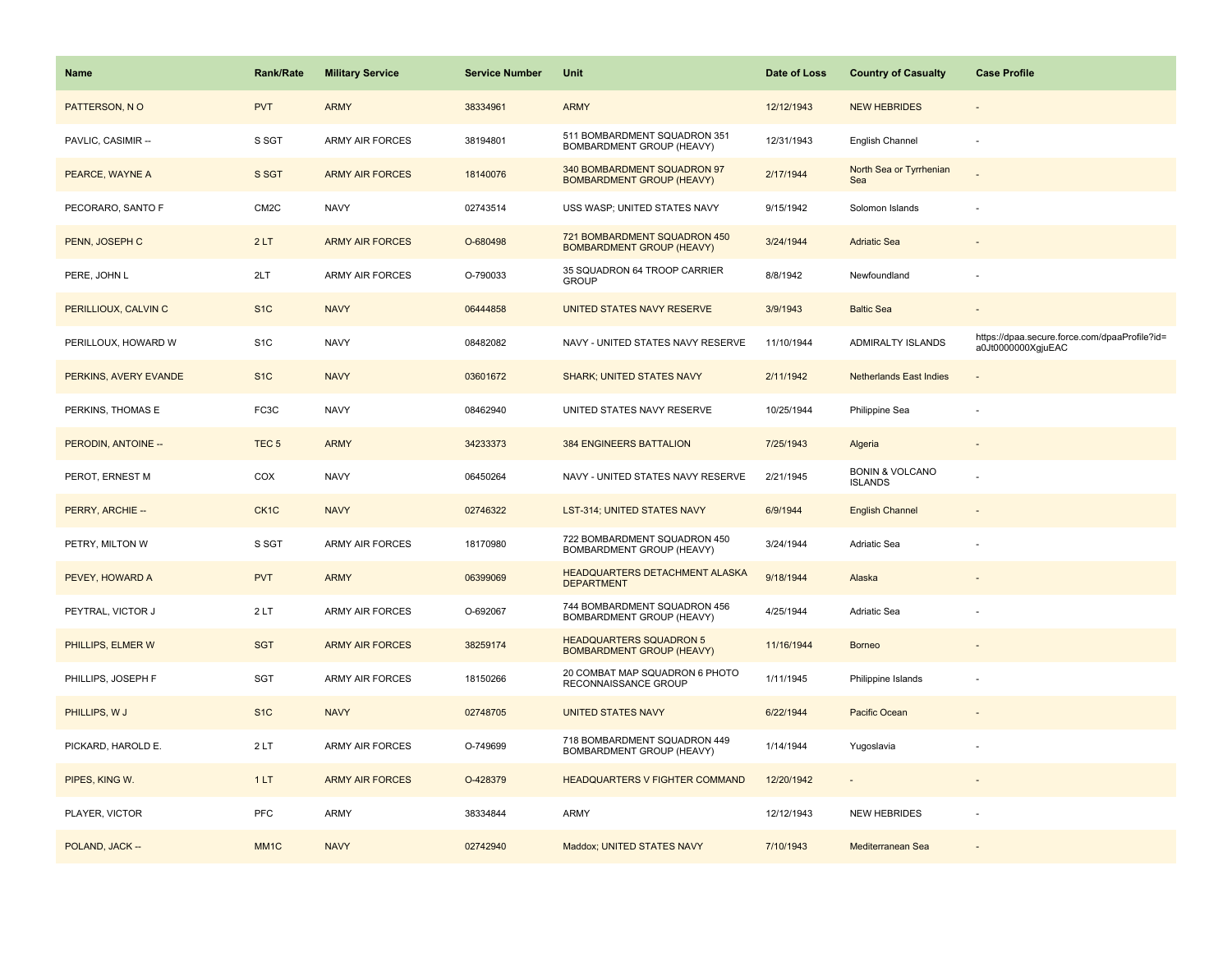| Name                  | <b>Rank/Rate</b>  | <b>Military Service</b> | <b>Service Number</b> | Unit                                                               | Date of Loss | <b>Country of Casualty</b>                   | <b>Case Profile</b>                                                 |
|-----------------------|-------------------|-------------------------|-----------------------|--------------------------------------------------------------------|--------------|----------------------------------------------|---------------------------------------------------------------------|
| PATTERSON, NO         | <b>PVT</b>        | <b>ARMY</b>             | 38334961              | <b>ARMY</b>                                                        | 12/12/1943   | <b>NEW HEBRIDES</b>                          |                                                                     |
| PAVLIC, CASIMIR --    | S SGT             | <b>ARMY AIR FORCES</b>  | 38194801              | 511 BOMBARDMENT SQUADRON 351<br>BOMBARDMENT GROUP (HEAVY)          | 12/31/1943   | English Channel                              |                                                                     |
| PEARCE, WAYNE A       | S SGT             | <b>ARMY AIR FORCES</b>  | 18140076              | 340 BOMBARDMENT SQUADRON 97<br><b>BOMBARDMENT GROUP (HEAVY)</b>    | 2/17/1944    | North Sea or Tyrrhenian<br>Sea               |                                                                     |
| PECORARO, SANTO F     | CM <sub>2</sub> C | <b>NAVY</b>             | 02743514              | USS WASP; UNITED STATES NAVY                                       | 9/15/1942    | Solomon Islands                              |                                                                     |
| PENN, JOSEPH C        | 2LT               | <b>ARMY AIR FORCES</b>  | O-680498              | 721 BOMBARDMENT SQUADRON 450<br><b>BOMBARDMENT GROUP (HEAVY)</b>   | 3/24/1944    | <b>Adriatic Sea</b>                          |                                                                     |
| PERE, JOHN L          | 2LT               | <b>ARMY AIR FORCES</b>  | O-790033              | 35 SQUADRON 64 TROOP CARRIER<br><b>GROUP</b>                       | 8/8/1942     | Newfoundland                                 |                                                                     |
| PERILLIOUX, CALVIN C  | S <sub>1</sub> C  | <b>NAVY</b>             | 06444858              | UNITED STATES NAVY RESERVE                                         | 3/9/1943     | <b>Baltic Sea</b>                            | $\sim$                                                              |
| PERILLOUX, HOWARD W   | S <sub>1</sub> C  | <b>NAVY</b>             | 08482082              | NAVY - UNITED STATES NAVY RESERVE                                  | 11/10/1944   | ADMIRALTY ISLANDS                            | https://dpaa.secure.force.com/dpaaProfile?id=<br>a0Jt0000000XgjuEAC |
| PERKINS, AVERY EVANDE | S <sub>1</sub> C  | <b>NAVY</b>             | 03601672              | <b>SHARK: UNITED STATES NAVY</b>                                   | 2/11/1942    | <b>Netherlands East Indies</b>               |                                                                     |
| PERKINS, THOMAS E     | FC3C              | <b>NAVY</b>             | 08462940              | UNITED STATES NAVY RESERVE                                         | 10/25/1944   | Philippine Sea                               |                                                                     |
| PERODIN, ANTOINE --   | TEC <sub>5</sub>  | <b>ARMY</b>             | 34233373              | <b>384 ENGINEERS BATTALION</b>                                     | 7/25/1943    | Algeria                                      |                                                                     |
| PEROT, ERNEST M       | COX               | <b>NAVY</b>             | 06450264              | NAVY - UNITED STATES NAVY RESERVE                                  | 2/21/1945    | <b>BONIN &amp; VOLCANO</b><br><b>ISLANDS</b> |                                                                     |
| PERRY, ARCHIE-        | CK <sub>1</sub> C | <b>NAVY</b>             | 02746322              | LST-314; UNITED STATES NAVY                                        | 6/9/1944     | <b>English Channel</b>                       |                                                                     |
| PETRY, MILTON W       | S SGT             | <b>ARMY AIR FORCES</b>  | 18170980              | 722 BOMBARDMENT SQUADRON 450<br>BOMBARDMENT GROUP (HEAVY)          | 3/24/1944    | Adriatic Sea                                 |                                                                     |
| PEVEY, HOWARD A       | <b>PVT</b>        | <b>ARMY</b>             | 06399069              | HEADQUARTERS DETACHMENT ALASKA<br><b>DEPARTMENT</b>                | 9/18/1944    | Alaska                                       |                                                                     |
| PEYTRAL, VICTOR J     | 2LT               | <b>ARMY AIR FORCES</b>  | O-692067              | 744 BOMBARDMENT SQUADRON 456<br>BOMBARDMENT GROUP (HEAVY)          | 4/25/1944    | Adriatic Sea                                 |                                                                     |
| PHILLIPS, ELMER W     | <b>SGT</b>        | <b>ARMY AIR FORCES</b>  | 38259174              | <b>HEADQUARTERS SQUADRON 5</b><br><b>BOMBARDMENT GROUP (HEAVY)</b> | 11/16/1944   | <b>Borneo</b>                                |                                                                     |
| PHILLIPS, JOSEPH F    | SGT               | <b>ARMY AIR FORCES</b>  | 18150266              | 20 COMBAT MAP SQUADRON 6 PHOTO<br>RECONNAISSANCE GROUP             | 1/11/1945    | Philippine Islands                           |                                                                     |
| PHILLIPS, WJ          | S <sub>1C</sub>   | <b>NAVY</b>             | 02748705              | <b>UNITED STATES NAVY</b>                                          | 6/22/1944    | Pacific Ocean                                |                                                                     |
| PICKARD, HAROLD E.    | 2LT               | <b>ARMY AIR FORCES</b>  | O-749699              | 718 BOMBARDMENT SQUADRON 449<br>BOMBARDMENT GROUP (HEAVY)          | 1/14/1944    | Yugoslavia                                   |                                                                     |
| PIPES, KING W.        | 1LT               | <b>ARMY AIR FORCES</b>  | O-428379              | <b>HEADQUARTERS V FIGHTER COMMAND</b>                              | 12/20/1942   |                                              |                                                                     |
| PLAYER, VICTOR        | <b>PFC</b>        | <b>ARMY</b>             | 38334844              | <b>ARMY</b>                                                        | 12/12/1943   | <b>NEW HEBRIDES</b>                          |                                                                     |
| POLAND, JACK --       | MM <sub>1C</sub>  | <b>NAVY</b>             | 02742940              | Maddox; UNITED STATES NAVY                                         | 7/10/1943    | Mediterranean Sea                            |                                                                     |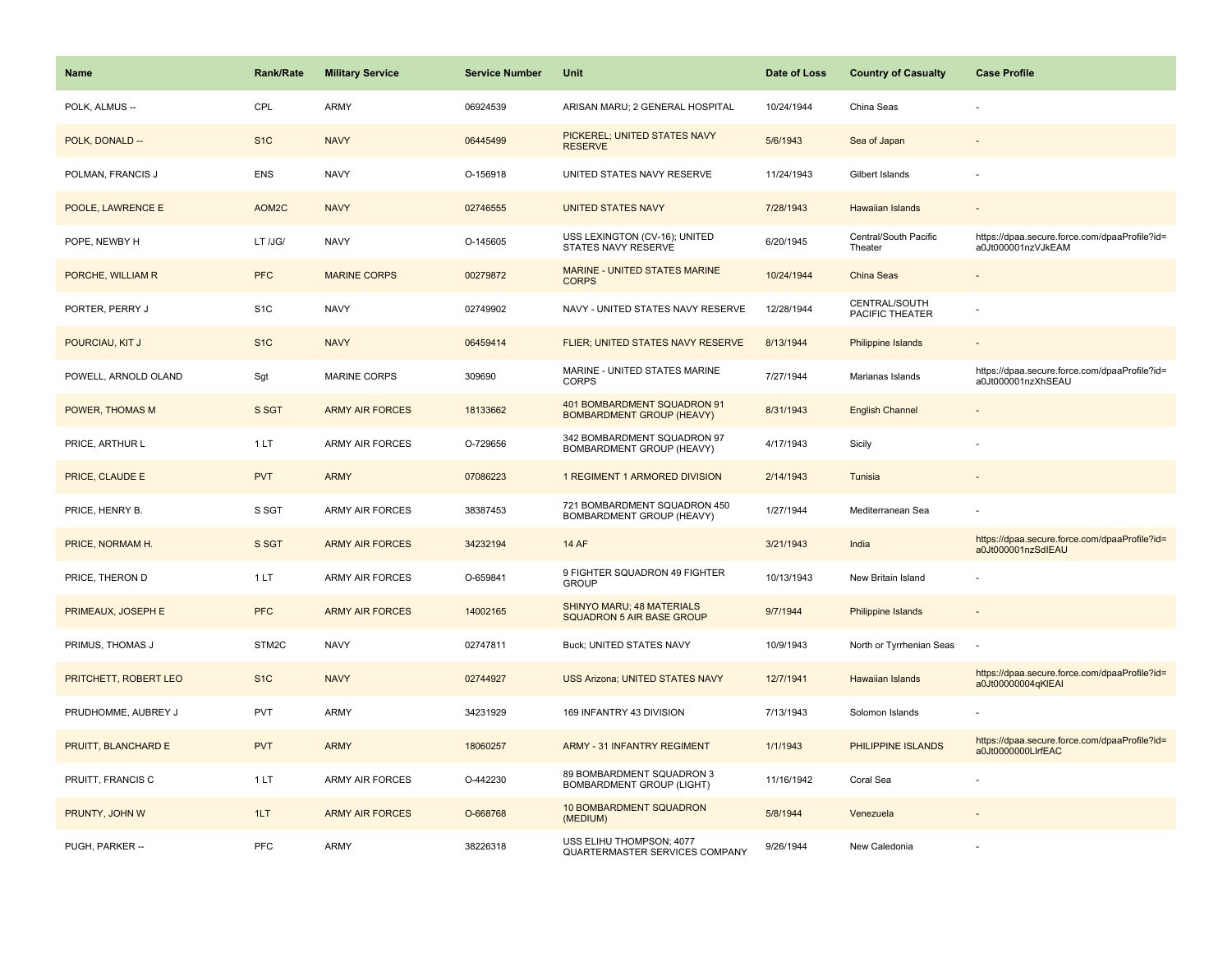| <b>Name</b>                | <b>Rank/Rate</b> | <b>Military Service</b> | <b>Service Number</b> | Unit                                                            | Date of Loss | <b>Country of Casualty</b>       | <b>Case Profile</b>                                                 |
|----------------------------|------------------|-------------------------|-----------------------|-----------------------------------------------------------------|--------------|----------------------------------|---------------------------------------------------------------------|
| POLK, ALMUS --             | CPL              | ARMY                    | 06924539              | ARISAN MARU; 2 GENERAL HOSPITAL                                 | 10/24/1944   | China Seas                       |                                                                     |
| POLK, DONALD --            | S <sub>1</sub> C | <b>NAVY</b>             | 06445499              | PICKEREL; UNITED STATES NAVY<br><b>RESERVE</b>                  | 5/6/1943     | Sea of Japan                     |                                                                     |
| POLMAN, FRANCIS J          | <b>ENS</b>       | <b>NAVY</b>             | O-156918              | UNITED STATES NAVY RESERVE                                      | 11/24/1943   | Gilbert Islands                  |                                                                     |
| POOLE, LAWRENCE E          | AOM2C            | <b>NAVY</b>             | 02746555              | <b>UNITED STATES NAVY</b>                                       | 7/28/1943    | Hawaiian Islands                 |                                                                     |
| POPE, NEWBY H              | LT /JG/          | <b>NAVY</b>             | O-145605              | USS LEXINGTON (CV-16); UNITED<br>STATES NAVY RESERVE            | 6/20/1945    | Central/South Pacific<br>Theater | https://dpaa.secure.force.com/dpaaProfile?id=<br>a0Jt000001nzVJkEAM |
| PORCHE, WILLIAM R          | <b>PFC</b>       | <b>MARINE CORPS</b>     | 00279872              | MARINE - UNITED STATES MARINE<br><b>CORPS</b>                   | 10/24/1944   | China Seas                       |                                                                     |
| PORTER, PERRY J            | S <sub>1</sub> C | <b>NAVY</b>             | 02749902              | NAVY - UNITED STATES NAVY RESERVE                               | 12/28/1944   | CENTRAL/SOUTH<br>PACIFIC THEATER |                                                                     |
| POURCIAU, KIT J            | S <sub>1</sub> C | <b>NAVY</b>             | 06459414              | FLIER; UNITED STATES NAVY RESERVE                               | 8/13/1944    | Philippine Islands               |                                                                     |
| POWELL, ARNOLD OLAND       | Sgt              | <b>MARINE CORPS</b>     | 309690                | MARINE - UNITED STATES MARINE<br>CORPS                          | 7/27/1944    | Marianas Islands                 | https://dpaa.secure.force.com/dpaaProfile?id=<br>a0Jt000001nzXhSEAU |
| POWER, THOMAS M            | S SGT            | <b>ARMY AIR FORCES</b>  | 18133662              | 401 BOMBARDMENT SQUADRON 91<br><b>BOMBARDMENT GROUP (HEAVY)</b> | 8/31/1943    | <b>English Channel</b>           |                                                                     |
| PRICE, ARTHUR L            | 1LT              | <b>ARMY AIR FORCES</b>  | O-729656              | 342 BOMBARDMENT SQUADRON 97<br><b>BOMBARDMENT GROUP (HEAVY)</b> | 4/17/1943    | Sicily                           |                                                                     |
| PRICE, CLAUDE E            | <b>PVT</b>       | <b>ARMY</b>             | 07086223              | 1 REGIMENT 1 ARMORED DIVISION                                   | 2/14/1943    | Tunisia                          |                                                                     |
| PRICE, HENRY B.            | S SGT            | <b>ARMY AIR FORCES</b>  | 38387453              | 721 BOMBARDMENT SQUADRON 450<br>BOMBARDMENT GROUP (HEAVY)       | 1/27/1944    | Mediterranean Sea                |                                                                     |
| PRICE, NORMAM H.           | S SGT            | <b>ARMY AIR FORCES</b>  | 34232194              | <b>14 AF</b>                                                    | 3/21/1943    | India                            | https://dpaa.secure.force.com/dpaaProfile?id=<br>a0Jt000001nzSdIEAU |
| PRICE, THERON D            | 1LT              | ARMY AIR FORCES         | O-659841              | 9 FIGHTER SQUADRON 49 FIGHTER<br><b>GROUP</b>                   | 10/13/1943   | New Britain Island               |                                                                     |
| PRIMEAUX, JOSEPH E         | <b>PFC</b>       | <b>ARMY AIR FORCES</b>  | 14002165              | SHINYO MARU; 48 MATERIALS<br><b>SQUADRON 5 AIR BASE GROUP</b>   | 9/7/1944     | Philippine Islands               |                                                                     |
| PRIMUS, THOMAS J           | STM2C            | <b>NAVY</b>             | 02747811              | Buck; UNITED STATES NAVY                                        | 10/9/1943    | North or Tyrrhenian Seas         | $\overline{\phantom{a}}$                                            |
| PRITCHETT, ROBERT LEO      | S <sub>1C</sub>  | <b>NAVY</b>             | 02744927              | USS Arizona; UNITED STATES NAVY                                 | 12/7/1941    | Hawaiian Islands                 | https://dpaa.secure.force.com/dpaaProfile?id=<br>a0Jt00000004qKIEAI |
| PRUDHOMME, AUBREY J        | <b>PVT</b>       | ARMY                    | 34231929              | 169 INFANTRY 43 DIVISION                                        | 7/13/1943    | Solomon Islands                  |                                                                     |
| <b>PRUITT, BLANCHARD E</b> | <b>PVT</b>       | <b>ARMY</b>             | 18060257              | <b>ARMY - 31 INFANTRY REGIMENT</b>                              | 1/1/1943     | PHILIPPINE ISLANDS               | https://dpaa.secure.force.com/dpaaProfile?id=<br>a0Jt0000000LlrfEAC |
| PRUITT, FRANCIS C          | 1LT              | <b>ARMY AIR FORCES</b>  | O-442230              | 89 BOMBARDMENT SQUADRON 3<br><b>BOMBARDMENT GROUP (LIGHT)</b>   | 11/16/1942   | Coral Sea                        |                                                                     |
| PRUNTY, JOHN W             | 1LT              | <b>ARMY AIR FORCES</b>  | O-668768              | 10 BOMBARDMENT SQUADRON<br>(MEDIUM)                             | 5/8/1944     | Venezuela                        |                                                                     |
| PUGH, PARKER --            | <b>PFC</b>       | ARMY                    | 38226318              | USS ELIHU THOMPSON; 4077<br>QUARTERMASTER SERVICES COMPANY      | 9/26/1944    | New Caledonia                    |                                                                     |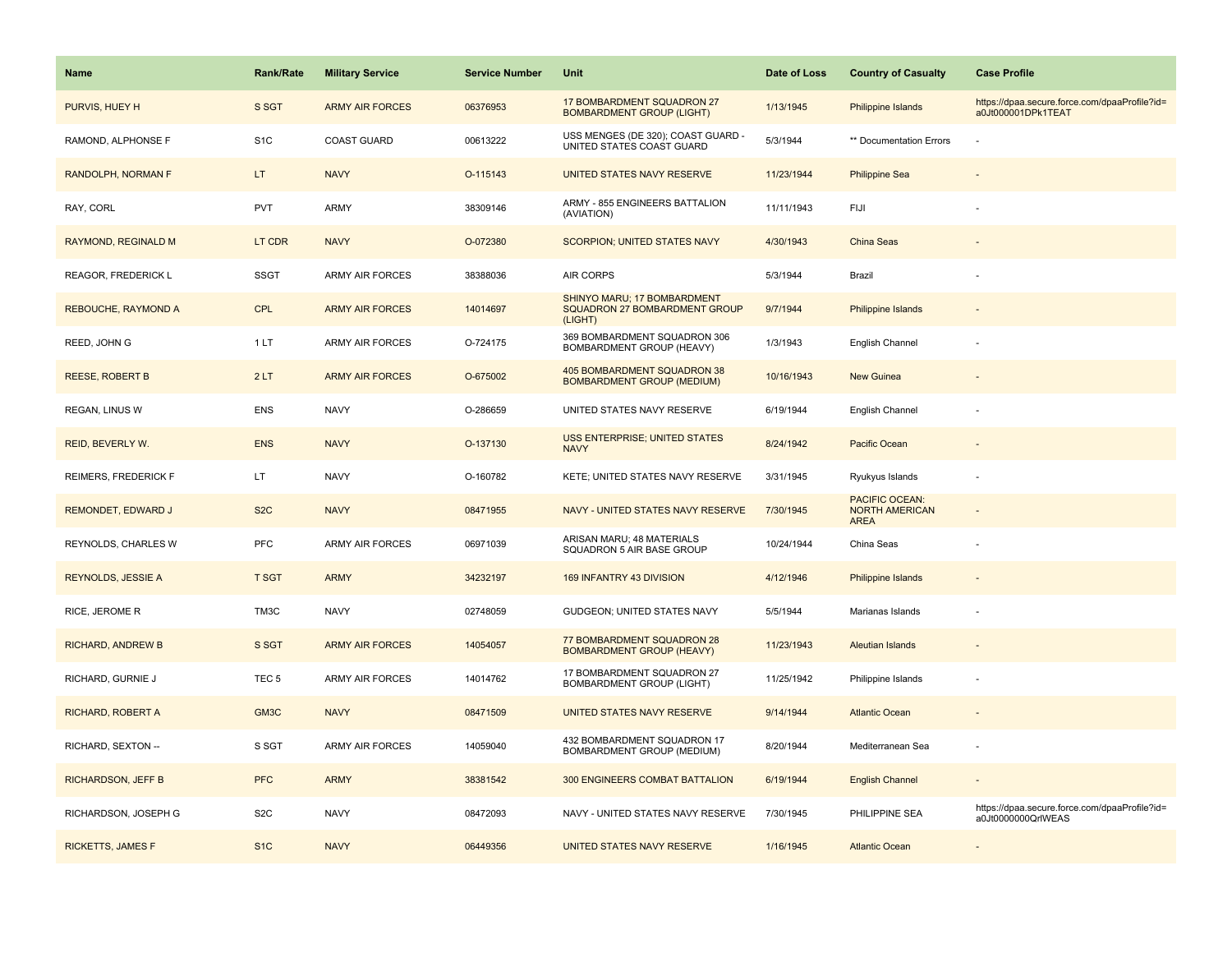| <b>Name</b>                | <b>Rank/Rate</b> | <b>Military Service</b> | <b>Service Number</b> | Unit                                                                    | Date of Loss | <b>Country of Casualty</b>                                    | <b>Case Profile</b>                                                 |
|----------------------------|------------------|-------------------------|-----------------------|-------------------------------------------------------------------------|--------------|---------------------------------------------------------------|---------------------------------------------------------------------|
| PURVIS, HUEY H             | S SGT            | <b>ARMY AIR FORCES</b>  | 06376953              | 17 BOMBARDMENT SQUADRON 27<br><b>BOMBARDMENT GROUP (LIGHT)</b>          | 1/13/1945    | Philippine Islands                                            | https://dpaa.secure.force.com/dpaaProfile?id=<br>a0Jt000001DPk1TEAT |
| RAMOND, ALPHONSE F         | S <sub>1</sub> C | <b>COAST GUARD</b>      | 00613222              | USS MENGES (DE 320); COAST GUARD -<br>UNITED STATES COAST GUARD         | 5/3/1944     | ** Documentation Errors                                       |                                                                     |
| RANDOLPH, NORMAN F         | LT.              | <b>NAVY</b>             | O-115143              | UNITED STATES NAVY RESERVE                                              | 11/23/1944   | <b>Philippine Sea</b>                                         |                                                                     |
| RAY, CORL                  | <b>PVT</b>       | ARMY                    | 38309146              | ARMY - 855 ENGINEERS BATTALION<br>(AVIATION)                            | 11/11/1943   | FIJI                                                          |                                                                     |
| <b>RAYMOND, REGINALD M</b> | LT CDR           | <b>NAVY</b>             | O-072380              | SCORPION; UNITED STATES NAVY                                            | 4/30/1943    | China Seas                                                    |                                                                     |
| REAGOR, FREDERICK L        | <b>SSGT</b>      | <b>ARMY AIR FORCES</b>  | 38388036              | AIR CORPS                                                               | 5/3/1944     | Brazil                                                        |                                                                     |
| REBOUCHE, RAYMOND A        | <b>CPL</b>       | <b>ARMY AIR FORCES</b>  | 14014697              | SHINYO MARU; 17 BOMBARDMENT<br>SQUADRON 27 BOMBARDMENT GROUP<br>(LIGHT) | 9/7/1944     | Philippine Islands                                            |                                                                     |
| REED, JOHN G               | 1LT              | <b>ARMY AIR FORCES</b>  | O-724175              | 369 BOMBARDMENT SQUADRON 306<br>BOMBARDMENT GROUP (HEAVY)               | 1/3/1943     | English Channel                                               |                                                                     |
| <b>REESE, ROBERT B</b>     | 2LT              | <b>ARMY AIR FORCES</b>  | O-675002              | 405 BOMBARDMENT SQUADRON 38<br><b>BOMBARDMENT GROUP (MEDIUM)</b>        | 10/16/1943   | <b>New Guinea</b>                                             |                                                                     |
| REGAN, LINUS W             | <b>ENS</b>       | <b>NAVY</b>             | O-286659              | UNITED STATES NAVY RESERVE                                              | 6/19/1944    | English Channel                                               |                                                                     |
| REID, BEVERLY W.           | <b>ENS</b>       | <b>NAVY</b>             | O-137130              | <b>USS ENTERPRISE; UNITED STATES</b><br><b>NAVY</b>                     | 8/24/1942    | Pacific Ocean                                                 |                                                                     |
| REIMERS, FREDERICK F       | LT               | <b>NAVY</b>             | O-160782              | KETE; UNITED STATES NAVY RESERVE                                        | 3/31/1945    | Ryukyus Islands                                               |                                                                     |
| REMONDET, EDWARD J         | S <sub>2</sub> C | <b>NAVY</b>             | 08471955              | NAVY - UNITED STATES NAVY RESERVE                                       | 7/30/1945    | <b>PACIFIC OCEAN:</b><br><b>NORTH AMERICAN</b><br><b>AREA</b> |                                                                     |
| REYNOLDS, CHARLES W        | <b>PFC</b>       | ARMY AIR FORCES         | 06971039              | ARISAN MARU; 48 MATERIALS<br>SQUADRON 5 AIR BASE GROUP                  | 10/24/1944   | China Seas                                                    |                                                                     |
| <b>REYNOLDS, JESSIE A</b>  | <b>T SGT</b>     | <b>ARMY</b>             | 34232197              | 169 INFANTRY 43 DIVISION                                                | 4/12/1946    | Philippine Islands                                            |                                                                     |
| RICE, JEROME R             | TM3C             | <b>NAVY</b>             | 02748059              | GUDGEON; UNITED STATES NAVY                                             | 5/5/1944     | Marianas Islands                                              |                                                                     |
| <b>RICHARD, ANDREW B</b>   | S SGT            | <b>ARMY AIR FORCES</b>  | 14054057              | 77 BOMBARDMENT SQUADRON 28<br><b>BOMBARDMENT GROUP (HEAVY)</b>          | 11/23/1943   | <b>Aleutian Islands</b>                                       |                                                                     |
| RICHARD, GURNIE J          | TEC <sub>5</sub> | ARMY AIR FORCES         | 14014762              | 17 BOMBARDMENT SQUADRON 27<br>BOMBARDMENT GROUP (LIGHT)                 | 11/25/1942   | Philippine Islands                                            |                                                                     |
| RICHARD, ROBERT A          | GM3C             | <b>NAVY</b>             | 08471509              | UNITED STATES NAVY RESERVE                                              | 9/14/1944    | <b>Atlantic Ocean</b>                                         |                                                                     |
| RICHARD, SEXTON --         | S SGT            | ARMY AIR FORCES         | 14059040              | 432 BOMBARDMENT SQUADRON 17<br>BOMBARDMENT GROUP (MEDIUM)               | 8/20/1944    | Mediterranean Sea                                             |                                                                     |
| <b>RICHARDSON, JEFF B</b>  | <b>PFC</b>       | <b>ARMY</b>             | 38381542              | 300 ENGINEERS COMBAT BATTALION                                          | 6/19/1944    | <b>English Channel</b>                                        |                                                                     |
| RICHARDSON, JOSEPH G       | S <sub>2</sub> C | <b>NAVY</b>             | 08472093              | NAVY - UNITED STATES NAVY RESERVE                                       | 7/30/1945    | PHILIPPINE SEA                                                | https://dpaa.secure.force.com/dpaaProfile?id=<br>a0Jt0000000QrlWEAS |
| <b>RICKETTS, JAMES F</b>   | S <sub>1C</sub>  | <b>NAVY</b>             | 06449356              | UNITED STATES NAVY RESERVE                                              | 1/16/1945    | <b>Atlantic Ocean</b>                                         |                                                                     |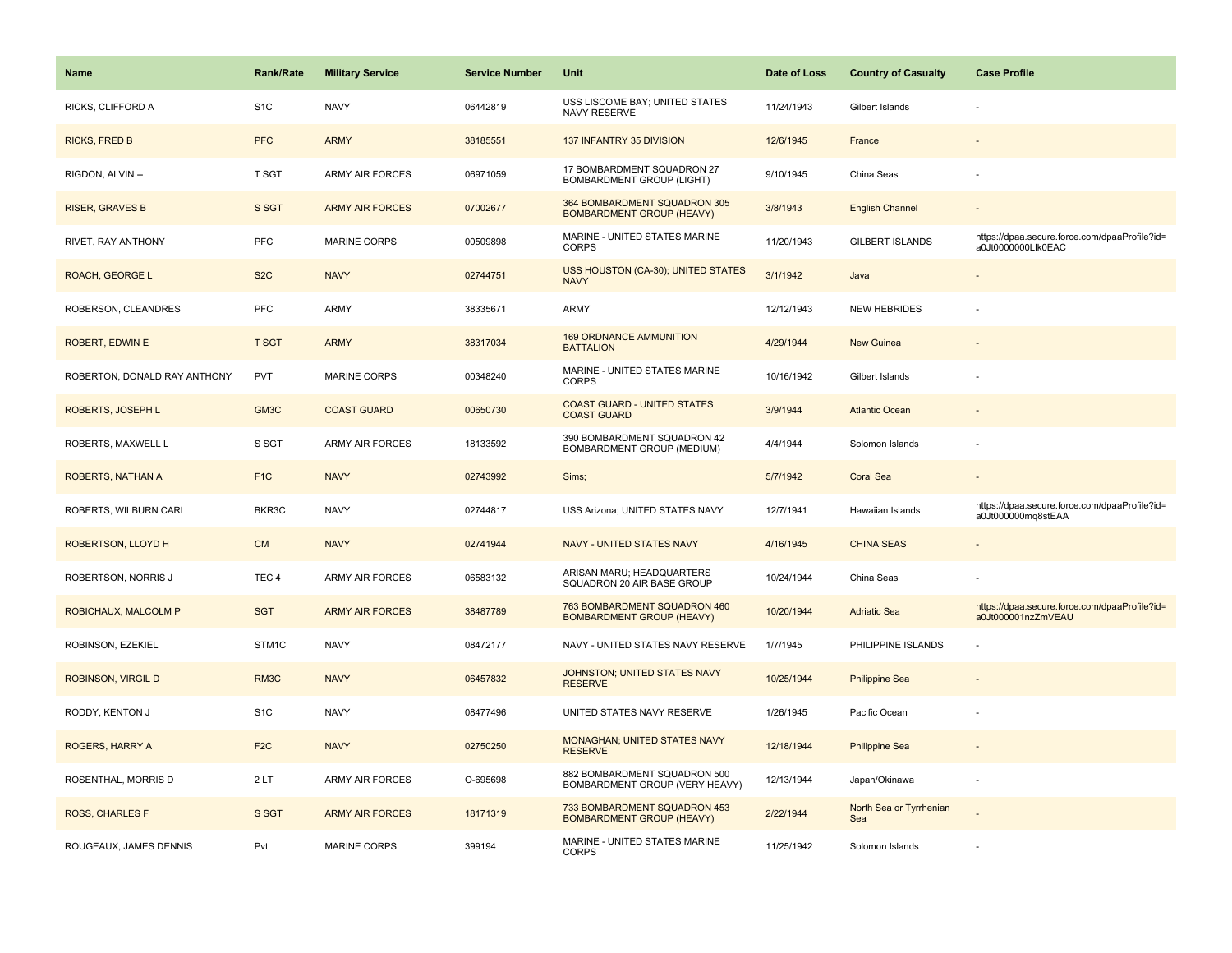| <b>Name</b>                  | Rank/Rate        | <b>Military Service</b> | <b>Service Number</b> | Unit                                                             | Date of Loss | <b>Country of Casualty</b>     | <b>Case Profile</b>                                                 |
|------------------------------|------------------|-------------------------|-----------------------|------------------------------------------------------------------|--------------|--------------------------------|---------------------------------------------------------------------|
| RICKS, CLIFFORD A            | S <sub>1</sub> C | <b>NAVY</b>             | 06442819              | USS LISCOME BAY; UNITED STATES<br>NAVY RESERVE                   | 11/24/1943   | Gilbert Islands                |                                                                     |
| <b>RICKS, FRED B</b>         | <b>PFC</b>       | <b>ARMY</b>             | 38185551              | 137 INFANTRY 35 DIVISION                                         | 12/6/1945    | France                         |                                                                     |
| RIGDON, ALVIN --             | T SGT            | <b>ARMY AIR FORCES</b>  | 06971059              | 17 BOMBARDMENT SQUADRON 27<br><b>BOMBARDMENT GROUP (LIGHT)</b>   | 9/10/1945    | China Seas                     |                                                                     |
| <b>RISER, GRAVES B</b>       | S SGT            | <b>ARMY AIR FORCES</b>  | 07002677              | 364 BOMBARDMENT SQUADRON 305<br><b>BOMBARDMENT GROUP (HEAVY)</b> | 3/8/1943     | <b>English Channel</b>         |                                                                     |
| RIVET, RAY ANTHONY           | <b>PFC</b>       | <b>MARINE CORPS</b>     | 00509898              | MARINE - UNITED STATES MARINE<br><b>CORPS</b>                    | 11/20/1943   | <b>GILBERT ISLANDS</b>         | https://dpaa.secure.force.com/dpaaProfile?id=<br>a0Jt0000000Llk0EAC |
| ROACH, GEORGE L              | S <sub>2</sub> C | <b>NAVY</b>             | 02744751              | USS HOUSTON (CA-30); UNITED STATES<br><b>NAVY</b>                | 3/1/1942     | Java                           |                                                                     |
| ROBERSON, CLEANDRES          | <b>PFC</b>       | ARMY                    | 38335671              | <b>ARMY</b>                                                      | 12/12/1943   | <b>NEW HEBRIDES</b>            |                                                                     |
| <b>ROBERT, EDWIN E</b>       | <b>T SGT</b>     | <b>ARMY</b>             | 38317034              | <b>169 ORDNANCE AMMUNITION</b><br><b>BATTALION</b>               | 4/29/1944    | <b>New Guinea</b>              |                                                                     |
| ROBERTON, DONALD RAY ANTHONY | <b>PVT</b>       | MARINE CORPS            | 00348240              | MARINE - UNITED STATES MARINE<br><b>CORPS</b>                    | 10/16/1942   | Gilbert Islands                |                                                                     |
| ROBERTS, JOSEPH L            | GM3C             | <b>COAST GUARD</b>      | 00650730              | <b>COAST GUARD - UNITED STATES</b><br><b>COAST GUARD</b>         | 3/9/1944     | <b>Atlantic Ocean</b>          |                                                                     |
| ROBERTS, MAXWELL L           | S SGT            | <b>ARMY AIR FORCES</b>  | 18133592              | 390 BOMBARDMENT SQUADRON 42<br><b>BOMBARDMENT GROUP (MEDIUM)</b> | 4/4/1944     | Solomon Islands                |                                                                     |
| ROBERTS, NATHAN A            | F <sub>1</sub> C | <b>NAVY</b>             | 02743992              | Sims;                                                            | 5/7/1942     | <b>Coral Sea</b>               | $\sim$                                                              |
| ROBERTS, WILBURN CARL        | BKR3C            | <b>NAVY</b>             | 02744817              | USS Arizona; UNITED STATES NAVY                                  | 12/7/1941    | Hawaiian Islands               | https://dpaa.secure.force.com/dpaaProfile?id=<br>a0Jt000000mq8stEAA |
| ROBERTSON, LLOYD H           | <b>CM</b>        | <b>NAVY</b>             | 02741944              | <b>NAVY - UNITED STATES NAVY</b>                                 | 4/16/1945    | <b>CHINA SEAS</b>              |                                                                     |
| ROBERTSON, NORRIS J          | TEC <sub>4</sub> | <b>ARMY AIR FORCES</b>  | 06583132              | ARISAN MARU; HEADQUARTERS<br>SQUADRON 20 AIR BASE GROUP          | 10/24/1944   | China Seas                     |                                                                     |
| ROBICHAUX, MALCOLM P         | <b>SGT</b>       | <b>ARMY AIR FORCES</b>  | 38487789              | 763 BOMBARDMENT SQUADRON 460<br><b>BOMBARDMENT GROUP (HEAVY)</b> | 10/20/1944   | <b>Adriatic Sea</b>            | https://dpaa.secure.force.com/dpaaProfile?id=<br>a0Jt000001nzZmVEAU |
| ROBINSON, EZEKIEL            | STM1C            | <b>NAVY</b>             | 08472177              | NAVY - UNITED STATES NAVY RESERVE                                | 1/7/1945     | PHILIPPINE ISLANDS             |                                                                     |
| ROBINSON, VIRGIL D           | RM3C             | <b>NAVY</b>             | 06457832              | JOHNSTON; UNITED STATES NAVY<br><b>RESERVE</b>                   | 10/25/1944   | <b>Philippine Sea</b>          |                                                                     |
| RODDY, KENTON J              | S <sub>1</sub> C | <b>NAVY</b>             | 08477496              | UNITED STATES NAVY RESERVE                                       | 1/26/1945    | Pacific Ocean                  |                                                                     |
| ROGERS, HARRY A              | F <sub>2</sub> C | <b>NAVY</b>             | 02750250              | MONAGHAN; UNITED STATES NAVY<br><b>RESERVE</b>                   | 12/18/1944   | <b>Philippine Sea</b>          |                                                                     |
| ROSENTHAL, MORRIS D          | 2LT              | <b>ARMY AIR FORCES</b>  | O-695698              | 882 BOMBARDMENT SQUADRON 500<br>BOMBARDMENT GROUP (VERY HEAVY)   | 12/13/1944   | Japan/Okinawa                  | ÷,                                                                  |
| <b>ROSS, CHARLES F</b>       | S SGT            | <b>ARMY AIR FORCES</b>  | 18171319              | 733 BOMBARDMENT SQUADRON 453<br><b>BOMBARDMENT GROUP (HEAVY)</b> | 2/22/1944    | North Sea or Tyrrhenian<br>Sea |                                                                     |
| ROUGEAUX, JAMES DENNIS       | Pvt              | MARINE CORPS            | 399194                | MARINE - UNITED STATES MARINE<br><b>CORPS</b>                    | 11/25/1942   | Solomon Islands                |                                                                     |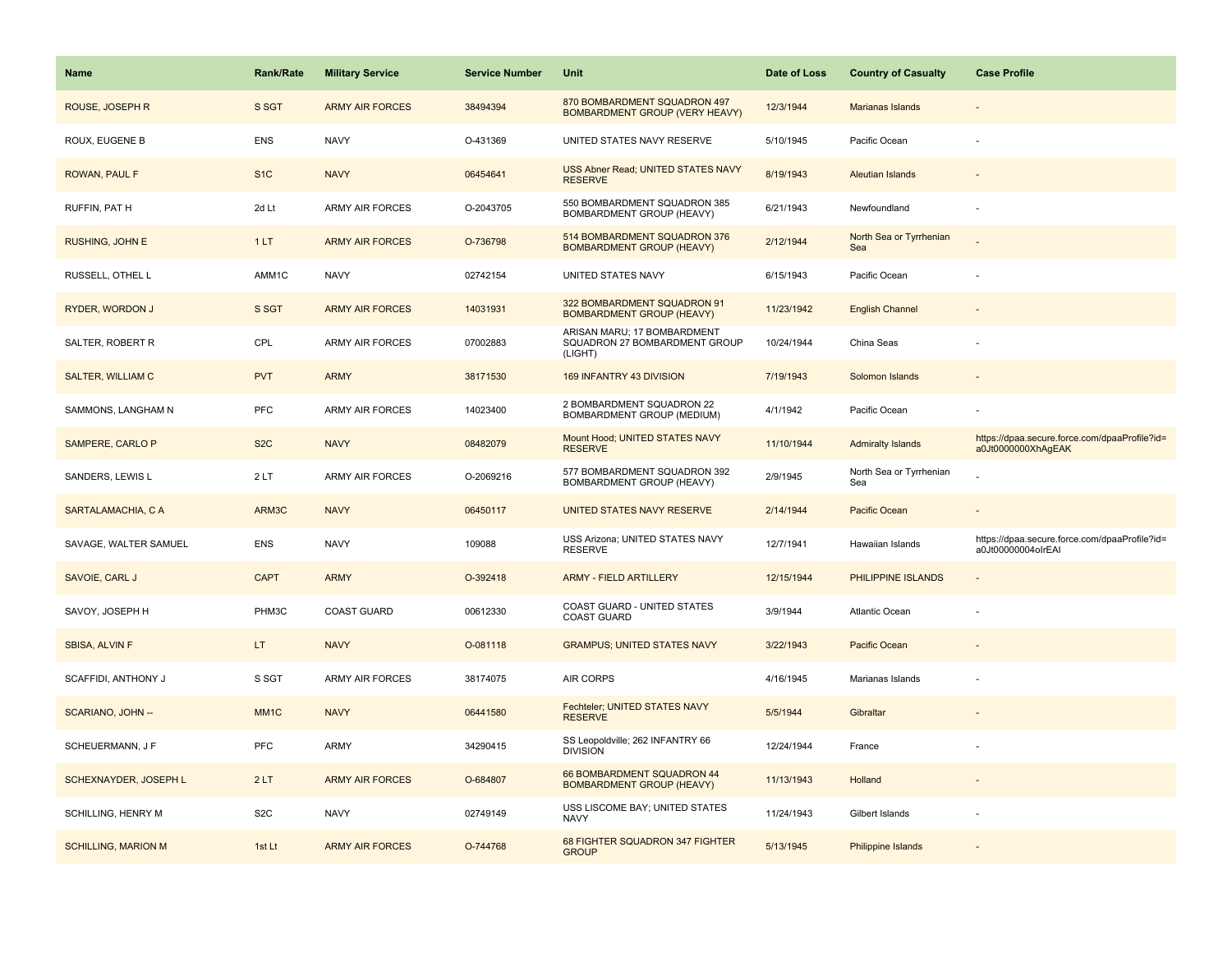| Name                       | <b>Rank/Rate</b>  | <b>Military Service</b> | <b>Service Number</b> | Unit                                                                    | Date of Loss | <b>Country of Casualty</b>     | <b>Case Profile</b>                                                 |
|----------------------------|-------------------|-------------------------|-----------------------|-------------------------------------------------------------------------|--------------|--------------------------------|---------------------------------------------------------------------|
| ROUSE, JOSEPH R            | S SGT             | <b>ARMY AIR FORCES</b>  | 38494394              | 870 BOMBARDMENT SQUADRON 497<br>BOMBARDMENT GROUP (VERY HEAVY)          | 12/3/1944    | Marianas Islands               |                                                                     |
| ROUX, EUGENE B             | <b>ENS</b>        | <b>NAVY</b>             | O-431369              | UNITED STATES NAVY RESERVE                                              | 5/10/1945    | Pacific Ocean                  |                                                                     |
| <b>ROWAN, PAUL F</b>       | S <sub>1</sub> C  | <b>NAVY</b>             | 06454641              | USS Abner Read; UNITED STATES NAVY<br><b>RESERVE</b>                    | 8/19/1943    | <b>Aleutian Islands</b>        |                                                                     |
| RUFFIN, PAT H              | 2d Lt             | <b>ARMY AIR FORCES</b>  | O-2043705             | 550 BOMBARDMENT SQUADRON 385<br><b>BOMBARDMENT GROUP (HEAVY)</b>        | 6/21/1943    | Newfoundland                   |                                                                     |
| RUSHING, JOHN E            | 1LT               | <b>ARMY AIR FORCES</b>  | O-736798              | 514 BOMBARDMENT SQUADRON 376<br><b>BOMBARDMENT GROUP (HEAVY)</b>        | 2/12/1944    | North Sea or Tyrrhenian<br>Sea |                                                                     |
| RUSSELL, OTHEL L           | AMM1C             | <b>NAVY</b>             | 02742154              | UNITED STATES NAVY                                                      | 6/15/1943    | Pacific Ocean                  |                                                                     |
| <b>RYDER, WORDON J</b>     | S SGT             | <b>ARMY AIR FORCES</b>  | 14031931              | 322 BOMBARDMENT SQUADRON 91<br><b>BOMBARDMENT GROUP (HEAVY)</b>         | 11/23/1942   | <b>English Channel</b>         |                                                                     |
| SALTER, ROBERT R           | CPL               | <b>ARMY AIR FORCES</b>  | 07002883              | ARISAN MARU; 17 BOMBARDMENT<br>SQUADRON 27 BOMBARDMENT GROUP<br>(LIGHT) | 10/24/1944   | China Seas                     |                                                                     |
| <b>SALTER, WILLIAM C</b>   | <b>PVT</b>        | <b>ARMY</b>             | 38171530              | 169 INFANTRY 43 DIVISION                                                | 7/19/1943    | Solomon Islands                |                                                                     |
| SAMMONS, LANGHAM N         | <b>PFC</b>        | <b>ARMY AIR FORCES</b>  | 14023400              | 2 BOMBARDMENT SQUADRON 22<br>BOMBARDMENT GROUP (MEDIUM)                 | 4/1/1942     | Pacific Ocean                  |                                                                     |
| SAMPERE, CARLO P           | S <sub>2</sub> C  | <b>NAVY</b>             | 08482079              | Mount Hood; UNITED STATES NAVY<br><b>RESERVE</b>                        | 11/10/1944   | <b>Admiralty Islands</b>       | https://dpaa.secure.force.com/dpaaProfile?id=<br>a0Jt0000000XhAgEAK |
| SANDERS, LEWIS L           | 2LT               | <b>ARMY AIR FORCES</b>  | O-2069216             | 577 BOMBARDMENT SQUADRON 392<br>BOMBARDMENT GROUP (HEAVY)               | 2/9/1945     | North Sea or Tyrrhenian<br>Sea |                                                                     |
| SARTALAMACHIA, C A         | ARM3C             | <b>NAVY</b>             | 06450117              | UNITED STATES NAVY RESERVE                                              | 2/14/1944    | Pacific Ocean                  |                                                                     |
| SAVAGE, WALTER SAMUEL      | ENS               | <b>NAVY</b>             | 109088                | USS Arizona; UNITED STATES NAVY<br><b>RESERVE</b>                       | 12/7/1941    | Hawaiian Islands               | https://dpaa.secure.force.com/dpaaProfile?id=<br>a0Jt00000004olrEAI |
| SAVOIE, CARL J             | <b>CAPT</b>       | <b>ARMY</b>             | O-392418              | <b>ARMY - FIELD ARTILLERY</b>                                           | 12/15/1944   | PHILIPPINE ISLANDS             |                                                                     |
| SAVOY, JOSEPH H            | PHM3C             | <b>COAST GUARD</b>      | 00612330              | COAST GUARD - UNITED STATES<br><b>COAST GUARD</b>                       | 3/9/1944     | Atlantic Ocean                 |                                                                     |
| SBISA, ALVIN F             | LT.               | <b>NAVY</b>             | O-081118              | <b>GRAMPUS; UNITED STATES NAVY</b>                                      | 3/22/1943    | Pacific Ocean                  |                                                                     |
| SCAFFIDI, ANTHONY J        | S SGT             | <b>ARMY AIR FORCES</b>  | 38174075              | <b>AIR CORPS</b>                                                        | 4/16/1945    | Marianas Islands               |                                                                     |
| SCARIANO, JOHN --          | MM <sub>1</sub> C | <b>NAVY</b>             | 06441580              | Fechteler; UNITED STATES NAVY<br><b>RESERVE</b>                         | 5/5/1944     | Gibraltar                      |                                                                     |
| SCHEUERMANN, J F           | <b>PFC</b>        | ARMY                    | 34290415              | SS Leopoldville; 262 INFANTRY 66<br><b>DIVISION</b>                     | 12/24/1944   | France                         |                                                                     |
| SCHEXNAYDER, JOSEPH L      | 2LT               | <b>ARMY AIR FORCES</b>  | O-684807              | 66 BOMBARDMENT SQUADRON 44<br><b>BOMBARDMENT GROUP (HEAVY)</b>          | 11/13/1943   | Holland                        |                                                                     |
| SCHILLING, HENRY M         | S <sub>2</sub> C  | <b>NAVY</b>             | 02749149              | USS LISCOME BAY; UNITED STATES<br><b>NAVY</b>                           | 11/24/1943   | Gilbert Islands                |                                                                     |
| <b>SCHILLING, MARION M</b> | 1st Lt            | <b>ARMY AIR FORCES</b>  | O-744768              | 68 FIGHTER SQUADRON 347 FIGHTER<br><b>GROUP</b>                         | 5/13/1945    | <b>Philippine Islands</b>      |                                                                     |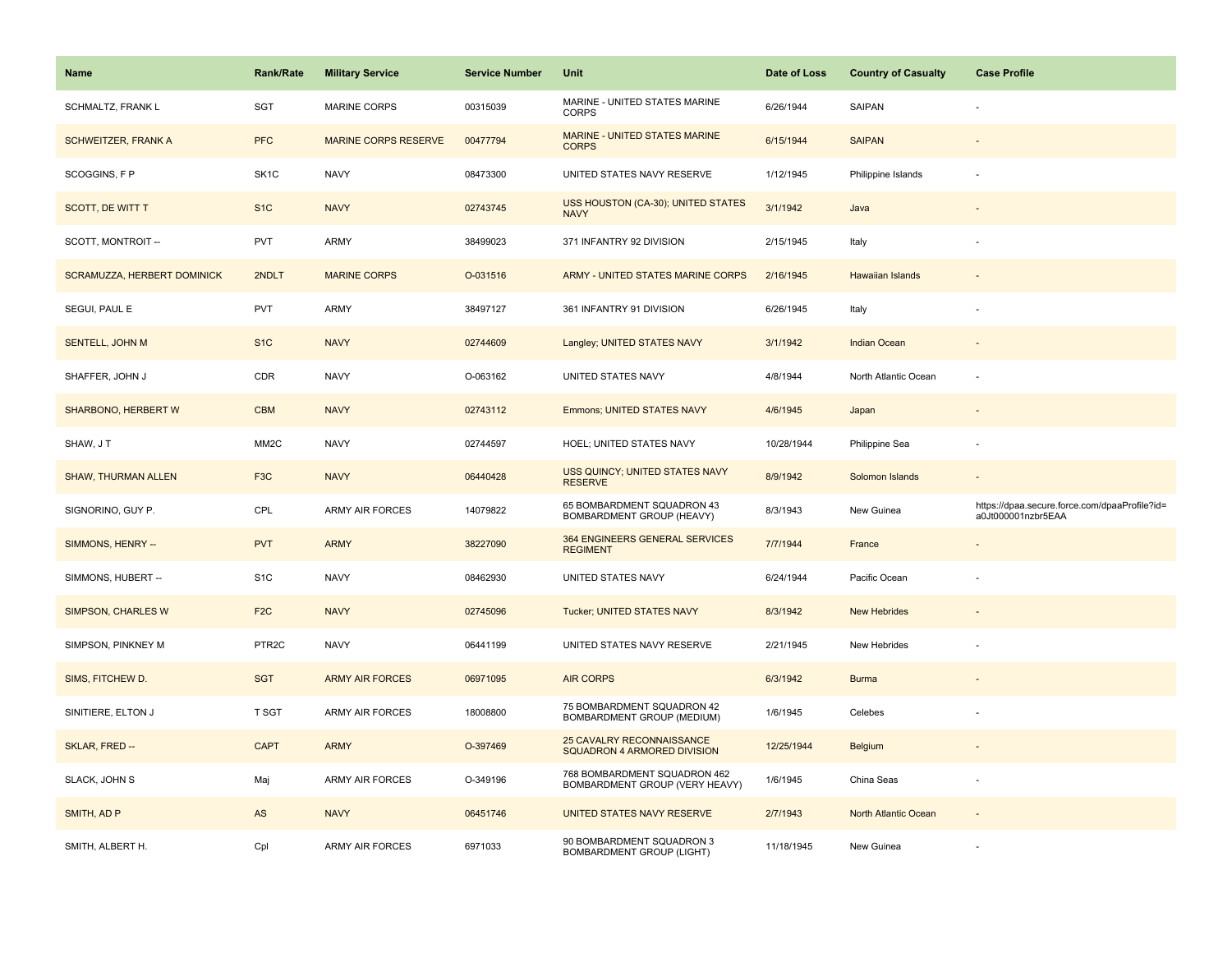| Name                        | <b>Rank/Rate</b>  | <b>Military Service</b>     | <b>Service Number</b> | Unit                                                           | Date of Loss | <b>Country of Casualty</b> | <b>Case Profile</b>                                                 |
|-----------------------------|-------------------|-----------------------------|-----------------------|----------------------------------------------------------------|--------------|----------------------------|---------------------------------------------------------------------|
| <b>SCHMALTZ, FRANK L</b>    | <b>SGT</b>        | <b>MARINE CORPS</b>         | 00315039              | MARINE - UNITED STATES MARINE<br><b>CORPS</b>                  | 6/26/1944    | <b>SAIPAN</b>              |                                                                     |
| SCHWEITZER, FRANK A         | <b>PFC</b>        | <b>MARINE CORPS RESERVE</b> | 00477794              | MARINE - UNITED STATES MARINE<br><b>CORPS</b>                  | 6/15/1944    | <b>SAIPAN</b>              |                                                                     |
| SCOGGINS, F P               | SK <sub>1</sub> C | <b>NAVY</b>                 | 08473300              | UNITED STATES NAVY RESERVE                                     | 1/12/1945    | Philippine Islands         |                                                                     |
| <b>SCOTT, DE WITT T</b>     | S <sub>1</sub> C  | <b>NAVY</b>                 | 02743745              | USS HOUSTON (CA-30); UNITED STATES<br><b>NAVY</b>              | 3/1/1942     | Java                       |                                                                     |
| SCOTT, MONTROIT --          | <b>PVT</b>        | ARMY                        | 38499023              | 371 INFANTRY 92 DIVISION                                       | 2/15/1945    | Italy                      |                                                                     |
| SCRAMUZZA, HERBERT DOMINICK | 2NDLT             | <b>MARINE CORPS</b>         | O-031516              | ARMY - UNITED STATES MARINE CORPS                              | 2/16/1945    | Hawaiian Islands           |                                                                     |
| SEGUI, PAUL E               | <b>PVT</b>        | ARMY                        | 38497127              | 361 INFANTRY 91 DIVISION                                       | 6/26/1945    | Italy                      |                                                                     |
| <b>SENTELL, JOHN M</b>      | S <sub>1</sub> C  | <b>NAVY</b>                 | 02744609              | Langley; UNITED STATES NAVY                                    | 3/1/1942     | <b>Indian Ocean</b>        |                                                                     |
| SHAFFER, JOHN J             | CDR               | <b>NAVY</b>                 | O-063162              | UNITED STATES NAVY                                             | 4/8/1944     | North Atlantic Ocean       |                                                                     |
| SHARBONO, HERBERT W         | <b>CBM</b>        | <b>NAVY</b>                 | 02743112              | Emmons; UNITED STATES NAVY                                     | 4/6/1945     | Japan                      |                                                                     |
| SHAW, J T                   | MM <sub>2</sub> C | <b>NAVY</b>                 | 02744597              | HOEL; UNITED STATES NAVY                                       | 10/28/1944   | Philippine Sea             |                                                                     |
| <b>SHAW, THURMAN ALLEN</b>  | F <sub>3</sub> C  | <b>NAVY</b>                 | 06440428              | USS QUINCY; UNITED STATES NAVY<br><b>RESERVE</b>               | 8/9/1942     | Solomon Islands            |                                                                     |
| SIGNORINO, GUY P.           | CPL               | ARMY AIR FORCES             | 14079822              | 65 BOMBARDMENT SQUADRON 43<br>BOMBARDMENT GROUP (HEAVY)        | 8/3/1943     | New Guinea                 | https://dpaa.secure.force.com/dpaaProfile?id=<br>a0Jt000001nzbr5EAA |
| SIMMONS, HENRY --           | <b>PVT</b>        | <b>ARMY</b>                 | 38227090              | 364 ENGINEERS GENERAL SERVICES<br><b>REGIMENT</b>              | 7/7/1944     | France                     |                                                                     |
| SIMMONS, HUBERT --          | S <sub>1</sub> C  | <b>NAVY</b>                 | 08462930              | UNITED STATES NAVY                                             | 6/24/1944    | Pacific Ocean              |                                                                     |
| SIMPSON, CHARLES W          | F <sub>2</sub> C  | <b>NAVY</b>                 | 02745096              | Tucker; UNITED STATES NAVY                                     | 8/3/1942     | <b>New Hebrides</b>        |                                                                     |
| SIMPSON, PINKNEY M          | PTR <sub>2C</sub> | <b>NAVY</b>                 | 06441199              | UNITED STATES NAVY RESERVE                                     | 2/21/1945    | New Hebrides               |                                                                     |
| SIMS, FITCHEW D.            | <b>SGT</b>        | <b>ARMY AIR FORCES</b>      | 06971095              | <b>AIR CORPS</b>                                               | 6/3/1942     | <b>Burma</b>               |                                                                     |
| SINITIERE, ELTON J          | T SGT             | ARMY AIR FORCES             | 18008800              | 75 BOMBARDMENT SQUADRON 42<br>BOMBARDMENT GROUP (MEDIUM)       | 1/6/1945     | Celebes                    |                                                                     |
| SKLAR, FRED --              | <b>CAPT</b>       | <b>ARMY</b>                 | O-397469              | 25 CAVALRY RECONNAISSANCE<br>SQUADRON 4 ARMORED DIVISION       | 12/25/1944   | <b>Belgium</b>             |                                                                     |
| SLACK, JOHN S               | Maj               | ARMY AIR FORCES             | O-349196              | 768 BOMBARDMENT SQUADRON 462<br>BOMBARDMENT GROUP (VERY HEAVY) | 1/6/1945     | China Seas                 |                                                                     |
| SMITH, AD P                 | AS                | <b>NAVY</b>                 | 06451746              | UNITED STATES NAVY RESERVE                                     | 2/7/1943     | North Atlantic Ocean       |                                                                     |
| SMITH, ALBERT H.            | Cpl               | <b>ARMY AIR FORCES</b>      | 6971033               | 90 BOMBARDMENT SQUADRON 3<br><b>BOMBARDMENT GROUP (LIGHT)</b>  | 11/18/1945   | New Guinea                 |                                                                     |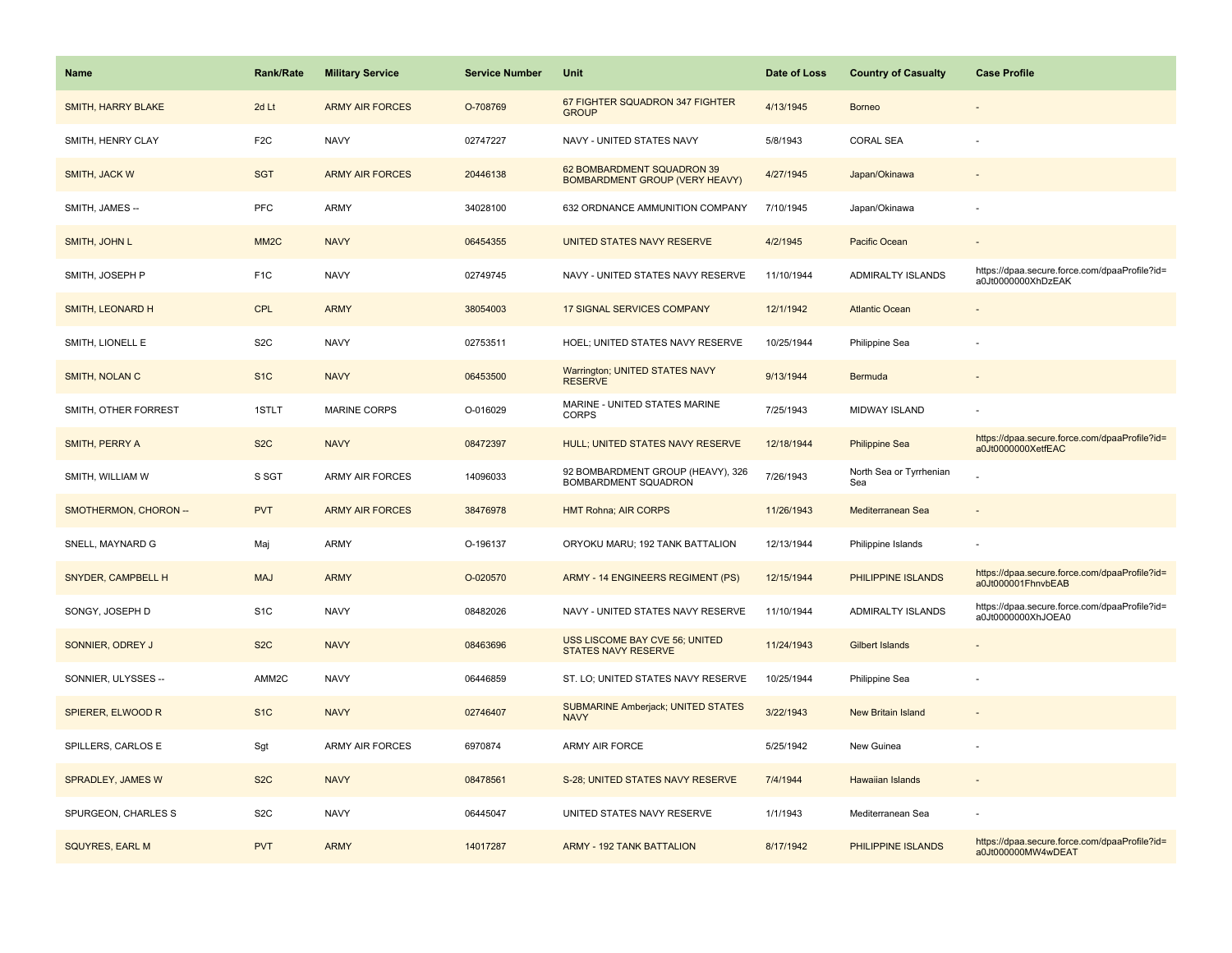| <b>Name</b>               | <b>Rank/Rate</b>  | <b>Military Service</b> | <b>Service Number</b> | Unit                                                         | Date of Loss | <b>Country of Casualty</b>     | <b>Case Profile</b>                                                 |
|---------------------------|-------------------|-------------------------|-----------------------|--------------------------------------------------------------|--------------|--------------------------------|---------------------------------------------------------------------|
| <b>SMITH, HARRY BLAKE</b> | 2d Lt             | <b>ARMY AIR FORCES</b>  | O-708769              | 67 FIGHTER SQUADRON 347 FIGHTER<br><b>GROUP</b>              | 4/13/1945    | <b>Borneo</b>                  |                                                                     |
| SMITH, HENRY CLAY         | F <sub>2C</sub>   | <b>NAVY</b>             | 02747227              | NAVY - UNITED STATES NAVY                                    | 5/8/1943     | <b>CORAL SEA</b>               |                                                                     |
| SMITH, JACK W             | <b>SGT</b>        | <b>ARMY AIR FORCES</b>  | 20446138              | 62 BOMBARDMENT SQUADRON 39<br>BOMBARDMENT GROUP (VERY HEAVY) | 4/27/1945    | Japan/Okinawa                  |                                                                     |
| SMITH, JAMES --           | <b>PFC</b>        | ARMY                    | 34028100              | 632 ORDNANCE AMMUNITION COMPANY                              | 7/10/1945    | Japan/Okinawa                  |                                                                     |
| SMITH, JOHN L             | MM <sub>2</sub> C | <b>NAVY</b>             | 06454355              | UNITED STATES NAVY RESERVE                                   | 4/2/1945     | Pacific Ocean                  |                                                                     |
| SMITH, JOSEPH P           | F <sub>1</sub> C  | <b>NAVY</b>             | 02749745              | NAVY - UNITED STATES NAVY RESERVE                            | 11/10/1944   | <b>ADMIRALTY ISLANDS</b>       | https://dpaa.secure.force.com/dpaaProfile?id=<br>a0Jt0000000XhDzEAK |
| SMITH, LEONARD H          | <b>CPL</b>        | <b>ARMY</b>             | 38054003              | <b>17 SIGNAL SERVICES COMPANY</b>                            | 12/1/1942    | <b>Atlantic Ocean</b>          |                                                                     |
| SMITH, LIONELL E          | S <sub>2</sub> C  | <b>NAVY</b>             | 02753511              | HOEL; UNITED STATES NAVY RESERVE                             | 10/25/1944   | Philippine Sea                 |                                                                     |
| SMITH, NOLAN C            | S <sub>1</sub> C  | <b>NAVY</b>             | 06453500              | Warrington; UNITED STATES NAVY<br><b>RESERVE</b>             | 9/13/1944    | Bermuda                        |                                                                     |
| SMITH, OTHER FORREST      | 1STLT             | <b>MARINE CORPS</b>     | O-016029              | MARINE - UNITED STATES MARINE<br>CORPS                       | 7/25/1943    | <b>MIDWAY ISLAND</b>           |                                                                     |
| SMITH, PERRY A            | S <sub>2</sub> C  | <b>NAVY</b>             | 08472397              | HULL; UNITED STATES NAVY RESERVE                             | 12/18/1944   | <b>Philippine Sea</b>          | https://dpaa.secure.force.com/dpaaProfile?id=<br>a0Jt0000000XetfEAC |
| SMITH, WILLIAM W          | S SGT             | <b>ARMY AIR FORCES</b>  | 14096033              | 92 BOMBARDMENT GROUP (HEAVY), 326<br>BOMBARDMENT SQUADRON    | 7/26/1943    | North Sea or Tyrrhenian<br>Sea |                                                                     |
| SMOTHERMON, CHORON --     | <b>PVT</b>        | <b>ARMY AIR FORCES</b>  | 38476978              | <b>HMT Rohna; AIR CORPS</b>                                  | 11/26/1943   | Mediterranean Sea              |                                                                     |
| SNELL, MAYNARD G          | Maj               | <b>ARMY</b>             | O-196137              | ORYOKU MARU; 192 TANK BATTALION                              | 12/13/1944   | Philippine Islands             |                                                                     |
| SNYDER, CAMPBELL H        | <b>MAJ</b>        | <b>ARMY</b>             | O-020570              | ARMY - 14 ENGINEERS REGIMENT (PS)                            | 12/15/1944   | PHILIPPINE ISLANDS             | https://dpaa.secure.force.com/dpaaProfile?id=<br>a0Jt000001FhnvbEAB |
| SONGY, JOSEPH D           | S <sub>1</sub> C  | <b>NAVY</b>             | 08482026              | NAVY - UNITED STATES NAVY RESERVE                            | 11/10/1944   | <b>ADMIRALTY ISLANDS</b>       | https://dpaa.secure.force.com/dpaaProfile?id=<br>a0Jt0000000XhJOEA0 |
| SONNIER, ODREY J          | S <sub>2</sub> C  | <b>NAVY</b>             | 08463696              | USS LISCOME BAY CVE 56; UNITED<br><b>STATES NAVY RESERVE</b> | 11/24/1943   | <b>Gilbert Islands</b>         |                                                                     |
| SONNIER, ULYSSES --       | AMM2C             | <b>NAVY</b>             | 06446859              | ST. LO; UNITED STATES NAVY RESERVE                           | 10/25/1944   | Philippine Sea                 |                                                                     |
| SPIERER, ELWOOD R         | S <sub>1</sub> C  | <b>NAVY</b>             | 02746407              | <b>SUBMARINE Amberjack; UNITED STATES</b><br><b>NAVY</b>     | 3/22/1943    | <b>New Britain Island</b>      |                                                                     |
| SPILLERS, CARLOS E        | Sgt               | <b>ARMY AIR FORCES</b>  | 6970874               | ARMY AIR FORCE                                               | 5/25/1942    | New Guinea                     |                                                                     |
| <b>SPRADLEY, JAMES W</b>  | S <sub>2</sub> C  | <b>NAVY</b>             | 08478561              | S-28; UNITED STATES NAVY RESERVE                             | 7/4/1944     | <b>Hawaiian Islands</b>        |                                                                     |
| SPURGEON, CHARLES S       | S <sub>2</sub> C  | <b>NAVY</b>             | 06445047              | UNITED STATES NAVY RESERVE                                   | 1/1/1943     | Mediterranean Sea              |                                                                     |
| <b>SQUYRES, EARL M</b>    | <b>PVT</b>        | <b>ARMY</b>             | 14017287              | <b>ARMY - 192 TANK BATTALION</b>                             | 8/17/1942    | <b>PHILIPPINE ISLANDS</b>      | https://dpaa.secure.force.com/dpaaProfile?id=<br>a0Jt000000MW4wDEAT |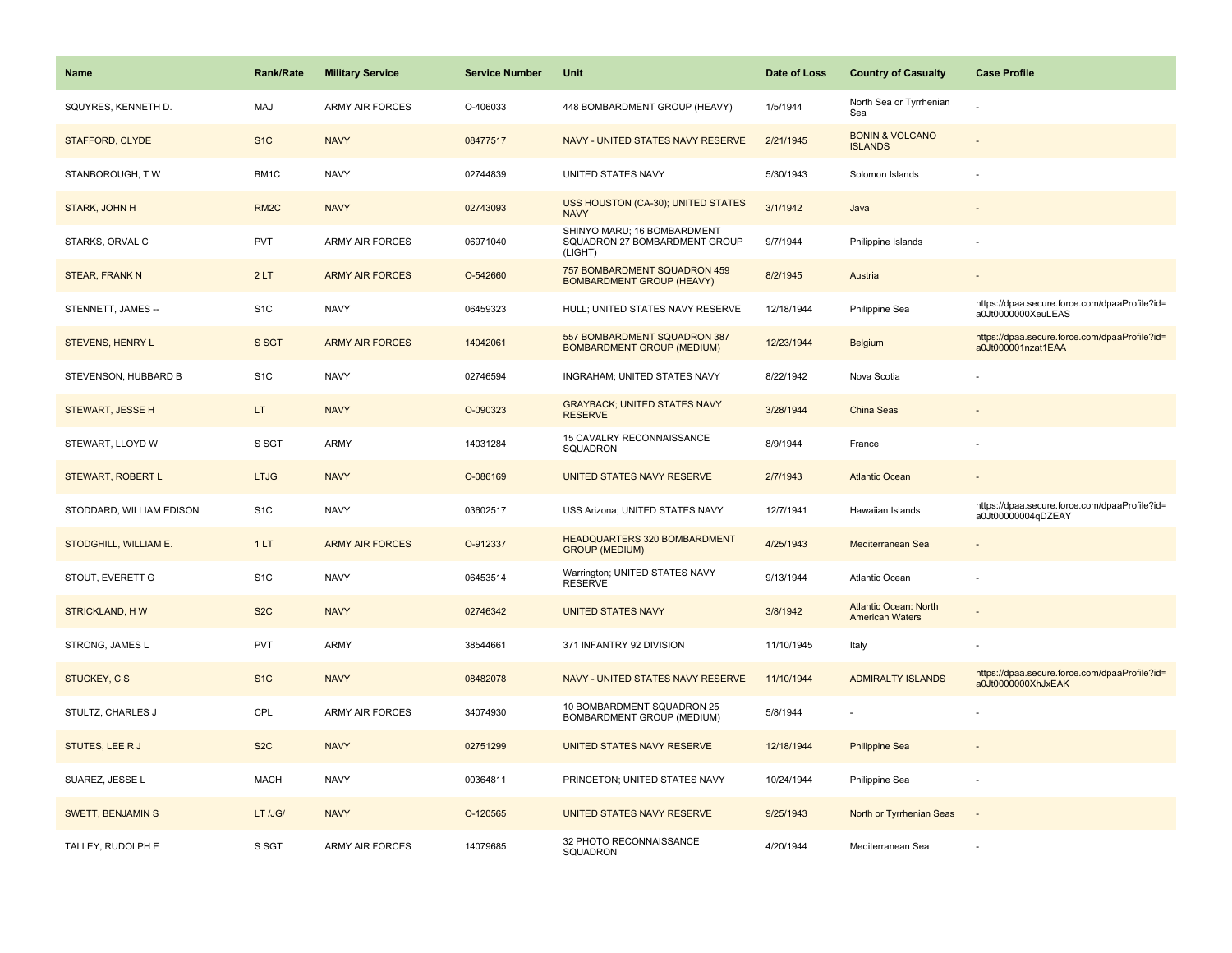| Name                     | <b>Rank/Rate</b>  | <b>Military Service</b> | <b>Service Number</b> | Unit                                                                    | Date of Loss | <b>Country of Casualty</b>                             | <b>Case Profile</b>                                                 |
|--------------------------|-------------------|-------------------------|-----------------------|-------------------------------------------------------------------------|--------------|--------------------------------------------------------|---------------------------------------------------------------------|
| SQUYRES, KENNETH D.      | MAJ               | <b>ARMY AIR FORCES</b>  | O-406033              | 448 BOMBARDMENT GROUP (HEAVY)                                           | 1/5/1944     | North Sea or Tyrrhenian<br>Sea                         |                                                                     |
| STAFFORD, CLYDE          | S <sub>1C</sub>   | <b>NAVY</b>             | 08477517              | NAVY - UNITED STATES NAVY RESERVE                                       | 2/21/1945    | <b>BONIN &amp; VOLCANO</b><br><b>ISLANDS</b>           |                                                                     |
| STANBOROUGH, TW          | BM <sub>1</sub> C | <b>NAVY</b>             | 02744839              | UNITED STATES NAVY                                                      | 5/30/1943    | Solomon Islands                                        |                                                                     |
| STARK, JOHN H            | RM <sub>2</sub> C | <b>NAVY</b>             | 02743093              | USS HOUSTON (CA-30); UNITED STATES<br><b>NAVY</b>                       | 3/1/1942     | Java                                                   |                                                                     |
| STARKS, ORVAL C          | <b>PVT</b>        | <b>ARMY AIR FORCES</b>  | 06971040              | SHINYO MARU; 16 BOMBARDMENT<br>SQUADRON 27 BOMBARDMENT GROUP<br>(LIGHT) | 9/7/1944     | Philippine Islands                                     |                                                                     |
| STEAR, FRANK N           | 2LT               | <b>ARMY AIR FORCES</b>  | O-542660              | 757 BOMBARDMENT SQUADRON 459<br><b>BOMBARDMENT GROUP (HEAVY)</b>        | 8/2/1945     | Austria                                                |                                                                     |
| STENNETT, JAMES --       | S <sub>1</sub> C  | <b>NAVY</b>             | 06459323              | HULL; UNITED STATES NAVY RESERVE                                        | 12/18/1944   | Philippine Sea                                         | https://dpaa.secure.force.com/dpaaProfile?id=<br>a0Jt0000000XeuLEAS |
| <b>STEVENS, HENRY L</b>  | S SGT             | <b>ARMY AIR FORCES</b>  | 14042061              | 557 BOMBARDMENT SQUADRON 387<br><b>BOMBARDMENT GROUP (MEDIUM)</b>       | 12/23/1944   | Belgium                                                | https://dpaa.secure.force.com/dpaaProfile?id=<br>a0Jt000001nzat1EAA |
| STEVENSON, HUBBARD B     | S <sub>1</sub> C  | <b>NAVY</b>             | 02746594              | INGRAHAM; UNITED STATES NAVY                                            | 8/22/1942    | Nova Scotia                                            |                                                                     |
| STEWART, JESSE H         | LT.               | <b>NAVY</b>             | O-090323              | <b>GRAYBACK; UNITED STATES NAVY</b><br><b>RESERVE</b>                   | 3/28/1944    | China Seas                                             |                                                                     |
| STEWART, LLOYD W         | S SGT             | <b>ARMY</b>             | 14031284              | 15 CAVALRY RECONNAISSANCE<br>SQUADRON                                   | 8/9/1944     | France                                                 |                                                                     |
| <b>STEWART, ROBERT L</b> | <b>LTJG</b>       | <b>NAVY</b>             | O-086169              | UNITED STATES NAVY RESERVE                                              | 2/7/1943     | <b>Atlantic Ocean</b>                                  |                                                                     |
| STODDARD, WILLIAM EDISON | S <sub>1</sub> C  | <b>NAVY</b>             | 03602517              | USS Arizona; UNITED STATES NAVY                                         | 12/7/1941    | Hawaiian Islands                                       | https://dpaa.secure.force.com/dpaaProfile?id=<br>a0Jt00000004qDZEAY |
| STODGHILL, WILLIAM E.    | 1LT               | <b>ARMY AIR FORCES</b>  | O-912337              | <b>HEADQUARTERS 320 BOMBARDMENT</b><br><b>GROUP (MEDIUM)</b>            | 4/25/1943    | Mediterranean Sea                                      |                                                                     |
| STOUT, EVERETT G         | S <sub>1</sub> C  | <b>NAVY</b>             | 06453514              | Warrington; UNITED STATES NAVY<br><b>RESERVE</b>                        | 9/13/1944    | Atlantic Ocean                                         |                                                                     |
| <b>STRICKLAND, HW</b>    | S <sub>2</sub> C  | <b>NAVY</b>             | 02746342              | <b>UNITED STATES NAVY</b>                                               | 3/8/1942     | <b>Atlantic Ocean: North</b><br><b>American Waters</b> |                                                                     |
| STRONG, JAMES L          | <b>PVT</b>        | <b>ARMY</b>             | 38544661              | 371 INFANTRY 92 DIVISION                                                | 11/10/1945   | Italy                                                  |                                                                     |
| <b>STUCKEY, C S</b>      | S <sub>1C</sub>   | <b>NAVY</b>             | 08482078              | NAVY - UNITED STATES NAVY RESERVE                                       | 11/10/1944   | <b>ADMIRALTY ISLANDS</b>                               | https://dpaa.secure.force.com/dpaaProfile?id=<br>a0Jt0000000XhJxEAK |
| STULTZ, CHARLES J        | CPL               | <b>ARMY AIR FORCES</b>  | 34074930              | 10 BOMBARDMENT SQUADRON 25<br>BOMBARDMENT GROUP (MEDIUM)                | 5/8/1944     |                                                        |                                                                     |
| STUTES, LEE R J          | S <sub>2</sub> C  | <b>NAVY</b>             | 02751299              | UNITED STATES NAVY RESERVE                                              | 12/18/1944   | <b>Philippine Sea</b>                                  |                                                                     |
| SUAREZ, JESSE L          | <b>MACH</b>       | <b>NAVY</b>             | 00364811              | PRINCETON; UNITED STATES NAVY                                           | 10/24/1944   | Philippine Sea                                         |                                                                     |
| <b>SWETT, BENJAMIN S</b> | LT /JG/           | <b>NAVY</b>             | O-120565              | UNITED STATES NAVY RESERVE                                              | 9/25/1943    | North or Tyrrhenian Seas                               | $\sim$                                                              |
| TALLEY, RUDOLPH E        | S SGT             | <b>ARMY AIR FORCES</b>  | 14079685              | 32 PHOTO RECONNAISSANCE<br>SQUADRON                                     | 4/20/1944    | Mediterranean Sea                                      |                                                                     |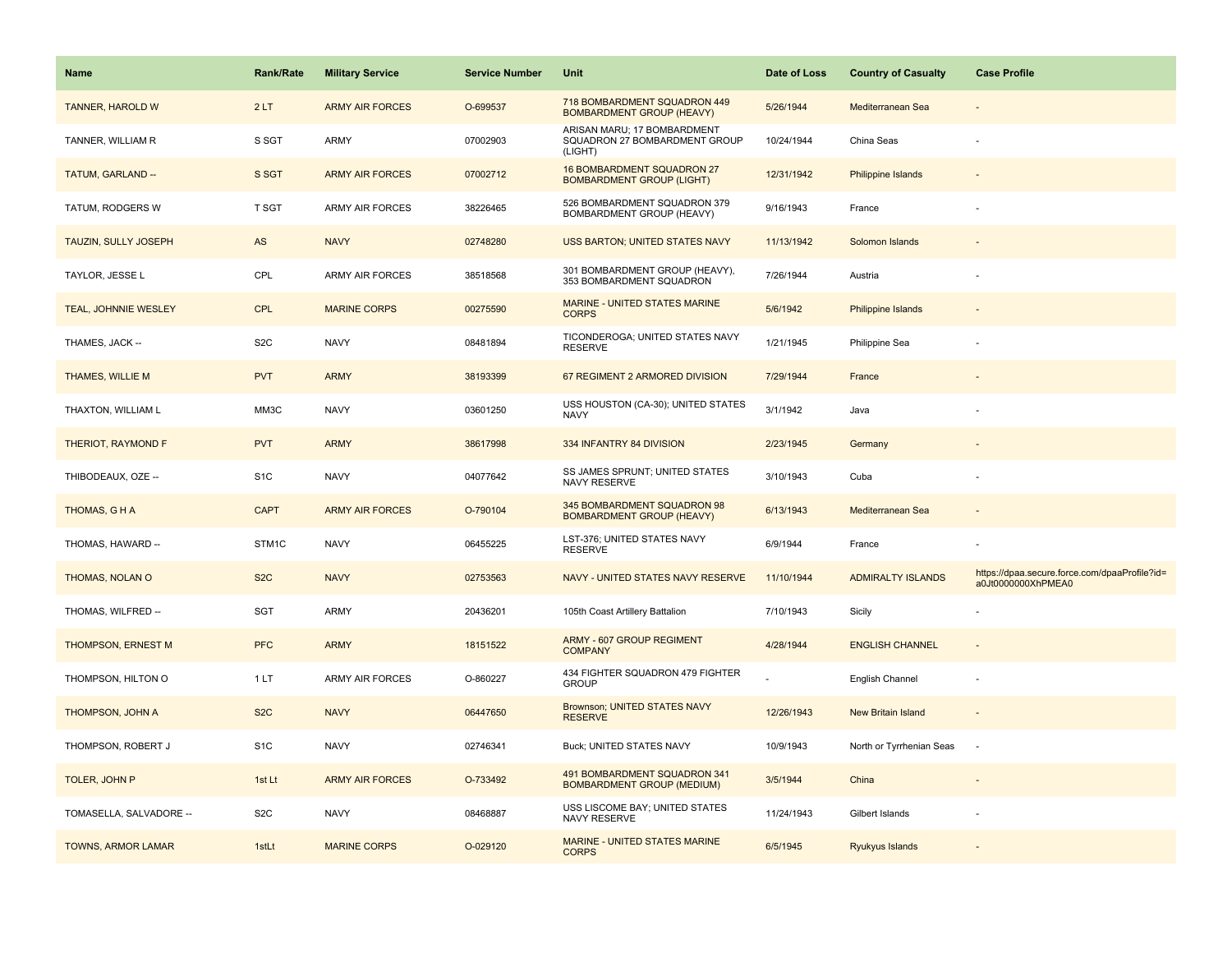| Name                        | <b>Rank/Rate</b> | <b>Military Service</b> | <b>Service Number</b> | Unit                                                                    | Date of Loss | <b>Country of Casualty</b> | <b>Case Profile</b>                                                 |
|-----------------------------|------------------|-------------------------|-----------------------|-------------------------------------------------------------------------|--------------|----------------------------|---------------------------------------------------------------------|
| TANNER, HAROLD W            | 2LT              | <b>ARMY AIR FORCES</b>  | O-699537              | 718 BOMBARDMENT SQUADRON 449<br><b>BOMBARDMENT GROUP (HEAVY)</b>        | 5/26/1944    | Mediterranean Sea          |                                                                     |
| TANNER, WILLIAM R           | S SGT            | <b>ARMY</b>             | 07002903              | ARISAN MARU; 17 BOMBARDMENT<br>SQUADRON 27 BOMBARDMENT GROUP<br>(LIGHT) | 10/24/1944   | China Seas                 |                                                                     |
| TATUM, GARLAND --           | S SGT            | <b>ARMY AIR FORCES</b>  | 07002712              | 16 BOMBARDMENT SQUADRON 27<br><b>BOMBARDMENT GROUP (LIGHT)</b>          | 12/31/1942   | <b>Philippine Islands</b>  |                                                                     |
| TATUM, RODGERS W            | <b>T SGT</b>     | <b>ARMY AIR FORCES</b>  | 38226465              | 526 BOMBARDMENT SQUADRON 379<br><b>BOMBARDMENT GROUP (HEAVY)</b>        | 9/16/1943    | France                     |                                                                     |
| TAUZIN, SULLY JOSEPH        | AS               | <b>NAVY</b>             | 02748280              | USS BARTON; UNITED STATES NAVY                                          | 11/13/1942   | Solomon Islands            |                                                                     |
| TAYLOR, JESSE L             | CPL              | <b>ARMY AIR FORCES</b>  | 38518568              | 301 BOMBARDMENT GROUP (HEAVY),<br>353 BOMBARDMENT SQUADRON              | 7/26/1944    | Austria                    |                                                                     |
| <b>TEAL, JOHNNIE WESLEY</b> | <b>CPL</b>       | <b>MARINE CORPS</b>     | 00275590              | MARINE - UNITED STATES MARINE<br><b>CORPS</b>                           | 5/6/1942     | <b>Philippine Islands</b>  |                                                                     |
| THAMES, JACK --             | S <sub>2</sub> C | <b>NAVY</b>             | 08481894              | TICONDEROGA; UNITED STATES NAVY<br><b>RESERVE</b>                       | 1/21/1945    | Philippine Sea             |                                                                     |
| THAMES, WILLIE M            | <b>PVT</b>       | <b>ARMY</b>             | 38193399              | 67 REGIMENT 2 ARMORED DIVISION                                          | 7/29/1944    | France                     |                                                                     |
| THAXTON, WILLIAM L          | MM3C             | <b>NAVY</b>             | 03601250              | USS HOUSTON (CA-30); UNITED STATES<br><b>NAVY</b>                       | 3/1/1942     | Java                       |                                                                     |
| THERIOT, RAYMOND F          | <b>PVT</b>       | <b>ARMY</b>             | 38617998              | 334 INFANTRY 84 DIVISION                                                | 2/23/1945    | Germany                    |                                                                     |
| THIBODEAUX, OZE --          | S <sub>1</sub> C | <b>NAVY</b>             | 04077642              | SS JAMES SPRUNT; UNITED STATES<br>NAVY RESERVE                          | 3/10/1943    | Cuba                       |                                                                     |
| THOMAS, GHA                 | <b>CAPT</b>      | <b>ARMY AIR FORCES</b>  | O-790104              | 345 BOMBARDMENT SQUADRON 98<br><b>BOMBARDMENT GROUP (HEAVY)</b>         | 6/13/1943    | Mediterranean Sea          |                                                                     |
| THOMAS, HAWARD --           | STM1C            | <b>NAVY</b>             | 06455225              | LST-376; UNITED STATES NAVY<br><b>RESERVE</b>                           | 6/9/1944     | France                     |                                                                     |
| THOMAS, NOLAN O             | S <sub>2</sub> C | <b>NAVY</b>             | 02753563              | NAVY - UNITED STATES NAVY RESERVE                                       | 11/10/1944   | <b>ADMIRALTY ISLANDS</b>   | https://dpaa.secure.force.com/dpaaProfile?id=<br>a0Jt0000000XhPMEA0 |
| THOMAS, WILFRED --          | SGT              | <b>ARMY</b>             | 20436201              | 105th Coast Artillery Battalion                                         | 7/10/1943    | Sicily                     |                                                                     |
| THOMPSON, ERNEST M          | <b>PFC</b>       | <b>ARMY</b>             | 18151522              | ARMY - 607 GROUP REGIMENT<br><b>COMPANY</b>                             | 4/28/1944    | <b>ENGLISH CHANNEL</b>     | $\sim$                                                              |
| THOMPSON, HILTON O          | 1LT              | <b>ARMY AIR FORCES</b>  | O-860227              | 434 FIGHTER SQUADRON 479 FIGHTER<br><b>GROUP</b>                        |              | English Channel            | $\sim$                                                              |
| <b>THOMPSON, JOHN A</b>     | S <sub>2</sub> C | <b>NAVY</b>             | 06447650              | Brownson; UNITED STATES NAVY<br><b>RESERVE</b>                          | 12/26/1943   | <b>New Britain Island</b>  |                                                                     |
| THOMPSON, ROBERT J          | S <sub>1</sub> C | <b>NAVY</b>             | 02746341              | Buck; UNITED STATES NAVY                                                | 10/9/1943    | North or Tyrrhenian Seas   | $\overline{\phantom{a}}$                                            |
| TOLER, JOHN P               | 1st Lt           | <b>ARMY AIR FORCES</b>  | O-733492              | 491 BOMBARDMENT SQUADRON 341<br><b>BOMBARDMENT GROUP (MEDIUM)</b>       | 3/5/1944     | China                      |                                                                     |
| TOMASELLA, SALVADORE --     | S <sub>2</sub> C | <b>NAVY</b>             | 08468887              | USS LISCOME BAY; UNITED STATES<br>NAVY RESERVE                          | 11/24/1943   | Gilbert Islands            |                                                                     |
| <b>TOWNS, ARMOR LAMAR</b>   | 1stLt            | <b>MARINE CORPS</b>     | O-029120              | MARINE - UNITED STATES MARINE<br><b>CORPS</b>                           | 6/5/1945     | Ryukyus Islands            |                                                                     |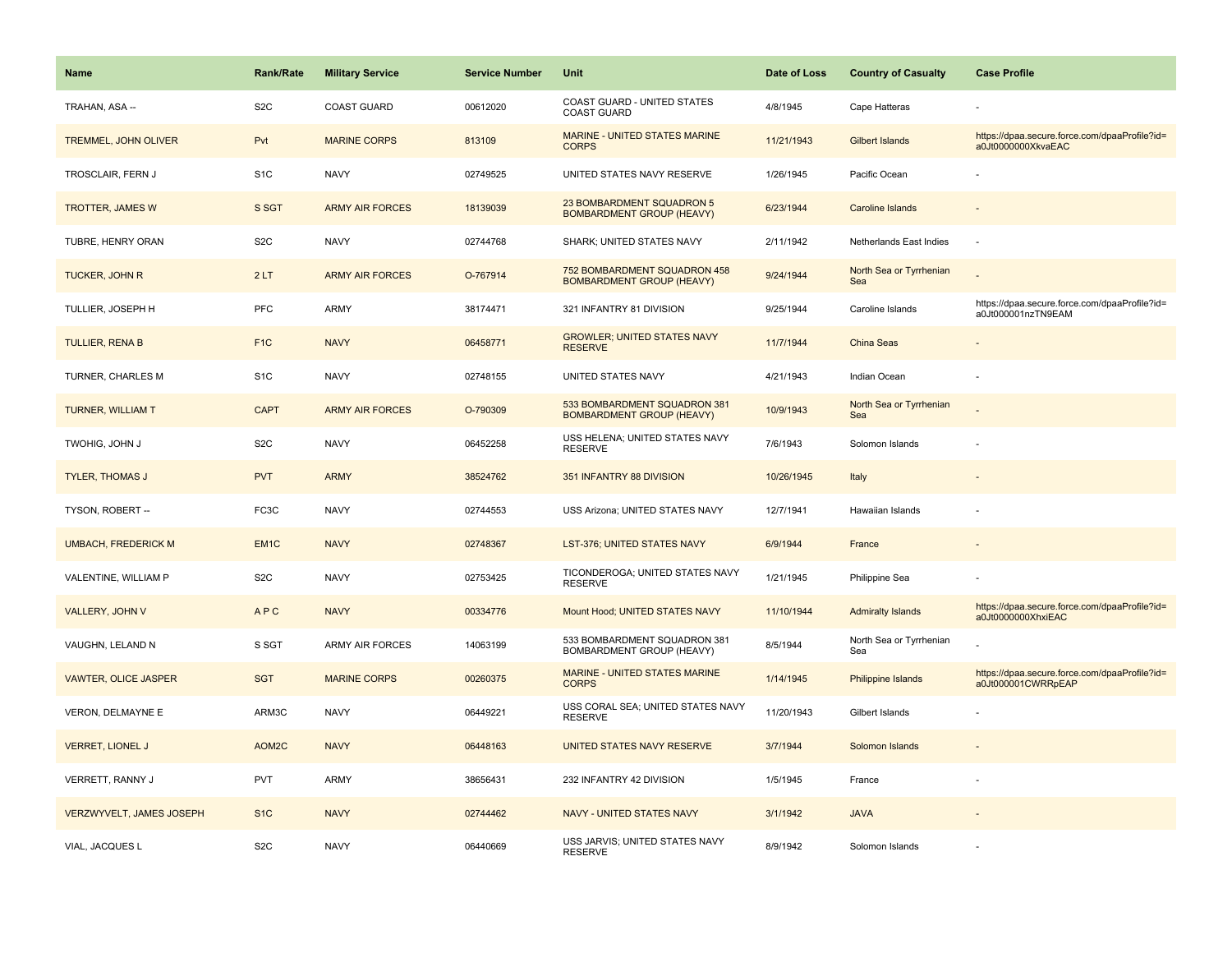| <b>Name</b>                 | Rank/Rate         | <b>Military Service</b> | <b>Service Number</b> | Unit                                                             | Date of Loss | <b>Country of Casualty</b>     | <b>Case Profile</b>                                                 |
|-----------------------------|-------------------|-------------------------|-----------------------|------------------------------------------------------------------|--------------|--------------------------------|---------------------------------------------------------------------|
| TRAHAN, ASA --              | S <sub>2</sub> C  | <b>COAST GUARD</b>      | 00612020              | COAST GUARD - UNITED STATES<br><b>COAST GUARD</b>                | 4/8/1945     | Cape Hatteras                  |                                                                     |
| TREMMEL, JOHN OLIVER        | Pvt               | <b>MARINE CORPS</b>     | 813109                | <b>MARINE - UNITED STATES MARINE</b><br><b>CORPS</b>             | 11/21/1943   | <b>Gilbert Islands</b>         | https://dpaa.secure.force.com/dpaaProfile?id=<br>a0Jt0000000XkvaEAC |
| <b>TROSCLAIR, FERN J</b>    | S <sub>1</sub> C  | <b>NAVY</b>             | 02749525              | UNITED STATES NAVY RESERVE                                       | 1/26/1945    | Pacific Ocean                  |                                                                     |
| <b>TROTTER, JAMES W</b>     | S SGT             | <b>ARMY AIR FORCES</b>  | 18139039              | 23 BOMBARDMENT SQUADRON 5<br><b>BOMBARDMENT GROUP (HEAVY)</b>    | 6/23/1944    | <b>Caroline Islands</b>        |                                                                     |
| TUBRE. HENRY ORAN           | S <sub>2</sub> C  | <b>NAVY</b>             | 02744768              | SHARK; UNITED STATES NAVY                                        | 2/11/1942    | Netherlands East Indies        |                                                                     |
| <b>TUCKER, JOHN R</b>       | 2LT               | <b>ARMY AIR FORCES</b>  | O-767914              | 752 BOMBARDMENT SQUADRON 458<br><b>BOMBARDMENT GROUP (HEAVY)</b> | 9/24/1944    | North Sea or Tyrrhenian<br>Sea |                                                                     |
| TULLIER, JOSEPH H           | PFC               | <b>ARMY</b>             | 38174471              | 321 INFANTRY 81 DIVISION                                         | 9/25/1944    | Caroline Islands               | https://dpaa.secure.force.com/dpaaProfile?id=<br>a0Jt000001nzTN9EAM |
| <b>TULLIER, RENA B</b>      | F <sub>1</sub> C  | <b>NAVY</b>             | 06458771              | <b>GROWLER; UNITED STATES NAVY</b><br><b>RESERVE</b>             | 11/7/1944    | <b>China Seas</b>              |                                                                     |
| TURNER, CHARLES M           | S <sub>1</sub> C  | <b>NAVY</b>             | 02748155              | UNITED STATES NAVY                                               | 4/21/1943    | Indian Ocean                   |                                                                     |
| <b>TURNER, WILLIAM T</b>    | <b>CAPT</b>       | <b>ARMY AIR FORCES</b>  | O-790309              | 533 BOMBARDMENT SQUADRON 381<br><b>BOMBARDMENT GROUP (HEAVY)</b> | 10/9/1943    | North Sea or Tyrrhenian<br>Sea |                                                                     |
| TWOHIG, JOHN J              | S <sub>2</sub> C  | <b>NAVY</b>             | 06452258              | USS HELENA; UNITED STATES NAVY<br><b>RESERVE</b>                 | 7/6/1943     | Solomon Islands                |                                                                     |
| <b>TYLER, THOMAS J</b>      | <b>PVT</b>        | <b>ARMY</b>             | 38524762              | 351 INFANTRY 88 DIVISION                                         | 10/26/1945   | Italy                          |                                                                     |
| TYSON, ROBERT --            | FC <sub>3</sub> C | <b>NAVY</b>             | 02744553              | USS Arizona; UNITED STATES NAVY                                  | 12/7/1941    | Hawaiian Islands               |                                                                     |
| <b>UMBACH, FREDERICK M</b>  | EM <sub>1C</sub>  | <b>NAVY</b>             | 02748367              | LST-376; UNITED STATES NAVY                                      | 6/9/1944     | France                         |                                                                     |
| VALENTINE, WILLIAM P        | S <sub>2</sub> C  | <b>NAVY</b>             | 02753425              | TICONDEROGA; UNITED STATES NAVY<br><b>RESERVE</b>                | 1/21/1945    | Philippine Sea                 |                                                                     |
| VALLERY, JOHN V             | APC               | <b>NAVY</b>             | 00334776              | Mount Hood; UNITED STATES NAVY                                   | 11/10/1944   | <b>Admiralty Islands</b>       | https://dpaa.secure.force.com/dpaaProfile?id=<br>a0Jt0000000XhxiEAC |
| VAUGHN, LELAND N            | S SGT             | <b>ARMY AIR FORCES</b>  | 14063199              | 533 BOMBARDMENT SQUADRON 381<br>BOMBARDMENT GROUP (HEAVY)        | 8/5/1944     | North Sea or Tyrrhenian<br>Sea |                                                                     |
| <b>VAWTER, OLICE JASPER</b> | <b>SGT</b>        | <b>MARINE CORPS</b>     | 00260375              | MARINE - UNITED STATES MARINE<br><b>CORPS</b>                    | 1/14/1945    | Philippine Islands             | https://dpaa.secure.force.com/dpaaProfile?id=<br>a0Jt000001CWRRpEAP |
| VERON, DELMAYNE E           | ARM3C             | <b>NAVY</b>             | 06449221              | USS CORAL SEA; UNITED STATES NAVY<br><b>RESERVE</b>              | 11/20/1943   | Gilbert Islands                |                                                                     |
| <b>VERRET, LIONEL J</b>     | AOM2C             | <b>NAVY</b>             | 06448163              | UNITED STATES NAVY RESERVE                                       | 3/7/1944     | Solomon Islands                |                                                                     |
| VERRETT, RANNY J            | PVT               | <b>ARMY</b>             | 38656431              | 232 INFANTRY 42 DIVISION                                         | 1/5/1945     | France                         |                                                                     |
| VERZWYVELT, JAMES JOSEPH    | S <sub>1</sub> C  | <b>NAVY</b>             | 02744462              | NAVY - UNITED STATES NAVY                                        | 3/1/1942     | <b>JAVA</b>                    |                                                                     |
| VIAL, JACQUES L             | S <sub>2</sub> C  | <b>NAVY</b>             | 06440669              | USS JARVIS; UNITED STATES NAVY<br><b>RESERVE</b>                 | 8/9/1942     | Solomon Islands                |                                                                     |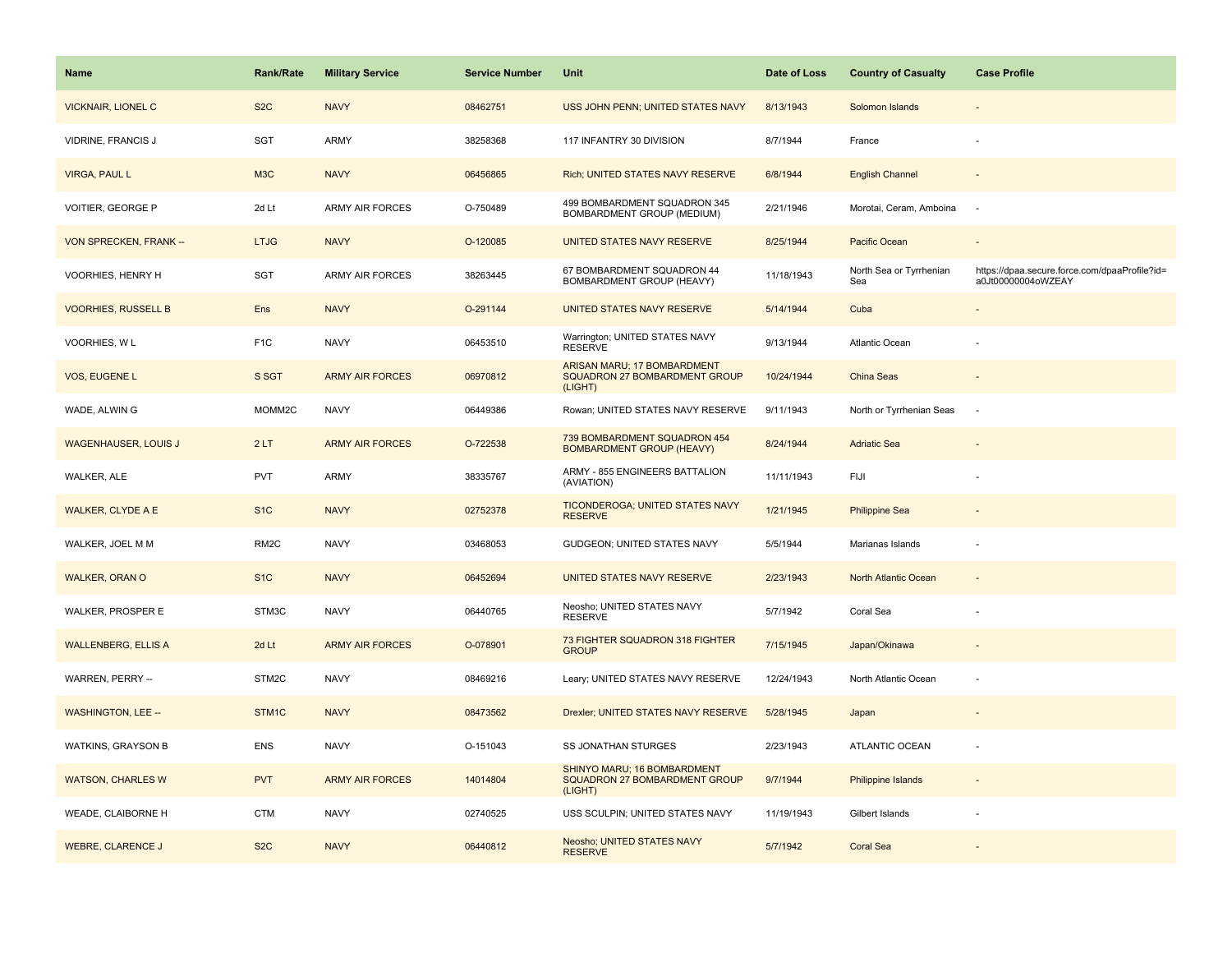| <b>Name</b>                 | Rank/Rate         | <b>Military Service</b> | <b>Service Number</b> | Unit                                                                    | Date of Loss | <b>Country of Casualty</b>     | <b>Case Profile</b>                                                 |
|-----------------------------|-------------------|-------------------------|-----------------------|-------------------------------------------------------------------------|--------------|--------------------------------|---------------------------------------------------------------------|
| <b>VICKNAIR, LIONEL C</b>   | S <sub>2</sub> C  | <b>NAVY</b>             | 08462751              | USS JOHN PENN; UNITED STATES NAVY                                       | 8/13/1943    | Solomon Islands                |                                                                     |
| VIDRINE, FRANCIS J          | SGT               | ARMY                    | 38258368              | 117 INFANTRY 30 DIVISION                                                | 8/7/1944     | France                         |                                                                     |
| <b>VIRGA, PAUL L</b>        | M <sub>3</sub> C  | <b>NAVY</b>             | 06456865              | Rich; UNITED STATES NAVY RESERVE                                        | 6/8/1944     | <b>English Channel</b>         |                                                                     |
| VOITIER, GEORGE P           | 2d Lt             | <b>ARMY AIR FORCES</b>  | O-750489              | 499 BOMBARDMENT SQUADRON 345<br><b>BOMBARDMENT GROUP (MEDIUM)</b>       | 2/21/1946    | Morotai, Ceram, Amboina        | $\overline{\phantom{a}}$                                            |
| VON SPRECKEN, FRANK --      | <b>LTJG</b>       | <b>NAVY</b>             | O-120085              | UNITED STATES NAVY RESERVE                                              | 8/25/1944    | Pacific Ocean                  |                                                                     |
| VOORHIES, HENRY H           | SGT               | <b>ARMY AIR FORCES</b>  | 38263445              | 67 BOMBARDMENT SQUADRON 44<br>BOMBARDMENT GROUP (HEAVY)                 | 11/18/1943   | North Sea or Tyrrhenian<br>Sea | https://dpaa.secure.force.com/dpaaProfile?id=<br>a0Jt00000004oWZEAY |
| <b>VOORHIES, RUSSELL B</b>  | Ens               | <b>NAVY</b>             | O-291144              | UNITED STATES NAVY RESERVE                                              | 5/14/1944    | Cuba                           |                                                                     |
| VOORHIES, WL                | F <sub>1</sub> C  | <b>NAVY</b>             | 06453510              | Warrington; UNITED STATES NAVY<br>RESERVE                               | 9/13/1944    | Atlantic Ocean                 |                                                                     |
| VOS, EUGENE L               | S SGT             | <b>ARMY AIR FORCES</b>  | 06970812              | ARISAN MARU; 17 BOMBARDMENT<br>SQUADRON 27 BOMBARDMENT GROUP<br>(LIGHT) | 10/24/1944   | <b>China Seas</b>              |                                                                     |
| WADE, ALWIN G               | MOMM2C            | <b>NAVY</b>             | 06449386              | Rowan; UNITED STATES NAVY RESERVE                                       | 9/11/1943    | North or Tyrrhenian Seas       | $\sim$                                                              |
| <b>WAGENHAUSER, LOUIS J</b> | 2LT               | <b>ARMY AIR FORCES</b>  | O-722538              | 739 BOMBARDMENT SQUADRON 454<br><b>BOMBARDMENT GROUP (HEAVY)</b>        | 8/24/1944    | <b>Adriatic Sea</b>            |                                                                     |
| WALKER, ALE                 | <b>PVT</b>        | <b>ARMY</b>             | 38335767              | ARMY - 855 ENGINEERS BATTALION<br>(AVIATION)                            | 11/11/1943   | FIJI                           |                                                                     |
| <b>WALKER, CLYDE A E</b>    | S <sub>1</sub> C  | <b>NAVY</b>             | 02752378              | TICONDEROGA; UNITED STATES NAVY<br><b>RESERVE</b>                       | 1/21/1945    | <b>Philippine Sea</b>          |                                                                     |
| WALKER, JOEL M M            | RM <sub>2</sub> C | <b>NAVY</b>             | 03468053              | GUDGEON; UNITED STATES NAVY                                             | 5/5/1944     | Marianas Islands               |                                                                     |
| <b>WALKER, ORAN O</b>       | S <sub>1</sub> C  | <b>NAVY</b>             | 06452694              | UNITED STATES NAVY RESERVE                                              | 2/23/1943    | North Atlantic Ocean           | $\sim$                                                              |
| WALKER, PROSPER E           | STM3C             | <b>NAVY</b>             | 06440765              | Neosho; UNITED STATES NAVY<br><b>RESERVE</b>                            | 5/7/1942     | Coral Sea                      | ÷,                                                                  |
| <b>WALLENBERG, ELLIS A</b>  | 2d Lt             | <b>ARMY AIR FORCES</b>  | O-078901              | 73 FIGHTER SQUADRON 318 FIGHTER<br><b>GROUP</b>                         | 7/15/1945    | Japan/Okinawa                  |                                                                     |
| WARREN, PERRY --            | STM2C             | <b>NAVY</b>             | 08469216              | Leary; UNITED STATES NAVY RESERVE                                       | 12/24/1943   | North Atlantic Ocean           | ÷,                                                                  |
| <b>WASHINGTON, LEE --</b>   | STM1C             | <b>NAVY</b>             | 08473562              | Drexler; UNITED STATES NAVY RESERVE                                     | 5/28/1945    | Japan                          |                                                                     |
| <b>WATKINS, GRAYSON B</b>   | ENS               | <b>NAVY</b>             | O-151043              | SS JONATHAN STURGES                                                     | 2/23/1943    | <b>ATLANTIC OCEAN</b>          |                                                                     |
| <b>WATSON, CHARLES W</b>    | <b>PVT</b>        | <b>ARMY AIR FORCES</b>  | 14014804              | SHINYO MARU; 16 BOMBARDMENT<br>SQUADRON 27 BOMBARDMENT GROUP<br>(LIGHT) | 9/7/1944     | Philippine Islands             | $\sim$                                                              |
| WEADE, CLAIBORNE H          | <b>CTM</b>        | <b>NAVY</b>             | 02740525              | USS SCULPIN; UNITED STATES NAVY                                         | 11/19/1943   | Gilbert Islands                |                                                                     |
| <b>WEBRE, CLARENCE J</b>    | S <sub>2</sub> C  | <b>NAVY</b>             | 06440812              | Neosho; UNITED STATES NAVY<br><b>RESERVE</b>                            | 5/7/1942     | <b>Coral Sea</b>               |                                                                     |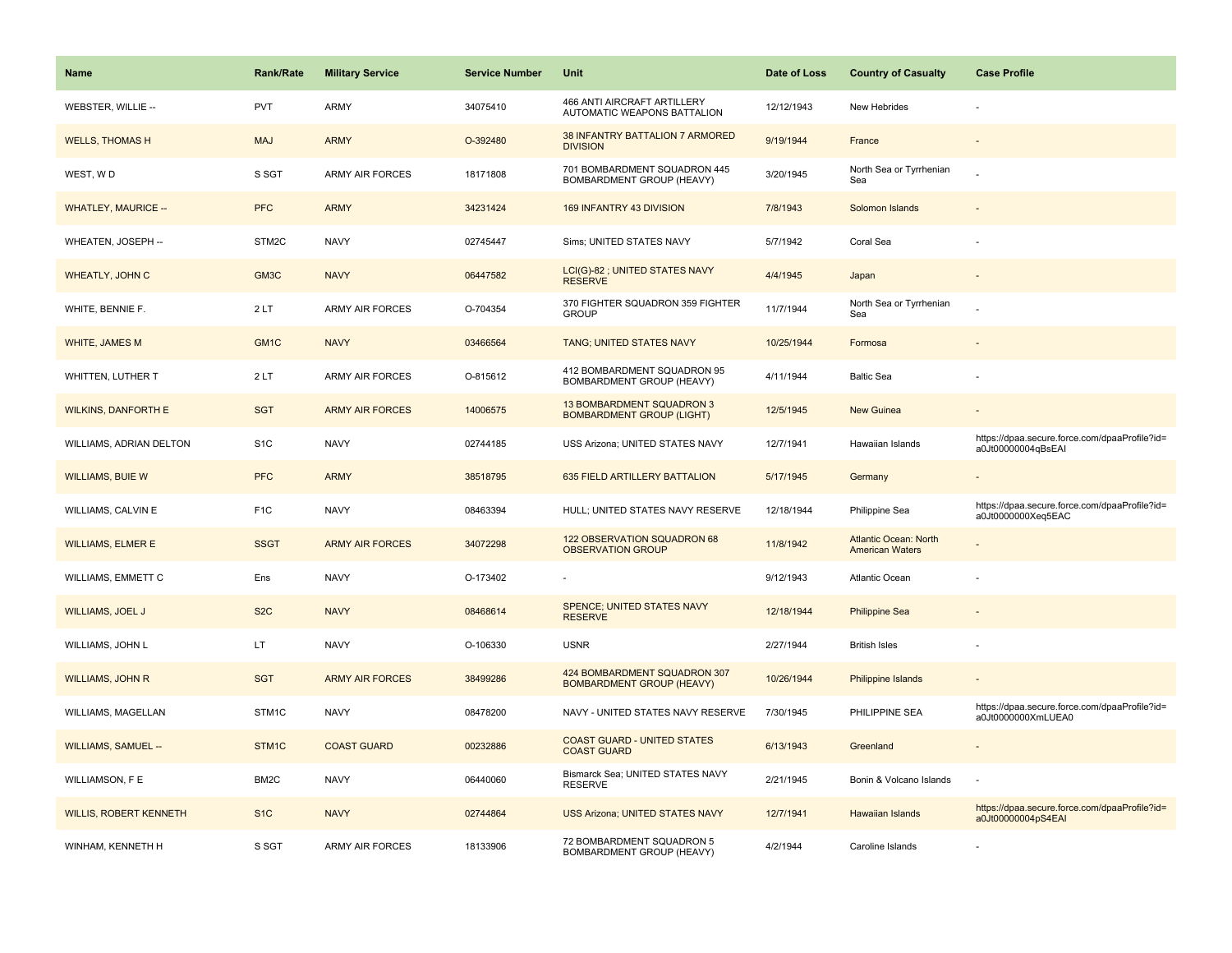| <b>Name</b>                   | <b>Rank/Rate</b>  | <b>Military Service</b> | <b>Service Number</b> | Unit                                                                 | Date of Loss | <b>Country of Casualty</b>                             | <b>Case Profile</b>                                                 |
|-------------------------------|-------------------|-------------------------|-----------------------|----------------------------------------------------------------------|--------------|--------------------------------------------------------|---------------------------------------------------------------------|
| WEBSTER, WILLIE --            | <b>PVT</b>        | ARMY                    | 34075410              | 466 ANTI AIRCRAFT ARTILLERY<br>AUTOMATIC WEAPONS BATTALION           | 12/12/1943   | New Hebrides                                           |                                                                     |
| <b>WELLS, THOMAS H</b>        | <b>MAJ</b>        | <b>ARMY</b>             | O-392480              | 38 INFANTRY BATTALION 7 ARMORED<br><b>DIVISION</b>                   | 9/19/1944    | France                                                 |                                                                     |
| WEST, WD                      | S SGT             | <b>ARMY AIR FORCES</b>  | 18171808              | 701 BOMBARDMENT SQUADRON 445<br>BOMBARDMENT GROUP (HEAVY)            | 3/20/1945    | North Sea or Tyrrhenian<br>Sea                         |                                                                     |
| <b>WHATLEY, MAURICE --</b>    | <b>PFC</b>        | <b>ARMY</b>             | 34231424              | 169 INFANTRY 43 DIVISION                                             | 7/8/1943     | Solomon Islands                                        |                                                                     |
| WHEATEN, JOSEPH --            | STM2C             | <b>NAVY</b>             | 02745447              | Sims; UNITED STATES NAVY                                             | 5/7/1942     | Coral Sea                                              |                                                                     |
| <b>WHEATLY, JOHN C</b>        | GM3C              | <b>NAVY</b>             | 06447582              | LCI(G)-82; UNITED STATES NAVY<br><b>RESERVE</b>                      | 4/4/1945     | Japan                                                  |                                                                     |
| WHITE, BENNIE F.              | 2LT               | <b>ARMY AIR FORCES</b>  | O-704354              | 370 FIGHTER SQUADRON 359 FIGHTER<br><b>GROUP</b>                     | 11/7/1944    | North Sea or Tyrrhenian<br>Sea                         |                                                                     |
| WHITE, JAMES M                | GM <sub>1</sub> C | <b>NAVY</b>             | 03466564              | TANG; UNITED STATES NAVY                                             | 10/25/1944   | Formosa                                                |                                                                     |
| WHITTEN, LUTHER T             | 2LT               | <b>ARMY AIR FORCES</b>  | O-815612              | 412 BOMBARDMENT SQUADRON 95<br>BOMBARDMENT GROUP (HEAVY)             | 4/11/1944    | <b>Baltic Sea</b>                                      |                                                                     |
| <b>WILKINS, DANFORTH E</b>    | <b>SGT</b>        | <b>ARMY AIR FORCES</b>  | 14006575              | <b>13 BOMBARDMENT SQUADRON 3</b><br><b>BOMBARDMENT GROUP (LIGHT)</b> | 12/5/1945    | <b>New Guinea</b>                                      |                                                                     |
| WILLIAMS, ADRIAN DELTON       | S <sub>1</sub> C  | <b>NAVY</b>             | 02744185              | USS Arizona; UNITED STATES NAVY                                      | 12/7/1941    | Hawaiian Islands                                       | https://dpaa.secure.force.com/dpaaProfile?id=<br>a0Jt00000004qBsEAI |
| <b>WILLIAMS, BUIE W</b>       | <b>PFC</b>        | <b>ARMY</b>             | 38518795              | 635 FIELD ARTILLERY BATTALION                                        | 5/17/1945    | Germany                                                |                                                                     |
| WILLIAMS, CALVIN E            | F <sub>1</sub> C  | <b>NAVY</b>             | 08463394              | HULL; UNITED STATES NAVY RESERVE                                     | 12/18/1944   | Philippine Sea                                         | https://dpaa.secure.force.com/dpaaProfile?id=<br>a0Jt0000000Xeq5EAC |
| <b>WILLIAMS, ELMER E</b>      | <b>SSGT</b>       | <b>ARMY AIR FORCES</b>  | 34072298              | 122 OBSERVATION SQUADRON 68<br><b>OBSERVATION GROUP</b>              | 11/8/1942    | <b>Atlantic Ocean: North</b><br><b>American Waters</b> |                                                                     |
| WILLIAMS, EMMETT C            | Ens               | <b>NAVY</b>             | O-173402              |                                                                      | 9/12/1943    | Atlantic Ocean                                         |                                                                     |
| WILLIAMS, JOEL J              | S <sub>2</sub> C  | <b>NAVY</b>             | 08468614              | SPENCE; UNITED STATES NAVY<br><b>RESERVE</b>                         | 12/18/1944   | <b>Philippine Sea</b>                                  |                                                                     |
| WILLIAMS, JOHN L              | LT                | <b>NAVY</b>             | O-106330              | <b>USNR</b>                                                          | 2/27/1944    | <b>British Isles</b>                                   |                                                                     |
| <b>WILLIAMS, JOHN R</b>       | <b>SGT</b>        | <b>ARMY AIR FORCES</b>  | 38499286              | 424 BOMBARDMENT SQUADRON 307<br><b>BOMBARDMENT GROUP (HEAVY)</b>     | 10/26/1944   | Philippine Islands                                     |                                                                     |
| WILLIAMS, MAGELLAN            | STM1C             | <b>NAVY</b>             | 08478200              | NAVY - UNITED STATES NAVY RESERVE                                    | 7/30/1945    | PHILIPPINE SEA                                         | https://dpaa.secure.force.com/dpaaProfile?id=<br>a0Jt0000000XmLUEA0 |
| <b>WILLIAMS, SAMUEL --</b>    | STM1C             | <b>COAST GUARD</b>      | 00232886              | <b>COAST GUARD - UNITED STATES</b><br><b>COAST GUARD</b>             | 6/13/1943    | Greenland                                              |                                                                     |
| WILLIAMSON, F E               | BM2C              | <b>NAVY</b>             | 06440060              | Bismarck Sea; UNITED STATES NAVY<br><b>RESERVE</b>                   | 2/21/1945    | Bonin & Volcano Islands                                |                                                                     |
| <b>WILLIS, ROBERT KENNETH</b> | S <sub>1</sub> C  | <b>NAVY</b>             | 02744864              | <b>USS Arizona; UNITED STATES NAVY</b>                               | 12/7/1941    | Hawaiian Islands                                       | https://dpaa.secure.force.com/dpaaProfile?id=<br>a0Jt00000004pS4EAI |
| WINHAM, KENNETH H             | S SGT             | ARMY AIR FORCES         | 18133906              | 72 BOMBARDMENT SQUADRON 5<br>BOMBARDMENT GROUP (HEAVY)               | 4/2/1944     | Caroline Islands                                       |                                                                     |